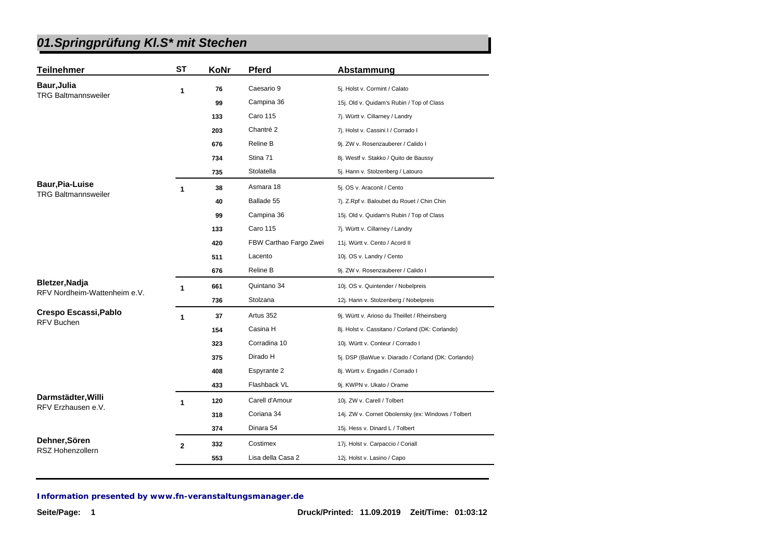| <b>Teilnehmer</b>                        | <b>ST</b>    | KoNr | Pferd                  | Abstammung                                         |
|------------------------------------------|--------------|------|------------------------|----------------------------------------------------|
| Baur, Julia                              | 1            | 76   | Caesario 9             | 5j. Holst v. Cormint / Calato                      |
| <b>TRG Baltmannsweiler</b>               |              | 99   | Campina 36             | 15j. Old v. Quidam's Rubin / Top of Class          |
|                                          |              | 133  | <b>Caro 115</b>        | 7j. Württ v. Cillarney / Landry                    |
|                                          |              | 203  | Chantré 2              | 7j. Holst v. Cassini I / Corrado I                 |
|                                          |              | 676  | Reline B               | 9j. ZW v. Rosenzauberer / Calido I                 |
|                                          |              | 734  | Stina 71               | 8j. Westf v. Stakko / Quito de Baussy              |
|                                          |              | 735  | Stolatella             | 5j. Hann v. Stolzenberg / Latouro                  |
| <b>Baur, Pia-Luise</b>                   | 1            | 38   | Asmara 18              | 5j. OS v. Araconit / Cento                         |
| <b>TRG Baltmannsweiler</b>               |              | 40   | Ballade 55             | 7j. Z.Rpf v. Baloubet du Rouet / Chin Chin         |
|                                          |              | 99   | Campina 36             | 15j. Old v. Quidam's Rubin / Top of Class          |
|                                          |              | 133  | <b>Caro 115</b>        | 7j. Württ v. Cillarney / Landry                    |
|                                          |              | 420  | FBW Carthao Fargo Zwei | 11j. Württ v. Cento / Acord II                     |
|                                          |              | 511  | Lacento                | 10j. OS v. Landry / Cento                          |
|                                          |              | 676  | Reline B               | 9j. ZW v. Rosenzauberer / Calido I                 |
| Bletzer, Nadja                           | 1            | 661  | Quintano 34            | 10j. OS v. Quintender / Nobelpreis                 |
| RFV Nordheim-Wattenheim e.V.             |              | 736  | Stolzana               | 12j. Hann v. Stolzenberg / Nobelpreis              |
| Crespo Escassi, Pablo                    | 1            | 37   | Artus 352              | 9j. Württ v. Arioso du Theillet / Rheinsberg       |
| <b>RFV Buchen</b>                        |              | 154  | Casina H               | 8j. Holst v. Cassitano / Corland (DK: Corlando)    |
|                                          |              | 323  | Corradina 10           | 10j. Württ v. Conteur / Corrado I                  |
|                                          |              | 375  | Dirado H               | 5j. DSP (BaWue v. Diarado / Corland (DK: Corlando) |
|                                          |              | 408  | Espyrante 2            | 8j. Württ v. Engadin / Corrado I                   |
|                                          |              | 433  | Flashback VL           | 9j. KWPN v. Ukato / Orame                          |
| Darmstädter, Willi<br>RFV Erzhausen e.V. | 1            | 120  | Carell d'Amour         | 10j. ZW v. Carell / Tolbert                        |
|                                          |              | 318  | Coriana 34             | 14j. ZW v. Cornet Obolensky (ex: Windows / Tolbert |
|                                          |              | 374  | Dinara 54              | 15j. Hess v. Dinard L / Tolbert                    |
| Dehner, Sören                            | $\mathbf{2}$ | 332  | Costimex               | 17j. Holst v. Carpaccio / Coriall                  |
| <b>RSZ Hohenzollern</b>                  |              | 553  | Lisa della Casa 2      | 12j. Holst v. Lasino / Capo                        |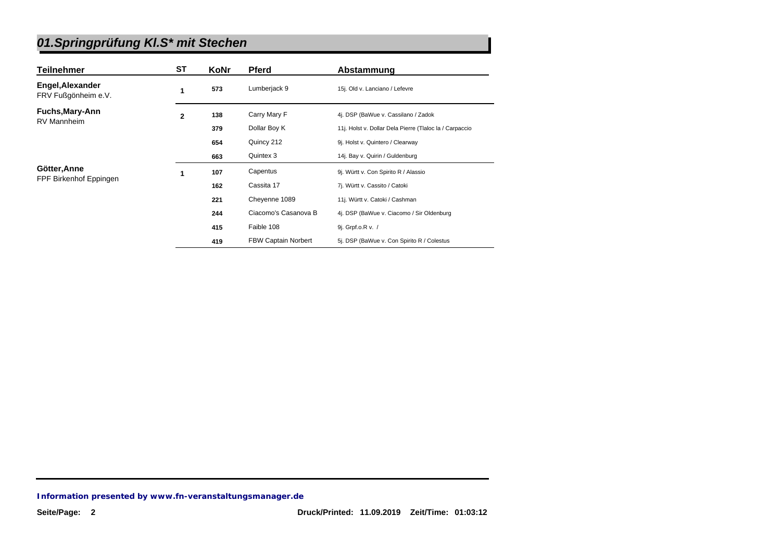| <b>Teilnehmer</b>                       | <b>ST</b>    | <b>KoNr</b> | <b>Pferd</b>               | Abstammung                                              |
|-----------------------------------------|--------------|-------------|----------------------------|---------------------------------------------------------|
| Engel, Alexander<br>FRV Fußgönheim e.V. | 1            | 573         | Lumberjack 9               | 15j. Old v. Lanciano / Lefevre                          |
| Fuchs, Mary-Ann                         | $\mathbf{2}$ | 138         | Carry Mary F               | 4j. DSP (BaWue v. Cassilano / Zadok                     |
| <b>RV Mannheim</b>                      |              | 379         | Dollar Boy K               | 11j. Holst v. Dollar Dela Pierre (Tlaloc la / Carpaccio |
|                                         |              | 654         | Quincy 212                 | 9j. Holst v. Quintero / Clearway                        |
|                                         |              | 663         | Quintex 3                  | 14j. Bay v. Quirin / Guldenburg                         |
| Götter, Anne                            | 1            | 107         | Capentus                   | 9j. Württ v. Con Spirito R / Alassio                    |
| FPF Birkenhof Eppingen                  |              | 162         | Cassita 17                 | 7j. Württ v. Cassito / Catoki                           |
|                                         |              | 221         | Cheyenne 1089              | 11j. Württ v. Catoki / Cashman                          |
|                                         |              | 244         | Ciacomo's Casanova B       | 4j. DSP (BaWue v. Ciacomo / Sir Oldenburg               |
|                                         |              | 415         | Faible 108                 | 9j. Grpf.o.R v. /                                       |
|                                         |              | 419         | <b>FBW Captain Norbert</b> | 5j. DSP (BaWue v. Con Spirito R / Colestus              |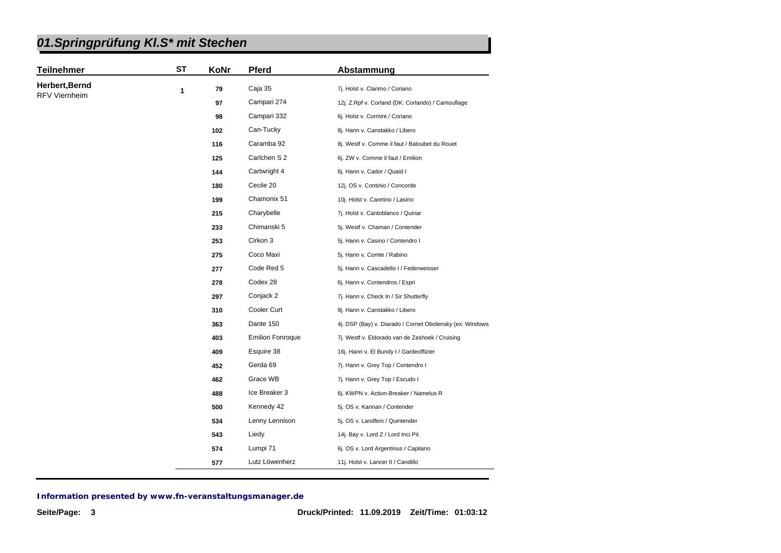| <b>Teilnehmer</b>    | <b>ST</b> | KoNr | <b>Pferd</b>            | Abstammung                                               |
|----------------------|-----------|------|-------------------------|----------------------------------------------------------|
| Herbert, Bernd       | 1         | 79   | Caja 35                 | 7j. Holst v. Clarimo / Coriano                           |
| <b>RFV Viernheim</b> |           | 97   | Campari 274             | 12j. Z.Rpf v. Corland (DK: Corlando) / Camouflage        |
|                      |           | 98   | Campari 332             | 6j. Holst v. Cormint / Coriano                           |
|                      |           | 102  | Can-Tucky               | 8j. Hann v. Canstakko / Libero                           |
|                      |           | 116  | Caramba 92              | 8j. Westf v. Comme il faut / Baloubet du Rouet           |
|                      |           | 125  | Carlchen S 2            | 6j. ZW v. Comme il faut / Emilion                        |
|                      |           | 144  | Cartwright 4            | 6j. Hann v. Cador / Quaid I                              |
|                      |           | 180  | Cecile 20               | 12j. OS v. Continio / Concorde                           |
|                      |           | 199  | Chamonix 51             | 10j. Holst v. Caretino / Lasino                          |
|                      |           | 215  | Charybelle              | 7j. Holst v. Cantoblanco / Quinar                        |
|                      |           | 233  | Chimanski 5             | 5j. Westf v. Chaman / Contender                          |
|                      |           | 253  | Cirkon 3                | 5j. Hann v. Casino / Contendro I                         |
|                      |           | 275  | Coco Maxi               | 5j. Hann v. Comte / Rabino                               |
|                      |           | 277  | Code Red 5              | 5j. Hann v. Cascadello I / Federweisser                  |
|                      |           | 278  | Codex 28                | 6j. Hann v. Contendros / Espri                           |
|                      |           | 297  | Conjack 2               | 7j. Hann v. Check In / Sir Shutterfly                    |
|                      |           | 310  | Cooler Curt             | 9j. Hann v. Canstakko / Libero                           |
|                      |           | 363  | Dante 150               | 4j. DSP (Bay) v. Diarado / Cornet Obolensky (ex: Windows |
|                      |           | 403  | <b>Emilion Fonroque</b> | 7j. Westf v. Eldorado van de Zeshoek / Cruising          |
|                      |           | 409  | Esquire 38              | 16j. Hann v. El Bundy I / Gardeoffizier                  |
|                      |           | 452  | Gerda 69                | 7j. Hann v. Grey Top / Contendro I                       |
|                      |           | 462  | Grace WB                | 7j. Hann v. Grey Top / Escudo I                          |
|                      |           | 488  | Ice Breaker 3           | 6j. KWPN v. Action-Breaker / Namelus R                   |
|                      |           | 500  | Kennedy 42              | 5j. OS v. Kannan / Contender                             |
|                      |           | 534  | Lenny Lennison          | 5j. OS v. Landfein / Quintender                          |
|                      |           | 543  | Liedy                   | 14j. Bay v. Lord Z / Lord Inci Pit                       |
|                      |           | 574  | Lumpi 71                | 6j. OS v. Lord Argentinus / Capilano                     |
|                      |           | 577  | Lutz Löwenherz          | 11j. Holst v. Lancer II / Candillo                       |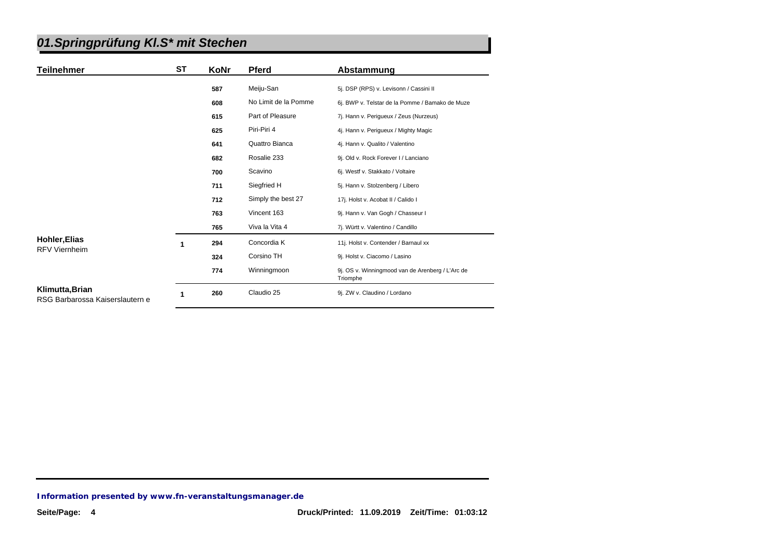| Teilnehmer                                         | ST | KoNr | <b>Pferd</b>         | Abstammung                                                   |
|----------------------------------------------------|----|------|----------------------|--------------------------------------------------------------|
|                                                    |    | 587  | Meiju-San            | 5j. DSP (RPS) v. Levisonn / Cassini II                       |
|                                                    |    | 608  | No Limit de la Pomme | 6j. BWP v. Telstar de la Pomme / Bamako de Muze              |
|                                                    |    | 615  | Part of Pleasure     | 7j. Hann v. Perigueux / Zeus (Nurzeus)                       |
|                                                    |    | 625  | Piri-Piri 4          | 4j. Hann v. Periqueux / Mighty Magic                         |
|                                                    |    | 641  | Quattro Bianca       | 4j. Hann v. Qualito / Valentino                              |
|                                                    |    | 682  | Rosalie 233          | 9j. Old v. Rock Forever I / Lanciano                         |
|                                                    |    | 700  | Scavino              | 6j. Westf v. Stakkato / Voltaire                             |
|                                                    |    | 711  | Siegfried H          | 5j. Hann v. Stolzenberg / Libero                             |
|                                                    |    | 712  | Simply the best 27   | 17j. Holst v. Acobat II / Calido I                           |
|                                                    |    | 763  | Vincent 163          | 9j. Hann v. Van Gogh / Chasseur I                            |
|                                                    |    | 765  | Viva la Vita 4       | 7j. Württ v. Valentino / Candillo                            |
| <b>Hohler, Elias</b><br><b>RFV Viernheim</b>       | 1  | 294  | Concordia K          | 11j. Holst v. Contender / Barnaul xx                         |
|                                                    |    | 324  | Corsino TH           | 9j. Holst v. Ciacomo / Lasino                                |
|                                                    |    | 774  | Winningmoon          | 9j. OS v. Winningmood van de Arenberg / L'Arc de<br>Triomphe |
| Klimutta, Brian<br>RSG Barbarossa Kaiserslautern e | 1  | 260  | Claudio 25           | 9j. ZW v. Claudino / Lordano                                 |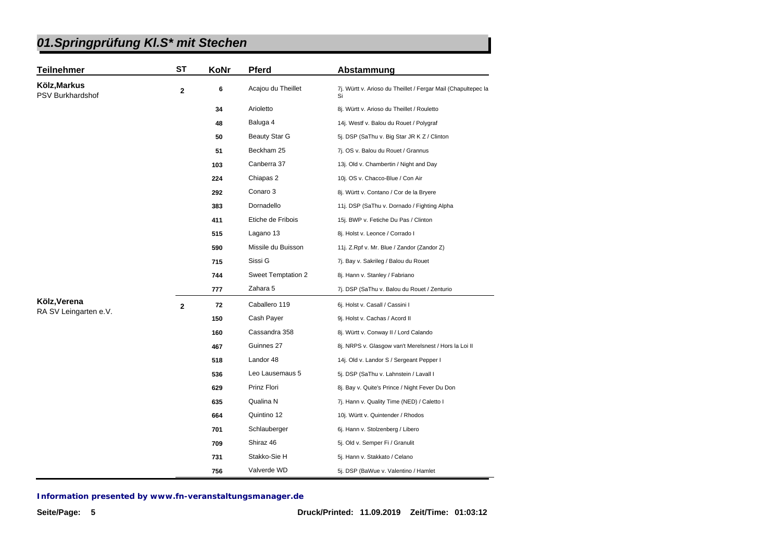| 01.Springprüfung KI.S* mit Stechen |  |
|------------------------------------|--|
|------------------------------------|--|

| <b>Teilnehmer</b>                | <b>ST</b>   | KoNr | <b>Pferd</b>         | Abstammung                                                          |
|----------------------------------|-------------|------|----------------------|---------------------------------------------------------------------|
| Kölz, Markus<br>PSV Burkhardshof | $\mathbf 2$ | 6    | Acajou du Theillet   | 7j. Württ v. Arioso du Theillet / Fergar Mail (Chapultepec la<br>Si |
|                                  |             | 34   | Arioletto            | 8j. Württ v. Arioso du Theillet / Rouletto                          |
|                                  |             | 48   | Baluga 4             | 14j. Westf v. Balou du Rouet / Polygraf                             |
|                                  |             | 50   | <b>Beauty Star G</b> | 5j. DSP (SaThu v. Big Star JR K Z / Clinton                         |
|                                  |             | 51   | Beckham 25           | 7j. OS v. Balou du Rouet / Grannus                                  |
|                                  |             | 103  | Canberra 37          | 13j. Old v. Chambertin / Night and Day                              |
|                                  |             | 224  | Chiapas 2            | 10j. OS v. Chacco-Blue / Con Air                                    |
|                                  |             | 292  | Conaro 3             | 8j. Württ v. Contano / Cor de la Bryere                             |
|                                  |             | 383  | Dornadello           | 11j. DSP (SaThu v. Dornado / Fighting Alpha                         |
|                                  |             | 411  | Etiche de Fribois    | 15j. BWP v. Fetiche Du Pas / Clinton                                |
|                                  |             | 515  | Lagano 13            | 8j. Holst v. Leonce / Corrado I                                     |
|                                  |             | 590  | Missile du Buisson   | 11j. Z.Rpf v. Mr. Blue / Zandor (Zandor Z)                          |
|                                  |             | 715  | Sissi G              | 7j. Bay v. Sakrileg / Balou du Rouet                                |
|                                  |             | 744  | Sweet Temptation 2   | 8j. Hann v. Stanley / Fabriano                                      |
|                                  |             | 777  | Zahara 5             | 7j. DSP (SaThu v. Balou du Rouet / Zenturio                         |
| Kölz, Verena                     | $\mathbf 2$ | 72   | Caballero 119        | 6j. Holst v. Casall / Cassini I                                     |
| RA SV Leingarten e.V.            |             | 150  | Cash Payer           | 9j. Holst v. Cachas / Acord II                                      |
|                                  |             | 160  | Cassandra 358        | 8j. Württ v. Conway II / Lord Calando                               |
|                                  |             | 467  | Guinnes 27           | 8j. NRPS v. Glasgow van't Merelsnest / Hors la Loi II               |
|                                  |             | 518  | Landor 48            | 14j. Old v. Landor S / Sergeant Pepper I                            |
|                                  |             | 536  | Leo Lausemaus 5      | 5j. DSP (SaThu v. Lahnstein / Lavall I                              |
|                                  |             | 629  | Prinz Flori          | 8j. Bay v. Quite's Prince / Night Fever Du Don                      |
|                                  |             | 635  | Qualina N            | 7j. Hann v. Quality Time (NED) / Caletto I                          |
|                                  |             | 664  | Quintino 12          | 10j. Württ v. Quintender / Rhodos                                   |
|                                  |             | 701  | Schlauberger         | 6j. Hann v. Stolzenberg / Libero                                    |
|                                  |             | 709  | Shiraz 46            | 5j. Old v. Semper Fi / Granulit                                     |
|                                  |             | 731  | Stakko-Sie H         | 5j. Hann v. Stakkato / Celano                                       |
|                                  |             | 756  | Valverde WD          | 5j. DSP (BaWue v. Valentino / Hamlet                                |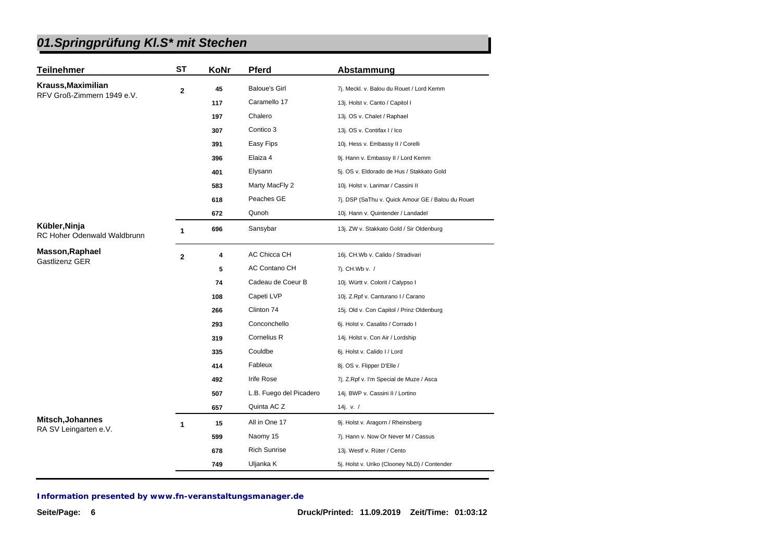| <b>Teilnehmer</b>                            | <b>ST</b>    | KoNr | Pferd                   | Abstammung                                        |
|----------------------------------------------|--------------|------|-------------------------|---------------------------------------------------|
| Krauss, Maximilian                           | 2            | 45   | <b>Baloue's Girl</b>    | 7j. Meckl. v. Balou du Rouet / Lord Kemm          |
| RFV Groß-Zimmern 1949 e.V.                   |              | 117  | Caramello 17            | 13j. Holst v. Canto / Capitol I                   |
|                                              |              | 197  | Chalero                 | 13j. OS v. Chalet / Raphael                       |
|                                              |              | 307  | Contico 3               | 13j. OS v. Contifax I / Ico                       |
|                                              |              | 391  | Easy Fips               | 10j. Hess v. Embassy II / Corelli                 |
|                                              |              | 396  | Elaiza 4                | 9j. Hann v. Embassy II / Lord Kemm                |
|                                              |              | 401  | Elysann                 | 5j. OS v. Eldorado de Hus / Stakkato Gold         |
|                                              |              | 583  | Marty MacFly 2          | 10j. Holst v. Larimar / Cassini II                |
|                                              |              | 618  | Peaches GE              | 7j. DSP (SaThu v. Quick Amour GE / Balou du Rouet |
|                                              |              | 672  | Qunoh                   | 10j. Hann v. Quintender / Landadel                |
| Kübler, Ninja<br>RC Hoher Odenwald Waldbrunn | $\mathbf{1}$ | 696  | Sansybar                | 13j. ZW v. Stakkato Gold / Sir Oldenburg          |
| <b>Masson, Raphael</b>                       | $\mathbf{2}$ | 4    | AC Chicca CH            | 16j. CH.Wb v. Calido / Stradivari                 |
| Gastlizenz GER                               |              | 5    | <b>AC Contano CH</b>    | 7j. CH.Wb v. /                                    |
|                                              |              | 74   | Cadeau de Coeur B       | 10j. Württ v. Colorit / Calypso I                 |
|                                              |              | 108  | Capeti LVP              | 10j. Z.Rpf v. Canturano I / Carano                |
|                                              |              | 266  | Clinton 74              | 15j. Old v. Con Capitol / Prinz Oldenburg         |
|                                              |              | 293  | Conconchello            | 6j. Holst v. Casalito / Corrado I                 |
|                                              |              | 319  | Cornelius R             | 14j. Holst v. Con Air / Lordship                  |
|                                              |              | 335  | Couldbe                 | 6j. Holst v. Calido I / Lord                      |
|                                              |              | 414  | Fableux                 | 8j. OS v. Flipper D'Elle /                        |
|                                              |              | 492  | <b>Irife Rose</b>       | 7j. Z.Rpf v. I'm Special de Muze / Asca           |
|                                              |              | 507  | L.B. Fuego del Picadero | 14j. BWP v. Cassini II / Lortino                  |
|                                              |              | 657  | Quinta AC Z             | 14j. v. $/$                                       |
| Mitsch, Johannes<br>RA SV Leingarten e.V.    | $\mathbf{1}$ | 15   | All in One 17           | 9j. Holst v. Aragorn / Rheinsberg                 |
|                                              |              | 599  | Naomy 15                | 7j. Hann v. Now Or Never M / Cassus               |
|                                              |              | 678  | <b>Rich Sunrise</b>     | 13j. Westf v. Rüter / Cento                       |
|                                              |              | 749  | Uljanka K               | 5j. Holst v. Uriko (Clooney NLD) / Contender      |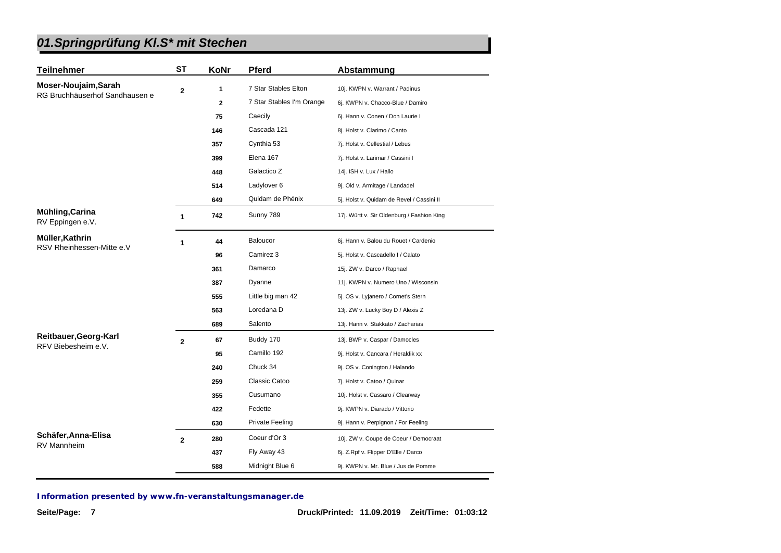| <b>Teilnehmer</b>                            | <b>ST</b>      | KoNr | <b>Pferd</b>              | Abstammung                                 |
|----------------------------------------------|----------------|------|---------------------------|--------------------------------------------|
| Moser-Noujaim, Sarah                         | $\mathbf 2$    | 1    | 7 Star Stables Elton      | 10j. KWPN v. Warrant / Padinus             |
| RG Bruchhäuserhof Sandhausen e               |                | 2    | 7 Star Stables I'm Orange | 6j. KWPN v. Chacco-Blue / Damiro           |
|                                              |                | 75   | Caecily                   | 6j. Hann v. Conen / Don Laurie I           |
|                                              |                | 146  | Cascada 121               | 8j. Holst v. Clarimo / Canto               |
|                                              |                | 357  | Cynthia 53                | 7j. Holst v. Cellestial / Lebus            |
|                                              |                | 399  | Elena 167                 | 7j. Holst v. Larimar / Cassini I           |
|                                              |                | 448  | Galactico Z               | 14j. ISH v. Lux / Hallo                    |
|                                              |                | 514  | Ladylover 6               | 9j. Old v. Armitage / Landadel             |
|                                              |                | 649  | Quidam de Phénix          | 5j. Holst v. Quidam de Revel / Cassini II  |
| Mühling, Carina<br>RV Eppingen e.V.          | 1              | 742  | Sunny 789                 | 17j. Württ v. Sir Oldenburg / Fashion King |
| Müller, Kathrin<br>RSV Rheinhessen-Mitte e.V | 1              | 44   | Baloucor                  | 6j. Hann v. Balou du Rouet / Cardenio      |
|                                              |                | 96   | Camirez 3                 | 5j. Holst v. Cascadello I / Calato         |
|                                              |                | 361  | Damarco                   | 15j. ZW v. Darco / Raphael                 |
|                                              |                | 387  | Dyanne                    | 11j. KWPN v. Numero Uno / Wisconsin        |
|                                              |                | 555  | Little big man 42         | 5j. OS v. Lyjanero / Cornet's Stern        |
|                                              |                | 563  | Loredana D                | 13j. ZW v. Lucky Boy D / Alexis Z          |
|                                              |                | 689  | Salento                   | 13j. Hann v. Stakkato / Zacharias          |
| Reitbauer, Georg-Karl                        | $\overline{2}$ | 67   | Buddy 170                 | 13j. BWP v. Caspar / Damocles              |
| RFV Biebesheim e.V.                          |                | 95   | Camillo 192               | 9j. Holst v. Cancara / Heraldik xx         |
|                                              |                | 240  | Chuck 34                  | 9j. OS v. Conington / Halando              |
|                                              |                | 259  | Classic Catoo             | 7j. Holst v. Catoo / Quinar                |
|                                              |                | 355  | Cusumano                  | 10j. Holst v. Cassaro / Clearway           |
|                                              |                | 422  | Fedette                   | 9j. KWPN v. Diarado / Vittorio             |
|                                              |                | 630  | <b>Private Feeling</b>    | 9j. Hann v. Perpignon / For Feeling        |
| Schäfer, Anna-Elisa                          | $\overline{2}$ | 280  | Coeur d'Or 3              | 10j. ZW v. Coupe de Coeur / Democraat      |
| <b>RV Mannheim</b>                           |                | 437  | Fly Away 43               | 6j. Z.Rpf v. Flipper D'Elle / Darco        |
|                                              |                | 588  | Midnight Blue 6           | 9j. KWPN v. Mr. Blue / Jus de Pomme        |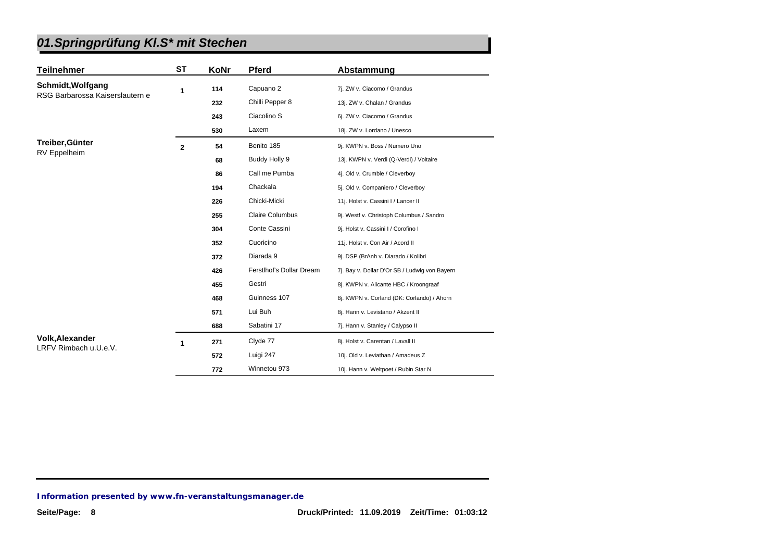| <b>Teilnehmer</b>               | <b>ST</b>      | KoNr | <b>Pferd</b>             | Abstammung                                    |
|---------------------------------|----------------|------|--------------------------|-----------------------------------------------|
| Schmidt, Wolfgang               | 1              | 114  | Capuano 2                | 7j. ZW v. Ciacomo / Grandus                   |
| RSG Barbarossa Kaiserslautern e |                | 232  | Chilli Pepper 8          | 13j. ZW v. Chalan / Grandus                   |
|                                 |                | 243  | Ciacolino S              | 6j. ZW v. Ciacomo / Grandus                   |
|                                 |                | 530  | Laxem                    | 18j. ZW v. Lordano / Unesco                   |
| Treiber, Günter                 | $\overline{2}$ | 54   | Benito 185               | 9j. KWPN v. Boss / Numero Uno                 |
| <b>RV</b> Eppelheim             |                | 68   | Buddy Holly 9            | 13j. KWPN v. Verdi (Q-Verdi) / Voltaire       |
|                                 |                | 86   | Call me Pumba            | 4j. Old v. Crumble / Cleverboy                |
|                                 |                | 194  | Chackala                 | 5j. Old v. Companiero / Cleverboy             |
|                                 |                | 226  | Chicki-Micki             | 11j. Holst v. Cassini I / Lancer II           |
|                                 |                | 255  | <b>Claire Columbus</b>   | 9j. Westf v. Christoph Columbus / Sandro      |
|                                 |                | 304  | Conte Cassini            | 9j. Holst v. Cassini I / Corofino I           |
|                                 |                | 352  | Cuoricino                | 11j. Holst v. Con Air / Acord II              |
|                                 |                | 372  | Diarada 9                | 9j. DSP (BrAnh v. Diarado / Kolibri           |
|                                 |                | 426  | Ferstlhof's Dollar Dream | 7j. Bay v. Dollar D'Or SB / Ludwig von Bayern |
|                                 |                | 455  | Gestri                   | 8j. KWPN v. Alicante HBC / Kroongraaf         |
|                                 |                | 468  | Guinness 107             | 8j. KWPN v. Corland (DK: Corlando) / Ahorn    |
|                                 |                | 571  | Lui Buh                  | 8j. Hann v. Levistano / Akzent II             |
|                                 |                | 688  | Sabatini 17              | 7j. Hann v. Stanley / Calypso II              |
| <b>Volk, Alexander</b>          | 1              | 271  | Clyde 77                 | 8j. Holst v. Carentan / Lavall II             |
| LRFV Rimbach u.U.e.V.           |                | 572  | Luigi 247                | 10j. Old v. Leviathan / Amadeus Z             |
|                                 |                | 772  | Winnetou 973             | 10j. Hann v. Weltpoet / Rubin Star N          |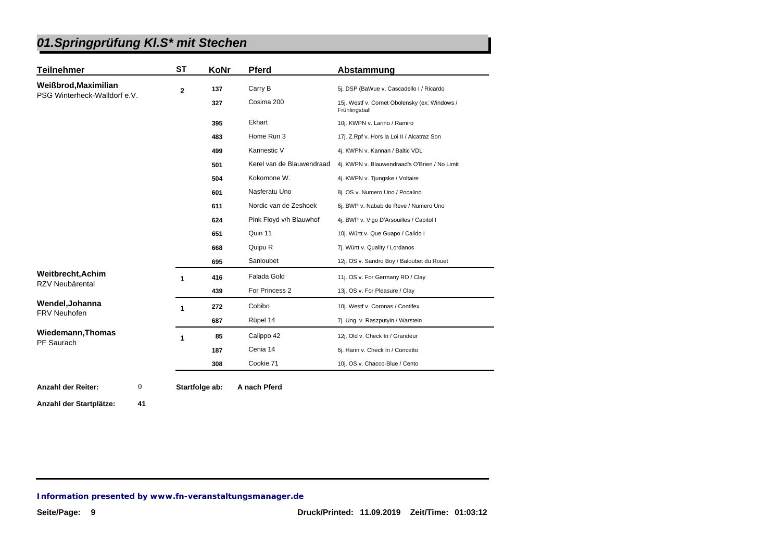| <b>Teilnehmer</b>            | ST          | KoNr | <b>Pferd</b>              | Abstammung                                                     |
|------------------------------|-------------|------|---------------------------|----------------------------------------------------------------|
| Weißbrod, Maximilian         | $\mathbf 2$ | 137  | Carry B                   | 5j. DSP (BaWue v. Cascadello I / Ricardo                       |
| PSG Winterheck-Walldorf e.V. |             | 327  | Cosima 200                | 15j. Westf v. Cornet Obolensky (ex: Windows /<br>Frühlingsball |
|                              |             | 395  | Ekhart                    | 10j. KWPN v. Larino / Ramiro                                   |
|                              |             | 483  | Home Run 3                | 17j. Z.Rpf v. Hors la Loi II / Alcatraz Son                    |
|                              |             | 499  | Kannestic V               | 4j. KWPN v. Kannan / Baltic VDL                                |
|                              |             | 501  | Kerel van de Blauwendraad | 4j. KWPN v. Blauwendraad's O'Brien / No Limit                  |
|                              |             | 504  | Kokomone W.               | 4j. KWPN v. Tjungske / Voltaire                                |
|                              |             | 601  | Nasferatu Uno             | 8j. OS v. Numero Uno / Pocalino                                |
|                              |             | 611  | Nordic van de Zeshoek     | 6j. BWP v. Nabab de Reve / Numero Uno                          |
|                              |             | 624  | Pink Floyd v/h Blauwhof   | 4j. BWP v. Vigo D'Arsouilles / Capitol I                       |
|                              |             | 651  | Quin 11                   | 10j. Württ v. Que Guapo / Calido I                             |
|                              |             | 668  | Quipu R                   | 7j. Württ v. Quality / Lordanos                                |
|                              |             | 695  | Sanloubet                 | 12j. OS v. Sandro Boy / Baloubet du Rouet                      |
| <b>Weitbrecht, Achim</b>     | 1           | 416  | Falada Gold               | 11j. OS v. For Germany RD / Clay                               |
| RZV Neubärental              |             | 439  | For Princess 2            | 13j. OS v. For Pleasure / Clay                                 |
| Wendel, Johanna              | 1           | 272  | Cobibo                    | 10j. Westf v. Coronas / Contifex                               |
| <b>FRV Neuhofen</b>          |             | 687  | Rüpel 14                  | 7j. Ung. v. Raszputyin / Warstein                              |
| <b>Wiedemann, Thomas</b>     | 1           | 85   | Calippo 42                | 12j. Old v. Check In / Grandeur                                |
| PF Saurach                   |             | 187  | Cenia 14                  | 6j. Hann v. Check In / Concetto                                |
|                              |             | 308  | Cookie 71                 | 10j. OS v. Chacco-Blue / Cento                                 |

**Anzahl der Startplätze: 41**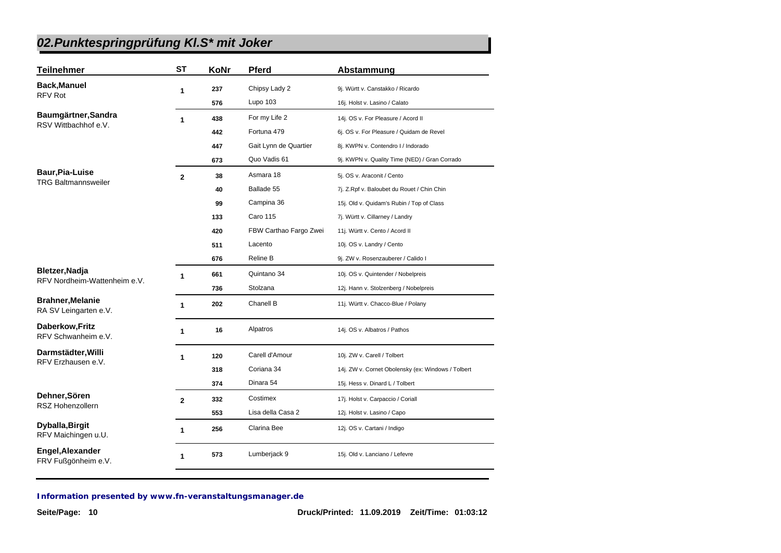| <b>Teilnehmer</b>                                | <b>ST</b>               | KoNr | <b>Pferd</b>           | Abstammung                                         |
|--------------------------------------------------|-------------------------|------|------------------------|----------------------------------------------------|
| <b>Back, Manuel</b>                              | 1                       | 237  | Chipsy Lady 2          | 9j. Württ v. Canstakko / Ricardo                   |
| <b>RFV Rot</b>                                   |                         | 576  | Lupo 103               | 16j. Holst v. Lasino / Calato                      |
| Baumgärtner, Sandra                              | $\mathbf{1}$            | 438  | For my Life 2          | 14j. OS v. For Pleasure / Acord II                 |
| RSV Wittbachhof e.V.                             |                         | 442  | Fortuna 479            | 6j. OS v. For Pleasure / Quidam de Revel           |
|                                                  |                         | 447  | Gait Lynn de Quartier  | 8j. KWPN v. Contendro I / Indorado                 |
|                                                  |                         | 673  | Quo Vadis 61           | 9j. KWPN v. Quality Time (NED) / Gran Corrado      |
| Baur, Pia-Luise                                  | $\overline{\mathbf{2}}$ | 38   | Asmara 18              | 5j. OS v. Araconit / Cento                         |
| <b>TRG Baltmannsweiler</b>                       |                         | 40   | Ballade 55             | 7j. Z.Rpf v. Baloubet du Rouet / Chin Chin         |
|                                                  |                         | 99   | Campina 36             | 15j. Old v. Quidam's Rubin / Top of Class          |
|                                                  |                         | 133  | Caro 115               | 7j. Württ v. Cillarney / Landry                    |
|                                                  |                         | 420  | FBW Carthao Fargo Zwei | 11j. Württ v. Cento / Acord II                     |
|                                                  |                         | 511  | Lacento                | 10j. OS v. Landry / Cento                          |
|                                                  |                         | 676  | <b>Reline B</b>        | 9j. ZW v. Rosenzauberer / Calido I                 |
| Bletzer, Nadja<br>RFV Nordheim-Wattenheim e.V.   | 1                       | 661  | Quintano 34            | 10j. OS v. Quintender / Nobelpreis                 |
|                                                  |                         | 736  | Stolzana               | 12j. Hann v. Stolzenberg / Nobelpreis              |
| <b>Brahner, Melanie</b><br>RA SV Leingarten e.V. | 1                       | 202  | Chanell B              | 11j. Württ v. Chacco-Blue / Polany                 |
| Daberkow, Fritz<br>RFV Schwanheim e.V.           | 1                       | 16   | Alpatros               | 14j. OS v. Albatros / Pathos                       |
| Darmstädter, Willi                               | 1                       | 120  | Carell d'Amour         | 10j. ZW v. Carell / Tolbert                        |
| RFV Erzhausen e.V.                               |                         | 318  | Coriana 34             | 14j. ZW v. Cornet Obolensky (ex: Windows / Tolbert |
|                                                  |                         | 374  | Dinara 54              | 15j. Hess v. Dinard L / Tolbert                    |
| Dehner, Sören                                    | $\mathbf{2}$            | 332  | Costimex               | 17j. Holst v. Carpaccio / Coriall                  |
| <b>RSZ Hohenzollern</b>                          |                         | 553  | Lisa della Casa 2      | 12j. Holst v. Lasino / Capo                        |
| Dyballa, Birgit<br>RFV Maichingen u.U.           | 1                       | 256  | Clarina Bee            | 12j. OS v. Cartani / Indigo                        |
| Engel, Alexander<br>FRV Fußgönheim e.V.          | 1                       | 573  | Lumberjack 9           | 15j. Old v. Lanciano / Lefevre                     |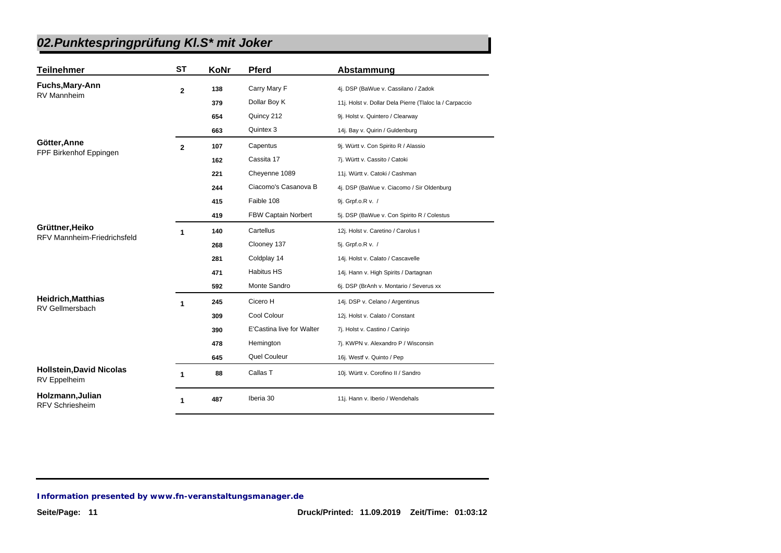| <b>Teilnehmer</b>                                     | <b>ST</b>      | KoNr | <b>Pferd</b>              | Abstammung                                              |
|-------------------------------------------------------|----------------|------|---------------------------|---------------------------------------------------------|
| Fuchs, Mary-Ann                                       | $\overline{2}$ | 138  | Carry Mary F              | 4j. DSP (BaWue v. Cassilano / Zadok                     |
| <b>RV Mannheim</b>                                    |                | 379  | Dollar Boy K              | 11j. Holst v. Dollar Dela Pierre (Tlaloc la / Carpaccio |
|                                                       |                | 654  | Quincy 212                | 9j. Holst v. Quintero / Clearway                        |
|                                                       |                | 663  | Quintex 3                 | 14j. Bay v. Quirin / Guldenburg                         |
| Götter, Anne                                          | $\overline{2}$ | 107  | Capentus                  | 9j. Württ v. Con Spirito R / Alassio                    |
| FPF Birkenhof Eppingen                                |                | 162  | Cassita 17                | 7j. Württ v. Cassito / Catoki                           |
|                                                       |                | 221  | Cheyenne 1089             | 11j. Württ v. Catoki / Cashman                          |
|                                                       |                | 244  | Ciacomo's Casanova B      | 4j. DSP (BaWue v. Ciacomo / Sir Oldenburg               |
|                                                       |                | 415  | Faible 108                | 9j. Grpf.o.R v. /                                       |
|                                                       |                | 419  | FBW Captain Norbert       | 5j. DSP (BaWue v. Con Spirito R / Colestus              |
| Grüttner, Heiko<br><b>RFV Mannheim-Friedrichsfeld</b> | 1              | 140  | Cartellus                 | 12j. Holst v. Caretino / Carolus I                      |
|                                                       |                | 268  | Clooney 137               | 5j. Grpf.o.R v. /                                       |
|                                                       |                | 281  | Coldplay 14               | 14j. Holst v. Calato / Cascavelle                       |
|                                                       |                | 471  | <b>Habitus HS</b>         | 14j. Hann v. High Spirits / Dartagnan                   |
|                                                       |                | 592  | Monte Sandro              | 6j. DSP (BrAnh v. Montario / Severus xx                 |
| <b>Heidrich, Matthias</b><br>RV Gellmersbach          | 1              | 245  | Cicero H                  | 14j. DSP v. Celano / Argentinus                         |
|                                                       |                | 309  | Cool Colour               | 12j. Holst v. Calato / Constant                         |
|                                                       |                | 390  | E'Castina live for Walter | 7j. Holst v. Castino / Carinjo                          |
|                                                       |                | 478  | Hemington                 | 7j. KWPN v. Alexandro P / Wisconsin                     |
|                                                       |                | 645  | Quel Couleur              | 16j. Westf v. Quinto / Pep                              |
| <b>Hollstein, David Nicolas</b><br>RV Eppelheim       | 1              | 88   | Callas T                  | 10j. Württ v. Corofino II / Sandro                      |
| Holzmann, Julian<br><b>RFV Schriesheim</b>            | 1              | 487  | Iberia 30                 | 11j. Hann v. Iberio / Wendehals                         |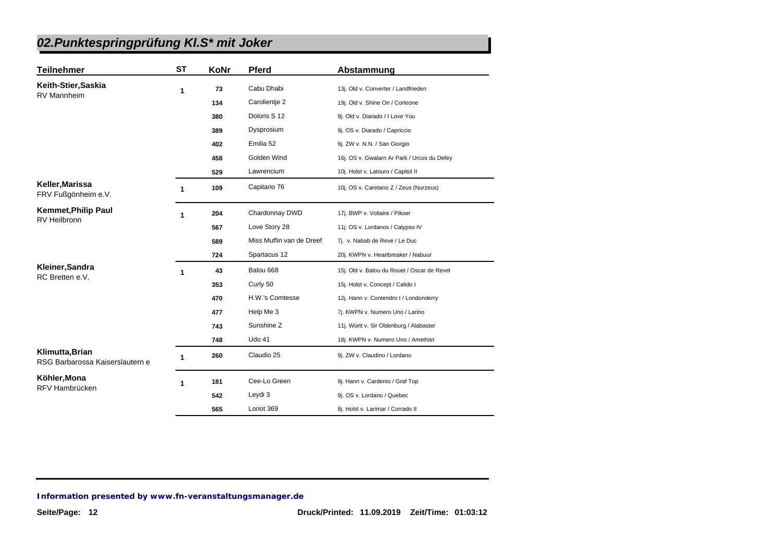| <b>Teilnehmer</b>                                  | <b>ST</b> | KoNr | <b>Pferd</b>             | Abstammung                                  |
|----------------------------------------------------|-----------|------|--------------------------|---------------------------------------------|
| Keith-Stier, Saskia                                | 1         | 73   | Cabu Dhabi               | 13j. Old v. Converter / Landfrieden         |
| RV Mannheim                                        |           | 134  | Carolientje 2            | 19j. Old v. Shine On / Corleone             |
|                                                    |           | 380  | Doloris S 12             | 9j. Old v. Diarado / I Love You             |
|                                                    |           | 389  | Dysprosium               | 9j. OS v. Diarado / Capriccio               |
|                                                    |           | 402  | Emilia 52                | 9j. ZW v. N.N. / San Giorgio                |
|                                                    |           | 458  | Golden Wind              | 16j. OS v. Gwalarn Ar Park / Urcos du Defey |
|                                                    |           | 529  | Lawrencium               | 10j. Holst v. Latouro / Capitol II          |
| Keller, Marissa<br>FRV Fußgönheim e.V.             | 1         | 109  | Capitano 76              | 10j. OS v. Caretano Z / Zeus (Nurzeus)      |
| <b>Kemmet, Philip Paul</b>                         | 1         | 204  | Chardonnay DWD           | 17j. BWP v. Voltaire / Pikoer               |
| RV Heilbronn                                       |           | 567  | Love Story 28            | 11j. OS v. Lordanos / Calypso IV            |
|                                                    |           | 589  | Miss Muffin van de Dreef | 7j. v. Nabab de Reve / Le Duc               |
|                                                    |           | 724  | Spartacus 12             | 20j. KWPN v. Heartbreaker / Nabuur          |
| Kleiner, Sandra                                    | 1         | 43   | Balou 668                | 15j. Old v. Balou du Rouet / Oscar de Revel |
| RC Bretten e.V.                                    |           | 353  | Curly 50                 | 15j. Holst v. Concept / Calido I            |
|                                                    |           | 470  | H.W.'s Comtesse          | 12j. Hann v. Contendro I / Londonderry      |
|                                                    |           | 477  | Help Me 3                | 7j. KWPN v. Numero Uno / Larino             |
|                                                    |           | 743  | Sunshine Z               | 11j. Württ v. Sir Oldenburg / Alabaster     |
|                                                    |           | 748  | <b>Udo 41</b>            | 18j. KWPN v. Numero Uno / Amethist          |
| Klimutta, Brian<br>RSG Barbarossa Kaiserslautern e | 1         | 260  | Claudio 25               | 9j. ZW v. Claudino / Lordano                |
| Köhler, Mona                                       | 1         | 181  | Cee-Lo Green             | 9j. Hann v. Cardenio / Graf Top             |
| RFV Hambrücken                                     |           | 542  | Leydi 3                  | 9j. OS v. Lordano / Quebec                  |
|                                                    |           | 565  | Loriot 369               | 8j. Holst v. Larimar / Corrado II           |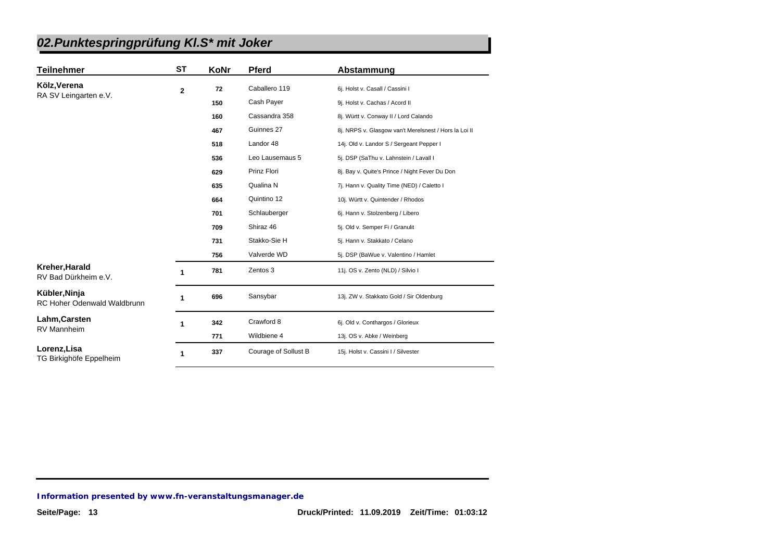| <b>Teilnehmer</b>                                   | ST                   | KoNr | <b>Pferd</b>         | Abstammung                                            |
|-----------------------------------------------------|----------------------|------|----------------------|-------------------------------------------------------|
| Kölz, Verena                                        | $\overline{2}$       | 72   | Caballero 119        | 6j. Holst v. Casall / Cassini I                       |
| RA SV Leingarten e.V.                               |                      | 150  | Cash Payer           | 9j. Holst v. Cachas / Acord II                        |
|                                                     |                      | 160  | Cassandra 358        | 8j. Württ v. Conway II / Lord Calando                 |
|                                                     |                      | 467  | Guinnes 27           | 8j. NRPS v. Glasgow van't Merelsnest / Hors la Loi II |
|                                                     |                      | 518  | Landor 48            | 14j. Old v. Landor S / Sergeant Pepper I              |
|                                                     |                      | 536  | Leo Lausemaus 5      | 5j. DSP (SaThu v. Lahnstein / Lavall I                |
|                                                     |                      | 629  | Prinz Flori          | 8j. Bay v. Quite's Prince / Night Fever Du Don        |
|                                                     |                      | 635  | Qualina N            | 7j. Hann v. Quality Time (NED) / Caletto I            |
|                                                     |                      | 664  | Quintino 12          | 10j. Württ v. Quintender / Rhodos                     |
|                                                     |                      | 701  | Schlauberger         | 6j. Hann v. Stolzenberg / Libero                      |
|                                                     |                      | 709  | Shiraz 46            | 5j. Old v. Semper Fi / Granulit                       |
|                                                     |                      | 731  | Stakko-Sie H         | 5j. Hann v. Stakkato / Celano                         |
|                                                     |                      | 756  | Valverde WD          | 5j. DSP (BaWue v. Valentino / Hamlet                  |
| Kreher, Harald<br>RV Bad Dürkheim e.V.              |                      | 781  | Zentos 3             | 11j. OS v. Zento (NLD) / Silvio I                     |
| Kübler, Ninja<br><b>RC Hoher Odenwald Waldbrunn</b> | 1                    | 696  | Sansybar             | 13j. ZW v. Stakkato Gold / Sir Oldenburg              |
| Lahm, Carsten                                       | $\blacktriangleleft$ | 342  | Crawford 8           | 6j. Old v. Conthargos / Glorieux                      |
| RV Mannheim                                         |                      | 771  | Wildbiene 4          | 13j. OS v. Abke / Weinberg                            |
| Lorenz, Lisa<br>TG Birkighöfe Eppelheim             | 1                    | 337  | Courage of Sollust B | 15j. Holst v. Cassini I / Silvester                   |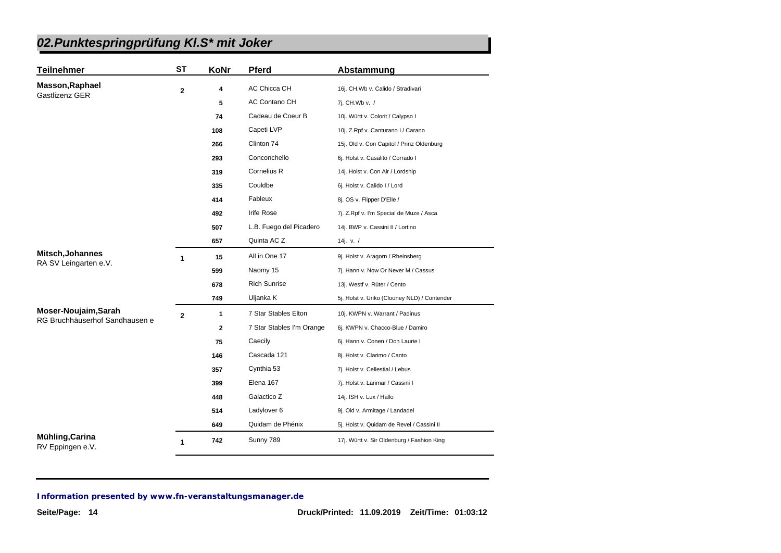| <b>Teilnehmer</b>                                      | <b>ST</b>    | KoNr         | Pferd                     | Abstammung                                   |
|--------------------------------------------------------|--------------|--------------|---------------------------|----------------------------------------------|
| <b>Masson, Raphael</b>                                 | $\mathbf 2$  | 4            | AC Chicca CH              | 16j. CH.Wb v. Calido / Stradivari            |
| Gastlizenz GER                                         |              | 5            | AC Contano CH             | 7j. CH.Wb v. /                               |
|                                                        |              | 74           | Cadeau de Coeur B         | 10j. Württ v. Colorit / Calypso I            |
|                                                        |              | 108          | Capeti LVP                | 10j. Z.Rpf v. Canturano I / Carano           |
|                                                        |              | 266          | Clinton 74                | 15j. Old v. Con Capitol / Prinz Oldenburg    |
|                                                        |              | 293          | Conconchello              | 6j. Holst v. Casalito / Corrado I            |
|                                                        |              | 319          | Cornelius R               | 14j. Holst v. Con Air / Lordship             |
|                                                        |              | 335          | Couldbe                   | 6j. Holst v. Calido I / Lord                 |
|                                                        |              | 414          | Fableux                   | 8j. OS v. Flipper D'Elle /                   |
|                                                        |              | 492          | <b>Irife Rose</b>         | 7j. Z.Rpf v. I'm Special de Muze / Asca      |
|                                                        |              | 507          | L.B. Fuego del Picadero   | 14j. BWP v. Cassini II / Lortino             |
|                                                        |              | 657          | Quinta AC Z               | 14j. v. $/$                                  |
| Mitsch, Johannes                                       | 1            | 15           | All in One 17             | 9j. Holst v. Aragorn / Rheinsberg            |
| RA SV Leingarten e.V.                                  |              | 599          | Naomy 15                  | 7j. Hann v. Now Or Never M / Cassus          |
|                                                        |              | 678          | <b>Rich Sunrise</b>       | 13j. Westf v. Rüter / Cento                  |
|                                                        |              | 749          | Uljanka K                 | 5j. Holst v. Uriko (Clooney NLD) / Contender |
| Moser-Noujaim, Sarah<br>RG Bruchhäuserhof Sandhausen e | $\mathbf{2}$ | 1            | 7 Star Stables Elton      | 10j. KWPN v. Warrant / Padinus               |
|                                                        |              | $\mathbf{2}$ | 7 Star Stables I'm Orange | 6j. KWPN v. Chacco-Blue / Damiro             |
|                                                        |              | 75           | Caecily                   | 6j. Hann v. Conen / Don Laurie I             |
|                                                        |              | 146          | Cascada 121               | 8j. Holst v. Clarimo / Canto                 |
|                                                        |              | 357          | Cynthia 53                | 7j. Holst v. Cellestial / Lebus              |
|                                                        |              | 399          | Elena 167                 | 7j. Holst v. Larimar / Cassini I             |
|                                                        |              | 448          | Galactico Z               | 14j. ISH v. Lux / Hallo                      |
|                                                        |              | 514          | Ladylover 6               | 9j. Old v. Armitage / Landadel               |
|                                                        |              | 649          | Quidam de Phénix          | 5j. Holst v. Quidam de Revel / Cassini II    |
| Mühling, Carina<br>RV Eppingen e.V.                    | 1            | 742          | Sunny 789                 | 17j. Württ v. Sir Oldenburg / Fashion King   |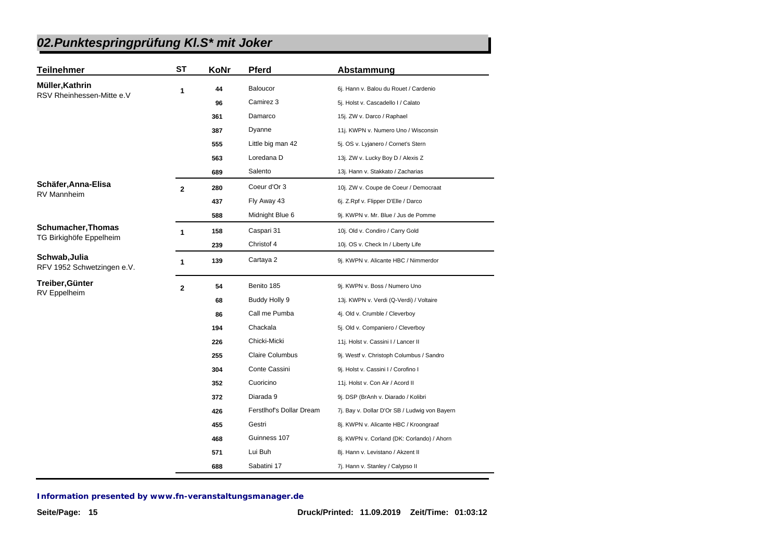| <b>Teilnehmer</b>                           | <b>ST</b>      | KoNr | <b>Pferd</b>             | Abstammung                                    |
|---------------------------------------------|----------------|------|--------------------------|-----------------------------------------------|
| Müller, Kathrin                             | 1              | 44   | Baloucor                 | 6j. Hann v. Balou du Rouet / Cardenio         |
| RSV Rheinhessen-Mitte e.V                   |                | 96   | Camirez 3                | 5j. Holst v. Cascadello I / Calato            |
|                                             |                | 361  | Damarco                  | 15j. ZW v. Darco / Raphael                    |
|                                             |                | 387  | Dyanne                   | 11j. KWPN v. Numero Uno / Wisconsin           |
|                                             |                | 555  | Little big man 42        | 5j. OS v. Lyjanero / Cornet's Stern           |
|                                             |                | 563  | Loredana D               | 13j. ZW v. Lucky Boy D / Alexis Z             |
|                                             |                | 689  | Salento                  | 13j. Hann v. Stakkato / Zacharias             |
| Schäfer, Anna-Elisa                         | $\overline{2}$ | 280  | Coeur d'Or 3             | 10j. ZW v. Coupe de Coeur / Democraat         |
| <b>RV Mannheim</b>                          |                | 437  | Fly Away 43              | 6j. Z.Rpf v. Flipper D'Elle / Darco           |
|                                             |                | 588  | Midnight Blue 6          | 9j. KWPN v. Mr. Blue / Jus de Pomme           |
| <b>Schumacher, Thomas</b>                   | $\mathbf{1}$   | 158  | Caspari 31               | 10j. Old v. Condiro / Carry Gold              |
| TG Birkighöfe Eppelheim                     |                | 239  | Christof 4               | 10j. OS v. Check In / Liberty Life            |
| Schwab, Julia<br>RFV 1952 Schwetzingen e.V. | $\mathbf{1}$   | 139  | Cartaya 2                | 9j. KWPN v. Alicante HBC / Nimmerdor          |
| Treiber, Günter                             | $\mathbf{2}$   | 54   | Benito 185               | 9j. KWPN v. Boss / Numero Uno                 |
| RV Eppelheim                                |                | 68   | Buddy Holly 9            | 13j. KWPN v. Verdi (Q-Verdi) / Voltaire       |
|                                             |                | 86   | Call me Pumba            | 4j. Old v. Crumble / Cleverboy                |
|                                             |                | 194  | Chackala                 | 5j. Old v. Companiero / Cleverboy             |
|                                             |                | 226  | Chicki-Micki             | 11j. Holst v. Cassini I / Lancer II           |
|                                             |                | 255  | <b>Claire Columbus</b>   | 9j. Westf v. Christoph Columbus / Sandro      |
|                                             |                | 304  | Conte Cassini            | 9j. Holst v. Cassini I / Corofino I           |
|                                             |                | 352  | Cuoricino                | 11j. Holst v. Con Air / Acord II              |
|                                             |                | 372  | Diarada 9                | 9j. DSP (BrAnh v. Diarado / Kolibri           |
|                                             |                | 426  | Ferstlhof's Dollar Dream | 7j. Bay v. Dollar D'Or SB / Ludwig von Bayern |
|                                             |                | 455  | Gestri                   | 8j. KWPN v. Alicante HBC / Kroongraaf         |
|                                             |                | 468  | Guinness 107             | 8j. KWPN v. Corland (DK: Corlando) / Ahorn    |
|                                             |                | 571  | Lui Buh                  | 8j. Hann v. Levistano / Akzent II             |
|                                             |                | 688  | Sabatini 17              | 7j. Hann v. Stanley / Calypso II              |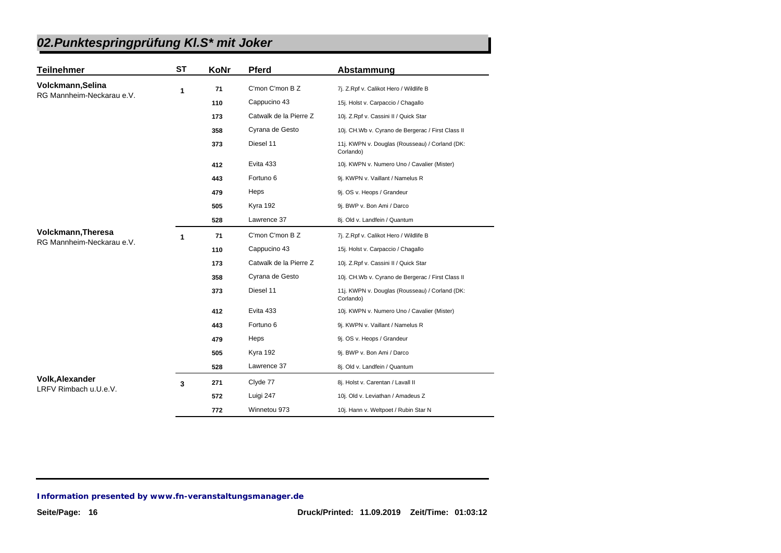| <b>Teilnehmer</b>                               | <b>ST</b> | KoNr | <b>Pferd</b>           | Abstammung                                                  |
|-------------------------------------------------|-----------|------|------------------------|-------------------------------------------------------------|
| Volckmann, Selina                               | 1         | 71   | C'mon C'mon B Z        | 7j. Z.Rpf v. Calikot Hero / Wildlife B                      |
| RG Mannheim-Neckarau e.V.                       |           | 110  | Cappucino 43           | 15j. Holst v. Carpaccio / Chagallo                          |
|                                                 |           | 173  | Catwalk de la Pierre Z | 10j. Z.Rpf v. Cassini II / Quick Star                       |
|                                                 |           | 358  | Cyrana de Gesto        | 10j. CH.Wb v. Cyrano de Bergerac / First Class II           |
|                                                 |           | 373  | Diesel 11              | 11j. KWPN v. Douglas (Rousseau) / Corland (DK:<br>Corlando) |
|                                                 |           | 412  | Evita 433              | 10j. KWPN v. Numero Uno / Cavalier (Mister)                 |
|                                                 |           | 443  | Fortuno 6              | 9j. KWPN v. Vaillant / Namelus R                            |
|                                                 |           | 479  | Heps                   | 9j. OS v. Heops / Grandeur                                  |
|                                                 |           | 505  | Kyra 192               | 9j. BWP v. Bon Ami / Darco                                  |
|                                                 |           | 528  | Lawrence 37            | 8j. Old v. Landfein / Quantum                               |
| <b>Volckmann, Theresa</b>                       | 1         | 71   | C'mon C'mon B Z        | 7j. Z.Rpf v. Calikot Hero / Wildlife B                      |
| RG Mannheim-Neckarau e.V.                       |           | 110  | Cappucino 43           | 15j. Holst v. Carpaccio / Chagallo                          |
|                                                 |           | 173  | Catwalk de la Pierre Z | 10j. Z.Rpf v. Cassini II / Quick Star                       |
|                                                 |           | 358  | Cyrana de Gesto        | 10j. CH.Wb v. Cyrano de Bergerac / First Class II           |
|                                                 |           | 373  | Diesel 11              | 11j. KWPN v. Douglas (Rousseau) / Corland (DK:<br>Corlando) |
|                                                 |           | 412  | Evita 433              | 10j. KWPN v. Numero Uno / Cavalier (Mister)                 |
|                                                 |           | 443  | Fortuno 6              | 9j. KWPN v. Vaillant / Namelus R                            |
|                                                 |           | 479  | Heps                   | 9j. OS v. Heops / Grandeur                                  |
|                                                 |           | 505  | Kyra 192               | 9j. BWP v. Bon Ami / Darco                                  |
|                                                 |           | 528  | Lawrence 37            | 8j. Old v. Landfein / Quantum                               |
| <b>Volk, Alexander</b><br>LRFV Rimbach u.U.e.V. | 3         | 271  | Clyde 77               | 8j. Holst v. Carentan / Lavall II                           |
|                                                 |           | 572  | Luigi 247              | 10j. Old v. Leviathan / Amadeus Z                           |
|                                                 |           | 772  | Winnetou 973           | 10j. Hann v. Weltpoet / Rubin Star N                        |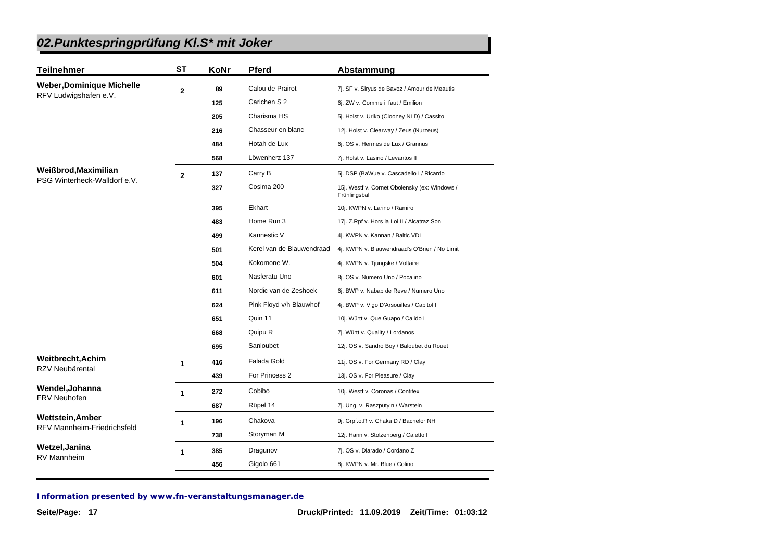| <b>Teilnehmer</b>                  | <b>ST</b>      | KoNr | <b>Pferd</b>              | Abstammung                                                     |
|------------------------------------|----------------|------|---------------------------|----------------------------------------------------------------|
| <b>Weber, Dominique Michelle</b>   | $\mathbf 2$    | 89   | Calou de Prairot          | 7j. SF v. Siryus de Bavoz / Amour de Meautis                   |
| RFV Ludwigshafen e.V.              |                | 125  | Carlchen S 2              | 6j. ZW v. Comme il faut / Emilion                              |
|                                    |                | 205  | Charisma HS               | 5j. Holst v. Uriko (Clooney NLD) / Cassito                     |
|                                    |                | 216  | Chasseur en blanc         | 12j. Holst v. Clearway / Zeus (Nurzeus)                        |
|                                    |                | 484  | Hotah de Lux              | 6j. OS v. Hermes de Lux / Grannus                              |
|                                    |                | 568  | Löwenherz 137             | 7j. Holst v. Lasino / Levantos II                              |
| Weißbrod, Maximilian               | $\overline{2}$ | 137  | Carry B                   | 5j. DSP (BaWue v. Cascadello I / Ricardo                       |
| PSG Winterheck-Walldorf e.V.       |                | 327  | Cosima 200                | 15j. Westf v. Cornet Obolensky (ex: Windows /<br>Frühlingsball |
|                                    |                | 395  | Ekhart                    | 10j. KWPN v. Larino / Ramiro                                   |
|                                    |                | 483  | Home Run 3                | 17j. Z. Rpf v. Hors la Loi II / Alcatraz Son                   |
|                                    |                | 499  | Kannestic V               | 4j. KWPN v. Kannan / Baltic VDL                                |
|                                    |                | 501  | Kerel van de Blauwendraad | 4j. KWPN v. Blauwendraad's O'Brien / No Limit                  |
|                                    |                | 504  | Kokomone W.               | 4j. KWPN v. Tjungske / Voltaire                                |
|                                    |                | 601  | Nasferatu Uno             | 8j. OS v. Numero Uno / Pocalino                                |
|                                    |                | 611  | Nordic van de Zeshoek     | 6j. BWP v. Nabab de Reve / Numero Uno                          |
|                                    |                | 624  | Pink Floyd v/h Blauwhof   | 4j. BWP v. Vigo D'Arsouilles / Capitol I                       |
|                                    |                | 651  | Quin 11                   | 10j. Württ v. Que Guapo / Calido I                             |
|                                    |                | 668  | Quipu R                   | 7j. Württ v. Quality / Lordanos                                |
|                                    |                | 695  | Sanloubet                 | 12j. OS v. Sandro Boy / Baloubet du Rouet                      |
| Weitbrecht, Achim                  | 1              | 416  | Falada Gold               | 11j. OS v. For Germany RD / Clay                               |
| RZV Neubärental                    |                | 439  | For Princess 2            | 13j. OS v. For Pleasure / Clay                                 |
| Wendel, Johanna                    | $\mathbf{1}$   | 272  | Cobibo                    | 10j. Westf v. Coronas / Contifex                               |
| <b>FRV Neuhofen</b>                |                | 687  | Rüpel 14                  | 7j. Ung. v. Raszputyin / Warstein                              |
| <b>Wettstein, Amber</b>            | 1              | 196  | Chakova                   | 9j. Grpf.o.R v. Chaka D / Bachelor NH                          |
| <b>RFV Mannheim-Friedrichsfeld</b> |                | 738  | Storyman M                | 12j. Hann v. Stolzenberg / Caletto I                           |
| Wetzel, Janina                     | 1              | 385  | Dragunov                  | 7j. OS v. Diarado / Cordano Z                                  |
| RV Mannheim                        |                | 456  | Gigolo 661                | 8j. KWPN v. Mr. Blue / Colino                                  |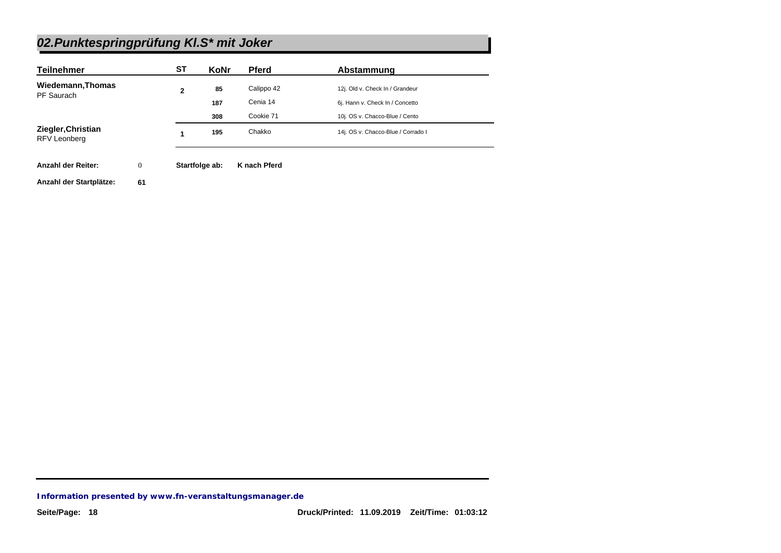| <b>Teilnehmer</b>                         |              | <b>ST</b>    | <b>KoNr</b>    | <b>Pferd</b> | Abstammung                         |
|-------------------------------------------|--------------|--------------|----------------|--------------|------------------------------------|
| Wiedemann, Thomas                         |              | $\mathbf{2}$ | 85             | Calippo 42   | 12j. Old v. Check In / Grandeur    |
| PF Saurach                                |              |              | 187            | Cenia 14     | 6j. Hann v. Check In / Concetto    |
|                                           |              |              | 308            | Cookie 71    | 10j. OS v. Chacco-Blue / Cento     |
| Ziegler, Christian<br><b>RFV Leonberg</b> |              |              | 195            | Chakko       | 14j. OS v. Chacco-Blue / Corrado I |
| <b>Anzahl der Reiter:</b>                 | $\mathbf{0}$ |              | Startfolge ab: | K nach Pferd |                                    |
| Anzahl der Startplätze:                   | 61           |              |                |              |                                    |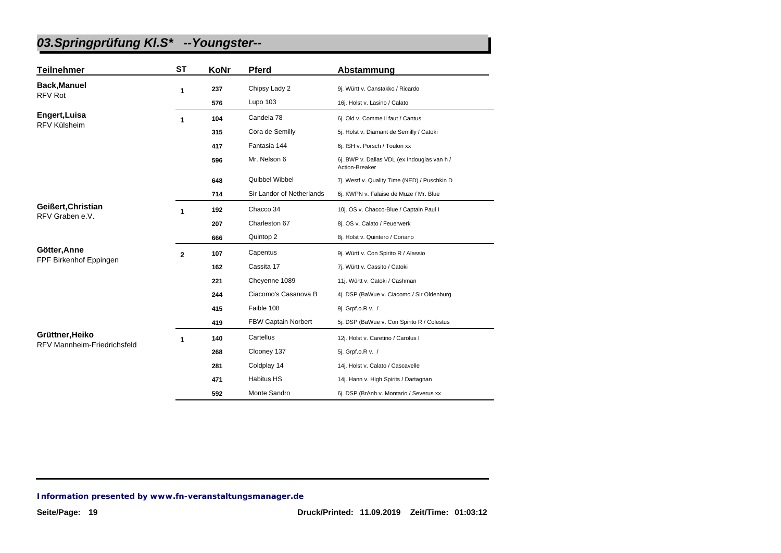| <b>Teilnehmer</b>                  | <b>ST</b>    | KoNr | <b>Pferd</b>              | Abstammung                                                    |
|------------------------------------|--------------|------|---------------------------|---------------------------------------------------------------|
| <b>Back, Manuel</b>                | 1            | 237  | Chipsy Lady 2             | 9j. Württ v. Canstakko / Ricardo                              |
| <b>RFV Rot</b>                     |              | 576  | Lupo 103                  | 16j. Holst v. Lasino / Calato                                 |
| Engert, Luisa                      | 1            | 104  | Candela 78                | 6j. Old v. Comme il faut / Cantus                             |
| <b>RFV Külsheim</b>                |              | 315  | Cora de Semilly           | 5j. Holst v. Diamant de Semilly / Catoki                      |
|                                    |              | 417  | Fantasia 144              | 6j. ISH v. Porsch / Toulon xx                                 |
|                                    |              | 596  | Mr. Nelson 6              | 6j. BWP v. Dallas VDL (ex Indouglas van h /<br>Action-Breaker |
|                                    |              | 648  | Quibbel Wibbel            | 7j. Westf v. Quality Time (NED) / Puschkin D                  |
|                                    |              | 714  | Sir Landor of Netherlands | 6j. KWPN v. Falaise de Muze / Mr. Blue                        |
| Geißert, Christian                 | 1            | 192  | Chacco 34                 | 10j. OS v. Chacco-Blue / Captain Paul I                       |
| RFV Graben e.V.                    |              | 207  | Charleston 67             | 8j. OS v. Calato / Feuerwerk                                  |
|                                    |              | 666  | Quintop 2                 | 8j. Holst v. Quintero / Coriano                               |
| Götter, Anne                       | $\mathbf{2}$ | 107  | Capentus                  | 9j. Württ v. Con Spirito R / Alassio                          |
| FPF Birkenhof Eppingen             |              | 162  | Cassita 17                | 7j. Württ v. Cassito / Catoki                                 |
|                                    |              | 221  | Cheyenne 1089             | 11j. Württ v. Catoki / Cashman                                |
|                                    |              | 244  | Ciacomo's Casanova B      | 4j. DSP (BaWue v. Ciacomo / Sir Oldenburg                     |
|                                    |              | 415  | Faible 108                | 9j. Grpf.o.R v. /                                             |
|                                    |              | 419  | FBW Captain Norbert       | 5j. DSP (BaWue v. Con Spirito R / Colestus                    |
| Grüttner, Heiko                    | 1            | 140  | Cartellus                 | 12j. Holst v. Caretino / Carolus I                            |
| <b>RFV Mannheim-Friedrichsfeld</b> |              | 268  | Clooney 137               | 5j. Grpf.o.R v. /                                             |
|                                    |              | 281  | Coldplay 14               | 14j. Holst v. Calato / Cascavelle                             |
|                                    |              | 471  | <b>Habitus HS</b>         | 14j. Hann v. High Spirits / Dartagnan                         |
|                                    |              | 592  | Monte Sandro              | 6j. DSP (BrAnh v. Montario / Severus xx                       |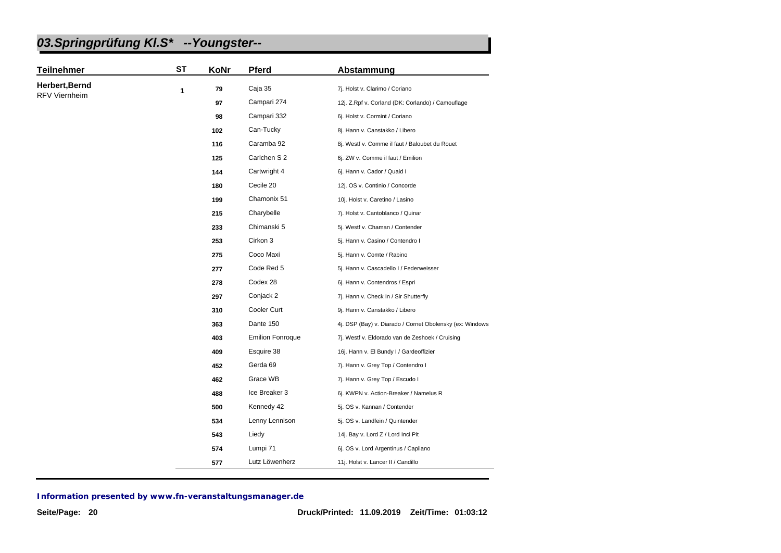| <b>Teilnehmer</b>    | <b>ST</b> | KoNr | Pferd                   | Abstammung                                               |
|----------------------|-----------|------|-------------------------|----------------------------------------------------------|
| Herbert, Bernd       | 1         | 79   | Caja 35                 | 7j. Holst v. Clarimo / Coriano                           |
| <b>RFV Viernheim</b> |           | 97   | Campari 274             | 12j. Z.Rpf v. Corland (DK: Corlando) / Camouflage        |
|                      |           | 98   | Campari 332             | 6j. Holst v. Cormint / Coriano                           |
|                      |           | 102  | Can-Tucky               | 8j. Hann v. Canstakko / Libero                           |
|                      |           | 116  | Caramba 92              | 8j. Westf v. Comme il faut / Baloubet du Rouet           |
|                      |           | 125  | Carlchen S 2            | 6j. ZW v. Comme il faut / Emilion                        |
|                      |           | 144  | Cartwright 4            | 6j. Hann v. Cador / Quaid I                              |
|                      |           | 180  | Cecile 20               | 12j. OS v. Continio / Concorde                           |
|                      |           | 199  | Chamonix 51             | 10j. Holst v. Caretino / Lasino                          |
|                      |           | 215  | Charybelle              | 7j. Holst v. Cantoblanco / Quinar                        |
|                      |           | 233  | Chimanski 5             | 5j. Westf v. Chaman / Contender                          |
|                      |           | 253  | Cirkon 3                | 5j. Hann v. Casino / Contendro I                         |
|                      |           | 275  | Coco Maxi               | 5j. Hann v. Comte / Rabino                               |
|                      |           | 277  | Code Red 5              | 5j. Hann v. Cascadello I / Federweisser                  |
|                      |           | 278  | Codex 28                | 6j. Hann v. Contendros / Espri                           |
|                      |           | 297  | Conjack 2               | 7j. Hann v. Check In / Sir Shutterfly                    |
|                      |           | 310  | Cooler Curt             | 9j. Hann v. Canstakko / Libero                           |
|                      |           | 363  | Dante 150               | 4j. DSP (Bay) v. Diarado / Cornet Obolensky (ex: Windows |
|                      |           | 403  | <b>Emilion Fonroque</b> | 7j. Westf v. Eldorado van de Zeshoek / Cruising          |
|                      |           | 409  | Esquire 38              | 16j. Hann v. El Bundy I / Gardeoffizier                  |
|                      |           | 452  | Gerda 69                | 7j. Hann v. Grey Top / Contendro I                       |
|                      |           | 462  | Grace WB                | 7j. Hann v. Grey Top / Escudo I                          |
|                      |           | 488  | Ice Breaker 3           | 6j. KWPN v. Action-Breaker / Namelus R                   |
|                      |           | 500  | Kennedy 42              | 5j. OS v. Kannan / Contender                             |
|                      |           | 534  | Lenny Lennison          | 5j. OS v. Landfein / Quintender                          |
|                      |           | 543  | Liedy                   | 14j. Bay v. Lord Z / Lord Inci Pit                       |
|                      |           | 574  | Lumpi 71                | 6j. OS v. Lord Argentinus / Capilano                     |
|                      |           | 577  | Lutz Löwenherz          | 11j. Holst v. Lancer II / Candillo                       |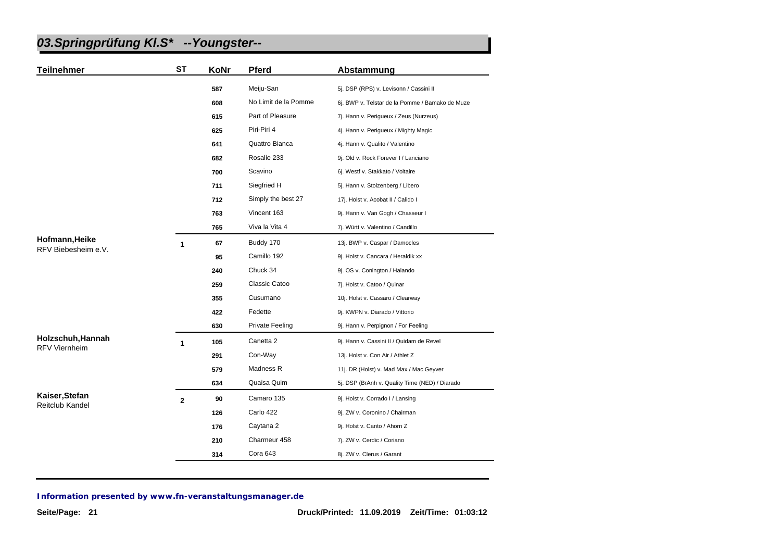| <b>Teilnehmer</b>                     | <b>ST</b>   | KoNr | Pferd                | Abstammung                                      |
|---------------------------------------|-------------|------|----------------------|-------------------------------------------------|
|                                       |             | 587  | Meiju-San            | 5j. DSP (RPS) v. Levisonn / Cassini II          |
|                                       |             | 608  | No Limit de la Pomme | 6j. BWP v. Telstar de la Pomme / Bamako de Muze |
|                                       |             | 615  | Part of Pleasure     | 7j. Hann v. Perigueux / Zeus (Nurzeus)          |
|                                       |             | 625  | Piri-Piri 4          | 4j. Hann v. Perigueux / Mighty Magic            |
|                                       |             | 641  | Quattro Bianca       | 4j. Hann v. Qualito / Valentino                 |
|                                       |             | 682  | Rosalie 233          | 9j. Old v. Rock Forever I / Lanciano            |
|                                       |             | 700  | Scavino              | 6j. Westf v. Stakkato / Voltaire                |
|                                       |             | 711  | Siegfried H          | 5j. Hann v. Stolzenberg / Libero                |
|                                       |             | 712  | Simply the best 27   | 17j. Holst v. Acobat II / Calido I              |
|                                       |             | 763  | Vincent 163          | 9j. Hann v. Van Gogh / Chasseur I               |
|                                       |             | 765  | Viva la Vita 4       | 7j. Württ v. Valentino / Candillo               |
| Hofmann, Heike<br>RFV Biebesheim e.V. | 1           | 67   | Buddy 170            | 13j. BWP v. Caspar / Damocles                   |
|                                       |             | 95   | Camillo 192          | 9j. Holst v. Cancara / Heraldik xx              |
|                                       |             | 240  | Chuck 34             | 9j. OS v. Conington / Halando                   |
|                                       |             | 259  | Classic Catoo        | 7j. Holst v. Catoo / Quinar                     |
|                                       |             | 355  | Cusumano             | 10j. Holst v. Cassaro / Clearway                |
|                                       |             | 422  | Fedette              | 9j. KWPN v. Diarado / Vittorio                  |
|                                       |             | 630  | Private Feeling      | 9j. Hann v. Perpignon / For Feeling             |
| Holzschuh, Hannah                     | 1           | 105  | Canetta 2            | 9j. Hann v. Cassini II / Quidam de Revel        |
| <b>RFV Viernheim</b>                  |             | 291  | Con-Way              | 13j. Holst v. Con Air / Athlet Z                |
|                                       |             | 579  | Madness R            | 11j. DR (Holst) v. Mad Max / Mac Geyver         |
|                                       |             | 634  | Quaisa Quim          | 5j. DSP (BrAnh v. Quality Time (NED) / Diarado  |
| Kaiser, Stefan                        | $\mathbf 2$ | 90   | Camaro 135           | 9j. Holst v. Corrado I / Lansing                |
| <b>Reitclub Kandel</b>                |             | 126  | Carlo 422            | 9j. ZW v. Coronino / Chairman                   |
|                                       |             | 176  | Caytana 2            | 9j. Holst v. Canto / Ahorn Z                    |
|                                       |             | 210  | Charmeur 458         | 7j. ZW v. Cerdic / Coriano                      |
|                                       |             | 314  | Cora 643             | 8j. ZW v. Clerus / Garant                       |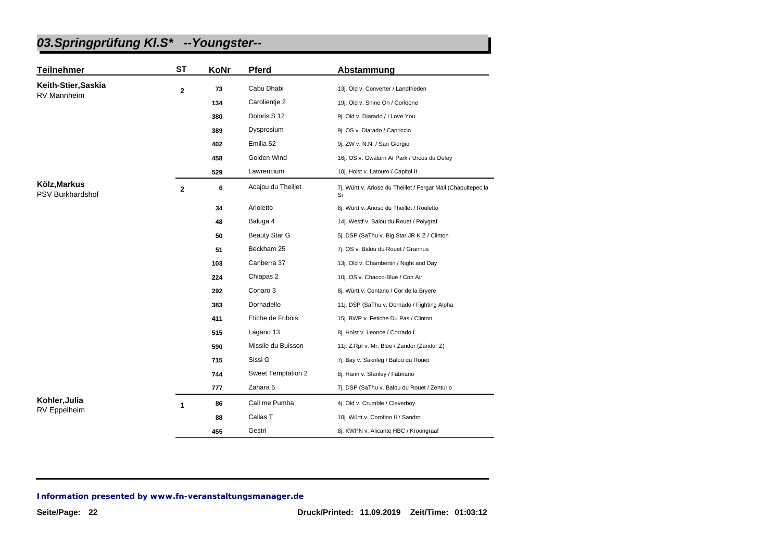| <b>Teilnehmer</b>                | <b>ST</b>    | KoNr | Pferd                     | Abstammung                                                          |
|----------------------------------|--------------|------|---------------------------|---------------------------------------------------------------------|
| Keith-Stier, Saskia              | $\mathbf{2}$ | 73   | Cabu Dhabi                | 13j. Old v. Converter / Landfrieden                                 |
| RV Mannheim                      |              | 134  | Carolientie 2             | 19j. Old v. Shine On / Corleone                                     |
|                                  |              | 380  | Doloris S 12              | 9j. Old v. Diarado / I Love You                                     |
|                                  |              | 389  | Dysprosium                | 9j. OS v. Diarado / Capriccio                                       |
|                                  |              | 402  | Emilia 52                 | 9j. ZW v. N.N. / San Giorgio                                        |
|                                  |              | 458  | Golden Wind               | 16j. OS v. Gwalarn Ar Park / Urcos du Defey                         |
|                                  |              | 529  | Lawrencium                | 10j. Holst v. Latouro / Capitol II                                  |
| Kölz, Markus<br>PSV Burkhardshof | $\mathbf{2}$ | 6    | Acajou du Theillet        | 7j. Württ v. Arioso du Theillet / Fergar Mail (Chapultepec la<br>Si |
|                                  |              | 34   | Arioletto                 | 8j. Württ v. Arioso du Theillet / Rouletto                          |
|                                  |              | 48   | Baluga 4                  | 14j. Westf v. Balou du Rouet / Polygraf                             |
|                                  |              | 50   | <b>Beauty Star G</b>      | 5j. DSP (SaThu v. Big Star JR K Z / Clinton                         |
|                                  |              | 51   | Beckham 25                | 7j. OS v. Balou du Rouet / Grannus                                  |
|                                  |              | 103  | Canberra 37               | 13j. Old v. Chambertin / Night and Day                              |
|                                  |              | 224  | Chiapas 2                 | 10j. OS v. Chacco-Blue / Con Air                                    |
|                                  |              | 292  | Conaro 3                  | 8j. Württ v. Contano / Cor de la Bryere                             |
|                                  |              | 383  | Dornadello                | 11j. DSP (SaThu v. Dornado / Fighting Alpha                         |
|                                  |              | 411  | Etiche de Fribois         | 15j. BWP v. Fetiche Du Pas / Clinton                                |
|                                  |              | 515  | Lagano 13                 | 8j. Holst v. Leonce / Corrado I                                     |
|                                  |              | 590  | Missile du Buisson        | 11j. Z.Rpf v. Mr. Blue / Zandor (Zandor Z)                          |
|                                  |              | 715  | Sissi G                   | 7j. Bay v. Sakrileg / Balou du Rouet                                |
|                                  |              | 744  | <b>Sweet Temptation 2</b> | 8j. Hann v. Stanley / Fabriano                                      |
|                                  |              | 777  | Zahara 5                  | 7j. DSP (SaThu v. Balou du Rouet / Zenturio                         |
| Kohler, Julia                    | 1            | 86   | Call me Pumba             | 4j. Old v. Crumble / Cleverboy                                      |
| RV Eppelheim                     |              | 88   | Callas T                  | 10j. Württ v. Corofino II / Sandro                                  |
|                                  |              | 455  | Gestri                    | 8j. KWPN v. Alicante HBC / Kroongraaf                               |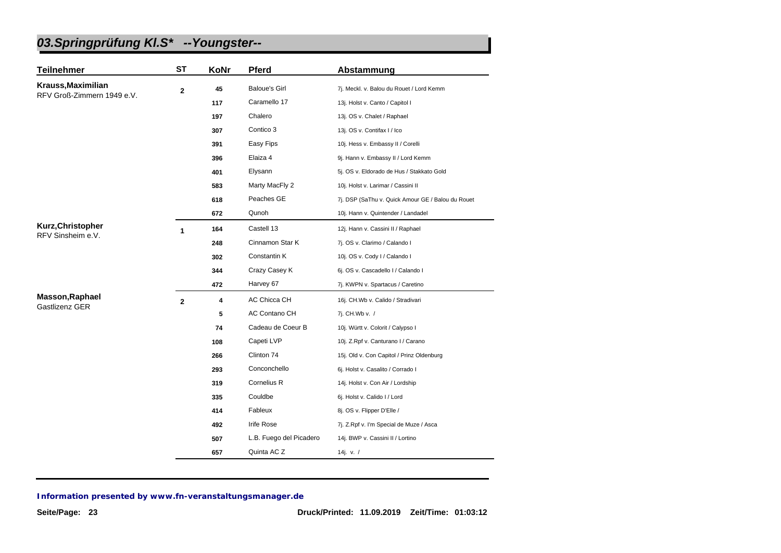| <b>Teilnehmer</b>                 | <b>ST</b>    | KoNr | Pferd                   | Abstammung                                        |
|-----------------------------------|--------------|------|-------------------------|---------------------------------------------------|
| Krauss, Maximilian                | $\mathbf{2}$ | 45   | <b>Baloue's Girl</b>    | 7j. Meckl. v. Balou du Rouet / Lord Kemm          |
| RFV Groß-Zimmern 1949 e.V.        |              | 117  | Caramello 17            | 13j. Holst v. Canto / Capitol I                   |
|                                   |              | 197  | Chalero                 | 13j. OS v. Chalet / Raphael                       |
|                                   |              | 307  | Contico 3               | 13j. OS v. Contifax I / Ico                       |
|                                   |              | 391  | Easy Fips               | 10j. Hess v. Embassy II / Corelli                 |
|                                   |              | 396  | Elaiza 4                | 9j. Hann v. Embassy II / Lord Kemm                |
|                                   |              | 401  | Elysann                 | 5j. OS v. Eldorado de Hus / Stakkato Gold         |
|                                   |              | 583  | Marty MacFly 2          | 10j. Holst v. Larimar / Cassini II                |
|                                   |              | 618  | Peaches GE              | 7j. DSP (SaThu v. Quick Amour GE / Balou du Rouet |
|                                   |              | 672  | Qunoh                   | 10j. Hann v. Quintender / Landadel                |
| Kurz, Christopher                 | 1            | 164  | Castell 13              | 12j. Hann v. Cassini II / Raphael                 |
| RFV Sinsheim e.V.                 |              | 248  | Cinnamon Star K         | 7j. OS v. Clarimo / Calando I                     |
|                                   |              | 302  | Constantin K            | 10j. OS v. Cody I / Calando I                     |
|                                   |              | 344  | Crazy Casey K           | 6j. OS v. Cascadello I / Calando I                |
|                                   |              | 472  | Harvey 67               | 7j. KWPN v. Spartacus / Caretino                  |
| Masson, Raphael<br>Gastlizenz GER | $\mathbf{2}$ | 4    | AC Chicca CH            | 16j. CH.Wb v. Calido / Stradivari                 |
|                                   |              | 5    | AC Contano CH           | 7j. CH.Wb v. /                                    |
|                                   |              | 74   | Cadeau de Coeur B       | 10j. Württ v. Colorit / Calypso I                 |
|                                   |              | 108  | Capeti LVP              | 10j. Z.Rpf v. Canturano I / Carano                |
|                                   |              | 266  | Clinton 74              | 15j. Old v. Con Capitol / Prinz Oldenburg         |
|                                   |              | 293  | Conconchello            | 6j. Holst v. Casalito / Corrado I                 |
|                                   |              | 319  | Cornelius R             | 14j. Holst v. Con Air / Lordship                  |
|                                   |              | 335  | Couldbe                 | 6j. Holst v. Calido I / Lord                      |
|                                   |              | 414  | Fableux                 | 8j. OS v. Flipper D'Elle /                        |
|                                   |              | 492  | Irife Rose              | 7j. Z.Rpf v. I'm Special de Muze / Asca           |
|                                   |              | 507  | L.B. Fuego del Picadero | 14j. BWP v. Cassini II / Lortino                  |
|                                   |              | 657  | Quinta AC Z             | 14j. v. $/$                                       |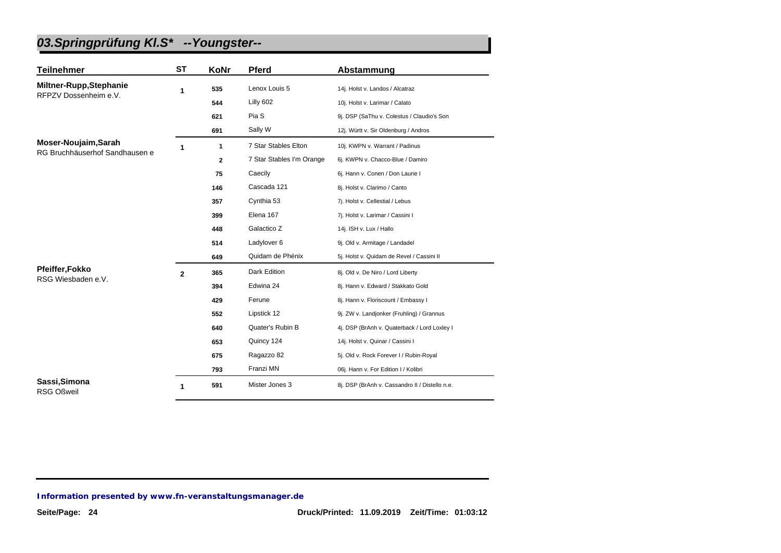| <b>Teilnehmer</b>                  | ST           | KoNr         | <b>Pferd</b>              | Abstammung                                     |
|------------------------------------|--------------|--------------|---------------------------|------------------------------------------------|
| Miltner-Rupp, Stephanie            | 1            | 535          | Lenox Louis 5             | 14j. Holst v. Landos / Alcatraz                |
| RFPZV Dossenheim e.V.              |              | 544          | Lilly 602                 | 10j. Holst v. Larimar / Calato                 |
|                                    |              | 621          | Pia S                     | 9j. DSP (SaThu v. Colestus / Claudio's Son     |
|                                    |              | 691          | Sally W                   | 12j. Württ v. Sir Oldenburg / Andros           |
| Moser-Noujaim, Sarah               | 1            | $\mathbf{1}$ | 7 Star Stables Elton      | 10j. KWPN v. Warrant / Padinus                 |
| RG Bruchhäuserhof Sandhausen e     |              | $\mathbf{2}$ | 7 Star Stables I'm Orange | 6j. KWPN v. Chacco-Blue / Damiro               |
|                                    |              | 75           | Caecily                   | 6j. Hann v. Conen / Don Laurie I               |
|                                    |              | 146          | Cascada 121               | 8j. Holst v. Clarimo / Canto                   |
|                                    |              | 357          | Cynthia 53                | 7j. Holst v. Cellestial / Lebus                |
|                                    |              | 399          | Elena 167                 | 7j. Holst v. Larimar / Cassini I               |
|                                    |              | 448          | Galactico Z               | 14j. ISH v. Lux / Hallo                        |
|                                    |              | 514          | Ladylover 6               | 9j. Old v. Armitage / Landadel                 |
|                                    |              | 649          | Quidam de Phénix          | 5j. Holst v. Quidam de Revel / Cassini II      |
| <b>Pfeiffer, Fokko</b>             | $\mathbf{2}$ | 365          | Dark Edition              | 8j. Old v. De Niro / Lord Liberty              |
| RSG Wiesbaden e.V.                 |              | 394          | Edwina 24                 | 8j. Hann v. Edward / Stakkato Gold             |
|                                    |              | 429          | Ferune                    | 8j. Hann v. Floriscount / Embassy I            |
|                                    |              | 552          | Lipstick 12               | 9j. ZW v. Landjonker (Fruhling) / Grannus      |
|                                    |              | 640          | Quater's Rubin B          | 4j. DSP (BrAnh v. Quaterback / Lord Loxley I   |
|                                    |              | 653          | Quincy 124                | 14j. Holst v. Quinar / Cassini I               |
|                                    |              | 675          | Ragazzo 82                | 5j. Old v. Rock Forever I / Rubin-Royal        |
|                                    |              | 793          | Franzi MN                 | 06j. Hann v. For Edition I / Kolibri           |
| Sassi, Simona<br><b>RSG Oßweil</b> | 1            | 591          | Mister Jones 3            | 8j. DSP (BrAnh v. Cassandro II / Distello n.e. |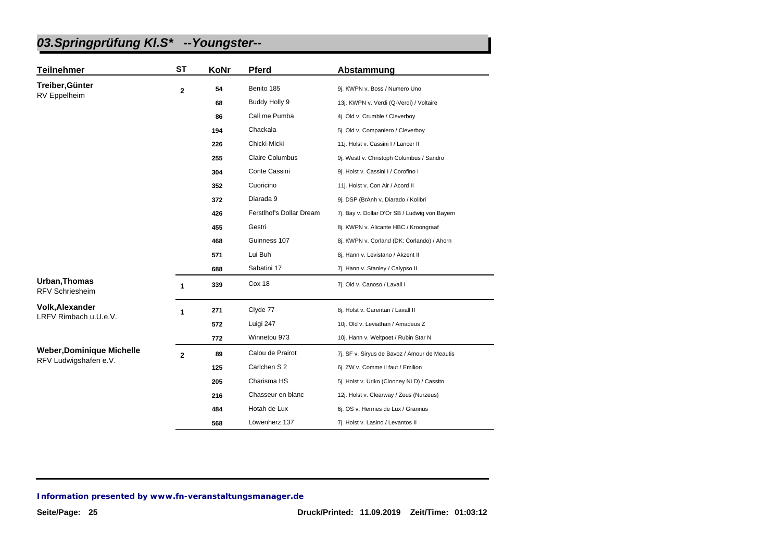| <b>Teilnehmer</b>                       | <b>ST</b>    | KoNr | <b>Pferd</b>             | Abstammung                                    |
|-----------------------------------------|--------------|------|--------------------------|-----------------------------------------------|
| Treiber, Günter                         | $\mathbf{2}$ | 54   | Benito 185               | 9j. KWPN v. Boss / Numero Uno                 |
| RV Eppelheim                            |              | 68   | Buddy Holly 9            | 13j. KWPN v. Verdi (Q-Verdi) / Voltaire       |
|                                         |              | 86   | Call me Pumba            | 4j. Old v. Crumble / Cleverboy                |
|                                         |              | 194  | Chackala                 | 5j. Old v. Companiero / Cleverboy             |
|                                         |              | 226  | Chicki-Micki             | 11j. Holst v. Cassini I / Lancer II           |
|                                         |              | 255  | <b>Claire Columbus</b>   | 9j. Westf v. Christoph Columbus / Sandro      |
|                                         |              | 304  | Conte Cassini            | 9j. Holst v. Cassini I / Corofino I           |
|                                         |              | 352  | Cuoricino                | 11j. Holst v. Con Air / Acord II              |
|                                         |              | 372  | Diarada 9                | 9j. DSP (BrAnh v. Diarado / Kolibri           |
|                                         |              | 426  | Ferstlhof's Dollar Dream | 7j. Bay v. Dollar D'Or SB / Ludwig von Bayern |
|                                         |              | 455  | Gestri                   | 8j. KWPN v. Alicante HBC / Kroongraaf         |
|                                         |              | 468  | Guinness 107             | 8j. KWPN v. Corland (DK: Corlando) / Ahorn    |
|                                         |              | 571  | Lui Buh                  | 8j. Hann v. Levistano / Akzent II             |
|                                         |              | 688  | Sabatini 17              | 7j. Hann v. Stanley / Calypso II              |
| Urban, Thomas<br><b>RFV Schriesheim</b> | 1            | 339  | Cox 18                   | 7j. Old v. Canoso / Lavall I                  |
| <b>Volk, Alexander</b>                  | 1            | 271  | Clyde 77                 | 8j. Holst v. Carentan / Lavall II             |
| LRFV Rimbach u.U.e.V.                   |              | 572  | Luigi 247                | 10j. Old v. Leviathan / Amadeus Z             |
|                                         |              | 772  | Winnetou 973             | 10j. Hann v. Weltpoet / Rubin Star N          |
| <b>Weber, Dominique Michelle</b>        | $\mathbf 2$  | 89   | Calou de Prairot         | 7j. SF v. Siryus de Bavoz / Amour de Meautis  |
| RFV Ludwigshafen e.V.                   |              | 125  | Carlchen S 2             | 6j. ZW v. Comme il faut / Emilion             |
|                                         |              | 205  | Charisma HS              | 5j. Holst v. Uriko (Clooney NLD) / Cassito    |
|                                         |              | 216  | Chasseur en blanc        | 12j. Holst v. Clearway / Zeus (Nurzeus)       |
|                                         |              | 484  | Hotah de Lux             | 6j. OS v. Hermes de Lux / Grannus             |
|                                         |              | 568  | Löwenherz 137            | 7j. Holst v. Lasino / Levantos II             |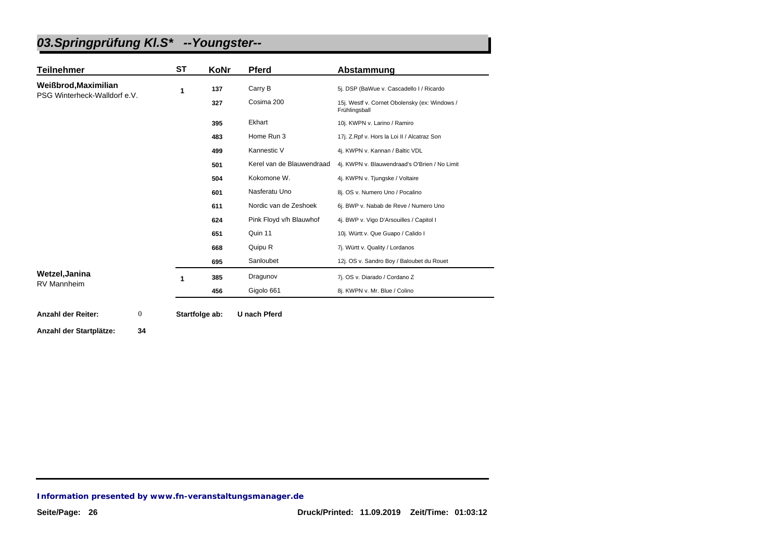| <b>Teilnehmer</b>                                    | <b>ST</b> | <b>KoNr</b> | <b>Pferd</b>              | Abstammung                                                     |
|------------------------------------------------------|-----------|-------------|---------------------------|----------------------------------------------------------------|
| Weißbrod, Maximilian<br>PSG Winterheck-Walldorf e.V. | 1         | 137         | Carry B                   | 5j. DSP (BaWue v. Cascadello I / Ricardo                       |
|                                                      |           | 327         | Cosima 200                | 15j. Westf v. Cornet Obolensky (ex: Windows /<br>Frühlingsball |
|                                                      |           | 395         | Ekhart                    | 10j. KWPN v. Larino / Ramiro                                   |
|                                                      |           | 483         | Home Run 3                | 17j. Z.Rpf v. Hors la Loi II / Alcatraz Son                    |
|                                                      |           | 499         | Kannestic V               | 4j. KWPN v. Kannan / Baltic VDL                                |
|                                                      |           | 501         | Kerel van de Blauwendraad | 4j. KWPN v. Blauwendraad's O'Brien / No Limit                  |
|                                                      |           | 504         | Kokomone W.               | 4j. KWPN v. Tjungske / Voltaire                                |
|                                                      |           | 601         | Nasferatu Uno             | 8j. OS v. Numero Uno / Pocalino                                |
|                                                      |           | 611         | Nordic van de Zeshoek     | 6j. BWP v. Nabab de Reve / Numero Uno                          |
|                                                      |           | 624         | Pink Floyd v/h Blauwhof   | 4j. BWP v. Vigo D'Arsouilles / Capitol I                       |
|                                                      |           | 651         | Quin 11                   | 10j. Württ v. Que Guapo / Calido I                             |
|                                                      |           | 668         | Quipu R                   | 7j. Württ v. Quality / Lordanos                                |
|                                                      |           | 695         | Sanloubet                 | 12j. OS v. Sandro Boy / Baloubet du Rouet                      |
| Wetzel, Janina                                       |           | 385         | Dragunov                  | 7j. OS v. Diarado / Cordano Z                                  |
| <b>RV Mannheim</b>                                   |           | 456         | Gigolo 661                | 8j. KWPN v. Mr. Blue / Colino                                  |

**[Anzahl der Reiter:](http://www.fn-veranstaltungsmanager.de) Startfolge ab: U nach Pferd** 0

**Anzahl der Startplätze: 34**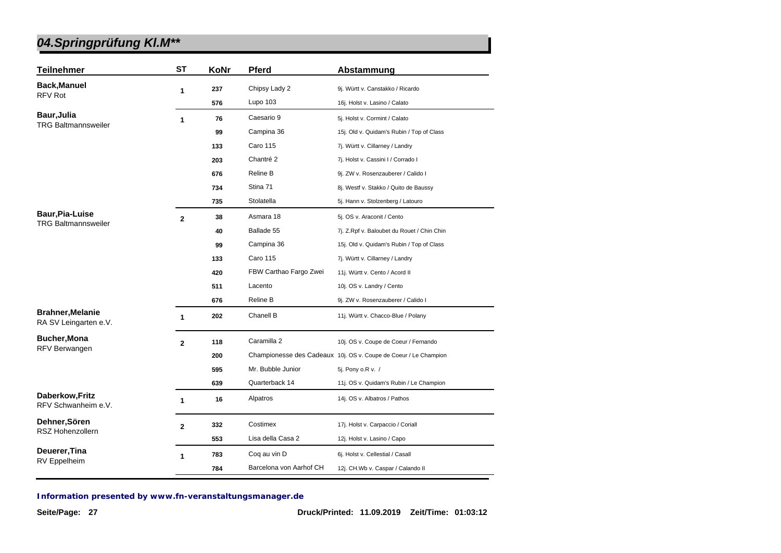| <b>Teilnehmer</b>                                | <b>ST</b>      | KoNr | <b>Pferd</b>           | Abstammung                                                       |
|--------------------------------------------------|----------------|------|------------------------|------------------------------------------------------------------|
| <b>Back, Manuel</b>                              | 1              | 237  | Chipsy Lady 2          | 9j. Württ v. Canstakko / Ricardo                                 |
| <b>RFV Rot</b>                                   |                | 576  | Lupo 103               | 16j. Holst v. Lasino / Calato                                    |
| Baur, Julia                                      | $\mathbf{1}$   | 76   | Caesario 9             | 5j. Holst v. Cormint / Calato                                    |
| <b>TRG Baltmannsweiler</b>                       |                | 99   | Campina 36             | 15j. Old v. Quidam's Rubin / Top of Class                        |
|                                                  |                | 133  | <b>Caro 115</b>        | 7j. Württ v. Cillarney / Landry                                  |
|                                                  |                | 203  | Chantré 2              | 7j. Holst v. Cassini I / Corrado I                               |
|                                                  |                | 676  | Reline B               | 9j. ZW v. Rosenzauberer / Calido I                               |
|                                                  |                | 734  | Stina 71               | 8j. Westf v. Stakko / Quito de Baussy                            |
|                                                  |                | 735  | Stolatella             | 5j. Hann v. Stolzenberg / Latouro                                |
| <b>Baur, Pia-Luise</b>                           | $\overline{2}$ | 38   | Asmara 18              | 5j. OS v. Araconit / Cento                                       |
| <b>TRG Baltmannsweiler</b>                       |                | 40   | Ballade 55             | 7j. Z.Rpf v. Baloubet du Rouet / Chin Chin                       |
|                                                  |                | 99   | Campina 36             | 15j. Old v. Quidam's Rubin / Top of Class                        |
|                                                  |                | 133  | <b>Caro 115</b>        | 7j. Württ v. Cillarney / Landry                                  |
|                                                  |                | 420  | FBW Carthao Fargo Zwei | 11j. Württ v. Cento / Acord II                                   |
|                                                  |                | 511  | Lacento                | 10j. OS v. Landry / Cento                                        |
|                                                  |                | 676  | Reline B               | 9j. ZW v. Rosenzauberer / Calido I                               |
| <b>Brahner, Melanie</b><br>RA SV Leingarten e.V. | 1              | 202  | Chanell B              | 11j. Württ v. Chacco-Blue / Polany                               |
| <b>Bucher, Mona</b>                              | $\overline{2}$ | 118  | Caramilla 2            | 10j. OS v. Coupe de Coeur / Fernando                             |
| RFV Berwangen                                    |                | 200  |                        | Championesse des Cadeaux 10j. OS v. Coupe de Coeur / Le Champion |
|                                                  |                | 595  | Mr. Bubble Junior      | 5j. Pony o.R v. /                                                |
|                                                  |                | 639  | Quarterback 14         | 11j. OS v. Quidam's Rubin / Le Champion                          |
| Daberkow, Fritz<br>RFV Schwanheim e.V.           | 1              | 16   | Alpatros               | 14j. OS v. Albatros / Pathos                                     |
| Dehner, Sören                                    | $\mathbf{2}$   | 332  | Costimex               | 17j. Holst v. Carpaccio / Coriall                                |
| <b>RSZ Hohenzollern</b>                          |                | 553  | Lisa della Casa 2      | 12j. Holst v. Lasino / Capo                                      |
| Deuerer, Tina                                    | 1              | 783  | Coq au vin D           | 6j. Holst v. Cellestial / Casall                                 |
| RV Eppelheim                                     |                |      |                        |                                                                  |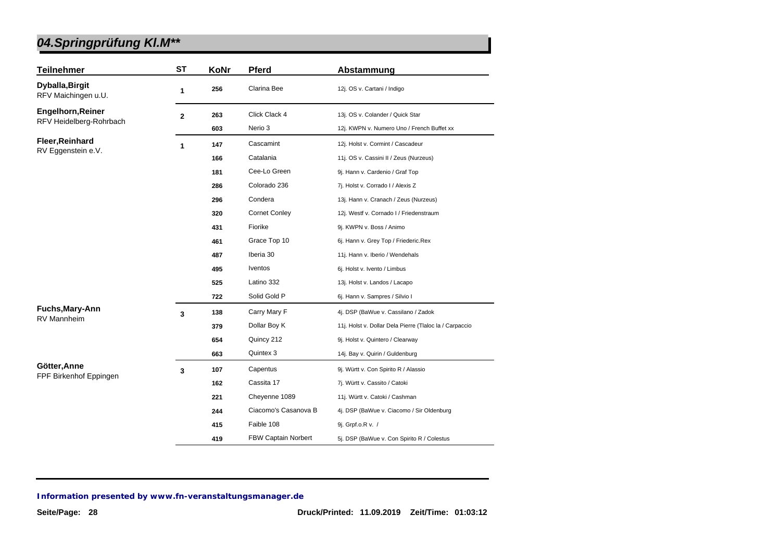| <b>Teilnehmer</b>                                   | <b>ST</b>    | KoNr | Pferd                | Abstammung                                              |
|-----------------------------------------------------|--------------|------|----------------------|---------------------------------------------------------|
| Dyballa, Birgit<br>RFV Maichingen u.U.              | 1            | 256  | Clarina Bee          | 12j. OS v. Cartani / Indigo                             |
| <b>Engelhorn, Reiner</b><br>RFV Heidelberg-Rohrbach | $\mathbf{2}$ | 263  | Click Clack 4        | 13j. OS v. Colander / Quick Star                        |
|                                                     |              | 603  | Nerio 3              | 12j. KWPN v. Numero Uno / French Buffet xx              |
| Fleer, Reinhard<br>RV Eggenstein e.V.               | 1            | 147  | Cascamint            | 12j. Holst v. Cormint / Cascadeur                       |
|                                                     |              | 166  | Catalania            | 11j. OS v. Cassini II / Zeus (Nurzeus)                  |
|                                                     |              | 181  | Cee-Lo Green         | 9j. Hann v. Cardenio / Graf Top                         |
|                                                     |              | 286  | Colorado 236         | 7j. Holst v. Corrado I / Alexis Z                       |
|                                                     |              | 296  | Condera              | 13j. Hann v. Cranach / Zeus (Nurzeus)                   |
|                                                     |              | 320  | <b>Cornet Conley</b> | 12j. Westf v. Cornado I / Friedenstraum                 |
|                                                     |              | 431  | Fiorike              | 9j. KWPN v. Boss / Animo                                |
|                                                     |              | 461  | Grace Top 10         | 6j. Hann v. Grey Top / Friederic.Rex                    |
|                                                     |              | 487  | Iberia 30            | 11j. Hann v. Iberio / Wendehals                         |
|                                                     |              | 495  | Iventos              | 6j. Holst v. Ivento / Limbus                            |
|                                                     |              | 525  | Latino 332           | 13j. Holst v. Landos / Lacapo                           |
|                                                     |              | 722  | Solid Gold P         | 6j. Hann v. Sampres / Silvio I                          |
| Fuchs, Mary-Ann<br><b>RV Mannheim</b>               | 3            | 138  | Carry Mary F         | 4j. DSP (BaWue v. Cassilano / Zadok                     |
|                                                     |              | 379  | Dollar Boy K         | 11j. Holst v. Dollar Dela Pierre (Tlaloc la / Carpaccio |
|                                                     |              | 654  | Quincy 212           | 9j. Holst v. Quintero / Clearway                        |
|                                                     |              | 663  | Quintex 3            | 14j. Bay v. Quirin / Guldenburg                         |
| Götter, Anne                                        | 3            | 107  | Capentus             | 9j. Württ v. Con Spirito R / Alassio                    |
| FPF Birkenhof Eppingen                              |              | 162  | Cassita 17           | 7j. Württ v. Cassito / Catoki                           |
|                                                     |              | 221  | Cheyenne 1089        | 11j. Württ v. Catoki / Cashman                          |
|                                                     |              | 244  | Ciacomo's Casanova B | 4j. DSP (BaWue v. Ciacomo / Sir Oldenburg               |
|                                                     |              | 415  | Faible 108           | 9j. Grpf.o.R v. /                                       |
|                                                     |              | 419  | FBW Captain Norbert  | 5j. DSP (BaWue v. Con Spirito R / Colestus              |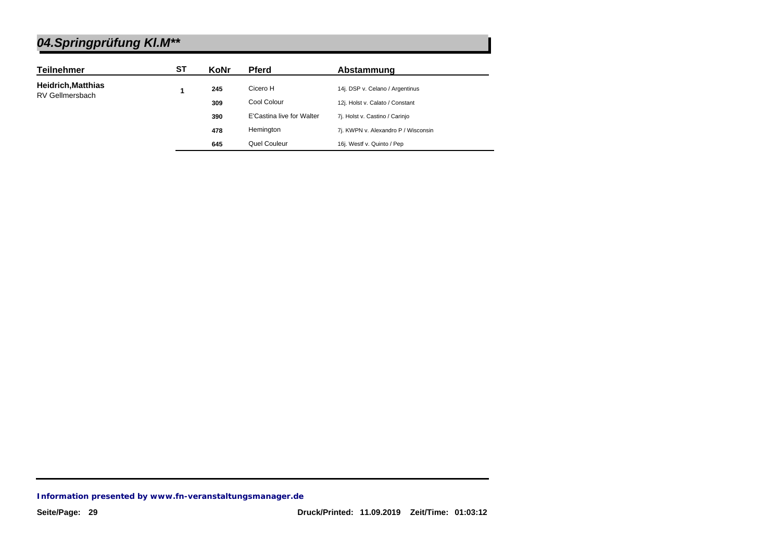| <b>Teilnehmer</b>         | SТ | KoNr | <b>Pferd</b>              | Abstammung                          |
|---------------------------|----|------|---------------------------|-------------------------------------|
| <b>Heidrich, Matthias</b> |    | 245  | Cicero H                  | 14j. DSP v. Celano / Argentinus     |
| <b>RV Gellmersbach</b>    |    | 309  | Cool Colour               | 12j. Holst v. Calato / Constant     |
|                           |    | 390  | E'Castina live for Walter | 7j. Holst v. Castino / Carinjo      |
|                           |    | 478  | Hemington                 | 7j. KWPN v. Alexandro P / Wisconsin |
|                           |    | 645  | Quel Couleur              | 16j. Westf v. Quinto / Pep          |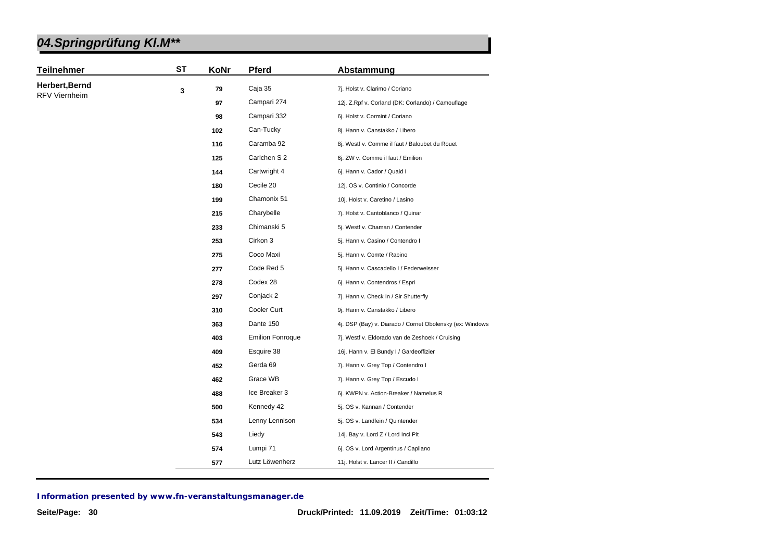| 04.Springprüfung KI.M** |  |
|-------------------------|--|
|-------------------------|--|

| <b>Teilnehmer</b>    | <b>ST</b> | KoNr | <b>Pferd</b>            | Abstammung                                               |
|----------------------|-----------|------|-------------------------|----------------------------------------------------------|
| Herbert, Bernd       | 3         | 79   | Caja 35                 | 7j. Holst v. Clarimo / Coriano                           |
| <b>RFV Viernheim</b> |           | 97   | Campari 274             | 12j. Z.Rpf v. Corland (DK: Corlando) / Camouflage        |
|                      |           | 98   | Campari 332             | 6j. Holst v. Cormint / Coriano                           |
|                      |           | 102  | Can-Tucky               | 8j. Hann v. Canstakko / Libero                           |
|                      |           | 116  | Caramba 92              | 8j. Westf v. Comme il faut / Baloubet du Rouet           |
|                      |           | 125  | Carlchen S 2            | 6j. ZW v. Comme il faut / Emilion                        |
|                      |           | 144  | Cartwright 4            | 6j. Hann v. Cador / Quaid I                              |
|                      |           | 180  | Cecile 20               | 12j. OS v. Continio / Concorde                           |
|                      |           | 199  | Chamonix 51             | 10j. Holst v. Caretino / Lasino                          |
|                      |           | 215  | Charybelle              | 7j. Holst v. Cantoblanco / Quinar                        |
|                      |           | 233  | Chimanski 5             | 5j. Westf v. Chaman / Contender                          |
|                      |           | 253  | Cirkon 3                | 5j. Hann v. Casino / Contendro I                         |
|                      |           | 275  | Coco Maxi               | 5j. Hann v. Comte / Rabino                               |
|                      |           | 277  | Code Red 5              | 5j. Hann v. Cascadello I / Federweisser                  |
|                      |           | 278  | Codex 28                | 6j. Hann v. Contendros / Espri                           |
|                      |           | 297  | Conjack 2               | 7j. Hann v. Check In / Sir Shutterfly                    |
|                      |           | 310  | Cooler Curt             | 9j. Hann v. Canstakko / Libero                           |
|                      |           | 363  | Dante 150               | 4j. DSP (Bay) v. Diarado / Cornet Obolensky (ex: Windows |
|                      |           | 403  | <b>Emilion Fonroque</b> | 7j. Westf v. Eldorado van de Zeshoek / Cruising          |
|                      |           | 409  | Esquire 38              | 16j. Hann v. El Bundy I / Gardeoffizier                  |
|                      |           | 452  | Gerda 69                | 7j. Hann v. Grey Top / Contendro I                       |
|                      |           | 462  | Grace WB                | 7j. Hann v. Grey Top / Escudo I                          |
|                      |           | 488  | Ice Breaker 3           | 6j. KWPN v. Action-Breaker / Namelus R                   |
|                      |           | 500  | Kennedy 42              | 5j. OS v. Kannan / Contender                             |
|                      |           | 534  | Lenny Lennison          | 5j. OS v. Landfein / Quintender                          |
|                      |           | 543  | Liedy                   | 14j. Bay v. Lord Z / Lord Inci Pit                       |
|                      |           | 574  | Lumpi 71                | 6j. OS v. Lord Argentinus / Capilano                     |
|                      |           | 577  | Lutz Löwenherz          | 11j. Holst v. Lancer II / Candillo                       |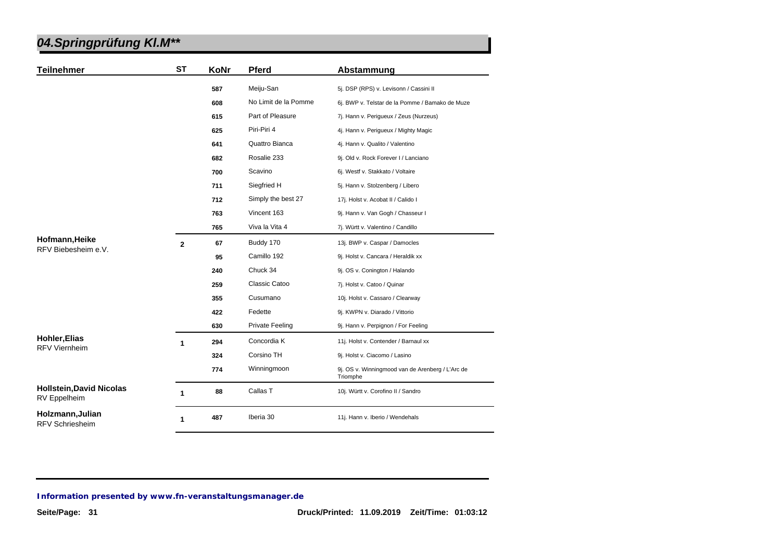| <b>Teilnehmer</b>                               | <b>ST</b>      | KoNr | <b>Pferd</b>           | Abstammung                                                   |
|-------------------------------------------------|----------------|------|------------------------|--------------------------------------------------------------|
|                                                 |                | 587  | Meiju-San              | 5j. DSP (RPS) v. Levisonn / Cassini II                       |
|                                                 |                | 608  | No Limit de la Pomme   | 6j. BWP v. Telstar de la Pomme / Bamako de Muze              |
|                                                 |                | 615  | Part of Pleasure       | 7j. Hann v. Perigueux / Zeus (Nurzeus)                       |
|                                                 |                | 625  | Piri-Piri 4            | 4j. Hann v. Perigueux / Mighty Magic                         |
|                                                 |                | 641  | Quattro Bianca         | 4j. Hann v. Qualito / Valentino                              |
|                                                 |                | 682  | Rosalie 233            | 9j. Old v. Rock Forever I / Lanciano                         |
|                                                 |                | 700  | Scavino                | 6j. Westf v. Stakkato / Voltaire                             |
|                                                 |                | 711  | Siegfried H            | 5j. Hann v. Stolzenberg / Libero                             |
|                                                 |                | 712  | Simply the best 27     | 17j. Holst v. Acobat II / Calido I                           |
|                                                 |                | 763  | Vincent 163            | 9j. Hann v. Van Gogh / Chasseur I                            |
|                                                 |                | 765  | Viva la Vita 4         | 7j. Württ v. Valentino / Candillo                            |
| Hofmann, Heike<br>RFV Biebesheim e.V.           | $\overline{2}$ | 67   | Buddy 170              | 13j. BWP v. Caspar / Damocles                                |
|                                                 |                | 95   | Camillo 192            | 9j. Holst v. Cancara / Heraldik xx                           |
|                                                 |                | 240  | Chuck 34               | 9j. OS v. Conington / Halando                                |
|                                                 |                | 259  | Classic Catoo          | 7j. Holst v. Catoo / Quinar                                  |
|                                                 |                | 355  | Cusumano               | 10j. Holst v. Cassaro / Clearway                             |
|                                                 |                | 422  | Fedette                | 9j. KWPN v. Diarado / Vittorio                               |
|                                                 |                | 630  | <b>Private Feeling</b> | 9j. Hann v. Perpignon / For Feeling                          |
| <b>Hohler, Elias</b>                            | $\mathbf{1}$   | 294  | Concordia K            | 11j. Holst v. Contender / Barnaul xx                         |
| <b>RFV Viernheim</b>                            |                | 324  | Corsino TH             | 9j. Holst v. Ciacomo / Lasino                                |
|                                                 |                | 774  | Winningmoon            | 9j. OS v. Winningmood van de Arenberg / L'Arc de<br>Triomphe |
| <b>Hollstein, David Nicolas</b><br>RV Eppelheim | 1              | 88   | Callas T               | 10j. Württ v. Corofino II / Sandro                           |
| Holzmann, Julian<br><b>RFV Schriesheim</b>      | 1              | 487  | Iberia 30              | 11j. Hann v. Iberio / Wendehals                              |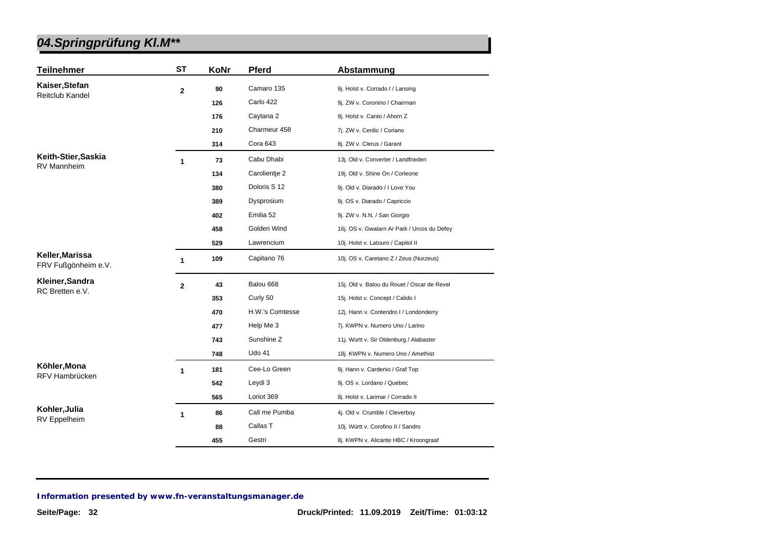| <b>Teilnehmer</b>                      | ST           | KoNr | <b>Pferd</b>    | Abstammung                                  |
|----------------------------------------|--------------|------|-----------------|---------------------------------------------|
| Kaiser, Stefan                         | $\mathbf{2}$ | 90   | Camaro 135      | 9j. Holst v. Corrado I / Lansing            |
| Reitclub Kandel                        |              | 126  | Carlo 422       | 9j. ZW v. Coronino / Chairman               |
|                                        |              | 176  | Caytana 2       | 9j. Holst v. Canto / Ahorn Z                |
|                                        |              | 210  | Charmeur 458    | 7j. ZW v. Cerdic / Coriano                  |
|                                        |              | 314  | Cora 643        | 8j. ZW v. Clerus / Garant                   |
| Keith-Stier, Saskia                    | 1            | 73   | Cabu Dhabi      | 13j. Old v. Converter / Landfrieden         |
| RV Mannheim                            |              | 134  | Carolientie 2   | 19j. Old v. Shine On / Corleone             |
|                                        |              | 380  | Doloris S 12    | 9j. Old v. Diarado / I Love You             |
|                                        |              | 389  | Dysprosium      | 9j. OS v. Diarado / Capriccio               |
|                                        |              | 402  | Emilia 52       | 9j. ZW v. N.N. / San Giorgio                |
|                                        |              | 458  | Golden Wind     | 16j. OS v. Gwalarn Ar Park / Urcos du Defey |
|                                        |              | 529  | Lawrencium      | 10j. Holst v. Latouro / Capitol II          |
| Keller, Marissa<br>FRV Fußgönheim e.V. | $\mathbf{1}$ | 109  | Capitano 76     | 10j. OS v. Caretano Z / Zeus (Nurzeus)      |
| Kleiner, Sandra                        | $\mathbf{2}$ | 43   | Balou 668       | 15j. Old v. Balou du Rouet / Oscar de Revel |
| RC Bretten e.V.                        |              | 353  | Curly 50        | 15j. Holst v. Concept / Calido I            |
|                                        |              | 470  | H.W.'s Comtesse | 12j. Hann v. Contendro I / Londonderry      |
|                                        |              | 477  | Help Me 3       | 7j. KWPN v. Numero Uno / Larino             |
|                                        |              | 743  | Sunshine Z      | 11j. Württ v. Sir Oldenburg / Alabaster     |
|                                        |              | 748  | <b>Udo 41</b>   | 18j. KWPN v. Numero Uno / Amethist          |
| Köhler, Mona                           | $\mathbf{1}$ | 181  | Cee-Lo Green    | 9j. Hann v. Cardenio / Graf Top             |
| RFV Hambrücken                         |              | 542  | Leydi 3         | 9j. OS v. Lordano / Quebec                  |
|                                        |              | 565  | Loriot 369      | 8j. Holst v. Larimar / Corrado II           |
| Kohler, Julia                          | 1            | 86   | Call me Pumba   | 4j. Old v. Crumble / Cleverboy              |
| <b>RV</b> Eppelheim                    |              | 88   | Callas T        | 10j. Württ v. Corofino II / Sandro          |
|                                        |              | 455  | Gestri          | 8j. KWPN v. Alicante HBC / Kroongraaf       |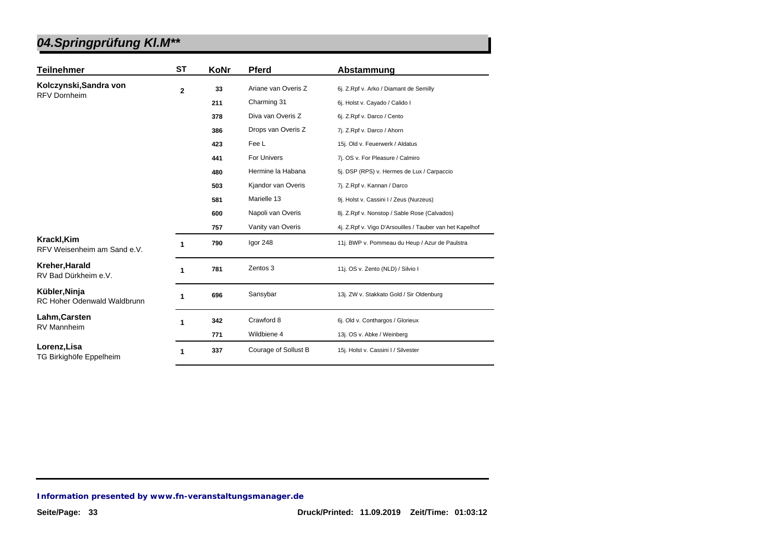| <b>Teilnehmer</b>                            | ST             | KoNr | <b>Pferd</b>         | Abstammung                                               |
|----------------------------------------------|----------------|------|----------------------|----------------------------------------------------------|
| Kolczynski, Sandra von                       | $\overline{2}$ | 33   | Ariane van Overis Z  | 6j. Z.Rpf v. Arko / Diamant de Semilly                   |
| <b>RFV Dornheim</b>                          |                | 211  | Charming 31          | 6j. Holst v. Cayado / Calido I                           |
|                                              |                | 378  | Diva van Overis Z    | 6j. Z.Rpf v. Darco / Cento                               |
|                                              |                | 386  | Drops van Overis Z   | 7j. Z.Rpf v. Darco / Ahorn                               |
|                                              |                | 423  | Fee L                | 15j. Old v. Feuerwerk / Aldatus                          |
|                                              |                | 441  | For Univers          | 7j. OS v. For Pleasure / Calmiro                         |
|                                              |                | 480  | Hermine la Habana    | 5j. DSP (RPS) v. Hermes de Lux / Carpaccio               |
|                                              |                | 503  | Kjandor van Overis   | 7j. Z.Rpf v. Kannan / Darco                              |
|                                              |                | 581  | Marielle 13          | 9j. Holst v. Cassini I / Zeus (Nurzeus)                  |
|                                              |                | 600  | Napoli van Overis    | 8j. Z.Rpf v. Nonstop / Sable Rose (Calvados)             |
|                                              |                | 757  | Vanity van Overis    | 4j. Z.Rpf v. Vigo D'Arsouilles / Tauber van het Kapelhof |
| Krackl, Kim<br>RFV Weisenheim am Sand e.V.   | 1              | 790  | Igor 248             | 11j. BWP v. Pommeau du Heup / Azur de Paulstra           |
| Kreher, Harald<br>RV Bad Dürkheim e.V.       | 1              | 781  | Zentos 3             | 11j. OS v. Zento (NLD) / Silvio I                        |
| Kübler, Ninja<br>RC Hoher Odenwald Waldbrunn | 1              | 696  | Sansybar             | 13j. ZW v. Stakkato Gold / Sir Oldenburg                 |
| Lahm, Carsten<br><b>RV Mannheim</b>          | 1              | 342  | Crawford 8           | 6j. Old v. Conthargos / Glorieux                         |
|                                              |                | 771  | Wildbiene 4          | 13j. OS v. Abke / Weinberg                               |
| Lorenz, Lisa<br>TG Birkighöfe Eppelheim      | 1              | 337  | Courage of Sollust B | 15j. Holst v. Cassini I / Silvester                      |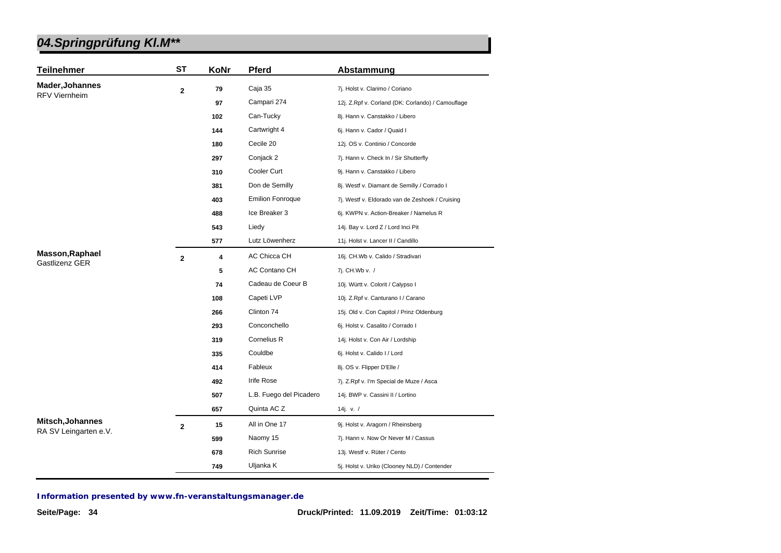| <b>Teilnehmer</b>      | <b>ST</b>      | KoNr | <b>Pferd</b>            | Abstammung                                        |
|------------------------|----------------|------|-------------------------|---------------------------------------------------|
| <b>Mader, Johannes</b> | $\mathbf{2}$   | 79   | Caja 35                 | 7j. Holst v. Clarimo / Coriano                    |
| <b>RFV Viernheim</b>   |                | 97   | Campari 274             | 12j. Z.Rpf v. Corland (DK: Corlando) / Camouflage |
|                        |                | 102  | Can-Tucky               | 8j. Hann v. Canstakko / Libero                    |
|                        |                | 144  | Cartwright 4            | 6j. Hann v. Cador / Quaid I                       |
|                        |                | 180  | Cecile 20               | 12j. OS v. Continio / Concorde                    |
|                        |                | 297  | Conjack 2               | 7j. Hann v. Check In / Sir Shutterfly             |
|                        |                | 310  | Cooler Curt             | 9j. Hann v. Canstakko / Libero                    |
|                        |                | 381  | Don de Semilly          | 8j. Westf v. Diamant de Semilly / Corrado I       |
|                        |                | 403  | <b>Emilion Fonroque</b> | 7j. Westf v. Eldorado van de Zeshoek / Cruising   |
|                        |                | 488  | Ice Breaker 3           | 6j. KWPN v. Action-Breaker / Namelus R            |
|                        |                | 543  | Liedy                   | 14j. Bay v. Lord Z / Lord Inci Pit                |
|                        |                | 577  | Lutz Löwenherz          | 11j. Holst v. Lancer II / Candillo                |
| Masson, Raphael        | $\overline{2}$ | 4    | <b>AC Chicca CH</b>     | 16j. CH.Wb v. Calido / Stradivari                 |
| <b>Gastlizenz GER</b>  |                | 5    | AC Contano CH           | 7j. CH.Wb v. /                                    |
|                        |                | 74   | Cadeau de Coeur B       | 10j. Württ v. Colorit / Calypso I                 |
|                        |                | 108  | Capeti LVP              | 10j. Z.Rpf v. Canturano I / Carano                |
|                        |                | 266  | Clinton 74              | 15j. Old v. Con Capitol / Prinz Oldenburg         |
|                        |                | 293  | Conconchello            | 6j. Holst v. Casalito / Corrado I                 |
|                        |                | 319  | Cornelius R             | 14j. Holst v. Con Air / Lordship                  |
|                        |                | 335  | Couldbe                 | 6j. Holst v. Calido I / Lord                      |
|                        |                | 414  | Fableux                 | 8j. OS v. Flipper D'Elle /                        |
|                        |                | 492  | Irife Rose              | 7j. Z.Rpf v. I'm Special de Muze / Asca           |
|                        |                | 507  | L.B. Fuego del Picadero | 14j. BWP v. Cassini II / Lortino                  |
|                        |                | 657  | Quinta AC Z             | 14j. v. $/$                                       |
| Mitsch, Johannes       | $\mathbf{2}$   | 15   | All in One 17           | 9j. Holst v. Aragorn / Rheinsberg                 |
| RA SV Leingarten e.V.  |                | 599  | Naomy 15                | 7j. Hann v. Now Or Never M / Cassus               |
|                        |                | 678  | <b>Rich Sunrise</b>     | 13j. Westf v. Rüter / Cento                       |
|                        |                | 749  | Uljanka K               | 5j. Holst v. Uriko (Clooney NLD) / Contender      |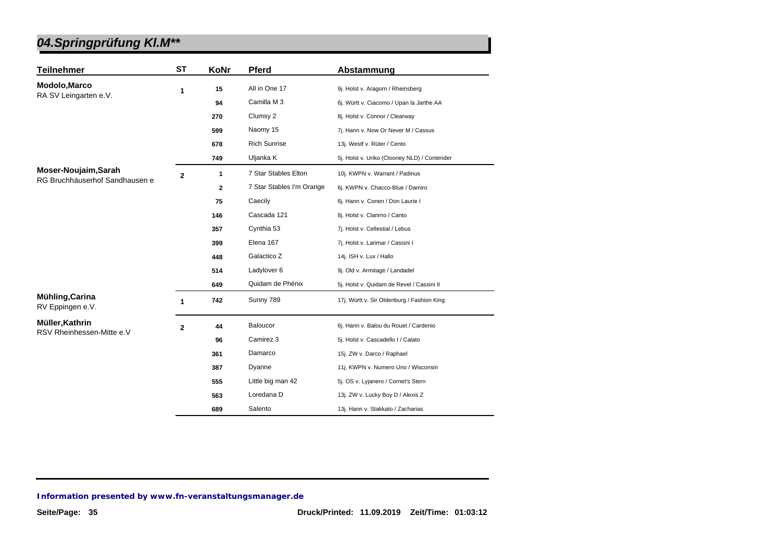| <b>Teilnehmer</b>                                      | <b>ST</b>      | KoNr         | <b>Pferd</b>              | Abstammung                                   |
|--------------------------------------------------------|----------------|--------------|---------------------------|----------------------------------------------|
| Modolo, Marco<br>RA SV Leingarten e.V.                 | 1              | 15           | All in One 17             | 9j. Holst v. Aragorn / Rheinsberg            |
|                                                        |                | 94           | Camilla M 3               | 6j. Württ v. Ciacomo / Upan la Jarthe AA     |
|                                                        |                | 270          | Clumsy 2                  | 8j. Holst v. Connor / Clearway               |
|                                                        |                | 599          | Naomy 15                  | 7j. Hann v. Now Or Never M / Cassus          |
|                                                        |                | 678          | <b>Rich Sunrise</b>       | 13j. Westf v. Rüter / Cento                  |
|                                                        |                | 749          | Uljanka K                 | 5j. Holst v. Uriko (Clooney NLD) / Contender |
| Moser-Noujaim, Sarah<br>RG Bruchhäuserhof Sandhausen e | $\overline{2}$ | $\mathbf{1}$ | 7 Star Stables Elton      | 10j. KWPN v. Warrant / Padinus               |
|                                                        |                | $\mathbf{2}$ | 7 Star Stables I'm Orange | 6j. KWPN v. Chacco-Blue / Damiro             |
|                                                        |                | 75           | Caecily                   | 6j. Hann v. Conen / Don Laurie I             |
|                                                        |                | 146          | Cascada 121               | 8j. Holst v. Clarimo / Canto                 |
|                                                        |                | 357          | Cynthia 53                | 7j. Holst v. Cellestial / Lebus              |
|                                                        |                | 399          | Elena 167                 | 7j. Holst v. Larimar / Cassini I             |
|                                                        |                | 448          | Galactico Z               | 14j. ISH v. Lux / Hallo                      |
|                                                        |                | 514          | Ladylover 6               | 9j. Old v. Armitage / Landadel               |
|                                                        |                | 649          | Quidam de Phénix          | 5j. Holst v. Quidam de Revel / Cassini II    |
| Mühling, Carina<br>RV Eppingen e.V.                    | 1              | 742          | Sunny 789                 | 17j. Württ v. Sir Oldenburg / Fashion King   |
| Müller, Kathrin<br>RSV Rheinhessen-Mitte e.V           | $\overline{2}$ | 44           | Baloucor                  | 6j. Hann v. Balou du Rouet / Cardenio        |
|                                                        |                | 96           | Camirez 3                 | 5j. Holst v. Cascadello I / Calato           |
|                                                        |                | 361          | Damarco                   | 15j. ZW v. Darco / Raphael                   |
|                                                        |                | 387          | Dyanne                    | 11j. KWPN v. Numero Uno / Wisconsin          |
|                                                        |                | 555          | Little big man 42         | 5j. OS v. Lyjanero / Cornet's Stern          |
|                                                        |                | 563          | Loredana D                | 13j. ZW v. Lucky Boy D / Alexis Z            |
|                                                        |                | 689          | Salento                   | 13j. Hann v. Stakkato / Zacharias            |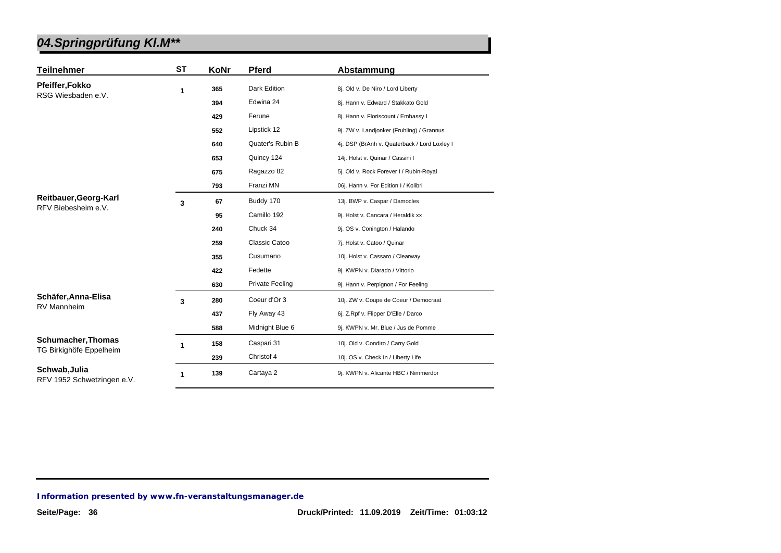| <b>Teilnehmer</b>                                    | ST | KoNr | <b>Pferd</b>           | Abstammung                                   |
|------------------------------------------------------|----|------|------------------------|----------------------------------------------|
| Pfeiffer, Fokko<br>RSG Wiesbaden e.V.                | 1  | 365  | Dark Edition           | 8j. Old v. De Niro / Lord Liberty            |
|                                                      |    | 394  | Edwina 24              | 8j. Hann v. Edward / Stakkato Gold           |
|                                                      |    | 429  | Ferune                 | 8j. Hann v. Floriscount / Embassy I          |
|                                                      |    | 552  | Lipstick 12            | 9j. ZW v. Landjonker (Fruhling) / Grannus    |
|                                                      |    | 640  | Quater's Rubin B       | 4j. DSP (BrAnh v. Quaterback / Lord Loxley I |
|                                                      |    | 653  | Quincy 124             | 14j. Holst v. Quinar / Cassini I             |
|                                                      |    | 675  | Ragazzo 82             | 5j. Old v. Rock Forever I / Rubin-Royal      |
|                                                      |    | 793  | Franzi MN              | 06j. Hann v. For Edition I / Kolibri         |
| Reitbauer, Georg-Karl<br>RFV Biebesheim e.V.         | 3  | 67   | Buddy 170              | 13j. BWP v. Caspar / Damocles                |
|                                                      |    | 95   | Camillo 192            | 9j. Holst v. Cancara / Heraldik xx           |
|                                                      |    | 240  | Chuck 34               | 9j. OS v. Conington / Halando                |
|                                                      |    | 259  | Classic Catoo          | 7j. Holst v. Catoo / Quinar                  |
|                                                      |    | 355  | Cusumano               | 10j. Holst v. Cassaro / Clearway             |
|                                                      |    | 422  | Fedette                | 9j. KWPN v. Diarado / Vittorio               |
|                                                      |    | 630  | <b>Private Feeling</b> | 9j. Hann v. Perpignon / For Feeling          |
| Schäfer, Anna-Elisa<br><b>RV Mannheim</b>            | 3  | 280  | Coeur d'Or 3           | 10j. ZW v. Coupe de Coeur / Democraat        |
|                                                      |    | 437  | Fly Away 43            | 6j. Z.Rpf v. Flipper D'Elle / Darco          |
|                                                      |    | 588  | Midnight Blue 6        | 9j. KWPN v. Mr. Blue / Jus de Pomme          |
| <b>Schumacher, Thomas</b><br>TG Birkighöfe Eppelheim | 1  | 158  | Caspari 31             | 10j. Old v. Condiro / Carry Gold             |
|                                                      |    | 239  | Christof 4             | 10j. OS v. Check In / Liberty Life           |
| Schwab, Julia<br>RFV 1952 Schwetzingen e.V.          | 1  | 139  | Cartaya 2              | 9j. KWPN v. Alicante HBC / Nimmerdor         |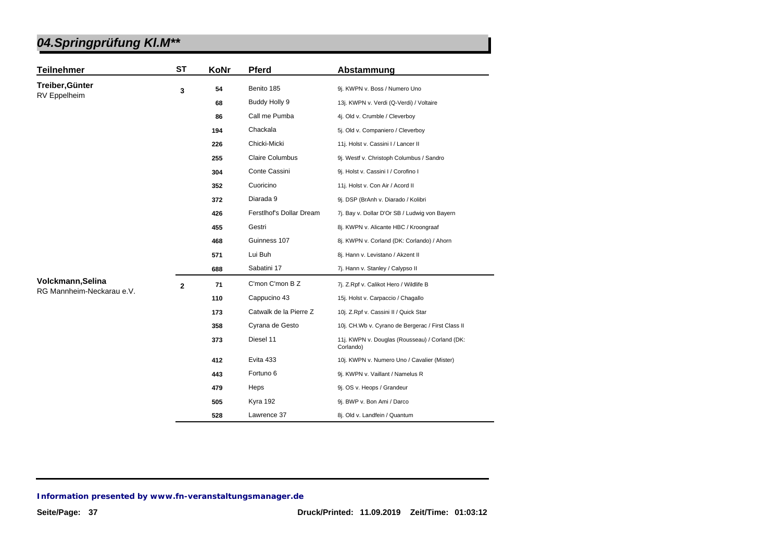| <b>Teilnehmer</b>         | <b>ST</b>   | KoNr | <b>Pferd</b>             | Abstammung                                                  |
|---------------------------|-------------|------|--------------------------|-------------------------------------------------------------|
| Treiber, Günter           | 3           | 54   | Benito 185               | 9j. KWPN v. Boss / Numero Uno                               |
| RV Eppelheim              |             | 68   | Buddy Holly 9            | 13j. KWPN v. Verdi (Q-Verdi) / Voltaire                     |
|                           |             | 86   | Call me Pumba            | 4j. Old v. Crumble / Cleverboy                              |
|                           |             | 194  | Chackala                 | 5j. Old v. Companiero / Cleverboy                           |
|                           |             | 226  | Chicki-Micki             | 11j. Holst v. Cassini I / Lancer II                         |
|                           |             | 255  | <b>Claire Columbus</b>   | 9j. Westf v. Christoph Columbus / Sandro                    |
|                           |             | 304  | Conte Cassini            | 9j. Holst v. Cassini I / Corofino I                         |
|                           |             | 352  | Cuoricino                | 11j. Holst v. Con Air / Acord II                            |
|                           |             | 372  | Diarada 9                | 9j. DSP (BrAnh v. Diarado / Kolibri                         |
|                           |             | 426  | Ferstlhof's Dollar Dream | 7j. Bay v. Dollar D'Or SB / Ludwig von Bayern               |
|                           |             | 455  | Gestri                   | 8j. KWPN v. Alicante HBC / Kroongraaf                       |
|                           |             | 468  | Guinness 107             | 8j. KWPN v. Corland (DK: Corlando) / Ahorn                  |
|                           |             | 571  | Lui Buh                  | 8j. Hann v. Levistano / Akzent II                           |
|                           |             | 688  | Sabatini 17              | 7j. Hann v. Stanley / Calypso II                            |
| Volckmann, Selina         | $\mathbf 2$ | 71   | C'mon C'mon B Z          | 7j. Z.Rpf v. Calikot Hero / Wildlife B                      |
| RG Mannheim-Neckarau e.V. |             | 110  | Cappucino 43             | 15j. Holst v. Carpaccio / Chagallo                          |
|                           |             | 173  | Catwalk de la Pierre Z   | 10j. Z.Rpf v. Cassini II / Quick Star                       |
|                           |             | 358  | Cyrana de Gesto          | 10j. CH.Wb v. Cyrano de Bergerac / First Class II           |
|                           |             | 373  | Diesel 11                | 11j. KWPN v. Douglas (Rousseau) / Corland (DK:<br>Corlando) |
|                           |             | 412  | Evita 433                | 10j. KWPN v. Numero Uno / Cavalier (Mister)                 |
|                           |             | 443  | Fortuno 6                | 9j. KWPN v. Vaillant / Namelus R                            |
|                           |             | 479  | Heps                     | 9j. OS v. Heops / Grandeur                                  |
|                           |             | 505  | Kyra 192                 | 9j. BWP v. Bon Ami / Darco                                  |
|                           |             | 528  | Lawrence 37              | 8j. Old v. Landfein / Quantum                               |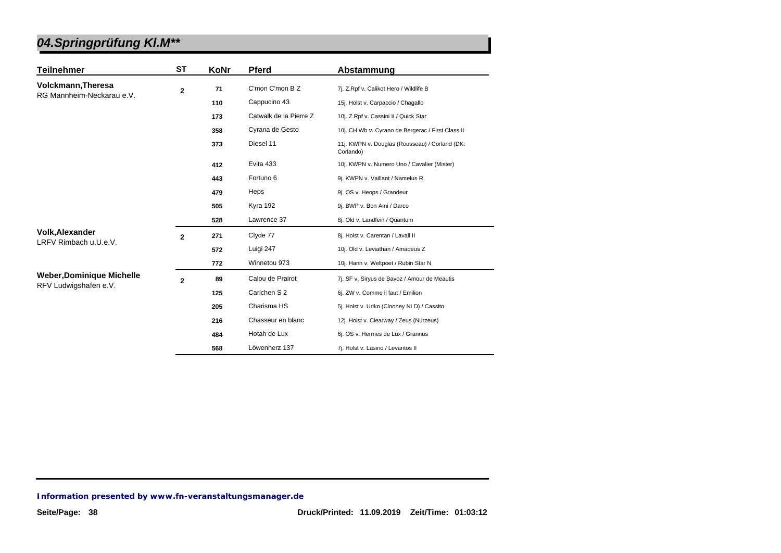| <b>Teilnehmer</b>                | ST             | KoNr | <b>Pferd</b>           | Abstammung                                                  |
|----------------------------------|----------------|------|------------------------|-------------------------------------------------------------|
| <b>Volckmann, Theresa</b>        | $\overline{2}$ | 71   | C'mon C'mon B Z        | 7j. Z.Rpf v. Calikot Hero / Wildlife B                      |
| RG Mannheim-Neckarau e.V.        |                | 110  | Cappucino 43           | 15j. Holst v. Carpaccio / Chagallo                          |
|                                  |                | 173  | Catwalk de la Pierre Z | 10j. Z.Rpf v. Cassini II / Quick Star                       |
|                                  |                | 358  | Cyrana de Gesto        | 10j. CH.Wb v. Cyrano de Bergerac / First Class II           |
|                                  |                | 373  | Diesel 11              | 11j. KWPN v. Douglas (Rousseau) / Corland (DK:<br>Corlando) |
|                                  |                | 412  | Evita 433              | 10j. KWPN v. Numero Uno / Cavalier (Mister)                 |
|                                  |                | 443  | Fortuno 6              | 9j. KWPN v. Vaillant / Namelus R                            |
|                                  |                | 479  | Heps                   | 9j. OS v. Heops / Grandeur                                  |
|                                  |                | 505  | <b>Kyra 192</b>        | 9j. BWP v. Bon Ami / Darco                                  |
|                                  |                | 528  | Lawrence 37            | 8j. Old v. Landfein / Quantum                               |
| <b>Volk, Alexander</b>           | $\overline{2}$ | 271  | Clyde 77               | 8j. Holst v. Carentan / Lavall II                           |
| LRFV Rimbach u.U.e.V.            |                | 572  | Luigi 247              | 10j. Old v. Leviathan / Amadeus Z                           |
|                                  |                | 772  | Winnetou 973           | 10j. Hann v. Weltpoet / Rubin Star N                        |
| <b>Weber, Dominique Michelle</b> | $\overline{2}$ | 89   | Calou de Prairot       | 7j. SF v. Siryus de Bavoz / Amour de Meautis                |
| RFV Ludwigshafen e.V.            |                | 125  | Carlchen S 2           | 6j. ZW v. Comme il faut / Emilion                           |
|                                  |                | 205  | Charisma HS            | 5j. Holst v. Uriko (Clooney NLD) / Cassito                  |
|                                  |                | 216  | Chasseur en blanc      | 12j. Holst v. Clearway / Zeus (Nurzeus)                     |
|                                  |                | 484  | Hotah de Lux           | 6j. OS v. Hermes de Lux / Grannus                           |
|                                  |                | 568  | Löwenherz 137          | 7j. Holst v. Lasino / Levantos II                           |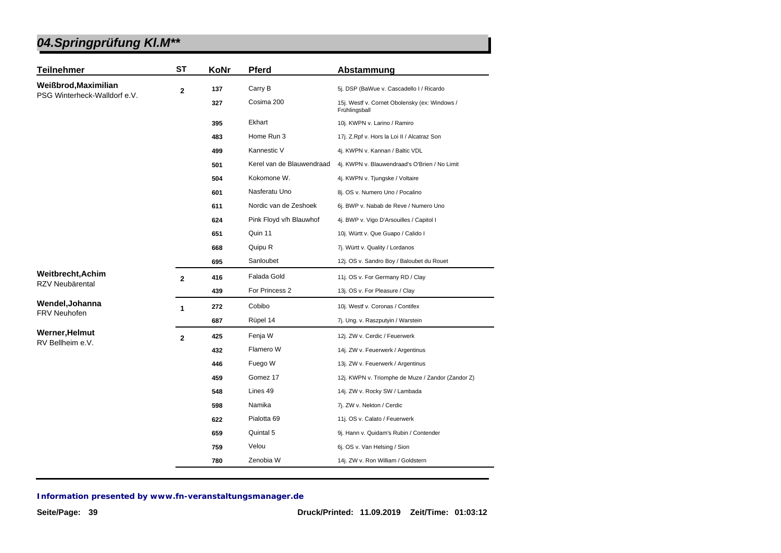| <b>Teilnehmer</b>            | <b>ST</b>      | KoNr | Pferd                     | Abstammung                                                     |
|------------------------------|----------------|------|---------------------------|----------------------------------------------------------------|
| Weißbrod, Maximilian         | $\mathbf{2}$   | 137  | Carry B                   | 5j. DSP (BaWue v. Cascadello I / Ricardo                       |
| PSG Winterheck-Walldorf e.V. |                | 327  | Cosima 200                | 15j. Westf v. Cornet Obolensky (ex: Windows /<br>Frühlingsball |
|                              |                | 395  | Ekhart                    | 10j. KWPN v. Larino / Ramiro                                   |
|                              |                | 483  | Home Run 3                | 17j. Z.Rpf v. Hors la Loi II / Alcatraz Son                    |
|                              |                | 499  | Kannestic V               | 4j. KWPN v. Kannan / Baltic VDL                                |
|                              |                | 501  | Kerel van de Blauwendraad | 4j. KWPN v. Blauwendraad's O'Brien / No Limit                  |
|                              |                | 504  | Kokomone W.               | 4j. KWPN v. Tjungske / Voltaire                                |
|                              |                | 601  | Nasferatu Uno             | 8j. OS v. Numero Uno / Pocalino                                |
|                              |                | 611  | Nordic van de Zeshoek     | 6j. BWP v. Nabab de Reve / Numero Uno                          |
|                              |                | 624  | Pink Floyd v/h Blauwhof   | 4j. BWP v. Vigo D'Arsouilles / Capitol I                       |
|                              |                | 651  | Quin 11                   | 10j. Württ v. Que Guapo / Calido I                             |
|                              |                | 668  | Quipu R                   | 7j. Württ v. Quality / Lordanos                                |
|                              |                | 695  | Sanloubet                 | 12j. OS v. Sandro Boy / Baloubet du Rouet                      |
| Weitbrecht, Achim            | $\overline{2}$ | 416  | Falada Gold               | 11j. OS v. For Germany RD / Clay                               |
| RZV Neubärental              |                | 439  | For Princess 2            | 13j. OS v. For Pleasure / Clay                                 |
| Wendel, Johanna              | 1              | 272  | Cobibo                    | 10j. Westf v. Coronas / Contifex                               |
| FRV Neuhofen                 |                | 687  | Rüpel 14                  | 7j. Ung. v. Raszputyin / Warstein                              |
| Werner, Helmut               | $\overline{2}$ | 425  | Fenja W                   | 12j. ZW v. Cerdic / Feuerwerk                                  |
| RV Bellheim e.V.             |                | 432  | Flamero W                 | 14j. ZW v. Feuerwerk / Argentinus                              |
|                              |                | 446  | Fuego W                   | 13j. ZW v. Feuerwerk / Argentinus                              |
|                              |                | 459  | Gomez 17                  | 12j. KWPN v. Triomphe de Muze / Zandor (Zandor Z)              |
|                              |                | 548  | Lines 49                  | 14j. ZW v. Rocky SW / Lambada                                  |
|                              |                | 598  | Namika                    | 7j. ZW v. Nekton / Cerdic                                      |
|                              |                | 622  | Pialotta 69               | 11j. OS v. Calato / Feuerwerk                                  |
|                              |                | 659  | Quintal 5                 | 9j. Hann v. Quidam's Rubin / Contender                         |
|                              |                | 759  | Velou                     | 6j. OS v. Van Helsing / Sion                                   |
|                              |                | 780  | Zenobia W                 | 14j. ZW v. Ron William / Goldstern                             |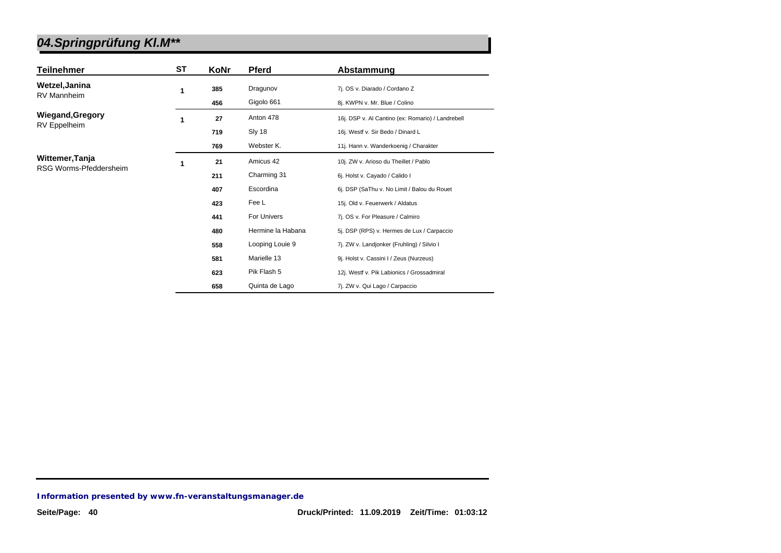| <b>Teilnehmer</b>       | <b>ST</b> | KoNr | <b>Pferd</b>      | Abstammung                                        |
|-------------------------|-----------|------|-------------------|---------------------------------------------------|
| Wetzel, Janina          | 1         | 385  | Dragunov          | 7j. OS v. Diarado / Cordano Z                     |
| <b>RV Mannheim</b>      |           | 456  | Gigolo 661        | 8j. KWPN v. Mr. Blue / Colino                     |
| <b>Wiegand, Gregory</b> | 1         | 27   | Anton 478         | 16j. DSP v. Al Cantino (ex: Romario) / Landrebell |
| RV Eppelheim            |           | 719  | Sly 18            | 16j. Westf v. Sir Bedo / Dinard L                 |
|                         |           | 769  | Webster K.        | 11j. Hann v. Wanderkoenig / Charakter             |
| Wittemer, Tanja         | 1         | 21   | Amicus 42         | 10j. ZW v. Arioso du Theillet / Pablo             |
| RSG Worms-Pfeddersheim  |           | 211  | Charming 31       | 6j. Holst v. Cayado / Calido I                    |
|                         |           | 407  | Escordina         | 6j. DSP (SaThu v. No Limit / Balou du Rouet       |
|                         |           | 423  | Fee L             | 15j. Old v. Feuerwerk / Aldatus                   |
|                         |           | 441  | For Univers       | 7j. OS v. For Pleasure / Calmiro                  |
|                         |           | 480  | Hermine la Habana | 5j. DSP (RPS) v. Hermes de Lux / Carpaccio        |
|                         |           | 558  | Looping Louie 9   | 7j. ZW v. Landjonker (Fruhling) / Silvio I        |
|                         |           | 581  | Marielle 13       | 9j. Holst v. Cassini I / Zeus (Nurzeus)           |
|                         |           | 623  | Pik Flash 5       | 12j. Westf v. Pik Labionics / Grossadmiral        |
|                         |           | 658  | Quinta de Lago    | 7j. ZW v. Qui Lago / Carpaccio                    |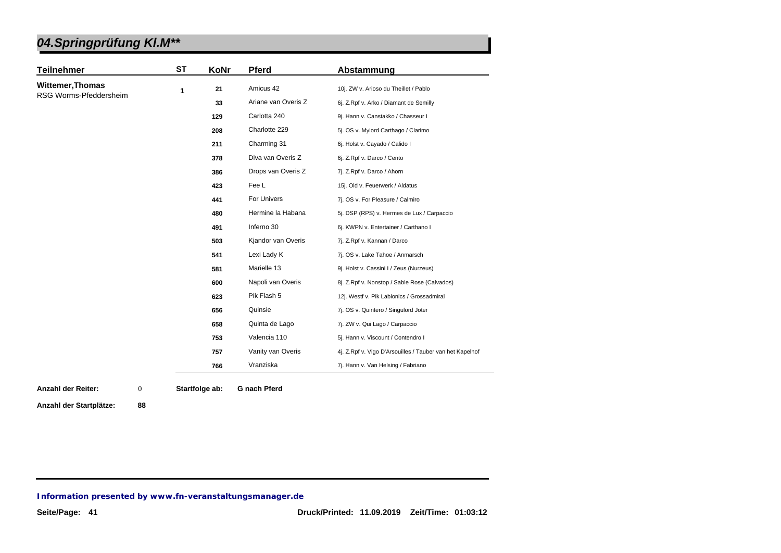| <b>Teilnehmer</b>       | <b>ST</b> | KoNr | <b>Pferd</b>        | Abstammung                                               |
|-------------------------|-----------|------|---------------------|----------------------------------------------------------|
| <b>Wittemer, Thomas</b> | 1         | 21   | Amicus 42           | 10j. ZW v. Arioso du Theillet / Pablo                    |
| RSG Worms-Pfeddersheim  |           | 33   | Ariane van Overis Z | 6j. Z.Rpf v. Arko / Diamant de Semilly                   |
|                         |           | 129  | Carlotta 240        | 9j. Hann v. Canstakko / Chasseur I                       |
|                         |           | 208  | Charlotte 229       | 5j. OS v. Mylord Carthago / Clarimo                      |
|                         |           | 211  | Charming 31         | 6j. Holst v. Cayado / Calido I                           |
|                         |           | 378  | Diva van Overis Z   | 6j. Z.Rpf v. Darco / Cento                               |
|                         |           | 386  | Drops van Overis Z  | 7j. Z.Rpf v. Darco / Ahorn                               |
|                         |           | 423  | Fee L               | 15j. Old v. Feuerwerk / Aldatus                          |
|                         |           | 441  | For Univers         | 7j. OS v. For Pleasure / Calmiro                         |
|                         |           | 480  | Hermine la Habana   | 5j. DSP (RPS) v. Hermes de Lux / Carpaccio               |
|                         |           | 491  | Inferno 30          | 6j. KWPN v. Entertainer / Carthano I                     |
|                         |           | 503  | Kjandor van Overis  | 7j. Z.Rpf v. Kannan / Darco                              |
|                         |           | 541  | Lexi Lady K         | 7j. OS v. Lake Tahoe / Anmarsch                          |
|                         |           | 581  | Marielle 13         | 9j. Holst v. Cassini I / Zeus (Nurzeus)                  |
|                         |           | 600  | Napoli van Overis   | 8j. Z.Rpf v. Nonstop / Sable Rose (Calvados)             |
|                         |           | 623  | Pik Flash 5         | 12j. Westf v. Pik Labionics / Grossadmiral               |
|                         |           | 656  | Quinsie             | 7j. OS v. Quintero / Singulord Joter                     |
|                         |           | 658  | Quinta de Lago      | 7j. ZW v. Qui Lago / Carpaccio                           |
|                         |           | 753  | Valencia 110        | 5j. Hann v. Viscount / Contendro I                       |
|                         |           | 757  | Vanity van Overis   | 4j. Z.Rpf v. Vigo D'Arsouilles / Tauber van het Kapelhof |
|                         |           | 766  | Vranziska           | 7j. Hann v. Van Helsing / Fabriano                       |

**Anzahl der Reiter: Startfolge ab: G nach Pferd** 0

**Anzahl der Startplätze: 88**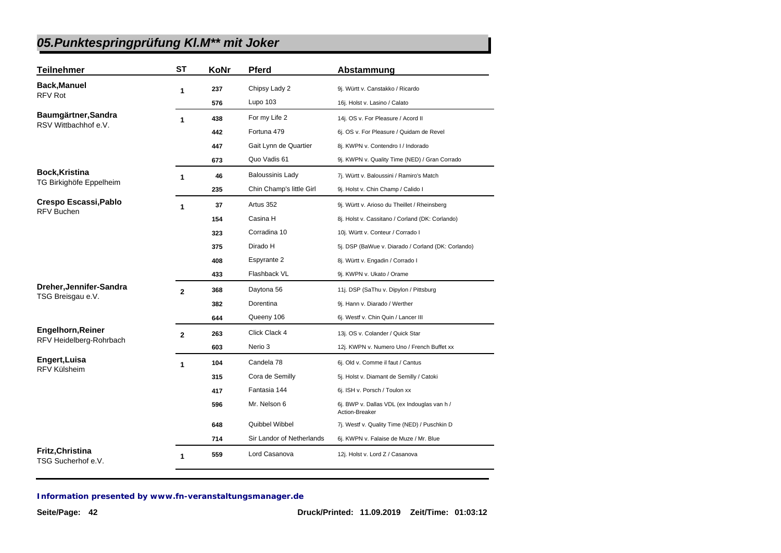| <b>Teilnehmer</b>                             | <b>ST</b>    | KoNr | Pferd                     | Abstammung                                                    |
|-----------------------------------------------|--------------|------|---------------------------|---------------------------------------------------------------|
| <b>Back, Manuel</b>                           | 1            | 237  | Chipsy Lady 2             | 9j. Württ v. Canstakko / Ricardo                              |
| RFV Rot                                       |              | 576  | Lupo 103                  | 16j. Holst v. Lasino / Calato                                 |
| Baumgärtner, Sandra                           | 1            | 438  | For my Life 2             | 14j. OS v. For Pleasure / Acord II                            |
| RSV Wittbachhof e.V.                          |              | 442  | Fortuna 479               | 6j. OS v. For Pleasure / Quidam de Revel                      |
|                                               |              | 447  | Gait Lynn de Quartier     | 8j. KWPN v. Contendro I / Indorado                            |
|                                               |              | 673  | Quo Vadis 61              | 9j. KWPN v. Quality Time (NED) / Gran Corrado                 |
| <b>Bock, Kristina</b>                         | 1            | 46   | <b>Baloussinis Lady</b>   | 7j. Württ v. Baloussini / Ramiro's Match                      |
| TG Birkighöfe Eppelheim                       |              | 235  | Chin Champ's little Girl  | 9j. Holst v. Chin Champ / Calido I                            |
| Crespo Escassi, Pablo                         | 1            | 37   | Artus 352                 | 9j. Württ v. Arioso du Theillet / Rheinsberg                  |
| <b>RFV Buchen</b>                             |              | 154  | Casina H                  | 8j. Holst v. Cassitano / Corland (DK: Corlando)               |
|                                               |              | 323  | Corradina 10              | 10j. Württ v. Conteur / Corrado I                             |
|                                               |              | 375  | Dirado H                  | 5j. DSP (BaWue v. Diarado / Corland (DK: Corlando)            |
|                                               |              | 408  | Espyrante 2               | 8j. Württ v. Engadin / Corrado I                              |
|                                               |              | 433  | Flashback VL              | 9j. KWPN v. Ukato / Orame                                     |
| Dreher, Jennifer-Sandra                       | $\mathbf{2}$ | 368  | Daytona 56                | 11j. DSP (SaThu v. Dipylon / Pittsburg                        |
| TSG Breisgau e.V.                             |              | 382  | Dorentina                 | 9j. Hann v. Diarado / Werther                                 |
|                                               |              | 644  | Queeny 106                | 6j. Westf v. Chin Quin / Lancer III                           |
| <b>Engelhorn, Reiner</b>                      | $\mathbf{2}$ | 263  | Click Clack 4             | 13j. OS v. Colander / Quick Star                              |
| RFV Heidelberg-Rohrbach                       |              | 603  | Nerio 3                   | 12j. KWPN v. Numero Uno / French Buffet xx                    |
| Engert, Luisa                                 | 1            | 104  | Candela 78                | 6j. Old v. Comme il faut / Cantus                             |
| <b>RFV Külsheim</b>                           |              | 315  | Cora de Semilly           | 5j. Holst v. Diamant de Semilly / Catoki                      |
|                                               |              | 417  | Fantasia 144              | 6j. ISH v. Porsch / Toulon xx                                 |
|                                               |              | 596  | Mr. Nelson 6              | 6j. BWP v. Dallas VDL (ex Indouglas van h /<br>Action-Breaker |
|                                               |              | 648  | Quibbel Wibbel            | 7j. Westf v. Quality Time (NED) / Puschkin D                  |
|                                               |              | 714  | Sir Landor of Netherlands | 6j. KWPN v. Falaise de Muze / Mr. Blue                        |
| <b>Fritz, Christina</b><br>TSG Sucherhof e.V. | 1            | 559  | Lord Casanova             | 12j. Holst v. Lord Z / Casanova                               |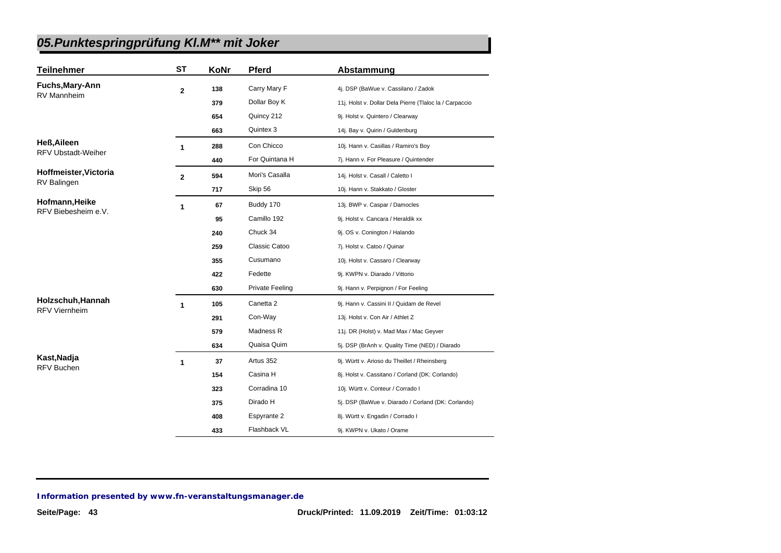| <b>Teilnehmer</b>                         | ST             | KoNr | Pferd                  | Abstammung                                              |
|-------------------------------------------|----------------|------|------------------------|---------------------------------------------------------|
| Fuchs, Mary-Ann                           | $\overline{2}$ | 138  | Carry Mary F           | 4j. DSP (BaWue v. Cassilano / Zadok                     |
| <b>RV Mannheim</b>                        |                | 379  | Dollar Boy K           | 11j. Holst v. Dollar Dela Pierre (Tlaloc la / Carpaccio |
|                                           |                | 654  | Quincy 212             | 9j. Holst v. Quintero / Clearway                        |
|                                           |                | 663  | Quintex 3              | 14j. Bay v. Quirin / Guldenburg                         |
| <b>Heß, Aileen</b>                        | 1              | 288  | Con Chicco             | 10j. Hann v. Casillas / Ramiro's Boy                    |
| <b>RFV Ubstadt-Weiher</b>                 |                | 440  | For Quintana H         | 7j. Hann v. For Pleasure / Quintender                   |
| Hoffmeister, Victoria                     | $\mathbf{2}$   | 594  | Mori's Casalla         | 14j. Holst v. Casall / Caletto I                        |
| RV Balingen                               |                | 717  | Skip 56                | 10j. Hann v. Stakkato / Gloster                         |
| Hofmann, Heike                            | 1              | 67   | Buddy 170              | 13j. BWP v. Caspar / Damocles                           |
| RFV Biebesheim e.V.                       |                | 95   | Camillo 192            | 9j. Holst v. Cancara / Heraldik xx                      |
|                                           |                | 240  | Chuck 34               | 9j. OS v. Conington / Halando                           |
|                                           |                | 259  | Classic Catoo          | 7j. Holst v. Catoo / Quinar                             |
|                                           |                | 355  | Cusumano               | 10j. Holst v. Cassaro / Clearway                        |
|                                           |                | 422  | Fedette                | 9j. KWPN v. Diarado / Vittorio                          |
|                                           |                | 630  | <b>Private Feeling</b> | 9j. Hann v. Perpignon / For Feeling                     |
| Holzschuh, Hannah<br><b>RFV Viernheim</b> | 1              | 105  | Canetta 2              | 9j. Hann v. Cassini II / Quidam de Revel                |
|                                           |                | 291  | Con-Way                | 13j. Holst v. Con Air / Athlet Z                        |
|                                           |                | 579  | Madness R              | 11j. DR (Holst) v. Mad Max / Mac Geyver                 |
|                                           |                | 634  | Quaisa Quim            | 5j. DSP (BrAnh v. Quality Time (NED) / Diarado          |
| Kast, Nadja<br><b>RFV Buchen</b>          | 1              | 37   | Artus 352              | 9j. Württ v. Arioso du Theillet / Rheinsberg            |
|                                           |                | 154  | Casina H               | 8j. Holst v. Cassitano / Corland (DK: Corlando)         |
|                                           |                | 323  | Corradina 10           | 10j. Württ v. Conteur / Corrado I                       |
|                                           |                | 375  | Dirado H               | 5j. DSP (BaWue v. Diarado / Corland (DK: Corlando)      |
|                                           |                | 408  | Espyrante 2            | 8j. Württ v. Engadin / Corrado I                        |
|                                           |                | 433  | Flashback VL           | 9j. KWPN v. Ukato / Orame                               |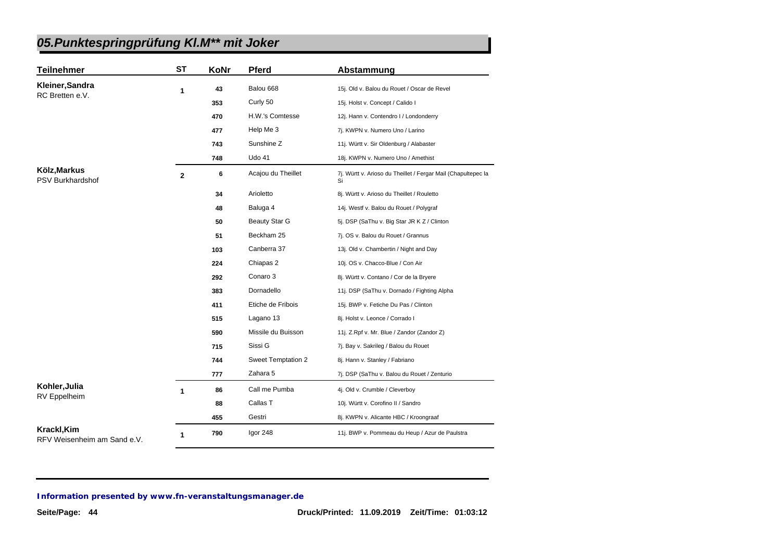| <b>Teilnehmer</b>                          | <b>ST</b>    | KoNr | Pferd                | Abstammung                                                          |
|--------------------------------------------|--------------|------|----------------------|---------------------------------------------------------------------|
| Kleiner, Sandra                            | 1            | 43   | Balou 668            | 15j. Old v. Balou du Rouet / Oscar de Revel                         |
| RC Bretten e.V.                            |              | 353  | Curly 50             | 15j. Holst v. Concept / Calido I                                    |
|                                            |              | 470  | H.W.'s Comtesse      | 12j. Hann v. Contendro I / Londonderry                              |
|                                            |              | 477  | Help Me 3            | 7j. KWPN v. Numero Uno / Larino                                     |
|                                            |              | 743  | Sunshine Z           | 11j. Württ v. Sir Oldenburg / Alabaster                             |
|                                            |              | 748  | Udo 41               | 18j. KWPN v. Numero Uno / Amethist                                  |
| Kölz, Markus<br><b>PSV Burkhardshof</b>    | $\mathbf{2}$ | 6    | Acajou du Theillet   | 7j. Württ v. Arioso du Theillet / Fergar Mail (Chapultepec la<br>Si |
|                                            |              | 34   | Arioletto            | 8j. Württ v. Arioso du Theillet / Rouletto                          |
|                                            |              | 48   | Baluga 4             | 14j. Westf v. Balou du Rouet / Polygraf                             |
|                                            |              | 50   | <b>Beauty Star G</b> | 5j. DSP (SaThu v. Big Star JR K Z / Clinton                         |
|                                            |              | 51   | Beckham 25           | 7j. OS v. Balou du Rouet / Grannus                                  |
|                                            |              | 103  | Canberra 37          | 13j. Old v. Chambertin / Night and Day                              |
|                                            |              | 224  | Chiapas 2            | 10j. OS v. Chacco-Blue / Con Air                                    |
|                                            |              | 292  | Conaro 3             | 8j. Württ v. Contano / Cor de la Bryere                             |
|                                            |              | 383  | Dornadello           | 11j. DSP (SaThu v. Dornado / Fighting Alpha                         |
|                                            |              | 411  | Etiche de Fribois    | 15j. BWP v. Fetiche Du Pas / Clinton                                |
|                                            |              | 515  | Lagano 13            | 8j. Holst v. Leonce / Corrado I                                     |
|                                            |              | 590  | Missile du Buisson   | 11j. Z.Rpf v. Mr. Blue / Zandor (Zandor Z)                          |
|                                            |              | 715  | Sissi G              | 7j. Bay v. Sakrileg / Balou du Rouet                                |
|                                            |              | 744  | Sweet Temptation 2   | 8j. Hann v. Stanley / Fabriano                                      |
|                                            |              | 777  | Zahara 5             | 7j. DSP (SaThu v. Balou du Rouet / Zenturio                         |
| Kohler, Julia<br><b>RV</b> Eppelheim       | 1            | 86   | Call me Pumba        | 4j. Old v. Crumble / Cleverboy                                      |
|                                            |              | 88   | Callas T             | 10j. Württ v. Corofino II / Sandro                                  |
|                                            |              | 455  | Gestri               | 8j. KWPN v. Alicante HBC / Kroongraaf                               |
| Krackl, Kim<br>RFV Weisenheim am Sand e.V. | 1            | 790  | Igor 248             | 11j. BWP v. Pommeau du Heup / Azur de Paulstra                      |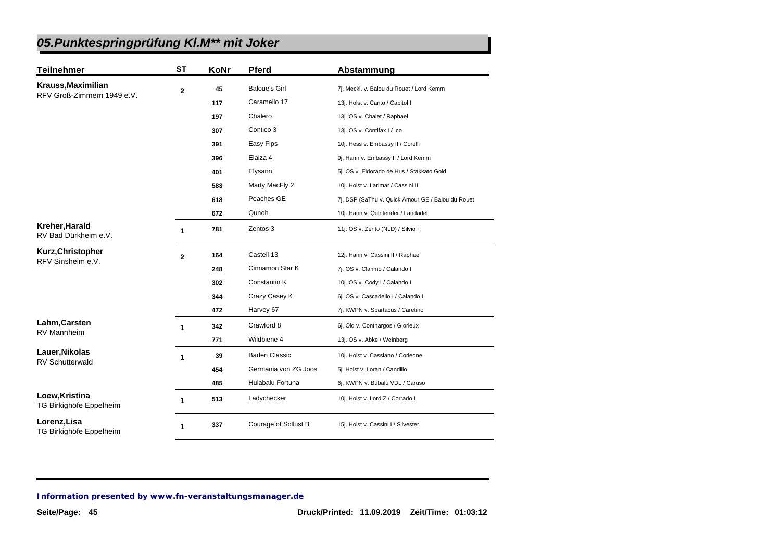| <b>Teilnehmer</b>                         | <b>ST</b>    | KoNr | <b>Pferd</b>         | Abstammung                                        |
|-------------------------------------------|--------------|------|----------------------|---------------------------------------------------|
| Krauss, Maximilian                        | $\mathbf 2$  | 45   | <b>Baloue's Girl</b> | 7j. Meckl. v. Balou du Rouet / Lord Kemm          |
| RFV Groß-Zimmern 1949 e.V.                |              | 117  | Caramello 17         | 13j. Holst v. Canto / Capitol I                   |
|                                           |              | 197  | Chalero              | 13j. OS v. Chalet / Raphael                       |
|                                           |              | 307  | Contico 3            | 13j. OS v. Contifax I / Ico                       |
|                                           |              | 391  | Easy Fips            | 10j. Hess v. Embassy II / Corelli                 |
|                                           |              | 396  | Elaiza 4             | 9j. Hann v. Embassy II / Lord Kemm                |
|                                           |              | 401  | Elysann              | 5j. OS v. Eldorado de Hus / Stakkato Gold         |
|                                           |              | 583  | Marty MacFly 2       | 10j. Holst v. Larimar / Cassini II                |
|                                           |              | 618  | Peaches GE           | 7j. DSP (SaThu v. Quick Amour GE / Balou du Rouet |
|                                           |              | 672  | Qunoh                | 10j. Hann v. Quintender / Landadel                |
| Kreher, Harald<br>RV Bad Dürkheim e.V.    | 1            | 781  | Zentos 3             | 11j. OS v. Zento (NLD) / Silvio I                 |
| Kurz, Christopher<br>RFV Sinsheim e.V.    | $\mathbf{2}$ | 164  | Castell 13           | 12j. Hann v. Cassini II / Raphael                 |
|                                           |              | 248  | Cinnamon Star K      | 7j. OS v. Clarimo / Calando I                     |
|                                           |              | 302  | Constantin K         | 10j. OS v. Cody I / Calando I                     |
|                                           |              | 344  | Crazy Casey K        | 6j. OS v. Cascadello I / Calando I                |
|                                           |              | 472  | Harvey 67            | 7j. KWPN v. Spartacus / Caretino                  |
| Lahm, Carsten                             | 1            | 342  | Crawford 8           | 6j. Old v. Conthargos / Glorieux                  |
| RV Mannheim                               |              | 771  | Wildbiene 4          | 13j. OS v. Abke / Weinberg                        |
| Lauer, Nikolas<br><b>RV Schutterwald</b>  | 1            | 39   | <b>Baden Classic</b> | 10j. Holst v. Cassiano / Corleone                 |
|                                           |              | 454  | Germania von ZG Joos | 5j. Holst v. Loran / Candillo                     |
|                                           |              | 485  | Hulabalu Fortuna     | 6j. KWPN v. Bubalu VDL / Caruso                   |
| Loew, Kristina<br>TG Birkighöfe Eppelheim | 1            | 513  | Ladychecker          | 10j. Holst v. Lord Z / Corrado I                  |
| Lorenz, Lisa<br>TG Birkighöfe Eppelheim   | 1            | 337  | Courage of Sollust B | 15j. Holst v. Cassini I / Silvester               |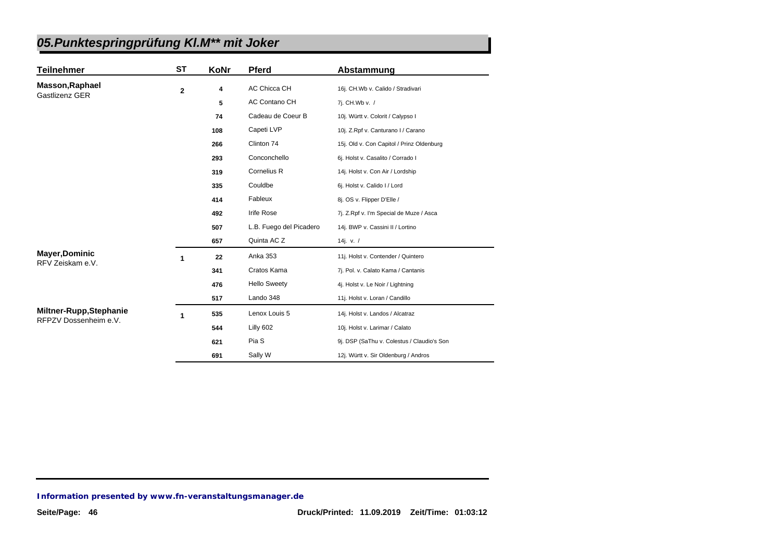| <b>Teilnehmer</b>                                | <b>ST</b>      | KoNr | <b>Pferd</b>            | Abstammung                                 |
|--------------------------------------------------|----------------|------|-------------------------|--------------------------------------------|
| <b>Masson, Raphael</b><br>Gastlizenz GER         | $\overline{2}$ | 4    | AC Chicca CH            | 16j. CH.Wb v. Calido / Stradivari          |
|                                                  |                | 5    | AC Contano CH           | 7j. CH.Wb v. /                             |
|                                                  |                | 74   | Cadeau de Coeur B       | 10j. Württ v. Colorit / Calypso I          |
|                                                  |                | 108  | Capeti LVP              | 10j. Z.Rpf v. Canturano I / Carano         |
|                                                  |                | 266  | Clinton 74              | 15j. Old v. Con Capitol / Prinz Oldenburg  |
|                                                  |                | 293  | Conconchello            | 6j. Holst v. Casalito / Corrado I          |
|                                                  |                | 319  | Cornelius R             | 14j. Holst v. Con Air / Lordship           |
|                                                  |                | 335  | Couldbe                 | 6j. Holst v. Calido I / Lord               |
|                                                  |                | 414  | Fableux                 | 8j. OS v. Flipper D'Elle /                 |
|                                                  |                | 492  | Irife Rose              | 7j. Z.Rpf v. I'm Special de Muze / Asca    |
|                                                  |                | 507  | L.B. Fuego del Picadero | 14j. BWP v. Cassini II / Lortino           |
|                                                  |                | 657  | Quinta AC Z             | 14j. v. $/$                                |
| <b>Mayer, Dominic</b>                            | 1              | 22   | Anka 353                | 11j. Holst v. Contender / Quintero         |
| RFV Zeiskam e.V.                                 |                | 341  | Cratos Kama             | 7j. Pol. v. Calato Kama / Cantanis         |
|                                                  |                | 476  | <b>Hello Sweety</b>     | 4j. Holst v. Le Noir / Lightning           |
|                                                  |                | 517  | Lando 348               | 11j. Holst v. Loran / Candillo             |
| Miltner-Rupp, Stephanie<br>RFPZV Dossenheim e.V. | 1              | 535  | Lenox Louis 5           | 14j. Holst v. Landos / Alcatraz            |
|                                                  |                | 544  | Lilly 602               | 10j. Holst v. Larimar / Calato             |
|                                                  |                | 621  | Pia S                   | 9j. DSP (SaThu v. Colestus / Claudio's Son |
|                                                  |                | 691  | Sally W                 | 12j. Württ v. Sir Oldenburg / Andros       |

*Information presented by www.fn-veranstaltungsmanager.de*

I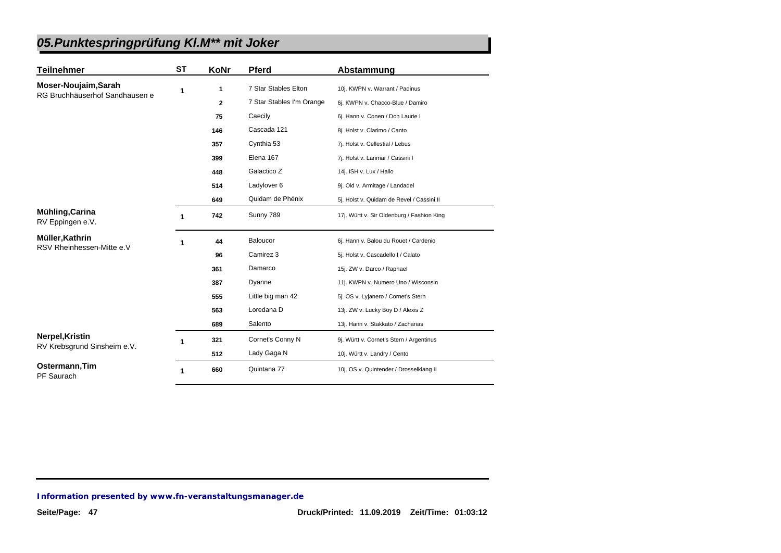| <b>Teilnehmer</b>                   | <b>ST</b> | KoNr         | <b>Pferd</b>              | Abstammung                                 |
|-------------------------------------|-----------|--------------|---------------------------|--------------------------------------------|
| Moser-Noujaim, Sarah                | 1         | 1            | 7 Star Stables Elton      | 10j. KWPN v. Warrant / Padinus             |
| RG Bruchhäuserhof Sandhausen e      |           | $\mathbf{2}$ | 7 Star Stables I'm Orange | 6j. KWPN v. Chacco-Blue / Damiro           |
|                                     |           | 75           | Caecily                   | 6j. Hann v. Conen / Don Laurie I           |
|                                     |           | 146          | Cascada 121               | 8j. Holst v. Clarimo / Canto               |
|                                     |           | 357          | Cynthia 53                | 7j. Holst v. Cellestial / Lebus            |
|                                     |           | 399          | Elena 167                 | 7j. Holst v. Larimar / Cassini I           |
|                                     |           | 448          | Galactico Z               | 14j. ISH v. Lux / Hallo                    |
|                                     |           | 514          | Ladylover 6               | 9j. Old v. Armitage / Landadel             |
|                                     |           | 649          | Quidam de Phénix          | 5j. Holst v. Quidam de Revel / Cassini II  |
| Mühling, Carina<br>RV Eppingen e.V. | 1         | 742          | Sunny 789                 | 17j. Württ v. Sir Oldenburg / Fashion King |
| Müller, Kathrin                     | 1         | 44           | Baloucor                  | 6j. Hann v. Balou du Rouet / Cardenio      |
| RSV Rheinhessen-Mitte e.V           |           | 96           | Camirez 3                 | 5j. Holst v. Cascadello I / Calato         |
|                                     |           | 361          | Damarco                   | 15j. ZW v. Darco / Raphael                 |
|                                     |           | 387          | Dyanne                    | 11j. KWPN v. Numero Uno / Wisconsin        |
|                                     |           | 555          | Little big man 42         | 5j. OS v. Lyjanero / Cornet's Stern        |
|                                     |           | 563          | Loredana D                | 13j. ZW v. Lucky Boy D / Alexis Z          |
|                                     |           | 689          | Salento                   | 13j. Hann v. Stakkato / Zacharias          |
| Nerpel, Kristin                     | 1         | 321          | Cornet's Conny N          | 9j. Württ v. Cornet's Stern / Argentinus   |
| RV Krebsgrund Sinsheim e.V.         |           | 512          | Lady Gaga N               | 10j. Württ v. Landry / Cento               |
| Ostermann, Tim<br>PF Saurach        | 1         | 660          | Quintana 77               | 10j. OS v. Quintender / Drosselklang II    |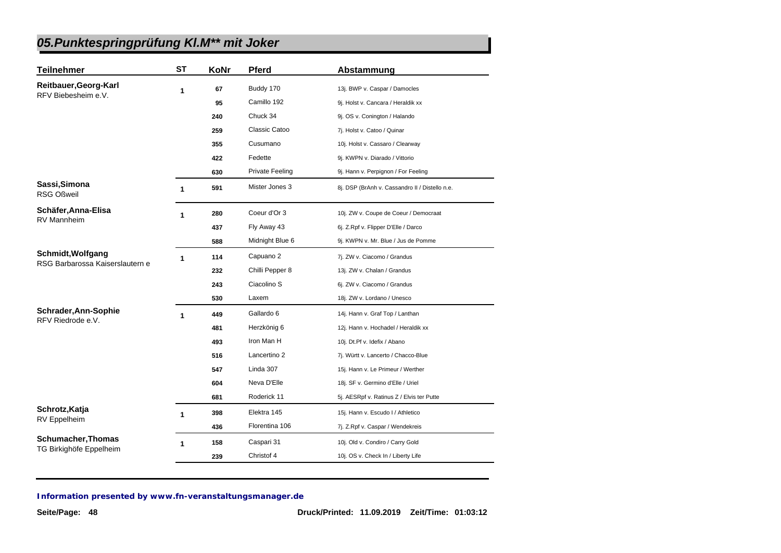| <b>Teilnehmer</b>                                    | ST | KoNr | <b>Pferd</b>           | Abstammung                                     |
|------------------------------------------------------|----|------|------------------------|------------------------------------------------|
| Reitbauer, Georg-Karl                                | 1  | 67   | Buddy 170              | 13j. BWP v. Caspar / Damocles                  |
| RFV Biebesheim e.V.                                  |    | 95   | Camillo 192            | 9j. Holst v. Cancara / Heraldik xx             |
|                                                      |    | 240  | Chuck 34               | 9j. OS v. Conington / Halando                  |
|                                                      |    | 259  | Classic Catoo          | 7j. Holst v. Catoo / Quinar                    |
|                                                      |    | 355  | Cusumano               | 10j. Holst v. Cassaro / Clearway               |
|                                                      |    | 422  | Fedette                | 9j. KWPN v. Diarado / Vittorio                 |
|                                                      |    | 630  | <b>Private Feeling</b> | 9j. Hann v. Perpignon / For Feeling            |
| Sassi, Simona<br><b>RSG Oßweil</b>                   | 1  | 591  | Mister Jones 3         | 8j. DSP (BrAnh v. Cassandro II / Distello n.e. |
| Schäfer, Anna-Elisa                                  | 1  | 280  | Coeur d'Or 3           | 10j. ZW v. Coupe de Coeur / Democraat          |
| <b>RV Mannheim</b>                                   |    | 437  | Fly Away 43            | 6j. Z.Rpf v. Flipper D'Elle / Darco            |
|                                                      |    | 588  | Midnight Blue 6        | 9j. KWPN v. Mr. Blue / Jus de Pomme            |
| Schmidt, Wolfgang<br>RSG Barbarossa Kaiserslautern e | 1  | 114  | Capuano 2              | 7j. ZW v. Ciacomo / Grandus                    |
|                                                      |    | 232  | Chilli Pepper 8        | 13j. ZW v. Chalan / Grandus                    |
|                                                      |    | 243  | Ciacolino S            | 6j. ZW v. Ciacomo / Grandus                    |
|                                                      |    | 530  | Laxem                  | 18j. ZW v. Lordano / Unesco                    |
| Schrader, Ann-Sophie                                 | 1  | 449  | Gallardo 6             | 14j. Hann v. Graf Top / Lanthan                |
| RFV Riedrode e.V.                                    |    | 481  | Herzkönig 6            | 12j. Hann v. Hochadel / Heraldik xx            |
|                                                      |    | 493  | Iron Man H             | 10j. Dt.Pf v. Idefix / Abano                   |
|                                                      |    | 516  | Lancertino 2           | 7j. Württ v. Lancerto / Chacco-Blue            |
|                                                      |    | 547  | Linda 307              | 15j. Hann v. Le Primeur / Werther              |
|                                                      |    | 604  | Neva D'Elle            | 18j. SF v. Germino d'Elle / Uriel              |
|                                                      |    | 681  | Roderick 11            | 5j. AESRpf v. Ratinus Z / Elvis ter Putte      |
| Schrotz, Katja                                       | 1  | 398  | Elektra 145            | 15j. Hann v. Escudo I / Athletico              |
| <b>RV</b> Eppelheim                                  |    | 436  | Florentina 106         | 7j. Z.Rpf v. Caspar / Wendekreis               |
| <b>Schumacher, Thomas</b>                            | 1  | 158  | Caspari 31             | 10j. Old v. Condiro / Carry Gold               |
| TG Birkighöfe Eppelheim                              |    | 239  | Christof 4             | 10j. OS v. Check In / Liberty Life             |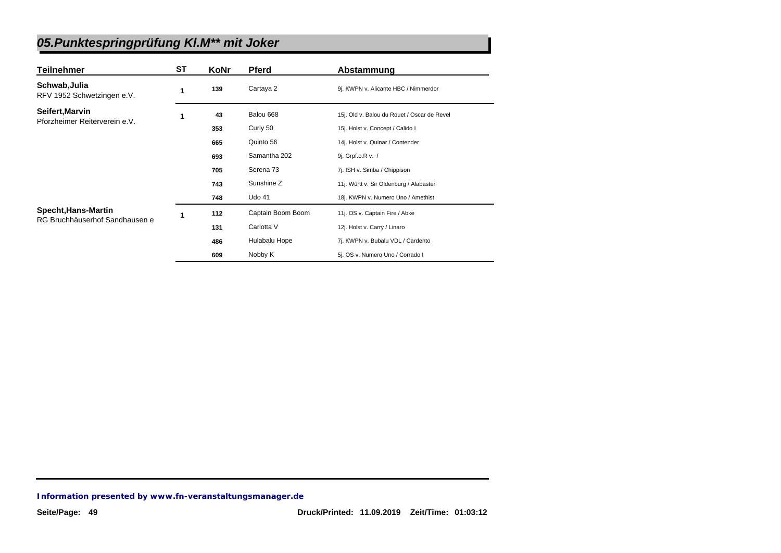| <b>Teilnehmer</b>                           | ST | KoNr | <b>Pferd</b>      | Abstammung                                  |
|---------------------------------------------|----|------|-------------------|---------------------------------------------|
| Schwab, Julia<br>RFV 1952 Schwetzingen e.V. | 1  | 139  | Cartaya 2         | 9j. KWPN v. Alicante HBC / Nimmerdor        |
| Seifert, Marvin                             | 1  | 43   | Balou 668         | 15j. Old v. Balou du Rouet / Oscar de Revel |
| Pforzheimer Reiterverein e.V.               |    | 353  | Curly 50          | 15j. Holst v. Concept / Calido I            |
|                                             |    | 665  | Quinto 56         | 14j. Holst v. Quinar / Contender            |
|                                             |    | 693  | Samantha 202      | 9j. Grpf.o.R v. /                           |
|                                             |    | 705  | Serena 73         | 7j. ISH v. Simba / Chippison                |
|                                             |    | 743  | Sunshine Z        | 11j. Württ v. Sir Oldenburg / Alabaster     |
|                                             |    | 748  | <b>Udo 41</b>     | 18j. KWPN v. Numero Uno / Amethist          |
| Specht, Hans-Martin                         | 1  | 112  | Captain Boom Boom | 11j. OS v. Captain Fire / Abke              |
| RG Bruchhäuserhof Sandhausen e              |    | 131  | Carlotta V        | 12j. Holst v. Carry / Linaro                |
|                                             |    | 486  | Hulabalu Hope     | 7j. KWPN v. Bubalu VDL / Cardento           |
|                                             |    | 609  | Nobby K           | 5j. OS v. Numero Uno / Corrado I            |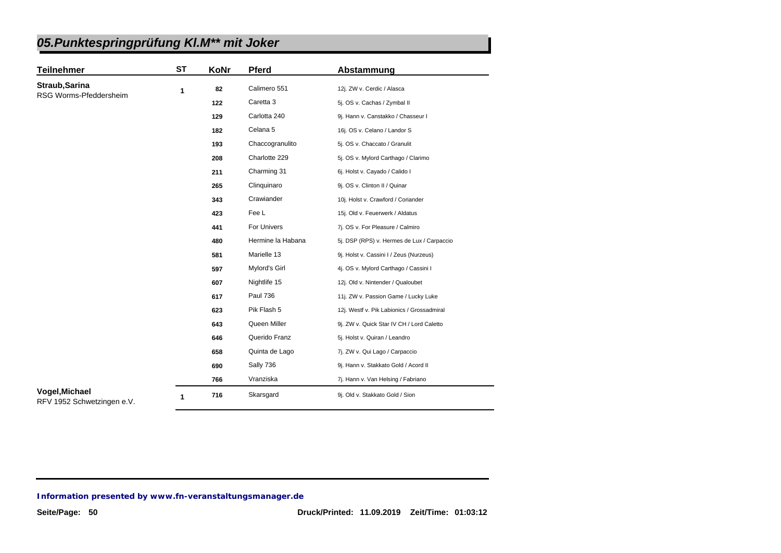| <b>Teilnehmer</b>                            | <b>ST</b> | KoNr | Pferd             | Abstammung                                 |
|----------------------------------------------|-----------|------|-------------------|--------------------------------------------|
| Straub, Sarina                               | 1         | 82   | Calimero 551      | 12j. ZW v. Cerdic / Alasca                 |
| RSG Worms-Pfeddersheim                       |           | 122  | Caretta 3         | 5j. OS v. Cachas / Zymbal II               |
|                                              |           | 129  | Carlotta 240      | 9j. Hann v. Canstakko / Chasseur I         |
|                                              |           | 182  | Celana 5          | 16j. OS v. Celano / Landor S               |
|                                              |           | 193  | Chaccogranulito   | 5j. OS v. Chaccato / Granulit              |
|                                              |           | 208  | Charlotte 229     | 5j. OS v. Mylord Carthago / Clarimo        |
|                                              |           | 211  | Charming 31       | 6j. Holst v. Cayado / Calido I             |
|                                              |           | 265  | Clinquinaro       | 9j. OS v. Clinton II / Quinar              |
|                                              |           | 343  | Crawiander        | 10j. Holst v. Crawford / Coriander         |
|                                              |           | 423  | Fee L             | 15j. Old v. Feuerwerk / Aldatus            |
|                                              |           | 441  | For Univers       | 7j. OS v. For Pleasure / Calmiro           |
|                                              |           | 480  | Hermine la Habana | 5j. DSP (RPS) v. Hermes de Lux / Carpaccio |
|                                              |           | 581  | Marielle 13       | 9j. Holst v. Cassini I / Zeus (Nurzeus)    |
|                                              |           | 597  | Mylord's Girl     | 4j. OS v. Mylord Carthago / Cassini I      |
|                                              |           | 607  | Nightlife 15      | 12j. Old v. Nintender / Qualoubet          |
|                                              |           | 617  | <b>Paul 736</b>   | 11j. ZW v. Passion Game / Lucky Luke       |
|                                              |           | 623  | Pik Flash 5       | 12j. Westf v. Pik Labionics / Grossadmiral |
|                                              |           | 643  | Queen Miller      | 9j. ZW v. Quick Star IV CH / Lord Caletto  |
|                                              |           | 646  | Querido Franz     | 5j. Holst v. Quiran / Leandro              |
|                                              |           | 658  | Quinta de Lago    | 7j. ZW v. Qui Lago / Carpaccio             |
|                                              |           | 690  | Sally 736         | 9j. Hann v. Stakkato Gold / Acord II       |
|                                              |           | 766  | Vranziska         | 7j. Hann v. Van Helsing / Fabriano         |
| Vogel, Michael<br>RFV 1952 Schwetzingen e.V. | 1         | 716  | Skarsgard         | 9j. Old v. Stakkato Gold / Sion            |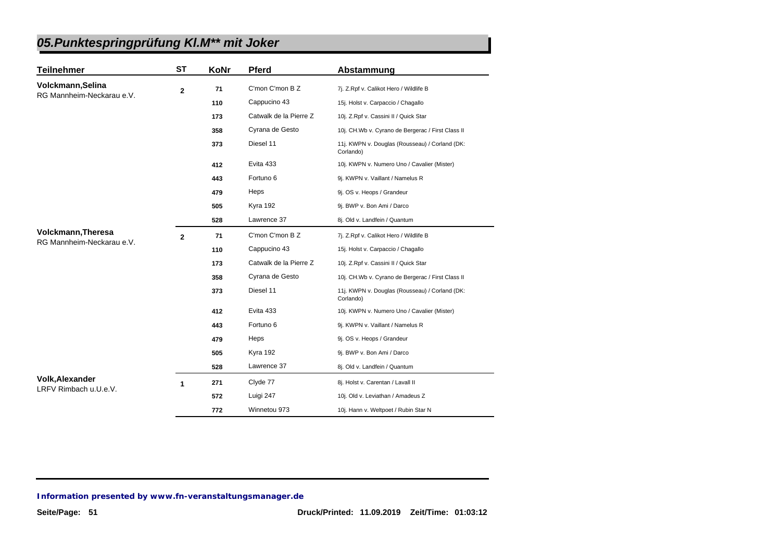| <b>Teilnehmer</b>                                      | <b>ST</b>      | KoNr | <b>Pferd</b>           | Abstammung                                                  |
|--------------------------------------------------------|----------------|------|------------------------|-------------------------------------------------------------|
| Volckmann, Selina                                      | $\overline{2}$ | 71   | C'mon C'mon B Z        | 7j. Z.Rpf v. Calikot Hero / Wildlife B                      |
| RG Mannheim-Neckarau e.V.                              |                | 110  | Cappucino 43           | 15j. Holst v. Carpaccio / Chagallo                          |
|                                                        |                | 173  | Catwalk de la Pierre Z | 10j. Z.Rpf v. Cassini II / Quick Star                       |
|                                                        |                | 358  | Cyrana de Gesto        | 10j. CH.Wb v. Cyrano de Bergerac / First Class II           |
|                                                        |                | 373  | Diesel 11              | 11j. KWPN v. Douglas (Rousseau) / Corland (DK:<br>Corlando) |
|                                                        |                | 412  | Evita 433              | 10j. KWPN v. Numero Uno / Cavalier (Mister)                 |
|                                                        |                | 443  | Fortuno 6              | 9j. KWPN v. Vaillant / Namelus R                            |
|                                                        |                | 479  | Heps                   | 9j. OS v. Heops / Grandeur                                  |
|                                                        |                | 505  | Kyra 192               | 9j. BWP v. Bon Ami / Darco                                  |
|                                                        |                | 528  | Lawrence 37            | 8j. Old v. Landfein / Quantum                               |
| <b>Volckmann, Theresa</b><br>RG Mannheim-Neckarau e.V. | $\mathbf{2}$   | 71   | C'mon C'mon B Z        | 7j. Z.Rpf v. Calikot Hero / Wildlife B                      |
|                                                        |                | 110  | Cappucino 43           | 15j. Holst v. Carpaccio / Chagallo                          |
|                                                        |                | 173  | Catwalk de la Pierre Z | 10j. Z.Rpf v. Cassini II / Quick Star                       |
|                                                        |                | 358  | Cyrana de Gesto        | 10j. CH.Wb v. Cyrano de Bergerac / First Class II           |
|                                                        |                | 373  | Diesel 11              | 11j. KWPN v. Douglas (Rousseau) / Corland (DK:<br>Corlando) |
|                                                        |                | 412  | Evita 433              | 10j. KWPN v. Numero Uno / Cavalier (Mister)                 |
|                                                        |                | 443  | Fortuno 6              | 9j. KWPN v. Vaillant / Namelus R                            |
|                                                        |                | 479  | Heps                   | 9j. OS v. Heops / Grandeur                                  |
|                                                        |                | 505  | Kyra 192               | 9j. BWP v. Bon Ami / Darco                                  |
|                                                        |                | 528  | Lawrence 37            | 8j. Old v. Landfein / Quantum                               |
| <b>Volk, Alexander</b>                                 | 1              | 271  | Clyde 77               | 8j. Holst v. Carentan / Lavall II                           |
| LRFV Rimbach u.U.e.V.                                  |                | 572  | Luigi 247              | 10j. Old v. Leviathan / Amadeus Z                           |
|                                                        |                | 772  | Winnetou 973           | 10j. Hann v. Weltpoet / Rubin Star N                        |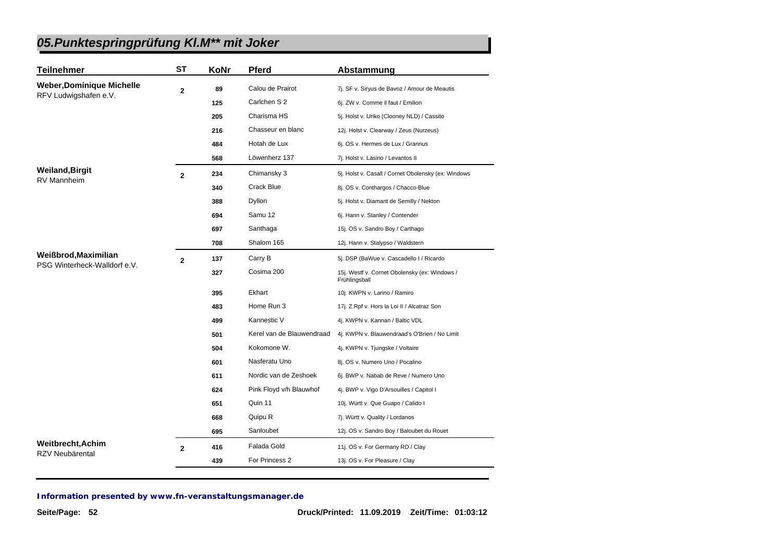| <b>Teilnehmer</b>                    | <b>ST</b>      | KoNr | <b>Pferd</b>              | Abstammung                                                     |
|--------------------------------------|----------------|------|---------------------------|----------------------------------------------------------------|
| <b>Weber, Dominique Michelle</b>     | $\mathbf 2$    | 89   | Calou de Prairot          | 7j. SF v. Siryus de Bavoz / Amour de Meautis                   |
| RFV Ludwigshafen e.V.                |                | 125  | Carlchen S 2              | 6j. ZW v. Comme il faut / Emilion                              |
|                                      |                | 205  | Charisma HS               | 5j. Holst v. Uriko (Clooney NLD) / Cassito                     |
|                                      |                | 216  | Chasseur en blanc         | 12j. Holst v. Clearway / Zeus (Nurzeus)                        |
|                                      |                | 484  | Hotah de Lux              | 6j. OS v. Hermes de Lux / Grannus                              |
|                                      |                | 568  | Löwenherz 137             | 7j. Holst v. Lasino / Levantos II                              |
| <b>Weiland, Birgit</b>               | $\overline{2}$ | 234  | Chimansky 3               | 5j. Holst v. Casall / Cornet Obolensky (ex: Windows            |
| <b>RV Mannheim</b>                   |                | 340  | Crack Blue                | 8j. OS v. Conthargos / Chacco-Blue                             |
|                                      |                | 388  | Dyllon                    | 5j. Holst v. Diamant de Semilly / Nekton                       |
|                                      |                | 694  | Samu 12                   | 6j. Hann v. Stanley / Contender                                |
|                                      |                | 697  | Santhaga                  | 15j. OS v. Sandro Boy / Carthago                               |
|                                      |                | 708  | Shalom 165                | 12j. Hann v. Stalypso / Waldstern                              |
| Weißbrod, Maximilian                 | $\mathbf{2}$   | 137  | Carry B                   | 5j. DSP (BaWue v. Cascadello I / Ricardo                       |
| PSG Winterheck-Walldorf e.V.         |                | 327  | Cosima 200                | 15j. Westf v. Cornet Obolensky (ex: Windows /<br>Frühlingsball |
|                                      |                | 395  | Ekhart                    | 10j. KWPN v. Larino / Ramiro                                   |
|                                      |                | 483  | Home Run 3                | 17j. Z.Rpf v. Hors la Loi II / Alcatraz Son                    |
|                                      |                | 499  | Kannestic V               | 4j. KWPN v. Kannan / Baltic VDL                                |
|                                      |                | 501  | Kerel van de Blauwendraad | 4j. KWPN v. Blauwendraad's O'Brien / No Limit                  |
|                                      |                | 504  | Kokomone W.               | 4j. KWPN v. Tjungske / Voltaire                                |
|                                      |                | 601  | Nasferatu Uno             | 8j. OS v. Numero Uno / Pocalino                                |
|                                      |                | 611  | Nordic van de Zeshoek     | 6j. BWP v. Nabab de Reve / Numero Uno                          |
|                                      |                | 624  | Pink Floyd v/h Blauwhof   | 4j. BWP v. Vigo D'Arsouilles / Capitol I                       |
|                                      |                | 651  | Quin 11                   | 10j. Württ v. Que Guapo / Calido I                             |
|                                      |                | 668  | Quipu R                   | 7j. Württ v. Quality / Lordanos                                |
|                                      |                | 695  | Sanloubet                 | 12j. OS v. Sandro Boy / Baloubet du Rouet                      |
| Weitbrecht, Achim<br>RZV Neubärental | $\overline{2}$ | 416  | Falada Gold               | 11j. OS v. For Germany RD / Clay                               |
|                                      |                | 439  | For Princess 2            | 13j. OS v. For Pleasure / Clay                                 |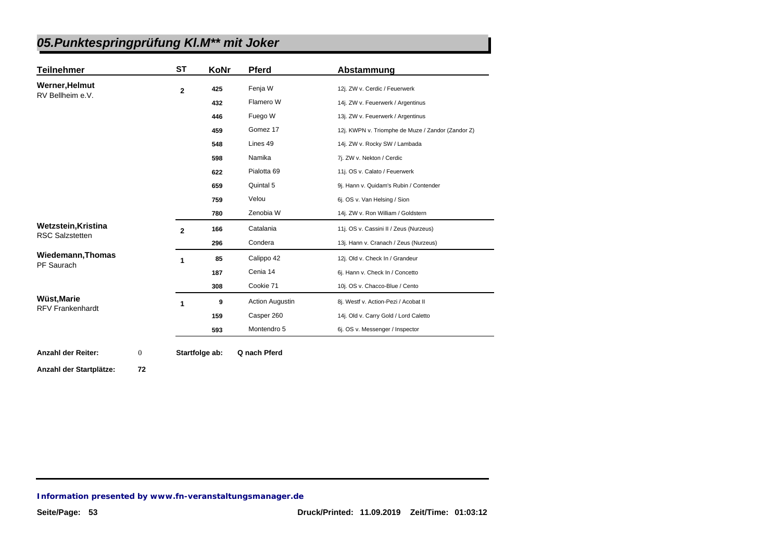| <b>Teilnehmer</b>       | <b>ST</b>      | KoNr | <b>Pferd</b>           | Abstammung                                        |
|-------------------------|----------------|------|------------------------|---------------------------------------------------|
| <b>Werner, Helmut</b>   | $\overline{2}$ | 425  | Fenja W                | 12j. ZW v. Cerdic / Feuerwerk                     |
| RV Bellheim e.V.        |                | 432  | Flamero W              | 14j. ZW v. Feuerwerk / Argentinus                 |
|                         |                | 446  | Fuego W                | 13j. ZW v. Feuerwerk / Argentinus                 |
|                         |                | 459  | Gomez 17               | 12j. KWPN v. Triomphe de Muze / Zandor (Zandor Z) |
|                         |                | 548  | Lines 49               | 14j. ZW v. Rocky SW / Lambada                     |
|                         |                | 598  | Namika                 | 7j. ZW v. Nekton / Cerdic                         |
|                         |                | 622  | Pialotta <sub>69</sub> | 11j. OS v. Calato / Feuerwerk                     |
|                         |                | 659  | Quintal 5              | 9j. Hann v. Quidam's Rubin / Contender            |
|                         |                | 759  | Velou                  | 6j. OS v. Van Helsing / Sion                      |
|                         |                | 780  | Zenobia W              | 14j. ZW v. Ron William / Goldstern                |
| Wetzstein, Kristina     | $\overline{2}$ | 166  | Catalania              | 11j. OS v. Cassini II / Zeus (Nurzeus)            |
| <b>RSC Salzstetten</b>  |                | 296  | Condera                | 13j. Hann v. Cranach / Zeus (Nurzeus)             |
| Wiedemann, Thomas       | 1              | 85   | Calippo 42             | 12j. Old v. Check In / Grandeur                   |
| PF Saurach              |                | 187  | Cenia 14               | 6j. Hann v. Check In / Concetto                   |
|                         |                | 308  | Cookie 71              | 10j. OS v. Chacco-Blue / Cento                    |
| Wüst, Marie             | 1              | 9    | <b>Action Augustin</b> | 8j. Westf v. Action-Pezi / Acobat II              |
| <b>RFV Frankenhardt</b> |                | 159  | Casper 260             | 14j. Old v. Carry Gold / Lord Caletto             |
|                         |                |      |                        |                                                   |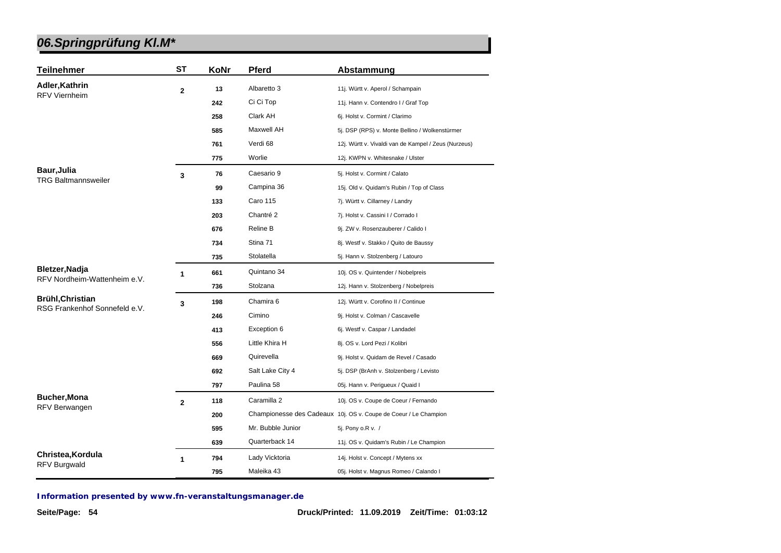| <b>Teilnehmer</b>                                        | <b>ST</b>    | KoNr | <b>Pferd</b>      | Abstammung                                                       |
|----------------------------------------------------------|--------------|------|-------------------|------------------------------------------------------------------|
| Adler, Kathrin                                           | $\mathbf{2}$ | 13   | Albaretto 3       | 11j. Württ v. Aperol / Schampain                                 |
| <b>RFV Viernheim</b>                                     |              | 242  | Ci Ci Top         | 11j. Hann v. Contendro I / Graf Top                              |
|                                                          |              | 258  | Clark AH          | 6j. Holst v. Cormint / Clarimo                                   |
|                                                          |              | 585  | <b>Maxwell AH</b> | 5j. DSP (RPS) v. Monte Bellino / Wolkenstürmer                   |
|                                                          |              | 761  | Verdi 68          | 12j. Württ v. Vivaldi van de Kampel / Zeus (Nurzeus)             |
|                                                          |              | 775  | Worlie            | 12j. KWPN v. Whitesnake / Ulster                                 |
| <b>Baur, Julia</b>                                       | 3            | 76   | Caesario 9        | 5j. Holst v. Cormint / Calato                                    |
| <b>TRG Baltmannsweiler</b>                               |              | 99   | Campina 36        | 15j. Old v. Quidam's Rubin / Top of Class                        |
|                                                          |              | 133  | <b>Caro 115</b>   | 7j. Württ v. Cillarney / Landry                                  |
|                                                          |              | 203  | Chantré 2         | 7j. Holst v. Cassini I / Corrado I                               |
|                                                          |              | 676  | Reline B          | 9j. ZW v. Rosenzauberer / Calido I                               |
|                                                          |              | 734  | Stina 71          | 8j. Westf v. Stakko / Quito de Baussy                            |
|                                                          |              | 735  | Stolatella        | 5j. Hann v. Stolzenberg / Latouro                                |
| Bletzer, Nadja<br>RFV Nordheim-Wattenheim e.V.           | 1            | 661  | Quintano 34       | 10j. OS v. Quintender / Nobelpreis                               |
|                                                          |              | 736  | Stolzana          | 12j. Hann v. Stolzenberg / Nobelpreis                            |
| <b>Brühl, Christian</b><br>RSG Frankenhof Sonnefeld e.V. | 3            | 198  | Chamira 6         | 12j. Württ v. Corofino II / Continue                             |
|                                                          |              | 246  | Cimino            | 9j. Holst v. Colman / Cascavelle                                 |
|                                                          |              | 413  | Exception 6       | 6j. Westf v. Caspar / Landadel                                   |
|                                                          |              | 556  | Little Khira H    | 8j. OS v. Lord Pezi / Kolibri                                    |
|                                                          |              | 669  | Quirevella        | 9j. Holst v. Quidam de Revel / Casado                            |
|                                                          |              | 692  | Salt Lake City 4  | 5j. DSP (BrAnh v. Stolzenberg / Levisto                          |
|                                                          |              | 797  | Paulina 58        | 05j. Hann v. Perigueux / Quaid I                                 |
| <b>Bucher, Mona</b><br>RFV Berwangen                     | $\mathbf{2}$ | 118  | Caramilla 2       | 10j. OS v. Coupe de Coeur / Fernando                             |
|                                                          |              | 200  |                   | Championesse des Cadeaux 10j. OS v. Coupe de Coeur / Le Champion |
|                                                          |              | 595  | Mr. Bubble Junior | 5j. Pony o.R v. /                                                |
|                                                          |              | 639  | Quarterback 14    | 11j. OS v. Quidam's Rubin / Le Champion                          |
| Christea, Kordula                                        | 1            | 794  | Lady Vicktoria    | 14j. Holst v. Concept / Mytens xx                                |
| RFV Burgwald                                             |              | 795  | Maleika 43        | 05j. Holst v. Magnus Romeo / Calando I                           |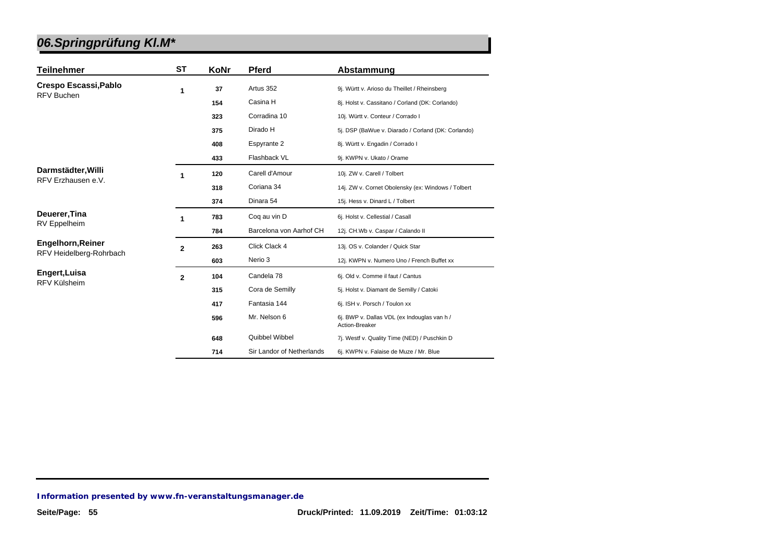| <b>Teilnehmer</b>                                   | <b>ST</b>    | KoNr | <b>Pferd</b>              | Abstammung                                                    |
|-----------------------------------------------------|--------------|------|---------------------------|---------------------------------------------------------------|
| Crespo Escassi, Pablo<br><b>RFV Buchen</b>          | 1            | 37   | Artus 352                 | 9j. Württ v. Arioso du Theillet / Rheinsberg                  |
|                                                     |              | 154  | Casina H                  | 8j. Holst v. Cassitano / Corland (DK: Corlando)               |
|                                                     |              | 323  | Corradina 10              | 10j. Württ v. Conteur / Corrado I                             |
|                                                     |              | 375  | Dirado H                  | 5j. DSP (BaWue v. Diarado / Corland (DK: Corlando)            |
|                                                     |              | 408  | Espyrante 2               | 8j. Württ v. Engadin / Corrado I                              |
|                                                     |              | 433  | Flashback VL              | 9j. KWPN v. Ukato / Orame                                     |
| Darmstädter, Willi<br>RFV Erzhausen e.V.            |              | 120  | Carell d'Amour            | 10j. ZW v. Carell / Tolbert                                   |
|                                                     |              | 318  | Coriana 34                | 14j. ZW v. Cornet Obolensky (ex: Windows / Tolbert            |
|                                                     |              | 374  | Dinara 54                 | 15j. Hess v. Dinard L / Tolbert                               |
| Deuerer, Tina<br><b>RV</b> Eppelheim                | 1            | 783  | Coq au vin D              | 6j. Holst v. Cellestial / Casall                              |
|                                                     |              | 784  | Barcelona von Aarhof CH   | 12j. CH.Wb v. Caspar / Calando II                             |
| <b>Engelhorn, Reiner</b><br>RFV Heidelberg-Rohrbach | $\mathbf{2}$ | 263  | Click Clack 4             | 13j. OS v. Colander / Quick Star                              |
|                                                     |              | 603  | Nerio 3                   | 12j. KWPN v. Numero Uno / French Buffet xx                    |
| Engert, Luisa<br>RFV Külsheim                       | $\mathbf{2}$ | 104  | Candela 78                | 6j. Old v. Comme il faut / Cantus                             |
|                                                     |              | 315  | Cora de Semilly           | 5j. Holst v. Diamant de Semilly / Catoki                      |
|                                                     |              | 417  | Fantasia 144              | 6j. ISH v. Porsch / Toulon xx                                 |
|                                                     |              | 596  | Mr. Nelson 6              | 6j. BWP v. Dallas VDL (ex Indouglas van h /<br>Action-Breaker |
|                                                     |              | 648  | Quibbel Wibbel            | 7j. Westf v. Quality Time (NED) / Puschkin D                  |
|                                                     |              | 714  | Sir Landor of Netherlands | 6j. KWPN v. Falaise de Muze / Mr. Blue                        |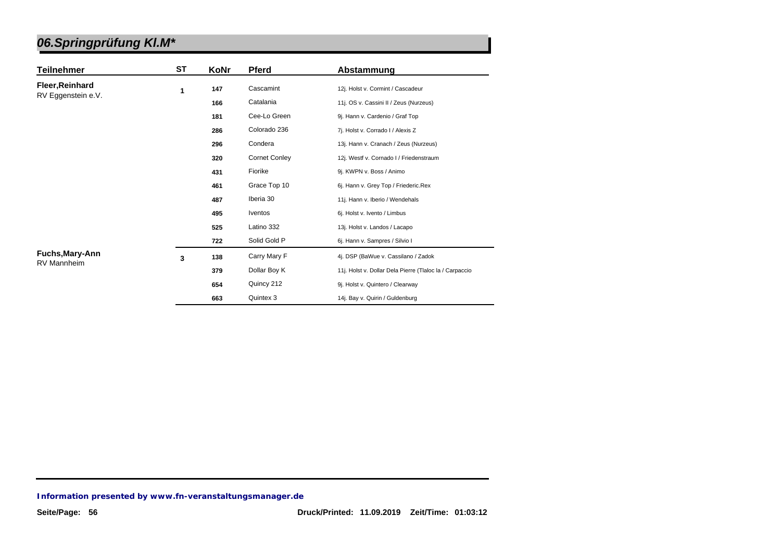|                                       | ST | KoNr | <b>Pferd</b>         |                                                         |
|---------------------------------------|----|------|----------------------|---------------------------------------------------------|
| <b>Teilnehmer</b>                     |    |      |                      | Abstammung                                              |
| Fleer, Reinhard<br>RV Eggenstein e.V. | 1  | 147  | Cascamint            | 12j. Holst v. Cormint / Cascadeur                       |
|                                       |    | 166  | Catalania            | 11j. OS v. Cassini II / Zeus (Nurzeus)                  |
|                                       |    | 181  | Cee-Lo Green         | 9j. Hann v. Cardenio / Graf Top                         |
|                                       |    | 286  | Colorado 236         | 7j. Holst v. Corrado I / Alexis Z                       |
|                                       |    | 296  | Condera              | 13j. Hann v. Cranach / Zeus (Nurzeus)                   |
|                                       |    | 320  | <b>Cornet Conley</b> | 12j. Westf v. Cornado I / Friedenstraum                 |
|                                       |    | 431  | Fiorike              | 9j. KWPN v. Boss / Animo                                |
|                                       |    | 461  | Grace Top 10         | 6j. Hann v. Grey Top / Friederic.Rex                    |
|                                       |    | 487  | Iberia 30            | 11j. Hann v. Iberio / Wendehals                         |
|                                       |    | 495  | <b>Iventos</b>       | 6j. Holst v. Ivento / Limbus                            |
|                                       |    | 525  | Latino 332           | 13j. Holst v. Landos / Lacapo                           |
|                                       |    | 722  | Solid Gold P         | 6j. Hann v. Sampres / Silvio I                          |
| Fuchs, Mary-Ann<br>RV Mannheim        | 3  | 138  | Carry Mary F         | 4j. DSP (BaWue v. Cassilano / Zadok                     |
|                                       |    | 379  | Dollar Boy K         | 11j. Holst v. Dollar Dela Pierre (Tlaloc la / Carpaccio |
|                                       |    | 654  | Quincy 212           | 9j. Holst v. Quintero / Clearway                        |
|                                       |    | 663  | Quintex 3            | 14j. Bay v. Quirin / Guldenburg                         |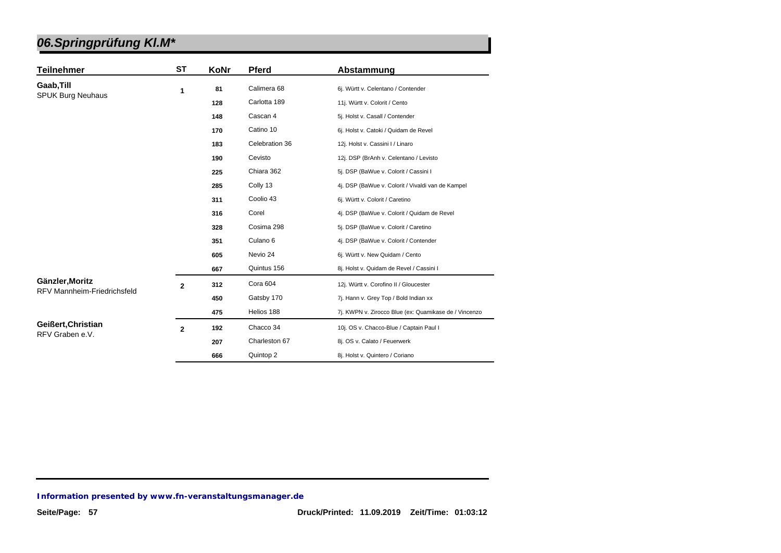| <b>Teilnehmer</b>                  | <b>ST</b>      | KoNr | <b>Pferd</b>        | Abstammung                                            |
|------------------------------------|----------------|------|---------------------|-------------------------------------------------------|
| Gaab, Till                         | 1              | 81   | Calimera 68         | 6j. Württ v. Celentano / Contender                    |
| <b>SPUK Burg Neuhaus</b>           |                | 128  | Carlotta 189        | 11j. Württ v. Colorit / Cento                         |
|                                    |                | 148  | Cascan 4            | 5j. Holst v. Casall / Contender                       |
|                                    |                | 170  | Catino 10           | 6j. Holst v. Catoki / Quidam de Revel                 |
|                                    |                | 183  | Celebration 36      | 12j. Holst v. Cassini I / Linaro                      |
|                                    |                | 190  | Cevisto             | 12j. DSP (BrAnh v. Celentano / Levisto                |
|                                    |                | 225  | Chiara 362          | 5j. DSP (BaWue v. Colorit / Cassini I                 |
|                                    |                | 285  | Colly 13            | 4j. DSP (BaWue v. Colorit / Vivaldi van de Kampel     |
|                                    |                | 311  | Coolio 43           | 6j. Württ v. Colorit / Caretino                       |
|                                    |                | 316  | Corel               | 4j. DSP (BaWue v. Colorit / Quidam de Revel           |
|                                    |                | 328  | Cosima 298          | 5j. DSP (BaWue v. Colorit / Caretino                  |
|                                    |                | 351  | Culano <sub>6</sub> | 4j. DSP (BaWue v. Colorit / Contender                 |
|                                    |                | 605  | Nevio 24            | 6j. Württ v. New Quidam / Cento                       |
|                                    |                | 667  | Quintus 156         | 8j. Holst v. Quidam de Revel / Cassini I              |
| Gänzler, Moritz                    | $\overline{2}$ | 312  | Cora 604            | 12j. Württ v. Corofino II / Gloucester                |
| <b>RFV Mannheim-Friedrichsfeld</b> |                | 450  | Gatsby 170          | 7j. Hann v. Grey Top / Bold Indian xx                 |
|                                    |                | 475  | Helios 188          | 7j. KWPN v. Zirocco Blue (ex: Quamikase de / Vincenzo |
| Geißert, Christian                 | $\overline{2}$ | 192  | Chacco 34           | 10j. OS v. Chacco-Blue / Captain Paul I               |
| RFV Graben e.V.                    |                | 207  | Charleston 67       | 8j. OS v. Calato / Feuerwerk                          |
|                                    |                | 666  | Quintop 2           | 8j. Holst v. Quintero / Coriano                       |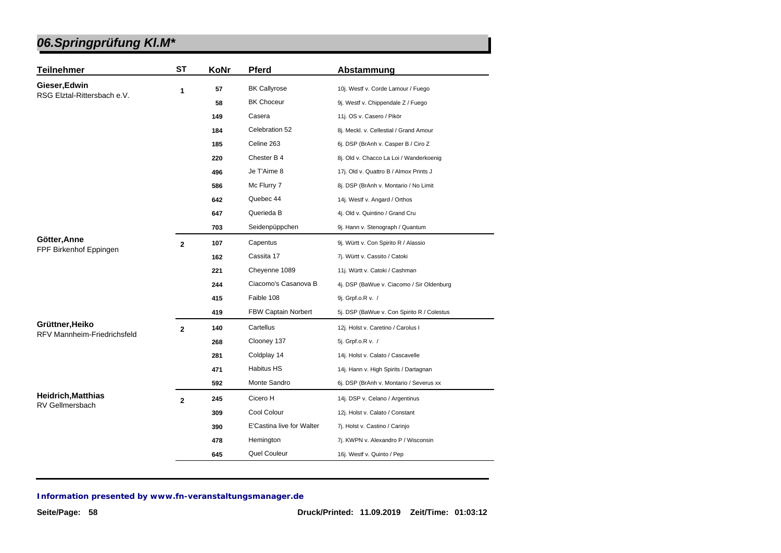| <b>Teilnehmer</b>           | <b>ST</b>      | KoNr | <b>Pferd</b>               | Abstammung                                 |
|-----------------------------|----------------|------|----------------------------|--------------------------------------------|
| Gieser, Edwin               | 1              | 57   | <b>BK Callyrose</b>        | 10j. Westf v. Corde Lamour / Fuego         |
| RSG Elztal-Rittersbach e.V. |                | 58   | <b>BK Choceur</b>          | 9j. Westf v. Chippendale Z / Fuego         |
|                             |                | 149  | Casera                     | 11j. OS v. Casero / Pikör                  |
|                             |                | 184  | Celebration 52             | 8j. Meckl. v. Cellestial / Grand Amour     |
|                             |                | 185  | Celine 263                 | 6j. DSP (BrAnh v. Casper B / Ciro Z        |
|                             |                | 220  | Chester B 4                | 8j. Old v. Chacco La Loi / Wanderkoenig    |
|                             |                | 496  | Je T'Aime 8                | 17j. Old v. Quattro B / Almox Prints J     |
|                             |                | 586  | Mc Flurry 7                | 8j. DSP (BrAnh v. Montario / No Limit      |
|                             |                | 642  | Quebec 44                  | 14j. Westf v. Angard / Orthos              |
|                             |                | 647  | Querieda B                 | 4j. Old v. Quintino / Grand Cru            |
|                             |                | 703  | Seidenpüppchen             | 9j. Hann v. Stenograph / Quantum           |
| Götter, Anne                | $\overline{2}$ | 107  | Capentus                   | 9j. Württ v. Con Spirito R / Alassio       |
| FPF Birkenhof Eppingen      |                | 162  | Cassita 17                 | 7j. Württ v. Cassito / Catoki              |
|                             |                | 221  | Cheyenne 1089              | 11j. Württ v. Catoki / Cashman             |
|                             |                | 244  | Ciacomo's Casanova B       | 4j. DSP (BaWue v. Ciacomo / Sir Oldenburg  |
|                             |                | 415  | Faible 108                 | 9j. Grpf.o.R v. /                          |
|                             |                | 419  | <b>FBW Captain Norbert</b> | 5j. DSP (BaWue v. Con Spirito R / Colestus |
| Grüttner, Heiko             | $\mathbf{2}$   | 140  | Cartellus                  | 12j. Holst v. Caretino / Carolus I         |
| RFV Mannheim-Friedrichsfeld |                | 268  | Clooney 137                | 5j. Grpf.o.R v. /                          |
|                             |                | 281  | Coldplay 14                | 14j. Holst v. Calato / Cascavelle          |
|                             |                | 471  | <b>Habitus HS</b>          | 14j. Hann v. High Spirits / Dartagnan      |
|                             |                | 592  | Monte Sandro               | 6j. DSP (BrAnh v. Montario / Severus xx    |
| <b>Heidrich, Matthias</b>   | $\mathbf{2}$   | 245  | Cicero H                   | 14j. DSP v. Celano / Argentinus            |
| <b>RV Gellmersbach</b>      |                | 309  | Cool Colour                | 12j. Holst v. Calato / Constant            |
|                             |                | 390  | E'Castina live for Walter  | 7j. Holst v. Castino / Carinjo             |
|                             |                | 478  | Hemington                  | 7j. KWPN v. Alexandro P / Wisconsin        |
|                             |                | 645  | Quel Couleur               | 16j. Westf v. Quinto / Pep                 |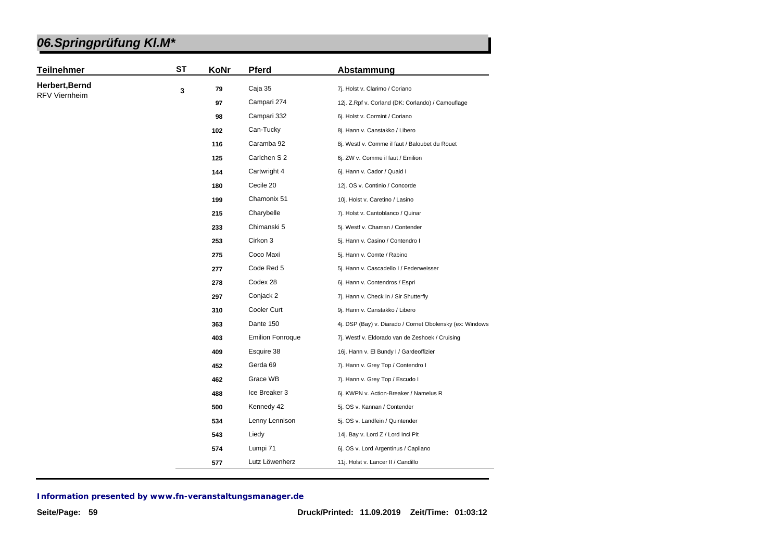| 06.Springprüfung KI.M* |  |
|------------------------|--|
|------------------------|--|

| Herbert, Bernd<br>Caja 35<br>79<br>7j. Holst v. Clarimo / Coriano<br>3<br><b>RFV Viernheim</b><br>Campari 274<br>97<br>12j. Z.Rpf v. Corland (DK: Corlando) / Camouflage<br>Campari 332<br>98<br>6j. Holst v. Cormint / Coriano<br>Can-Tucky<br>8j. Hann v. Canstakko / Libero<br>102<br>Caramba 92<br>8j. Westf v. Comme il faut / Baloubet du Rouet<br>116<br>Carlchen S 2<br>125<br>6j. ZW v. Comme il faut / Emilion<br>Cartwright 4<br>144<br>6j. Hann v. Cador / Quaid I<br>Cecile 20<br>180<br>12j. OS v. Continio / Concorde<br>Chamonix 51<br>199<br>10j. Holst v. Caretino / Lasino<br>Charybelle<br>215<br>7j. Holst v. Cantoblanco / Quinar<br>Chimanski 5<br>233<br>5j. Westf v. Chaman / Contender<br>Cirkon 3<br>253<br>5j. Hann v. Casino / Contendro I<br>Coco Maxi<br>275<br>5j. Hann v. Comte / Rabino<br>Code Red 5<br>277<br>5j. Hann v. Cascadello I / Federweisser<br>Codex 28<br>278<br>6j. Hann v. Contendros / Espri<br>Conjack 2<br>297<br>7j. Hann v. Check In / Sir Shutterfly<br>Cooler Curt<br>310<br>9j. Hann v. Canstakko / Libero<br>Dante 150<br>363<br><b>Emilion Fonroque</b><br>403<br>7j. Westf v. Eldorado van de Zeshoek / Cruising<br>Esquire 38<br>409<br>16j. Hann v. El Bundy I / Gardeoffizier<br>Gerda 69<br>452<br>7j. Hann v. Grey Top / Contendro I<br>Grace WB<br>462<br>7j. Hann v. Grey Top / Escudo I<br>Ice Breaker 3<br>488<br>6j. KWPN v. Action-Breaker / Namelus R<br>Kennedy 42<br>500<br>5j. OS v. Kannan / Contender<br>Lenny Lennison<br>534<br>5j. OS v. Landfein / Quintender<br>Liedy<br>543<br>14j. Bay v. Lord Z / Lord Inci Pit | <b>Teilnehmer</b> | <b>ST</b> | KoNr | <b>Pferd</b> | Abstammung                                               |
|------------------------------------------------------------------------------------------------------------------------------------------------------------------------------------------------------------------------------------------------------------------------------------------------------------------------------------------------------------------------------------------------------------------------------------------------------------------------------------------------------------------------------------------------------------------------------------------------------------------------------------------------------------------------------------------------------------------------------------------------------------------------------------------------------------------------------------------------------------------------------------------------------------------------------------------------------------------------------------------------------------------------------------------------------------------------------------------------------------------------------------------------------------------------------------------------------------------------------------------------------------------------------------------------------------------------------------------------------------------------------------------------------------------------------------------------------------------------------------------------------------------------------------------------------------------------------------------------------|-------------------|-----------|------|--------------|----------------------------------------------------------|
|                                                                                                                                                                                                                                                                                                                                                                                                                                                                                                                                                                                                                                                                                                                                                                                                                                                                                                                                                                                                                                                                                                                                                                                                                                                                                                                                                                                                                                                                                                                                                                                                      |                   |           |      |              |                                                          |
|                                                                                                                                                                                                                                                                                                                                                                                                                                                                                                                                                                                                                                                                                                                                                                                                                                                                                                                                                                                                                                                                                                                                                                                                                                                                                                                                                                                                                                                                                                                                                                                                      |                   |           |      |              |                                                          |
|                                                                                                                                                                                                                                                                                                                                                                                                                                                                                                                                                                                                                                                                                                                                                                                                                                                                                                                                                                                                                                                                                                                                                                                                                                                                                                                                                                                                                                                                                                                                                                                                      |                   |           |      |              |                                                          |
|                                                                                                                                                                                                                                                                                                                                                                                                                                                                                                                                                                                                                                                                                                                                                                                                                                                                                                                                                                                                                                                                                                                                                                                                                                                                                                                                                                                                                                                                                                                                                                                                      |                   |           |      |              |                                                          |
|                                                                                                                                                                                                                                                                                                                                                                                                                                                                                                                                                                                                                                                                                                                                                                                                                                                                                                                                                                                                                                                                                                                                                                                                                                                                                                                                                                                                                                                                                                                                                                                                      |                   |           |      |              |                                                          |
|                                                                                                                                                                                                                                                                                                                                                                                                                                                                                                                                                                                                                                                                                                                                                                                                                                                                                                                                                                                                                                                                                                                                                                                                                                                                                                                                                                                                                                                                                                                                                                                                      |                   |           |      |              |                                                          |
|                                                                                                                                                                                                                                                                                                                                                                                                                                                                                                                                                                                                                                                                                                                                                                                                                                                                                                                                                                                                                                                                                                                                                                                                                                                                                                                                                                                                                                                                                                                                                                                                      |                   |           |      |              |                                                          |
|                                                                                                                                                                                                                                                                                                                                                                                                                                                                                                                                                                                                                                                                                                                                                                                                                                                                                                                                                                                                                                                                                                                                                                                                                                                                                                                                                                                                                                                                                                                                                                                                      |                   |           |      |              |                                                          |
|                                                                                                                                                                                                                                                                                                                                                                                                                                                                                                                                                                                                                                                                                                                                                                                                                                                                                                                                                                                                                                                                                                                                                                                                                                                                                                                                                                                                                                                                                                                                                                                                      |                   |           |      |              |                                                          |
|                                                                                                                                                                                                                                                                                                                                                                                                                                                                                                                                                                                                                                                                                                                                                                                                                                                                                                                                                                                                                                                                                                                                                                                                                                                                                                                                                                                                                                                                                                                                                                                                      |                   |           |      |              |                                                          |
|                                                                                                                                                                                                                                                                                                                                                                                                                                                                                                                                                                                                                                                                                                                                                                                                                                                                                                                                                                                                                                                                                                                                                                                                                                                                                                                                                                                                                                                                                                                                                                                                      |                   |           |      |              |                                                          |
|                                                                                                                                                                                                                                                                                                                                                                                                                                                                                                                                                                                                                                                                                                                                                                                                                                                                                                                                                                                                                                                                                                                                                                                                                                                                                                                                                                                                                                                                                                                                                                                                      |                   |           |      |              |                                                          |
|                                                                                                                                                                                                                                                                                                                                                                                                                                                                                                                                                                                                                                                                                                                                                                                                                                                                                                                                                                                                                                                                                                                                                                                                                                                                                                                                                                                                                                                                                                                                                                                                      |                   |           |      |              |                                                          |
|                                                                                                                                                                                                                                                                                                                                                                                                                                                                                                                                                                                                                                                                                                                                                                                                                                                                                                                                                                                                                                                                                                                                                                                                                                                                                                                                                                                                                                                                                                                                                                                                      |                   |           |      |              |                                                          |
|                                                                                                                                                                                                                                                                                                                                                                                                                                                                                                                                                                                                                                                                                                                                                                                                                                                                                                                                                                                                                                                                                                                                                                                                                                                                                                                                                                                                                                                                                                                                                                                                      |                   |           |      |              |                                                          |
|                                                                                                                                                                                                                                                                                                                                                                                                                                                                                                                                                                                                                                                                                                                                                                                                                                                                                                                                                                                                                                                                                                                                                                                                                                                                                                                                                                                                                                                                                                                                                                                                      |                   |           |      |              |                                                          |
|                                                                                                                                                                                                                                                                                                                                                                                                                                                                                                                                                                                                                                                                                                                                                                                                                                                                                                                                                                                                                                                                                                                                                                                                                                                                                                                                                                                                                                                                                                                                                                                                      |                   |           |      |              |                                                          |
|                                                                                                                                                                                                                                                                                                                                                                                                                                                                                                                                                                                                                                                                                                                                                                                                                                                                                                                                                                                                                                                                                                                                                                                                                                                                                                                                                                                                                                                                                                                                                                                                      |                   |           |      |              |                                                          |
|                                                                                                                                                                                                                                                                                                                                                                                                                                                                                                                                                                                                                                                                                                                                                                                                                                                                                                                                                                                                                                                                                                                                                                                                                                                                                                                                                                                                                                                                                                                                                                                                      |                   |           |      |              | 4j. DSP (Bay) v. Diarado / Cornet Obolensky (ex: Windows |
|                                                                                                                                                                                                                                                                                                                                                                                                                                                                                                                                                                                                                                                                                                                                                                                                                                                                                                                                                                                                                                                                                                                                                                                                                                                                                                                                                                                                                                                                                                                                                                                                      |                   |           |      |              |                                                          |
|                                                                                                                                                                                                                                                                                                                                                                                                                                                                                                                                                                                                                                                                                                                                                                                                                                                                                                                                                                                                                                                                                                                                                                                                                                                                                                                                                                                                                                                                                                                                                                                                      |                   |           |      |              |                                                          |
|                                                                                                                                                                                                                                                                                                                                                                                                                                                                                                                                                                                                                                                                                                                                                                                                                                                                                                                                                                                                                                                                                                                                                                                                                                                                                                                                                                                                                                                                                                                                                                                                      |                   |           |      |              |                                                          |
|                                                                                                                                                                                                                                                                                                                                                                                                                                                                                                                                                                                                                                                                                                                                                                                                                                                                                                                                                                                                                                                                                                                                                                                                                                                                                                                                                                                                                                                                                                                                                                                                      |                   |           |      |              |                                                          |
|                                                                                                                                                                                                                                                                                                                                                                                                                                                                                                                                                                                                                                                                                                                                                                                                                                                                                                                                                                                                                                                                                                                                                                                                                                                                                                                                                                                                                                                                                                                                                                                                      |                   |           |      |              |                                                          |
|                                                                                                                                                                                                                                                                                                                                                                                                                                                                                                                                                                                                                                                                                                                                                                                                                                                                                                                                                                                                                                                                                                                                                                                                                                                                                                                                                                                                                                                                                                                                                                                                      |                   |           |      |              |                                                          |
|                                                                                                                                                                                                                                                                                                                                                                                                                                                                                                                                                                                                                                                                                                                                                                                                                                                                                                                                                                                                                                                                                                                                                                                                                                                                                                                                                                                                                                                                                                                                                                                                      |                   |           |      |              |                                                          |
|                                                                                                                                                                                                                                                                                                                                                                                                                                                                                                                                                                                                                                                                                                                                                                                                                                                                                                                                                                                                                                                                                                                                                                                                                                                                                                                                                                                                                                                                                                                                                                                                      |                   |           |      |              |                                                          |
|                                                                                                                                                                                                                                                                                                                                                                                                                                                                                                                                                                                                                                                                                                                                                                                                                                                                                                                                                                                                                                                                                                                                                                                                                                                                                                                                                                                                                                                                                                                                                                                                      |                   |           |      |              |                                                          |
| Lumpi 71<br>574<br>6j. OS v. Lord Argentinus / Capilano<br>Lutz Löwenherz<br>11j. Holst v. Lancer II / Candillo<br>577                                                                                                                                                                                                                                                                                                                                                                                                                                                                                                                                                                                                                                                                                                                                                                                                                                                                                                                                                                                                                                                                                                                                                                                                                                                                                                                                                                                                                                                                               |                   |           |      |              |                                                          |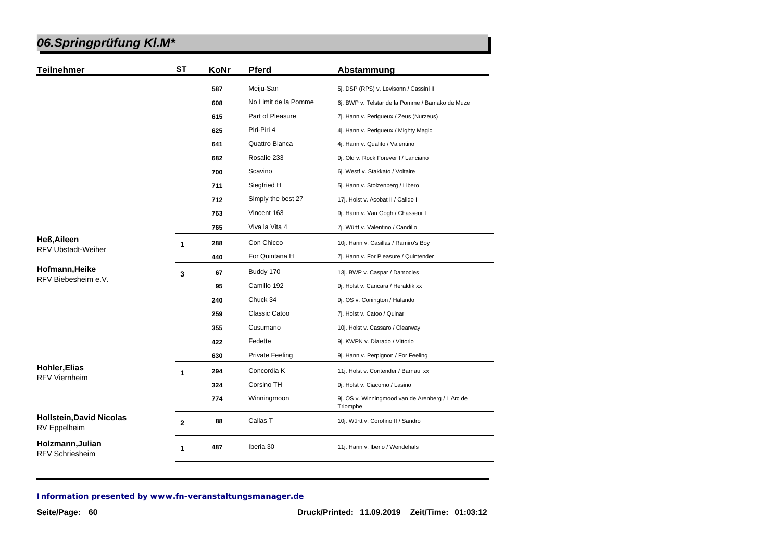| <b>Teilnehmer</b>                               | <b>ST</b>      | KoNr | <b>Pferd</b>           | Abstammung                                                   |
|-------------------------------------------------|----------------|------|------------------------|--------------------------------------------------------------|
|                                                 |                | 587  | Meiju-San              | 5j. DSP (RPS) v. Levisonn / Cassini II                       |
|                                                 |                | 608  | No Limit de la Pomme   | 6j. BWP v. Telstar de la Pomme / Bamako de Muze              |
|                                                 |                | 615  | Part of Pleasure       | 7j. Hann v. Perigueux / Zeus (Nurzeus)                       |
|                                                 |                | 625  | Piri-Piri 4            | 4j. Hann v. Perigueux / Mighty Magic                         |
|                                                 |                | 641  | Quattro Bianca         | 4j. Hann v. Qualito / Valentino                              |
|                                                 |                | 682  | Rosalie 233            | 9j. Old v. Rock Forever I / Lanciano                         |
|                                                 |                | 700  | Scavino                | 6j. Westf v. Stakkato / Voltaire                             |
|                                                 |                | 711  | Siegfried H            | 5j. Hann v. Stolzenberg / Libero                             |
|                                                 |                | 712  | Simply the best 27     | 17j. Holst v. Acobat II / Calido I                           |
|                                                 |                | 763  | Vincent 163            | 9j. Hann v. Van Gogh / Chasseur I                            |
|                                                 |                | 765  | Viva la Vita 4         | 7j. Württ v. Valentino / Candillo                            |
| <b>Heß, Aileen</b>                              | $\mathbf{1}$   | 288  | Con Chicco             | 10j. Hann v. Casillas / Ramiro's Boy                         |
| <b>RFV Ubstadt-Weiher</b>                       |                | 440  | For Quintana H         | 7j. Hann v. For Pleasure / Quintender                        |
| Hofmann, Heike<br>RFV Biebesheim e.V.           | 3              | 67   | Buddy 170              | 13j. BWP v. Caspar / Damocles                                |
|                                                 |                | 95   | Camillo 192            | 9j. Holst v. Cancara / Heraldik xx                           |
|                                                 |                | 240  | Chuck 34               | 9j. OS v. Conington / Halando                                |
|                                                 |                | 259  | Classic Catoo          | 7j. Holst v. Catoo / Quinar                                  |
|                                                 |                | 355  | Cusumano               | 10j. Holst v. Cassaro / Clearway                             |
|                                                 |                | 422  | Fedette                | 9j. KWPN v. Diarado / Vittorio                               |
|                                                 |                | 630  | <b>Private Feeling</b> | 9j. Hann v. Perpignon / For Feeling                          |
| <b>Hohler, Elias</b>                            | $\mathbf{1}$   | 294  | Concordia K            | 11j. Holst v. Contender / Barnaul xx                         |
| <b>RFV Viernheim</b>                            |                | 324  | Corsino TH             | 9j. Holst v. Ciacomo / Lasino                                |
|                                                 |                | 774  | Winningmoon            | 9j. OS v. Winningmood van de Arenberg / L'Arc de<br>Triomphe |
| <b>Hollstein, David Nicolas</b><br>RV Eppelheim | $\overline{2}$ | 88   | Callas T               | 10j. Württ v. Corofino II / Sandro                           |
| Holzmann, Julian<br><b>RFV Schriesheim</b>      | 1              | 487  | Iberia 30              | 11j. Hann v. Iberio / Wendehals                              |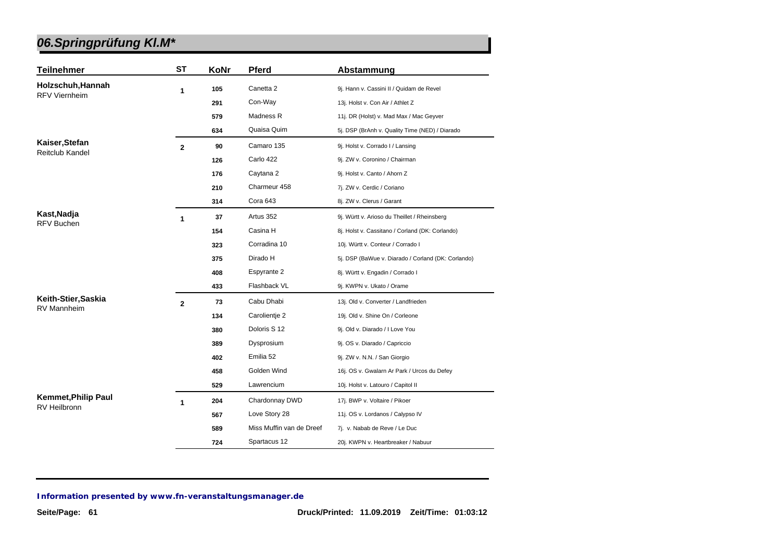| <b>Teilnehmer</b>                                 | <b>ST</b>      | KoNr | <b>Pferd</b>             | Abstammung                                         |
|---------------------------------------------------|----------------|------|--------------------------|----------------------------------------------------|
| Holzschuh, Hannah                                 | 1              | 105  | Canetta 2                | 9j. Hann v. Cassini II / Quidam de Revel           |
| <b>RFV Viernheim</b>                              |                | 291  | Con-Way                  | 13j. Holst v. Con Air / Athlet Z                   |
|                                                   |                | 579  | Madness R                | 11j. DR (Holst) v. Mad Max / Mac Geyver            |
|                                                   |                | 634  | Quaisa Quim              | 5j. DSP (BrAnh v. Quality Time (NED) / Diarado     |
| Kaiser, Stefan                                    | $\overline{2}$ | 90   | Camaro 135               | 9j. Holst v. Corrado I / Lansing                   |
| <b>Reitclub Kandel</b>                            |                | 126  | Carlo 422                | 9j. ZW v. Coronino / Chairman                      |
|                                                   |                | 176  | Caytana 2                | 9j. Holst v. Canto / Ahorn Z                       |
|                                                   |                | 210  | Charmeur 458             | 7j. ZW v. Cerdic / Coriano                         |
|                                                   |                | 314  | Cora 643                 | 8j. ZW v. Clerus / Garant                          |
| Kast, Nadja                                       | 1              | 37   | Artus 352                | 9j. Württ v. Arioso du Theillet / Rheinsberg       |
| <b>RFV Buchen</b>                                 |                | 154  | Casina H                 | 8j. Holst v. Cassitano / Corland (DK: Corlando)    |
|                                                   |                | 323  | Corradina 10             | 10j. Württ v. Conteur / Corrado I                  |
|                                                   |                | 375  | Dirado H                 | 5j. DSP (BaWue v. Diarado / Corland (DK: Corlando) |
|                                                   |                | 408  | Espyrante 2              | 8j. Württ v. Engadin / Corrado I                   |
|                                                   |                | 433  | Flashback VL             | 9j. KWPN v. Ukato / Orame                          |
| Keith-Stier, Saskia                               | $\overline{2}$ | 73   | Cabu Dhabi               | 13j. Old v. Converter / Landfrieden                |
| <b>RV Mannheim</b>                                |                | 134  | Carolientje 2            | 19j. Old v. Shine On / Corleone                    |
|                                                   |                | 380  | Doloris S 12             | 9j. Old v. Diarado / I Love You                    |
|                                                   |                | 389  | Dysprosium               | 9j. OS v. Diarado / Capriccio                      |
|                                                   |                | 402  | Emilia 52                | 9j. ZW v. N.N. / San Giorgio                       |
|                                                   |                | 458  | Golden Wind              | 16j. OS v. Gwalarn Ar Park / Urcos du Defey        |
|                                                   |                | 529  | Lawrencium               | 10j. Holst v. Latouro / Capitol II                 |
| <b>Kemmet, Philip Paul</b><br><b>RV Heilbronn</b> | 1              | 204  | Chardonnay DWD           | 17j. BWP v. Voltaire / Pikoer                      |
|                                                   |                | 567  | Love Story 28            | 11j. OS v. Lordanos / Calypso IV                   |
|                                                   |                | 589  | Miss Muffin van de Dreef | 7j. v. Nabab de Reve / Le Duc                      |
|                                                   |                | 724  | Spartacus 12             | 20j. KWPN v. Heartbreaker / Nabuur                 |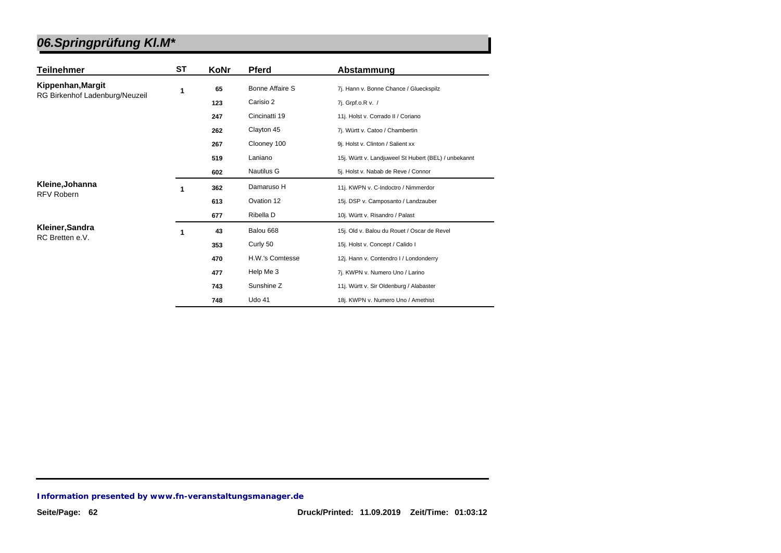| Teilnehmer                     | ST | KoNr | <b>Pferd</b>           | Abstammung                                           |
|--------------------------------|----|------|------------------------|------------------------------------------------------|
| Kippenhan, Margit              | 1  | 65   | <b>Bonne Affaire S</b> | 7j. Hann v. Bonne Chance / Glueckspilz               |
| RG Birkenhof Ladenburg/Neuzeil |    | 123  | Carisio 2              | 7j. Grpf.o.R v. /                                    |
|                                |    | 247  | Cincinatti 19          | 11j. Holst v. Corrado II / Coriano                   |
|                                |    | 262  | Clayton 45             | 7j. Württ v. Catoo / Chambertin                      |
|                                |    | 267  | Clooney 100            | 9j. Holst v. Clinton / Salient xx                    |
|                                |    | 519  | Laniano                | 15j. Württ v. Landjuweel St Hubert (BEL) / unbekannt |
|                                |    | 602  | Nautilus G             | 5j. Holst v. Nabab de Reve / Connor                  |
| Kleine, Johanna                | 1  | 362  | Damaruso H             | 11j. KWPN v. C-Indoctro / Nimmerdor                  |
| <b>RFV Robern</b>              |    | 613  | Ovation 12             | 15j. DSP v. Camposanto / Landzauber                  |
|                                |    | 677  | Ribella D              | 10j. Württ v. Risandro / Palast                      |
| Kleiner, Sandra                | 1  | 43   | Balou 668              | 15j. Old v. Balou du Rouet / Oscar de Revel          |
| RC Bretten e.V.                |    | 353  | Curly 50               | 15j. Holst v. Concept / Calido I                     |
|                                |    | 470  | H.W.'s Comtesse        | 12j. Hann v. Contendro I / Londonderry               |
|                                |    | 477  | Help Me 3              | 7j. KWPN v. Numero Uno / Larino                      |
|                                |    | 743  | Sunshine Z             | 11j. Württ v. Sir Oldenburg / Alabaster              |
|                                |    | 748  | <b>Udo 41</b>          | 18j. KWPN v. Numero Uno / Amethist                   |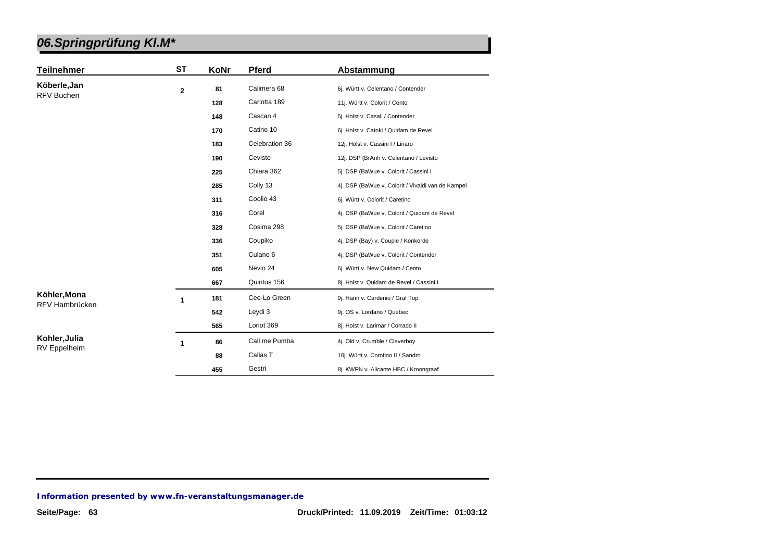| <b>Teilnehmer</b> | <b>ST</b>    | KoNr | <b>Pferd</b>        | Abstammung                                        |
|-------------------|--------------|------|---------------------|---------------------------------------------------|
| Köberle, Jan      | $\mathbf{2}$ | 81   | Calimera 68         | 6j. Württ v. Celentano / Contender                |
| RFV Buchen        |              | 128  | Carlotta 189        | 11j. Württ v. Colorit / Cento                     |
|                   |              | 148  | Cascan 4            | 5j. Holst v. Casall / Contender                   |
|                   |              | 170  | Catino 10           | 6j. Holst v. Catoki / Quidam de Revel             |
|                   |              | 183  | Celebration 36      | 12j. Holst v. Cassini I / Linaro                  |
|                   |              | 190  | Cevisto             | 12j. DSP (BrAnh v. Celentano / Levisto            |
|                   |              | 225  | Chiara 362          | 5j. DSP (BaWue v. Colorit / Cassini I             |
|                   |              | 285  | Colly 13            | 4j. DSP (BaWue v. Colorit / Vivaldi van de Kampel |
|                   |              | 311  | Coolio 43           | 6j. Württ v. Colorit / Caretino                   |
|                   |              | 316  | Corel               | 4j. DSP (BaWue v. Colorit / Quidam de Revel       |
|                   |              | 328  | Cosima 298          | 5j. DSP (BaWue v. Colorit / Caretino              |
|                   |              | 336  | Coupiko             | 4j. DSP (Bay) v. Coupie / Konkorde                |
|                   |              | 351  | Culano <sub>6</sub> | 4j. DSP (BaWue v. Colorit / Contender             |
|                   |              | 605  | Nevio 24            | 6j. Württ v. New Quidam / Cento                   |
|                   |              | 667  | Quintus 156         | 8j. Holst v. Quidam de Revel / Cassini I          |
| Köhler, Mona      | 1            | 181  | Cee-Lo Green        | 9j. Hann v. Cardenio / Graf Top                   |
| RFV Hambrücken    |              | 542  | Leydi 3             | 9j. OS v. Lordano / Quebec                        |
|                   |              | 565  | Loriot 369          | 8j. Holst v. Larimar / Corrado II                 |
| Kohler, Julia     | 1            | 86   | Call me Pumba       | 4j. Old v. Crumble / Cleverboy                    |
| RV Eppelheim      |              | 88   | Callas T            | 10j. Württ v. Corofino II / Sandro                |
|                   |              | 455  | Gestri              | 8j. KWPN v. Alicante HBC / Kroongraaf             |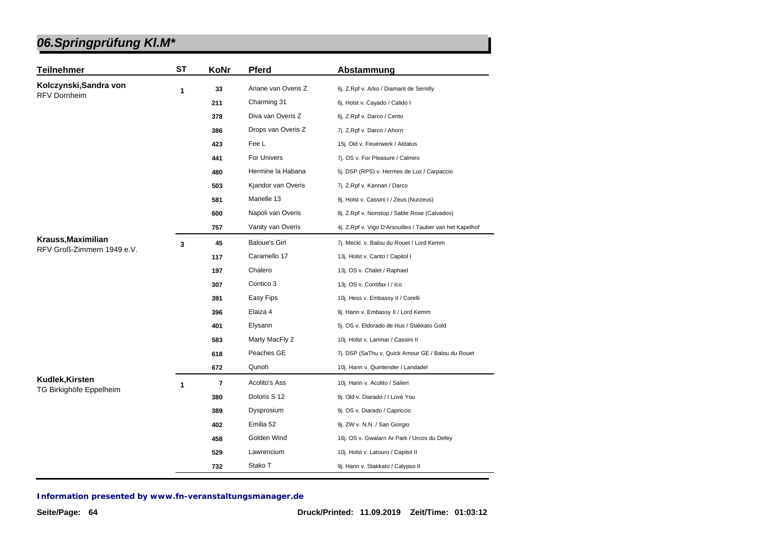| <b>Teilnehmer</b>                                | <b>ST</b> | KoNr                    | <b>Pferd</b>         | Abstammung                                               |
|--------------------------------------------------|-----------|-------------------------|----------------------|----------------------------------------------------------|
| Kolczynski, Sandra von                           | 1         | 33                      | Ariane van Overis Z  | 6j. Z.Rpf v. Arko / Diamant de Semilly                   |
| <b>RFV Dornheim</b>                              |           | 211                     | Charming 31          | 6j. Holst v. Cayado / Calido I                           |
|                                                  |           | 378                     | Diva van Overis Z    | 6j. Z.Rpf v. Darco / Cento                               |
|                                                  |           | 386                     | Drops van Overis Z   | 7j. Z.Rpf v. Darco / Ahorn                               |
|                                                  |           | 423                     | Fee L                | 15j. Old v. Feuerwerk / Aldatus                          |
|                                                  |           | 441                     | For Univers          | 7j. OS v. For Pleasure / Calmiro                         |
|                                                  |           | 480                     | Hermine la Habana    | 5j. DSP (RPS) v. Hermes de Lux / Carpaccio               |
|                                                  |           | 503                     | Kjandor van Overis   | 7j. Z.Rpf v. Kannan / Darco                              |
|                                                  |           | 581                     | Marielle 13          | 9j. Holst v. Cassini I / Zeus (Nurzeus)                  |
|                                                  |           | 600                     | Napoli van Overis    | 8j. Z.Rpf v. Nonstop / Sable Rose (Calvados)             |
|                                                  |           | 757                     | Vanity van Overis    | 4j. Z.Rpf v. Vigo D'Arsouilles / Tauber van het Kapelhof |
| Krauss, Maximilian<br>RFV Groß-Zimmern 1949 e.V. | 3         | 45                      | <b>Baloue's Girl</b> | 7j. Meckl. v. Balou du Rouet / Lord Kemm                 |
|                                                  |           | 117                     | Caramello 17         | 13j. Holst v. Canto / Capitol I                          |
|                                                  |           | 197                     | Chalero              | 13j. OS v. Chalet / Raphael                              |
|                                                  |           | 307                     | Contico 3            | 13j. OS v. Contifax I / Ico                              |
|                                                  |           | 391                     | Easy Fips            | 10j. Hess v. Embassy II / Corelli                        |
|                                                  |           | 396                     | Elaiza 4             | 9j. Hann v. Embassy II / Lord Kemm                       |
|                                                  |           | 401                     | Elysann              | 5j. OS v. Eldorado de Hus / Stakkato Gold                |
|                                                  |           | 583                     | Marty MacFly 2       | 10j. Holst v. Larimar / Cassini II                       |
|                                                  |           | 618                     | Peaches GE           | 7j. DSP (SaThu v. Quick Amour GE / Balou du Rouet        |
|                                                  |           | 672                     | Qunoh                | 10j. Hann v. Quintender / Landadel                       |
| Kudlek, Kirsten                                  | 1         | $\overline{\mathbf{r}}$ | <b>Acolito's Ass</b> | 10j. Hann v. Acolito / Salieri                           |
| TG Birkighöfe Eppelheim                          |           | 380                     | Doloris S 12         | 9j. Old v. Diarado / I Love You                          |
|                                                  |           | 389                     | Dysprosium           | 9j. OS v. Diarado / Capriccio                            |
|                                                  |           | 402                     | Emilia 52            | 9j. ZW v. N.N. / San Giorgio                             |
|                                                  |           | 458                     | Golden Wind          | 16j. OS v. Gwalarn Ar Park / Urcos du Defey              |
|                                                  |           | 529                     | Lawrencium           | 10j. Holst v. Latouro / Capitol II                       |
|                                                  |           | 732                     | Stako T              | 9j. Hann v. Stakkato / Calypso II                        |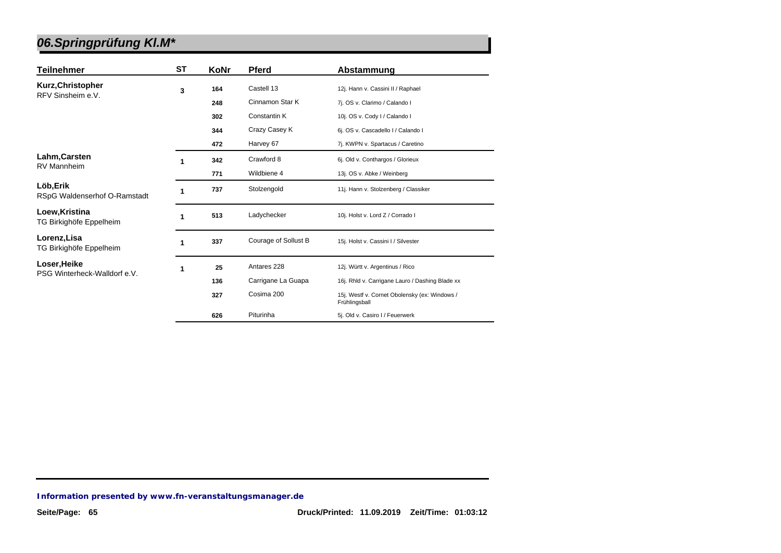| Teilnehmer                                | ST | KoNr | <b>Pferd</b>         | Abstammung                                                     |
|-------------------------------------------|----|------|----------------------|----------------------------------------------------------------|
| Kurz, Christopher<br>RFV Sinsheim e.V.    | 3  | 164  | Castell 13           | 12j. Hann v. Cassini II / Raphael                              |
|                                           |    | 248  | Cinnamon Star K      | 7j. OS v. Clarimo / Calando I                                  |
|                                           |    | 302  | <b>Constantin K</b>  | 10j. OS v. Cody I / Calando I                                  |
|                                           |    | 344  | Crazy Casey K        | 6j. OS v. Cascadello I / Calando I                             |
|                                           |    | 472  | Harvey 67            | 7j. KWPN v. Spartacus / Caretino                               |
| Lahm, Carsten                             | 1  | 342  | Crawford 8           | 6j. Old v. Conthargos / Glorieux                               |
| <b>RV Mannheim</b>                        |    | 771  | Wildbiene 4          | 13j. OS v. Abke / Weinberg                                     |
| Löb, Erik<br>RSpG Waldenserhof O-Ramstadt | 1  | 737  | Stolzengold          | 11j. Hann v. Stolzenberg / Classiker                           |
| Loew, Kristina<br>TG Birkighöfe Eppelheim | 1  | 513  | Ladychecker          | 10j. Holst v. Lord Z / Corrado I                               |
| Lorenz, Lisa<br>TG Birkighöfe Eppelheim   | 1  | 337  | Courage of Sollust B | 15j. Holst v. Cassini I / Silvester                            |
| Loser, Heike                              | 1  | 25   | Antares 228          | 12j. Württ v. Argentinus / Rico                                |
| PSG Winterheck-Walldorf e.V.              |    | 136  | Carrigane La Guapa   | 16j. Rhld v. Carrigane Lauro / Dashing Blade xx                |
|                                           |    | 327  | Cosima 200           | 15j. Westf v. Cornet Obolensky (ex: Windows /<br>Frühlingsball |
|                                           |    | 626  | Piturinha            | 5j. Old v. Casiro I / Feuerwerk                                |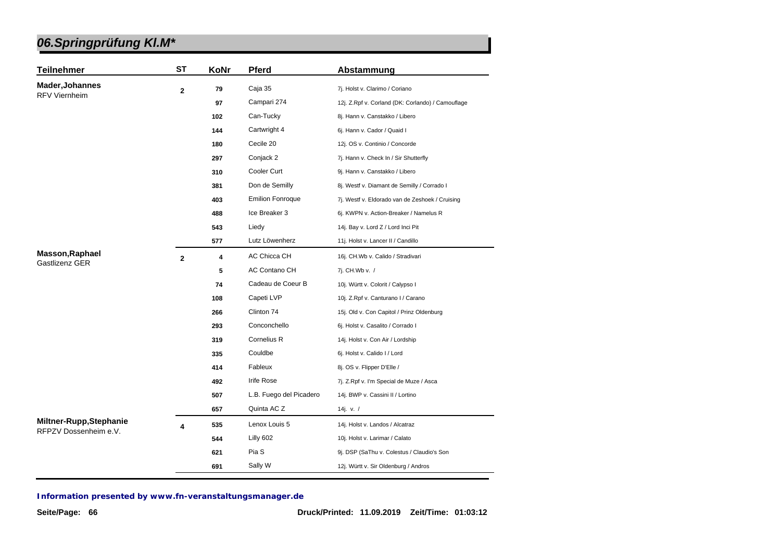| <b>Teilnehmer</b>       | ST             | KoNr | <b>Pferd</b>            | Abstammung                                        |
|-------------------------|----------------|------|-------------------------|---------------------------------------------------|
| <b>Mader, Johannes</b>  | $\mathbf{2}$   | 79   | Caja 35                 | 7j. Holst v. Clarimo / Coriano                    |
| <b>RFV Viernheim</b>    |                | 97   | Campari 274             | 12j. Z.Rpf v. Corland (DK: Corlando) / Camouflage |
|                         |                | 102  | Can-Tucky               | 8j. Hann v. Canstakko / Libero                    |
|                         |                | 144  | Cartwright 4            | 6j. Hann v. Cador / Quaid I                       |
|                         |                | 180  | Cecile 20               | 12j. OS v. Continio / Concorde                    |
|                         |                | 297  | Conjack 2               | 7j. Hann v. Check In / Sir Shutterfly             |
|                         |                | 310  | Cooler Curt             | 9j. Hann v. Canstakko / Libero                    |
|                         |                | 381  | Don de Semilly          | 8j. Westf v. Diamant de Semilly / Corrado I       |
|                         |                | 403  | <b>Emilion Fonroque</b> | 7j. Westf v. Eldorado van de Zeshoek / Cruising   |
|                         |                | 488  | Ice Breaker 3           | 6j. KWPN v. Action-Breaker / Namelus R            |
|                         |                | 543  | Liedy                   | 14j. Bay v. Lord Z / Lord Inci Pit                |
|                         |                | 577  | Lutz Löwenherz          | 11j. Holst v. Lancer II / Candillo                |
| <b>Masson, Raphael</b>  | $\overline{2}$ | 4    | <b>AC Chicca CH</b>     | 16j. CH.Wb v. Calido / Stradivari                 |
| Gastlizenz GER          |                | 5    | <b>AC Contano CH</b>    | 7j. CH.Wb v. /                                    |
|                         |                | 74   | Cadeau de Coeur B       | 10j. Württ v. Colorit / Calypso I                 |
|                         |                | 108  | Capeti LVP              | 10j. Z.Rpf v. Canturano I / Carano                |
|                         |                | 266  | Clinton 74              | 15j. Old v. Con Capitol / Prinz Oldenburg         |
|                         |                | 293  | Conconchello            | 6j. Holst v. Casalito / Corrado I                 |
|                         |                | 319  | Cornelius R             | 14j. Holst v. Con Air / Lordship                  |
|                         |                | 335  | Couldbe                 | 6j. Holst v. Calido I / Lord                      |
|                         |                | 414  | Fableux                 | 8j. OS v. Flipper D'Elle /                        |
|                         |                | 492  | Irife Rose              | 7j. Z.Rpf v. I'm Special de Muze / Asca           |
|                         |                | 507  | L.B. Fuego del Picadero | 14j. BWP v. Cassini II / Lortino                  |
|                         |                | 657  | Quinta AC Z             | 14j. v. $/$                                       |
| Miltner-Rupp, Stephanie | 4              | 535  | Lenox Louis 5           | 14j. Holst v. Landos / Alcatraz                   |
| RFPZV Dossenheim e.V.   |                | 544  | Lilly 602               | 10j. Holst v. Larimar / Calato                    |
|                         |                | 621  | Pia S                   | 9j. DSP (SaThu v. Colestus / Claudio's Son        |
|                         |                | 691  | Sally W                 | 12j. Württ v. Sir Oldenburg / Andros              |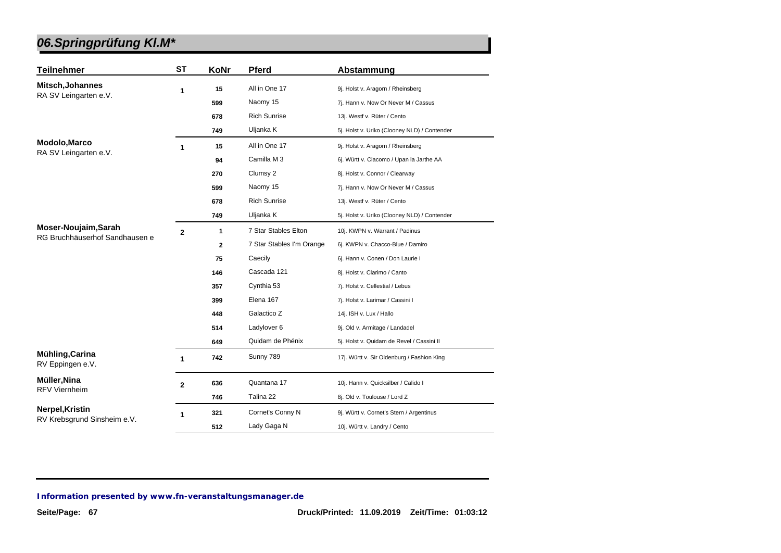| <b>Teilnehmer</b>                   | <b>ST</b>      | KoNr         | <b>Pferd</b>              | Abstammung                                   |
|-------------------------------------|----------------|--------------|---------------------------|----------------------------------------------|
| Mitsch, Johannes                    | 1              | 15           | All in One 17             | 9j. Holst v. Aragorn / Rheinsberg            |
| RA SV Leingarten e.V.               |                | 599          | Naomy 15                  | 7j. Hann v. Now Or Never M / Cassus          |
|                                     |                | 678          | <b>Rich Sunrise</b>       | 13j. Westf v. Rüter / Cento                  |
|                                     |                | 749          | Uljanka K                 | 5j. Holst v. Uriko (Clooney NLD) / Contender |
| Modolo, Marco                       | 1              | 15           | All in One 17             | 9j. Holst v. Aragorn / Rheinsberg            |
| RA SV Leingarten e.V.               |                | 94           | Camilla M 3               | 6j. Württ v. Ciacomo / Upan la Jarthe AA     |
|                                     |                | 270          | Clumsy 2                  | 8j. Holst v. Connor / Clearway               |
|                                     |                | 599          | Naomy 15                  | 7j. Hann v. Now Or Never M / Cassus          |
|                                     |                | 678          | <b>Rich Sunrise</b>       | 13j. Westf v. Rüter / Cento                  |
|                                     |                | 749          | Uljanka K                 | 5j. Holst v. Uriko (Clooney NLD) / Contender |
| Moser-Noujaim, Sarah                | $\overline{2}$ | $\mathbf{1}$ | 7 Star Stables Elton      | 10j. KWPN v. Warrant / Padinus               |
| RG Bruchhäuserhof Sandhausen e      |                | $\mathbf{2}$ | 7 Star Stables I'm Orange | 6j. KWPN v. Chacco-Blue / Damiro             |
|                                     |                | 75           | Caecily                   | 6j. Hann v. Conen / Don Laurie I             |
|                                     |                | 146          | Cascada 121               | 8j. Holst v. Clarimo / Canto                 |
|                                     |                | 357          | Cynthia 53                | 7j. Holst v. Cellestial / Lebus              |
|                                     |                | 399          | Elena 167                 | 7j. Holst v. Larimar / Cassini I             |
|                                     |                | 448          | Galactico Z               | 14j. ISH v. Lux / Hallo                      |
|                                     |                | 514          | Ladylover 6               | 9j. Old v. Armitage / Landadel               |
|                                     |                | 649          | Quidam de Phénix          | 5j. Holst v. Quidam de Revel / Cassini II    |
| Mühling, Carina<br>RV Eppingen e.V. | $\mathbf 1$    | 742          | Sunny 789                 | 17j. Württ v. Sir Oldenburg / Fashion King   |
| Müller, Nina                        | $\overline{2}$ | 636          | Quantana 17               | 10j. Hann v. Quicksilber / Calido I          |
| <b>RFV Viernheim</b>                |                | 746          | Talina 22                 | 8j. Old v. Toulouse / Lord Z                 |
| Nerpel, Kristin                     | 1              | 321          | Cornet's Conny N          | 9j. Württ v. Cornet's Stern / Argentinus     |
| RV Krebsgrund Sinsheim e.V.         |                | 512          | Lady Gaga N               | 10j. Württ v. Landry / Cento                 |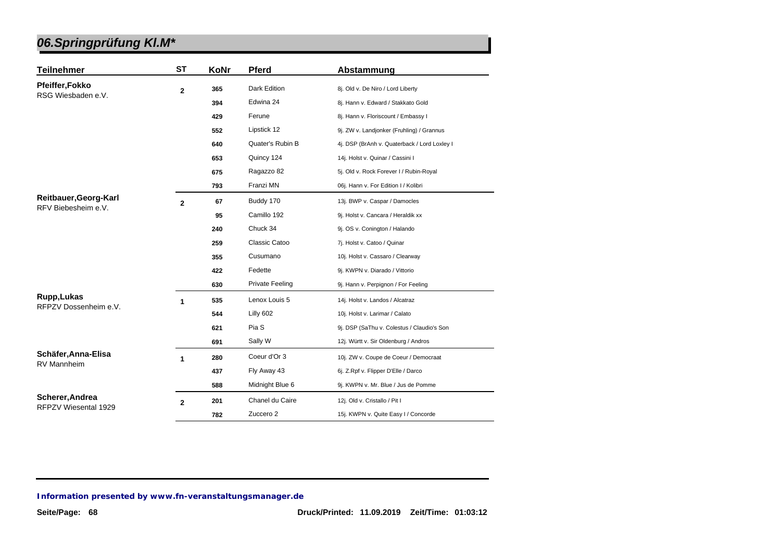| <b>Teilnehmer</b>     | <b>ST</b>      | KoNr | <b>Pferd</b>           | Abstammung                                   |
|-----------------------|----------------|------|------------------------|----------------------------------------------|
| Pfeiffer, Fokko       | $\overline{2}$ | 365  | <b>Dark Edition</b>    | 8j. Old v. De Niro / Lord Liberty            |
| RSG Wiesbaden e.V.    |                | 394  | Edwina 24              | 8j. Hann v. Edward / Stakkato Gold           |
|                       |                | 429  | Ferune                 | 8j. Hann v. Floriscount / Embassy I          |
|                       |                | 552  | Lipstick 12            | 9j. ZW v. Landjonker (Fruhling) / Grannus    |
|                       |                | 640  | Quater's Rubin B       | 4j. DSP (BrAnh v. Quaterback / Lord Loxley I |
|                       |                | 653  | Quincy 124             | 14j. Holst v. Quinar / Cassini I             |
|                       |                | 675  | Ragazzo 82             | 5j. Old v. Rock Forever I / Rubin-Royal      |
|                       |                | 793  | Franzi MN              | 06j. Hann v. For Edition I / Kolibri         |
| Reitbauer, Georg-Karl |                |      | Buddy 170              | 13j. BWP v. Caspar / Damocles                |
| RFV Biebesheim e.V.   | $\mathbf{2}$   | 67   | Camillo 192            |                                              |
|                       |                | 95   |                        | 9j. Holst v. Cancara / Heraldik xx           |
|                       |                | 240  | Chuck 34               | 9j. OS v. Conington / Halando                |
|                       |                | 259  | Classic Catoo          | 7j. Holst v. Catoo / Quinar                  |
|                       |                | 355  | Cusumano               | 10j. Holst v. Cassaro / Clearway             |
|                       |                | 422  | Fedette                | 9j. KWPN v. Diarado / Vittorio               |
|                       |                | 630  | <b>Private Feeling</b> | 9j. Hann v. Perpignon / For Feeling          |
| Rupp, Lukas           | 1              | 535  | Lenox Louis 5          | 14j. Holst v. Landos / Alcatraz              |
| RFPZV Dossenheim e.V. |                | 544  | Lilly 602              | 10j. Holst v. Larimar / Calato               |
|                       |                | 621  | Pia S                  | 9j. DSP (SaThu v. Colestus / Claudio's Son   |
|                       |                | 691  | Sally W                | 12j. Württ v. Sir Oldenburg / Andros         |
| Schäfer, Anna-Elisa   | 1              | 280  | Coeur d'Or 3           | 10j. ZW v. Coupe de Coeur / Democraat        |
| <b>RV Mannheim</b>    |                | 437  | Fly Away 43            | 6j. Z.Rpf v. Flipper D'Elle / Darco          |
|                       |                | 588  | Midnight Blue 6        | 9j. KWPN v. Mr. Blue / Jus de Pomme          |
| Scherer, Andrea       | $\overline{2}$ | 201  | Chanel du Caire        | 12j. Old v. Cristallo / Pit I                |
| RFPZV Wiesental 1929  |                | 782  | Zuccero 2              | 15j. KWPN v. Quite Easy I / Concorde         |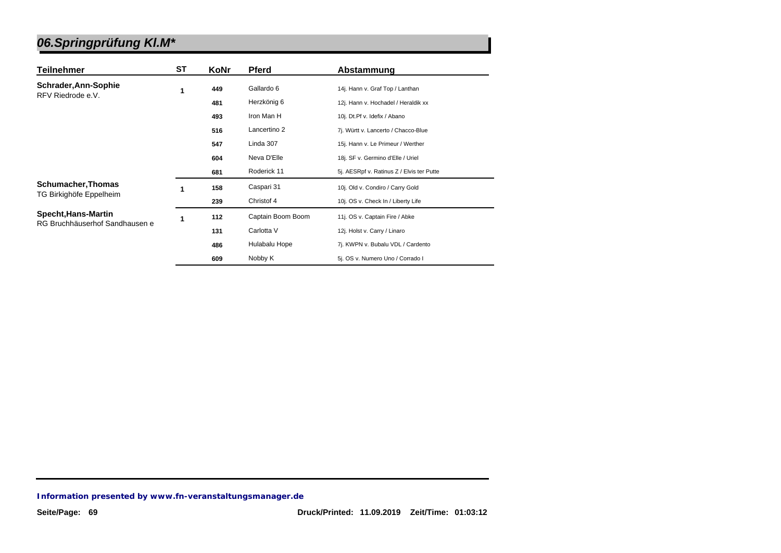| Teilnehmer                     | SТ | KoNr | <b>Pferd</b>      | Abstammung                                |
|--------------------------------|----|------|-------------------|-------------------------------------------|
| Schrader, Ann-Sophie           | 1  | 449  | Gallardo 6        | 14j. Hann v. Graf Top / Lanthan           |
| RFV Riedrode e.V.              |    | 481  | Herzkönig 6       | 12j. Hann v. Hochadel / Heraldik xx       |
|                                |    | 493  | Iron Man H        | 10j. Dt.Pf v. Idefix / Abano              |
|                                |    | 516  | Lancertino 2      | 7j. Württ v. Lancerto / Chacco-Blue       |
|                                |    | 547  | Linda 307         | 15j. Hann v. Le Primeur / Werther         |
|                                |    | 604  | Neva D'Elle       | 18j. SF v. Germino d'Elle / Uriel         |
|                                |    | 681  | Roderick 11       | 5j. AESRpf v. Ratinus Z / Elvis ter Putte |
| <b>Schumacher, Thomas</b>      | 1  | 158  | Caspari 31        | 10j. Old v. Condiro / Carry Gold          |
| TG Birkighöfe Eppelheim        |    | 239  | Christof 4        | 10j. OS v. Check In / Liberty Life        |
| Specht, Hans-Martin            | 1  | 112  | Captain Boom Boom | 11j. OS v. Captain Fire / Abke            |
| RG Bruchhäuserhof Sandhausen e |    | 131  | Carlotta V        | 12j. Holst v. Carry / Linaro              |
|                                |    | 486  | Hulabalu Hope     | 7j. KWPN v. Bubalu VDL / Cardento         |
|                                |    | 609  | Nobby K           | 5j. OS v. Numero Uno / Corrado I          |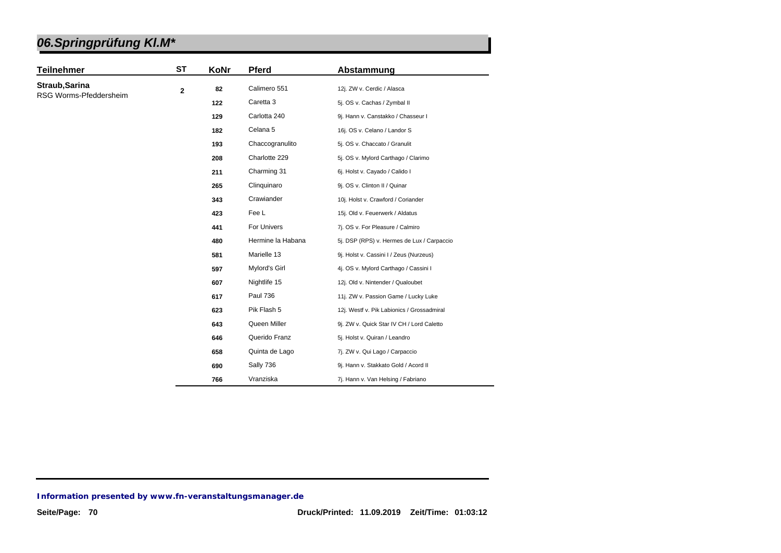| <b>Teilnehmer</b>                        | <b>ST</b> | KoNr | <b>Pferd</b>      | Abstammung                                 |
|------------------------------------------|-----------|------|-------------------|--------------------------------------------|
| Straub, Sarina<br>RSG Worms-Pfeddersheim | 2         | 82   | Calimero 551      | 12j. ZW v. Cerdic / Alasca                 |
|                                          |           | 122  | Caretta 3         | 5j. OS v. Cachas / Zymbal II               |
|                                          |           | 129  | Carlotta 240      | 9j. Hann v. Canstakko / Chasseur I         |
|                                          |           | 182  | Celana 5          | 16j. OS v. Celano / Landor S               |
|                                          |           | 193  | Chaccogranulito   | 5j. OS v. Chaccato / Granulit              |
|                                          |           | 208  | Charlotte 229     | 5j. OS v. Mylord Carthago / Clarimo        |
|                                          |           | 211  | Charming 31       | 6j. Holst v. Cayado / Calido I             |
|                                          |           | 265  | Clinquinaro       | 9j. OS v. Clinton II / Quinar              |
|                                          |           | 343  | Crawiander        | 10j. Holst v. Crawford / Coriander         |
|                                          |           | 423  | Fee L             | 15j. Old v. Feuerwerk / Aldatus            |
|                                          |           | 441  | For Univers       | 7j. OS v. For Pleasure / Calmiro           |
|                                          |           | 480  | Hermine la Habana | 5j. DSP (RPS) v. Hermes de Lux / Carpaccio |
|                                          |           | 581  | Marielle 13       | 9j. Holst v. Cassini I / Zeus (Nurzeus)    |
|                                          |           | 597  | Mylord's Girl     | 4j. OS v. Mylord Carthago / Cassini I      |
|                                          |           | 607  | Nightlife 15      | 12j. Old v. Nintender / Qualoubet          |
|                                          |           | 617  | <b>Paul 736</b>   | 11j. ZW v. Passion Game / Lucky Luke       |
|                                          |           | 623  | Pik Flash 5       | 12j. Westf v. Pik Labionics / Grossadmiral |
|                                          |           | 643  | Queen Miller      | 9j. ZW v. Quick Star IV CH / Lord Caletto  |
|                                          |           | 646  | Querido Franz     | 5j. Holst v. Quiran / Leandro              |
|                                          |           | 658  | Quinta de Lago    | 7j. ZW v. Qui Lago / Carpaccio             |
|                                          |           | 690  | Sally 736         | 9j. Hann v. Stakkato Gold / Acord II       |
|                                          |           | 766  | Vranziska         | 7j. Hann v. Van Helsing / Fabriano         |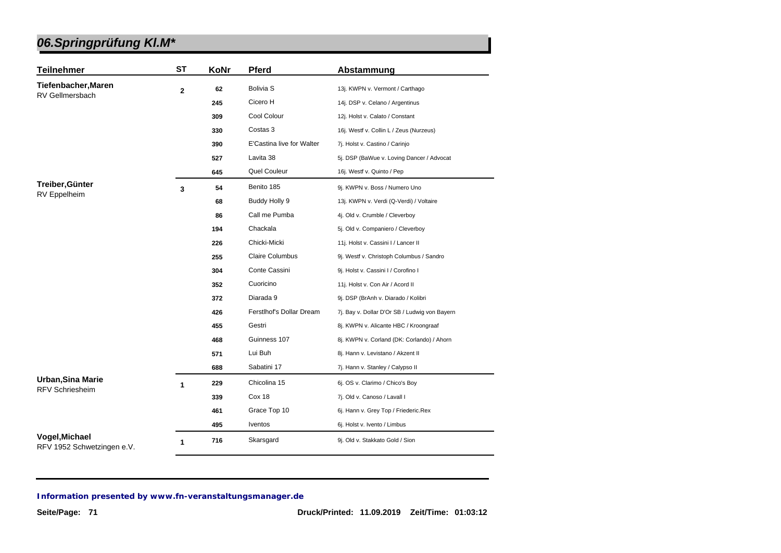| <b>Teilnehmer</b>                            | <b>ST</b>    | KoNr | Pferd                     | Abstammung                                    |
|----------------------------------------------|--------------|------|---------------------------|-----------------------------------------------|
| Tiefenbacher, Maren<br>RV Gellmersbach       | $\mathbf{2}$ | 62   | <b>Bolivia S</b>          | 13j. KWPN v. Vermont / Carthago               |
|                                              |              | 245  | Cicero H                  | 14j. DSP v. Celano / Argentinus               |
|                                              |              | 309  | Cool Colour               | 12j. Holst v. Calato / Constant               |
|                                              |              | 330  | Costas 3                  | 16j. Westf v. Collin L / Zeus (Nurzeus)       |
|                                              |              | 390  | E'Castina live for Walter | 7j. Holst v. Castino / Carinjo                |
|                                              |              | 527  | Lavita 38                 | 5j. DSP (BaWue v. Loving Dancer / Advocat     |
|                                              |              | 645  | Quel Couleur              | 16j. Westf v. Quinto / Pep                    |
| Treiber, Günter                              | 3            | 54   | Benito 185                | 9j. KWPN v. Boss / Numero Uno                 |
| RV Eppelheim                                 |              | 68   | Buddy Holly 9             | 13j. KWPN v. Verdi (Q-Verdi) / Voltaire       |
|                                              |              | 86   | Call me Pumba             | 4j. Old v. Crumble / Cleverboy                |
|                                              |              | 194  | Chackala                  | 5j. Old v. Companiero / Cleverboy             |
|                                              |              | 226  | Chicki-Micki              | 11j. Holst v. Cassini I / Lancer II           |
|                                              |              | 255  | <b>Claire Columbus</b>    | 9j. Westf v. Christoph Columbus / Sandro      |
|                                              |              | 304  | Conte Cassini             | 9j. Holst v. Cassini I / Corofino I           |
|                                              |              | 352  | Cuoricino                 | 11j. Holst v. Con Air / Acord II              |
|                                              |              | 372  | Diarada 9                 | 9j. DSP (BrAnh v. Diarado / Kolibri           |
|                                              |              | 426  | Ferstlhof's Dollar Dream  | 7j. Bay v. Dollar D'Or SB / Ludwig von Bayern |
|                                              |              | 455  | Gestri                    | 8j. KWPN v. Alicante HBC / Kroongraaf         |
|                                              |              | 468  | Guinness 107              | 8j. KWPN v. Corland (DK: Corlando) / Ahorn    |
|                                              |              | 571  | Lui Buh                   | 8j. Hann v. Levistano / Akzent II             |
|                                              |              | 688  | Sabatini 17               | 7j. Hann v. Stanley / Calypso II              |
| Urban, Sina Marie                            | 1            | 229  | Chicolina 15              | 6j. OS v. Clarimo / Chico's Boy               |
| <b>RFV Schriesheim</b>                       |              | 339  | Cox 18                    | 7j. Old v. Canoso / Lavall I                  |
|                                              |              | 461  | Grace Top 10              | 6j. Hann v. Grey Top / Friederic.Rex          |
|                                              |              | 495  | Iventos                   | 6j. Holst v. Ivento / Limbus                  |
| Vogel, Michael<br>RFV 1952 Schwetzingen e.V. | 1            | 716  | Skarsgard                 | 9j. Old v. Stakkato Gold / Sion               |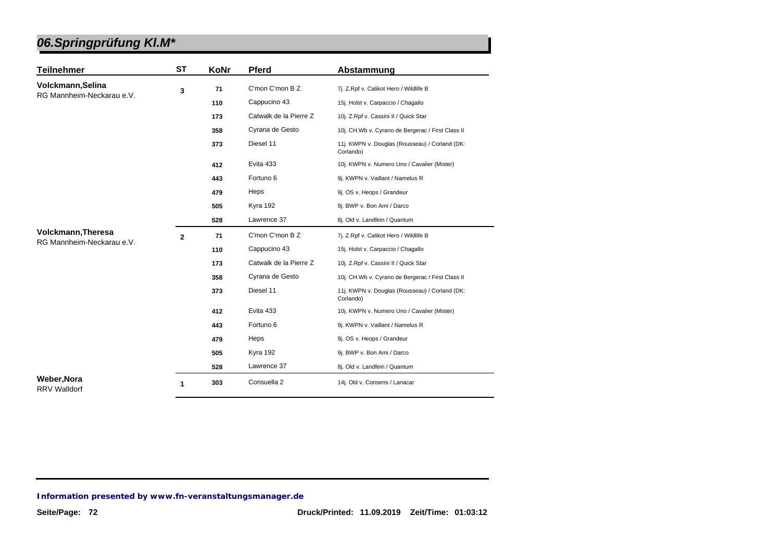| <b>Teilnehmer</b>                         | <b>ST</b>    | KoNr | <b>Pferd</b>           | Abstammung                                                  |
|-------------------------------------------|--------------|------|------------------------|-------------------------------------------------------------|
| Volckmann, Selina                         | 3            | 71   | C'mon C'mon B Z        | 7j. Z.Rpf v. Calikot Hero / Wildlife B                      |
| RG Mannheim-Neckarau e.V.                 |              | 110  | Cappucino 43           | 15j. Holst v. Carpaccio / Chagallo                          |
|                                           |              | 173  | Catwalk de la Pierre Z | 10j. Z.Rpf v. Cassini II / Quick Star                       |
|                                           |              | 358  | Cyrana de Gesto        | 10j. CH.Wb v. Cyrano de Bergerac / First Class II           |
|                                           |              | 373  | Diesel 11              | 11j. KWPN v. Douglas (Rousseau) / Corland (DK:<br>Corlando) |
|                                           |              | 412  | Evita 433              | 10j. KWPN v. Numero Uno / Cavalier (Mister)                 |
|                                           |              | 443  | Fortuno 6              | 9j. KWPN v. Vaillant / Namelus R                            |
|                                           |              | 479  | Heps                   | 9j. OS v. Heops / Grandeur                                  |
|                                           |              | 505  | Kyra 192               | 9j. BWP v. Bon Ami / Darco                                  |
|                                           |              | 528  | Lawrence 37            | 8j. Old v. Landfein / Quantum                               |
| Volckmann, Theresa                        | $\mathbf{2}$ | 71   | C'mon C'mon B Z        | 7j. Z.Rpf v. Calikot Hero / Wildlife B                      |
| RG Mannheim-Neckarau e.V.                 |              | 110  | Cappucino 43           | 15j. Holst v. Carpaccio / Chagallo                          |
|                                           |              | 173  | Catwalk de la Pierre Z | 10j. Z.Rpf v. Cassini II / Quick Star                       |
|                                           |              | 358  | Cyrana de Gesto        | 10j. CH.Wb v. Cyrano de Bergerac / First Class II           |
|                                           |              | 373  | Diesel 11              | 11j. KWPN v. Douglas (Rousseau) / Corland (DK:<br>Corlando) |
|                                           |              | 412  | Evita 433              | 10j. KWPN v. Numero Uno / Cavalier (Mister)                 |
|                                           |              | 443  | Fortuno 6              | 9j. KWPN v. Vaillant / Namelus R                            |
|                                           |              | 479  | Heps                   | 9j. OS v. Heops / Grandeur                                  |
|                                           |              | 505  | Kyra 192               | 9j. BWP v. Bon Ami / Darco                                  |
|                                           |              | 528  | Lawrence 37            | 8j. Old v. Landfein / Quantum                               |
| <b>Weber, Nora</b><br><b>RRV Walldorf</b> | 1            | 303  | Consuella 2            | 14j. Old v. Consens / Lanacar                               |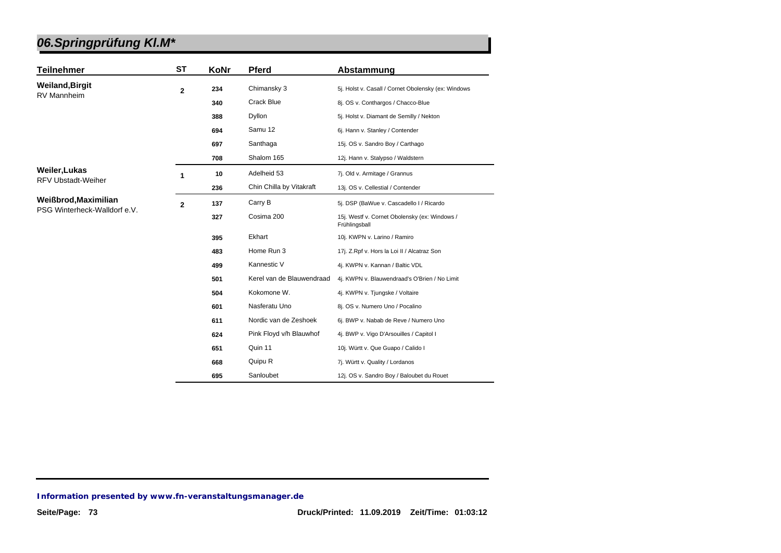| <b>Teilnehmer</b>                          | <b>ST</b>      | KoNr | <b>Pferd</b>              | Abstammung                                                     |
|--------------------------------------------|----------------|------|---------------------------|----------------------------------------------------------------|
| <b>Weiland, Birgit</b><br>RV Mannheim      | $\overline{2}$ | 234  | Chimansky 3               | 5j. Holst v. Casall / Cornet Obolensky (ex: Windows            |
|                                            |                | 340  | Crack Blue                | 8j. OS v. Conthargos / Chacco-Blue                             |
|                                            |                | 388  | Dyllon                    | 5j. Holst v. Diamant de Semilly / Nekton                       |
|                                            |                | 694  | Samu 12                   | 6j. Hann v. Stanley / Contender                                |
|                                            |                | 697  | Santhaga                  | 15j. OS v. Sandro Boy / Carthago                               |
|                                            |                | 708  | Shalom 165                | 12j. Hann v. Stalypso / Waldstern                              |
| Weiler, Lukas<br><b>RFV Ubstadt-Weiher</b> | 1              | 10   | Adelheid 53               | 7j. Old v. Armitage / Grannus                                  |
|                                            |                | 236  | Chin Chilla by Vitakraft  | 13j. OS v. Cellestial / Contender                              |
| Weißbrod, Maximilian                       | $\mathbf 2$    | 137  | Carry B                   | 5j. DSP (BaWue v. Cascadello I / Ricardo                       |
| PSG Winterheck-Walldorf e.V.               |                | 327  | Cosima 200                | 15j. Westf v. Cornet Obolensky (ex: Windows /<br>Frühlingsball |
|                                            |                | 395  | Ekhart                    | 10j. KWPN v. Larino / Ramiro                                   |
|                                            |                | 483  | Home Run 3                | 17j. Z.Rpf v. Hors la Loi II / Alcatraz Son                    |
|                                            |                | 499  | Kannestic V               | 4j. KWPN v. Kannan / Baltic VDL                                |
|                                            |                | 501  | Kerel van de Blauwendraad | 4j. KWPN v. Blauwendraad's O'Brien / No Limit                  |
|                                            |                | 504  | Kokomone W.               | 4j. KWPN v. Tjungske / Voltaire                                |
|                                            |                | 601  | Nasferatu Uno             | 8j. OS v. Numero Uno / Pocalino                                |
|                                            |                | 611  | Nordic van de Zeshoek     | 6j. BWP v. Nabab de Reve / Numero Uno                          |
|                                            |                | 624  | Pink Floyd v/h Blauwhof   | 4j. BWP v. Vigo D'Arsouilles / Capitol I                       |
|                                            |                | 651  | Quin 11                   | 10j. Württ v. Que Guapo / Calido I                             |
|                                            |                | 668  | Quipu R                   | 7j. Württ v. Quality / Lordanos                                |
|                                            |                | 695  | Sanloubet                 | 12j. OS v. Sandro Boy / Baloubet du Rouet                      |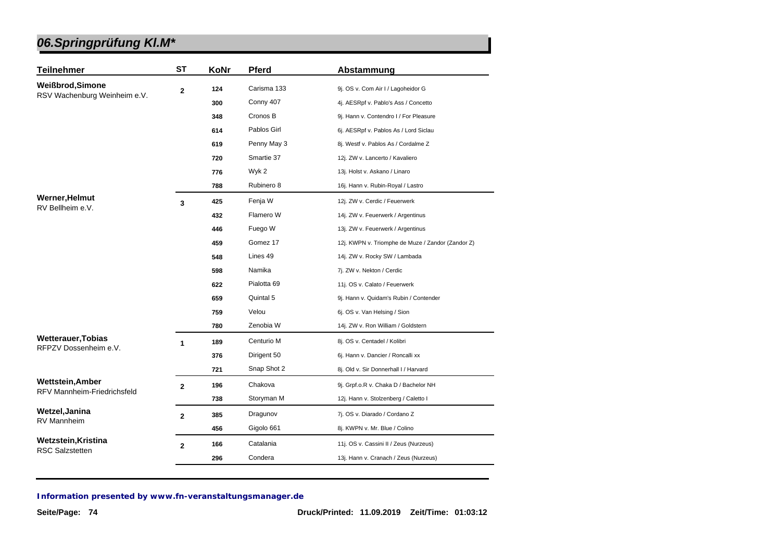| <b>Teilnehmer</b>                  | <b>ST</b>      | KoNr | <b>Pferd</b> | Abstammung                                        |
|------------------------------------|----------------|------|--------------|---------------------------------------------------|
| Weißbrod, Simone                   | $\mathbf{2}$   | 124  | Carisma 133  | 9j. OS v. Com Air I / Lagoheidor G                |
| RSV Wachenburg Weinheim e.V.       |                | 300  | Conny 407    | 4j. AESRpf v. Pablo's Ass / Concetto              |
|                                    |                | 348  | Cronos B     | 9j. Hann v. Contendro I / For Pleasure            |
|                                    |                | 614  | Pablos Girl  | 6j. AESRpf v. Pablos As / Lord Siclau             |
|                                    |                | 619  | Penny May 3  | 8j. Westf v. Pablos As / Cordalme Z               |
|                                    |                | 720  | Smartie 37   | 12j. ZW v. Lancerto / Kavaliero                   |
|                                    |                | 776  | Wyk 2        | 13j. Holst v. Askano / Linaro                     |
|                                    |                | 788  | Rubinero 8   | 16j. Hann v. Rubin-Royal / Lastro                 |
| <b>Werner, Helmut</b>              | 3              | 425  | Fenja W      | 12j. ZW v. Cerdic / Feuerwerk                     |
| RV Bellheim e.V.                   |                | 432  | Flamero W    | 14j. ZW v. Feuerwerk / Argentinus                 |
|                                    |                | 446  | Fuego W      | 13j. ZW v. Feuerwerk / Argentinus                 |
|                                    |                | 459  | Gomez 17     | 12j. KWPN v. Triomphe de Muze / Zandor (Zandor Z) |
|                                    |                | 548  | Lines 49     | 14j. ZW v. Rocky SW / Lambada                     |
|                                    |                | 598  | Namika       | 7j. ZW v. Nekton / Cerdic                         |
|                                    |                | 622  | Pialotta 69  | 11j. OS v. Calato / Feuerwerk                     |
|                                    |                | 659  | Quintal 5    | 9j. Hann v. Quidam's Rubin / Contender            |
|                                    |                | 759  | Velou        | 6j. OS v. Van Helsing / Sion                      |
|                                    |                | 780  | Zenobia W    | 14j. ZW v. Ron William / Goldstern                |
| <b>Wetterauer, Tobias</b>          | 1              | 189  | Centurio M   | 8j. OS v. Centadel / Kolibri                      |
| RFPZV Dossenheim e.V.              |                | 376  | Dirigent 50  | 6j. Hann v. Dancier / Roncalli xx                 |
|                                    |                | 721  | Snap Shot 2  | 8j. Old v. Sir Donnerhall I / Harvard             |
| <b>Wettstein, Amber</b>            | $\overline{2}$ | 196  | Chakova      | 9j. Grpf.o.R v. Chaka D / Bachelor NH             |
| <b>RFV Mannheim-Friedrichsfeld</b> |                | 738  | Storyman M   | 12j. Hann v. Stolzenberg / Caletto I              |
| Wetzel, Janina                     | $\mathbf{2}$   | 385  | Dragunov     | 7j. OS v. Diarado / Cordano Z                     |
| RV Mannheim                        |                | 456  | Gigolo 661   | 8j. KWPN v. Mr. Blue / Colino                     |
| Wetzstein, Kristina                | $\overline{2}$ | 166  | Catalania    | 11j. OS v. Cassini II / Zeus (Nurzeus)            |
| <b>RSC Salzstetten</b>             |                | 296  | Condera      | 13j. Hann v. Cranach / Zeus (Nurzeus)             |
|                                    |                |      |              |                                                   |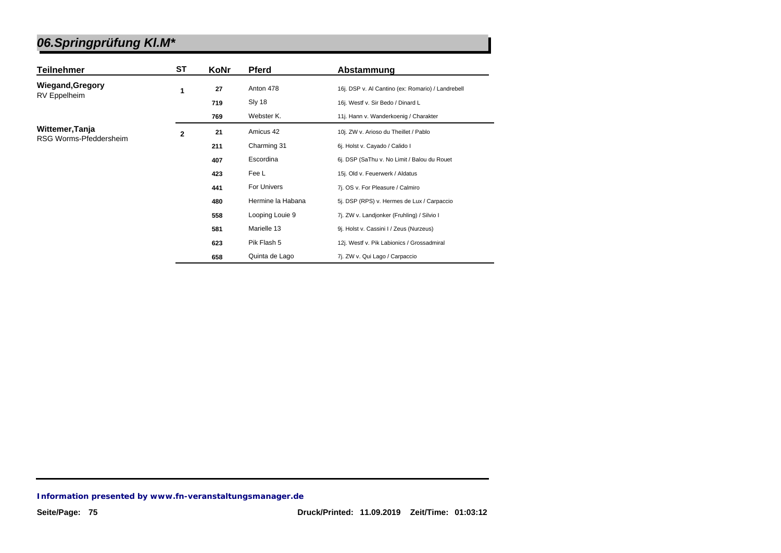| <b>Teilnehmer</b>       | ST             | KoNr | Pferd             | Abstammung                                        |
|-------------------------|----------------|------|-------------------|---------------------------------------------------|
| <b>Wiegand, Gregory</b> | 1              | 27   | Anton 478         | 16j. DSP v. Al Cantino (ex: Romario) / Landrebell |
| <b>RV</b> Eppelheim     |                | 719  | Sly 18            | 16j. Westf v. Sir Bedo / Dinard L                 |
|                         |                | 769  | Webster K.        | 11j. Hann v. Wanderkoenig / Charakter             |
| Wittemer, Tanja         | $\overline{2}$ | 21   | Amicus 42         | 10j. ZW v. Arioso du Theillet / Pablo             |
| RSG Worms-Pfeddersheim  |                | 211  | Charming 31       | 6j. Holst v. Cayado / Calido I                    |
|                         |                | 407  | Escordina         | 6j. DSP (SaThu v. No Limit / Balou du Rouet       |
|                         |                | 423  | Fee L             | 15j. Old v. Feuerwerk / Aldatus                   |
|                         |                | 441  | For Univers       | 7j. OS v. For Pleasure / Calmiro                  |
|                         |                | 480  | Hermine la Habana | 5j. DSP (RPS) v. Hermes de Lux / Carpaccio        |
|                         |                | 558  | Looping Louie 9   | 7j. ZW v. Landjonker (Fruhling) / Silvio I        |
|                         |                | 581  | Marielle 13       | 9j. Holst v. Cassini I / Zeus (Nurzeus)           |
|                         |                | 623  | Pik Flash 5       | 12j. Westf v. Pik Labionics / Grossadmiral        |
|                         |                | 658  | Quinta de Lago    | 7j. ZW v. Qui Lago / Carpaccio                    |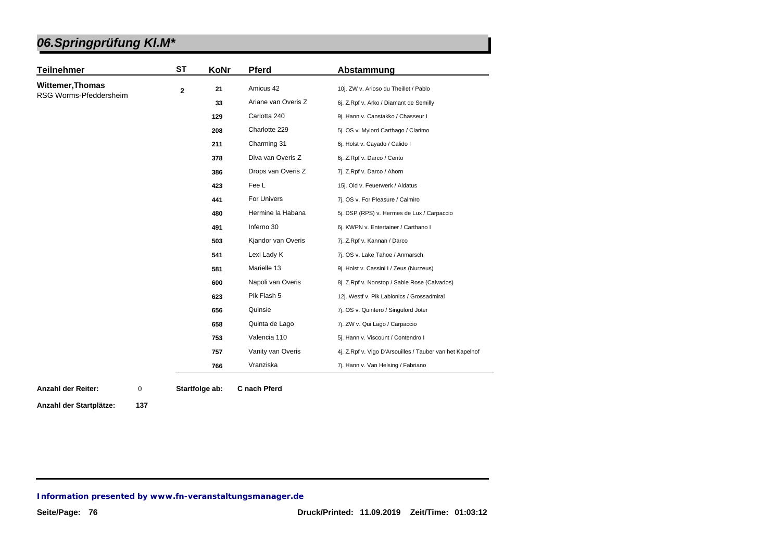| <b>Teilnehmer</b>       | <b>ST</b>    | KoNr | <b>Pferd</b>        | Abstammung                                               |
|-------------------------|--------------|------|---------------------|----------------------------------------------------------|
| <b>Wittemer, Thomas</b> | $\mathbf{2}$ | 21   | Amicus 42           | 10j. ZW v. Arioso du Theillet / Pablo                    |
| RSG Worms-Pfeddersheim  |              | 33   | Ariane van Overis Z | 6j. Z.Rpf v. Arko / Diamant de Semilly                   |
|                         |              | 129  | Carlotta 240        | 9j. Hann v. Canstakko / Chasseur I                       |
|                         |              | 208  | Charlotte 229       | 5j. OS v. Mylord Carthago / Clarimo                      |
|                         |              | 211  | Charming 31         | 6j. Holst v. Cayado / Calido I                           |
|                         |              | 378  | Diva van Overis Z   | 6j. Z.Rpf v. Darco / Cento                               |
|                         |              | 386  | Drops van Overis Z  | 7j. Z.Rpf v. Darco / Ahorn                               |
|                         |              | 423  | Fee L               | 15j. Old v. Feuerwerk / Aldatus                          |
|                         |              | 441  | For Univers         | 7j. OS v. For Pleasure / Calmiro                         |
|                         |              | 480  | Hermine la Habana   | 5j. DSP (RPS) v. Hermes de Lux / Carpaccio               |
|                         |              | 491  | Inferno 30          | 6j. KWPN v. Entertainer / Carthano I                     |
|                         |              | 503  | Kjandor van Overis  | 7j. Z.Rpf v. Kannan / Darco                              |
|                         |              | 541  | Lexi Lady K         | 7j. OS v. Lake Tahoe / Anmarsch                          |
|                         |              | 581  | Marielle 13         | 9j. Holst v. Cassini I / Zeus (Nurzeus)                  |
|                         |              | 600  | Napoli van Overis   | 8j. Z.Rpf v. Nonstop / Sable Rose (Calvados)             |
|                         |              | 623  | Pik Flash 5         | 12j. Westf v. Pik Labionics / Grossadmiral               |
|                         |              | 656  | Quinsie             | 7j. OS v. Quintero / Singulord Joter                     |
|                         |              | 658  | Quinta de Lago      | 7j. ZW v. Qui Lago / Carpaccio                           |
|                         |              | 753  | Valencia 110        | 5j. Hann v. Viscount / Contendro I                       |
|                         |              | 757  | Vanity van Overis   | 4j. Z.Rpf v. Vigo D'Arsouilles / Tauber van het Kapelhof |
|                         |              | 766  | Vranziska           | 7j. Hann v. Van Helsing / Fabriano                       |

**Anzahl der Reiter: Startfolge ab: C nach Pferd** 0

**Anzahl der Startplätze: 137**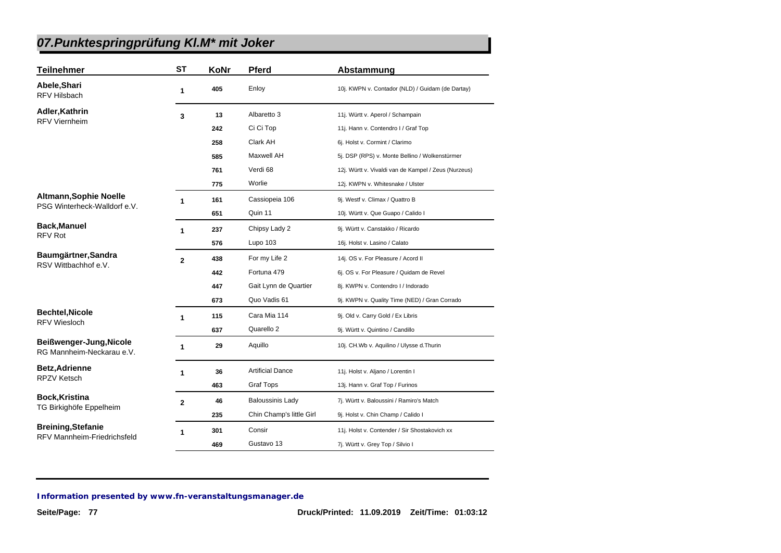| <b>Teilnehmer</b>                                    | <b>ST</b>      | KoNr | <b>Pferd</b>             | Abstammung                                           |
|------------------------------------------------------|----------------|------|--------------------------|------------------------------------------------------|
| Abele, Shari<br>RFV Hilsbach                         | 1              | 405  | Enloy                    | 10j. KWPN v. Contador (NLD) / Guidam (de Dartay)     |
| Adler, Kathrin                                       | 3              | 13   | Albaretto 3              | 11j. Württ v. Aperol / Schampain                     |
| <b>RFV Viernheim</b>                                 |                | 242  | Ci Ci Top                | 11j. Hann v. Contendro I / Graf Top                  |
|                                                      |                | 258  | Clark AH                 | 6j. Holst v. Cormint / Clarimo                       |
|                                                      |                | 585  | <b>Maxwell AH</b>        | 5j. DSP (RPS) v. Monte Bellino / Wolkenstürmer       |
|                                                      |                | 761  | Verdi 68                 | 12j. Württ v. Vivaldi van de Kampel / Zeus (Nurzeus) |
|                                                      |                | 775  | Worlie                   | 12j. KWPN v. Whitesnake / Ulster                     |
| <b>Altmann, Sophie Noelle</b>                        | 1              | 161  | Cassiopeia 106           | 9j. Westf v. Climax / Quattro B                      |
| PSG Winterheck-Walldorf e.V.                         |                | 651  | Quin 11                  | 10j. Württ v. Que Guapo / Calido I                   |
| <b>Back, Manuel</b>                                  | $\mathbf{1}$   | 237  | Chipsy Lady 2            | 9j. Württ v. Canstakko / Ricardo                     |
| <b>RFV Rot</b>                                       |                | 576  | Lupo 103                 | 16j. Holst v. Lasino / Calato                        |
| Baumgärtner, Sandra                                  | $\overline{2}$ | 438  | For my Life 2            | 14j. OS v. For Pleasure / Acord II                   |
| RSV Wittbachhof e.V.                                 |                | 442  | Fortuna 479              | 6j. OS v. For Pleasure / Quidam de Revel             |
|                                                      |                | 447  | Gait Lynn de Quartier    | 8j. KWPN v. Contendro I / Indorado                   |
|                                                      |                | 673  | Quo Vadis 61             | 9j. KWPN v. Quality Time (NED) / Gran Corrado        |
| <b>Bechtel, Nicole</b>                               | 1              | 115  | Cara Mia 114             | 9j. Old v. Carry Gold / Ex Libris                    |
| <b>RFV Wiesloch</b>                                  |                | 637  | Quarello 2               | 9j. Württ v. Quintino / Candillo                     |
| Beißwenger-Jung, Nicole<br>RG Mannheim-Neckarau e.V. | $\mathbf{1}$   | 29   | Aquillo                  | 10j. CH.Wb v. Aquilino / Ulysse d.Thurin             |
| <b>Betz, Adrienne</b>                                | 1              | 36   | <b>Artificial Dance</b>  | 11j. Holst v. Aljano / Lorentin I                    |
| <b>RPZV Ketsch</b>                                   |                | 463  | Graf Tops                | 13j. Hann v. Graf Top / Furinos                      |
| Bock, Kristina                                       | $\mathbf{2}$   | 46   | <b>Baloussinis Lady</b>  | 7j. Württ v. Baloussini / Ramiro's Match             |
| TG Birkighöfe Eppelheim                              |                | 235  | Chin Champ's little Girl | 9j. Holst v. Chin Champ / Calido I                   |
| <b>Breining, Stefanie</b>                            | 1              | 301  | Consir                   | 11j. Holst v. Contender / Sir Shostakovich xx        |
| <b>RFV Mannheim-Friedrichsfeld</b>                   |                | 469  | Gustavo 13               | 7j. Württ v. Grey Top / Silvio I                     |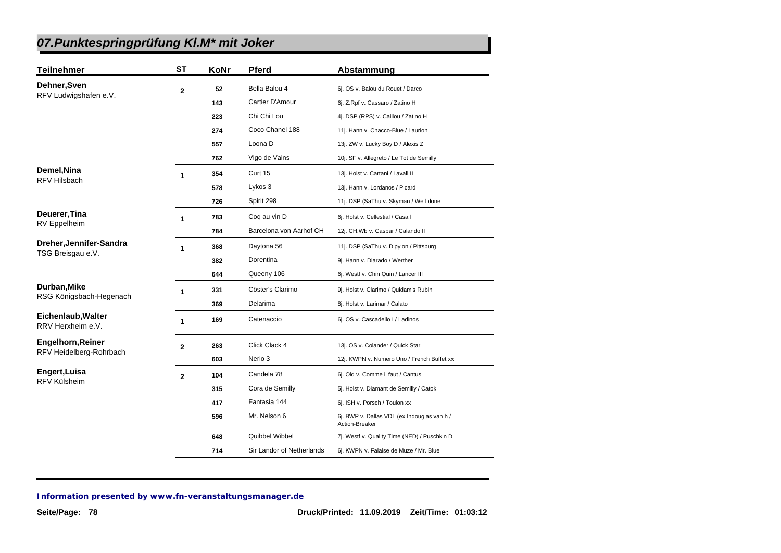| Teilnehmer                              | <b>ST</b>            | KoNr | Pferd                     | Abstammung                                                    |
|-----------------------------------------|----------------------|------|---------------------------|---------------------------------------------------------------|
| Dehner, Sven<br>RFV Ludwigshafen e.V.   | $\mathbf{2}$         | 52   | Bella Balou 4             | 6j. OS v. Balou du Rouet / Darco                              |
|                                         |                      | 143  | Cartier D'Amour           | 6j. Z.Rpf v. Cassaro / Zatino H                               |
|                                         |                      | 223  | Chi Chi Lou               | 4j. DSP (RPS) v. Caillou / Zatino H                           |
|                                         |                      | 274  | Coco Chanel 188           | 11j. Hann v. Chacco-Blue / Laurion                            |
|                                         |                      | 557  | Loona D                   | 13j. ZW v. Lucky Boy D / Alexis Z                             |
|                                         |                      | 762  | Vigo de Vains             | 10j. SF v. Allegreto / Le Tot de Semilly                      |
| Demel, Nina                             | 1                    | 354  | Curt 15                   | 13j. Holst v. Cartani / Lavall II                             |
| <b>RFV Hilsbach</b>                     |                      | 578  | Lykos 3                   | 13j. Hann v. Lordanos / Picard                                |
|                                         |                      | 726  | Spirit 298                | 11j. DSP (SaThu v. Skyman / Well done                         |
| Deuerer,Tina                            | $\blacktriangleleft$ | 783  | Coq au vin D              | 6j. Holst v. Cellestial / Casall                              |
| RV Eppelheim                            |                      | 784  | Barcelona von Aarhof CH   | 12j. CH.Wb v. Caspar / Calando II                             |
| Dreher,Jennifer-Sandra                  | 1                    | 368  | Daytona 56                | 11j. DSP (SaThu v. Dipylon / Pittsburg                        |
| TSG Breisgau e.V.                       |                      | 382  | Dorentina                 | 9j. Hann v. Diarado / Werther                                 |
|                                         |                      | 644  | Queeny 106                | 6j. Westf v. Chin Quin / Lancer III                           |
| Durban, Mike                            | 1                    | 331  | Cöster's Clarimo          | 9j. Holst v. Clarimo / Quidam's Rubin                         |
| RSG Königsbach-Hegenach                 |                      | 369  | Delarima                  | 8j. Holst v. Larimar / Calato                                 |
| Eichenlaub, Walter<br>RRV Herxheim e.V. | $\mathbf{1}$         | 169  | Catenaccio                | 6j. OS v. Cascadello I / Ladinos                              |
| Engelhorn, Reiner                       | 2                    | 263  | Click Clack 4             | 13j. OS v. Colander / Quick Star                              |
| RFV Heidelberg-Rohrbach                 |                      | 603  | Nerio 3                   | 12j. KWPN v. Numero Uno / French Buffet xx                    |
| Engert,Luisa                            | $\mathbf 2$          | 104  | Candela 78                | 6j. Old v. Comme il faut / Cantus                             |
| RFV Külsheim                            |                      | 315  | Cora de Semilly           | 5j. Holst v. Diamant de Semilly / Catoki                      |
|                                         |                      | 417  | Fantasia 144              | 6j. ISH v. Porsch / Toulon xx                                 |
|                                         |                      | 596  | Mr. Nelson 6              | 6j. BWP v. Dallas VDL (ex Indouglas van h /<br>Action-Breaker |
|                                         |                      | 648  | Quibbel Wibbel            | 7j. Westf v. Quality Time (NED) / Puschkin D                  |
|                                         |                      | 714  | Sir Landor of Netherlands | 6j. KWPN v. Falaise de Muze / Mr. Blue                        |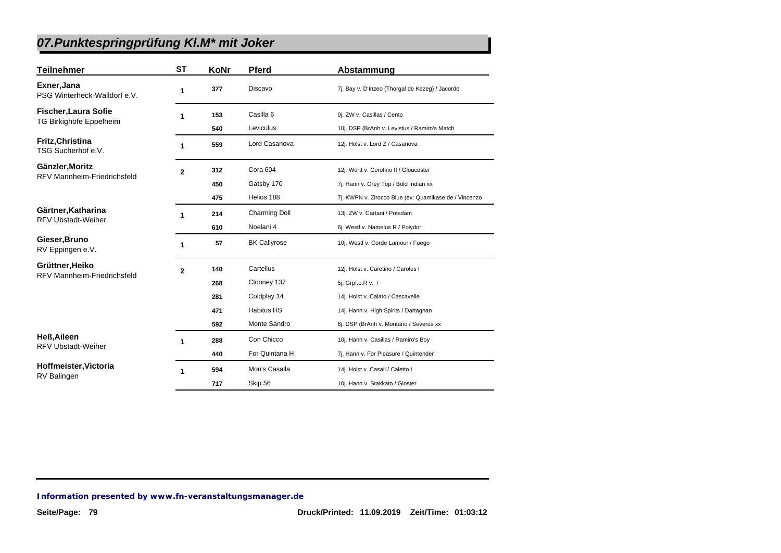| <b>Teilnehmer</b>                               | <b>ST</b>    | KoNr | Pferd                | Abstammung                                            |
|-------------------------------------------------|--------------|------|----------------------|-------------------------------------------------------|
| Exner, Jana<br>PSG Winterheck-Walldorf e.V.     | 1            | 377  | Discavo              | 7j. Bay v. D'Inzeo (Thorgal de Kezeg) / Jacorde       |
| <b>Fischer, Laura Sofie</b>                     | 1            | 153  | Casilla 6            | 9j. ZW v. Casillas / Cento                            |
| TG Birkighöfe Eppelheim                         |              | 540  | Leviculus            | 10j. DSP (BrAnh v. Levistus / Ramiro's Match          |
| Fritz, Christina<br>TSG Sucherhof e.V.          | 1            | 559  | Lord Casanova        | 12j. Holst v. Lord Z / Casanova                       |
| Gänzler, Moritz                                 | $\mathbf{2}$ | 312  | Cora 604             | 12j. Württ v. Corofino II / Gloucester                |
| <b>RFV Mannheim-Friedrichsfeld</b>              |              | 450  | Gatsby 170           | 7j. Hann v. Grey Top / Bold Indian xx                 |
|                                                 |              | 475  | Helios 188           | 7j. KWPN v. Zirocco Blue (ex: Quamikase de / Vincenzo |
| Gärtner, Katharina                              | 1            | 214  | <b>Charming Doll</b> | 13j. ZW v. Cartani / Potsdam                          |
| <b>RFV Ubstadt-Weiher</b>                       |              | 610  | Noelani 4            | 6j. Westf v. Namelus R / Polydor                      |
| Gieser, Bruno<br>RV Eppingen e.V.               | 1            | 57   | <b>BK Callyrose</b>  | 10j. Westf v. Corde Lamour / Fuego                    |
| Grüttner, Heiko                                 | $\mathbf{2}$ | 140  | Cartellus            | 12j. Holst v. Caretino / Carolus I                    |
| RFV Mannheim-Friedrichsfeld                     |              | 268  | Clooney 137          | 5j. Grpf.o.R v. /                                     |
|                                                 |              | 281  | Coldplay 14          | 14j. Holst v. Calato / Cascavelle                     |
|                                                 |              | 471  | <b>Habitus HS</b>    | 14j. Hann v. High Spirits / Dartagnan                 |
|                                                 |              | 592  | Monte Sandro         | 6j. DSP (BrAnh v. Montario / Severus xx               |
| <b>Heß, Aileen</b><br><b>RFV Ubstadt-Weiher</b> | 1            | 288  | Con Chicco           | 10j. Hann v. Casillas / Ramiro's Boy                  |
|                                                 |              | 440  | For Quintana H       | 7j. Hann v. For Pleasure / Quintender                 |
| Hoffmeister, Victoria                           | 1            | 594  | Mori's Casalla       | 14j. Holst v. Casall / Caletto I                      |
| RV Balingen                                     |              | 717  | Skip 56              | 10j. Hann v. Stakkato / Gloster                       |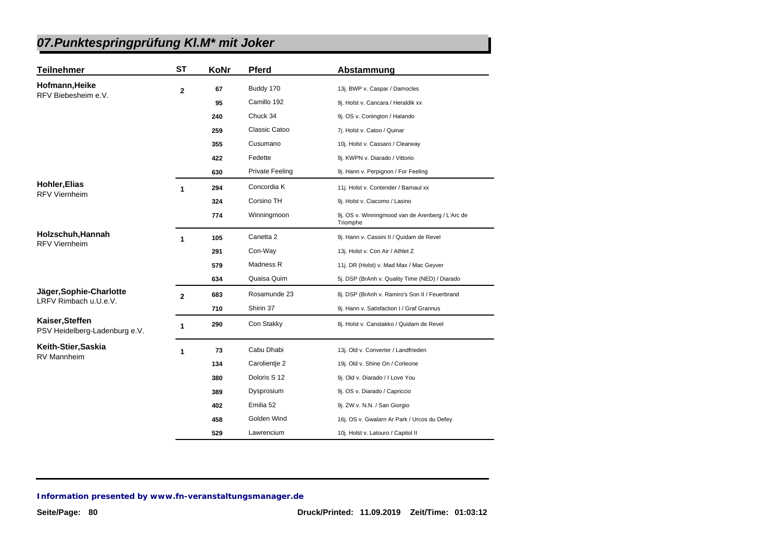| <b>Teilnehmer</b>                                | <b>ST</b>      | KoNr | <b>Pferd</b>           | Abstammung                                                   |
|--------------------------------------------------|----------------|------|------------------------|--------------------------------------------------------------|
| Hofmann, Heike                                   | $\overline{2}$ | 67   | Buddy 170              | 13j. BWP v. Caspar / Damocles                                |
| RFV Biebesheim e.V.                              |                | 95   | Camillo 192            | 9j. Holst v. Cancara / Heraldik xx                           |
|                                                  |                | 240  | Chuck 34               | 9j. OS v. Conington / Halando                                |
|                                                  |                | 259  | Classic Catoo          | 7j. Holst v. Catoo / Quinar                                  |
|                                                  |                | 355  | Cusumano               | 10j. Holst v. Cassaro / Clearway                             |
|                                                  |                | 422  | Fedette                | 9j. KWPN v. Diarado / Vittorio                               |
|                                                  |                | 630  | <b>Private Feeling</b> | 9j. Hann v. Perpignon / For Feeling                          |
| <b>Hohler, Elias</b>                             |                |      |                        |                                                              |
| <b>RFV Viernheim</b>                             | 1              | 294  | Concordia K            | 11j. Holst v. Contender / Barnaul xx                         |
|                                                  |                | 324  | Corsino TH             | 9j. Holst v. Ciacomo / Lasino                                |
|                                                  |                | 774  | Winningmoon            | 9j. OS v. Winningmood van de Arenberg / L'Arc de<br>Triomphe |
| Holzschuh, Hannah                                | 1              | 105  | Canetta 2              | 9j. Hann v. Cassini II / Quidam de Revel                     |
| <b>RFV Viernheim</b>                             |                | 291  | Con-Way                | 13j. Holst v. Con Air / Athlet Z                             |
|                                                  |                | 579  | Madness R              | 11j. DR (Holst) v. Mad Max / Mac Geyver                      |
|                                                  |                | 634  | Quaisa Quim            | 5j. DSP (BrAnh v. Quality Time (NED) / Diarado               |
| Jäger, Sophie-Charlotte                          | $\overline{2}$ | 683  | Rosamunde 23           | 8j. DSP (BrAnh v. Ramiro's Son II / Feuerbrand               |
| LRFV Rimbach u.U.e.V.                            |                | 710  | Shirin 37              | 9j. Hann v. Satisfaction I / Graf Grannus                    |
| Kaiser, Steffen<br>PSV Heidelberg-Ladenburg e.V. | 1              | 290  | Con Stakky             | 8j. Holst v. Canstakko / Quidam de Revel                     |
| Keith-Stier, Saskia                              | 1              | 73   | Cabu Dhabi             | 13j. Old v. Converter / Landfrieden                          |
| <b>RV Mannheim</b>                               |                | 134  | Carolientie 2          | 19j. Old v. Shine On / Corleone                              |
|                                                  |                | 380  | Doloris S 12           | 9j. Old v. Diarado / I Love You                              |
|                                                  |                | 389  | Dysprosium             | 9j. OS v. Diarado / Capriccio                                |
|                                                  |                | 402  | Emilia 52              | 9j. ZW v. N.N. / San Giorgio                                 |
|                                                  |                | 458  | Golden Wind            | 16j. OS v. Gwalarn Ar Park / Urcos du Defey                  |
|                                                  |                | 529  | Lawrencium             | 10j. Holst v. Latouro / Capitol II                           |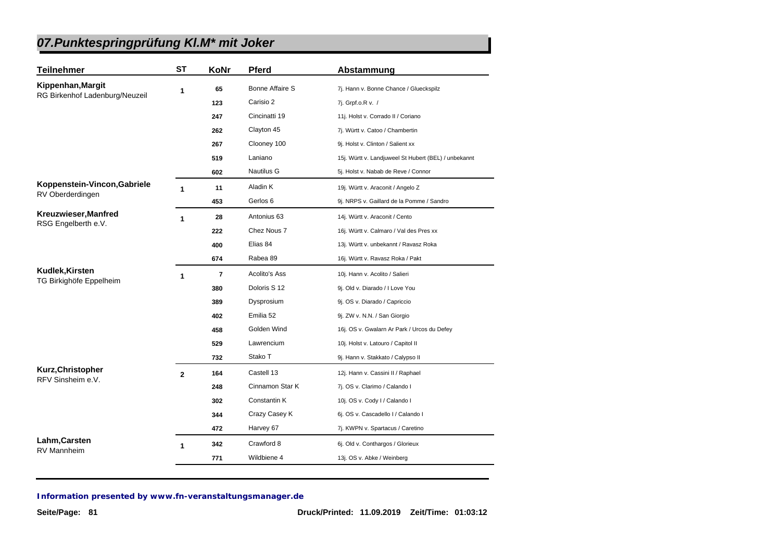| <b>Teilnehmer</b>              | <b>ST</b>    | KoNr           | <b>Pferd</b>      | Abstammung                                           |
|--------------------------------|--------------|----------------|-------------------|------------------------------------------------------|
| Kippenhan, Margit              | 1            | 65             | Bonne Affaire S   | 7j. Hann v. Bonne Chance / Glueckspilz               |
| RG Birkenhof Ladenburg/Neuzeil |              | 123            | Carisio 2         | 7j. Grpf.o.R v. /                                    |
|                                |              | 247            | Cincinatti 19     | 11j. Holst v. Corrado II / Coriano                   |
|                                |              | 262            | Clayton 45        | 7j. Württ v. Catoo / Chambertin                      |
|                                |              | 267            | Clooney 100       | 9j. Holst v. Clinton / Salient xx                    |
|                                |              | 519            | Laniano           | 15j. Württ v. Landjuweel St Hubert (BEL) / unbekannt |
|                                |              | 602            | <b>Nautilus G</b> | 5j. Holst v. Nabab de Reve / Connor                  |
| Koppenstein-Vincon, Gabriele   | 1            | 11             | Aladin K          | 19j. Württ v. Araconit / Angelo Z                    |
| RV Oberderdingen               |              | 453            | Gerlos 6          | 9j. NRPS v. Gaillard de la Pomme / Sandro            |
| Kreuzwieser, Manfred           | 1            | 28             | Antonius 63       | 14j. Württ v. Araconit / Cento                       |
| RSG Engelberth e.V.            |              | 222            | Chez Nous 7       | 16j. Württ v. Calmaro / Val des Pres xx              |
|                                |              | 400            | Elias 84          | 13j. Württ v. unbekannt / Ravasz Roka                |
|                                |              | 674            | Rabea 89          | 16j. Württ v. Ravasz Roka / Pakt                     |
| Kudlek, Kirsten                | 1            | $\overline{7}$ | Acolito's Ass     | 10j. Hann v. Acolito / Salieri                       |
| TG Birkighöfe Eppelheim        |              | 380            | Doloris S 12      | 9j. Old v. Diarado / I Love You                      |
|                                |              | 389            | Dysprosium        | 9j. OS v. Diarado / Capriccio                        |
|                                |              | 402            | Emilia 52         | 9j. ZW v. N.N. / San Giorgio                         |
|                                |              | 458            | Golden Wind       | 16j. OS v. Gwalarn Ar Park / Urcos du Defey          |
|                                |              | 529            | Lawrencium        | 10j. Holst v. Latouro / Capitol II                   |
|                                |              | 732            | Stako T           | 9j. Hann v. Stakkato / Calypso II                    |
| Kurz, Christopher              | $\mathbf{2}$ | 164            | Castell 13        | 12j. Hann v. Cassini II / Raphael                    |
| RFV Sinsheim e.V.              |              | 248            | Cinnamon Star K   | 7j. OS v. Clarimo / Calando I                        |
|                                |              | 302            | Constantin K      | 10j. OS v. Cody I / Calando I                        |
|                                |              | 344            | Crazy Casey K     | 6j. OS v. Cascadello I / Calando I                   |
|                                |              | 472            | Harvey 67         | 7j. KWPN v. Spartacus / Caretino                     |
| Lahm, Carsten                  | 1            | 342            | Crawford 8        | 6j. Old v. Conthargos / Glorieux                     |
| <b>RV Mannheim</b>             |              | 771            | Wildbiene 4       | 13j. OS v. Abke / Weinberg                           |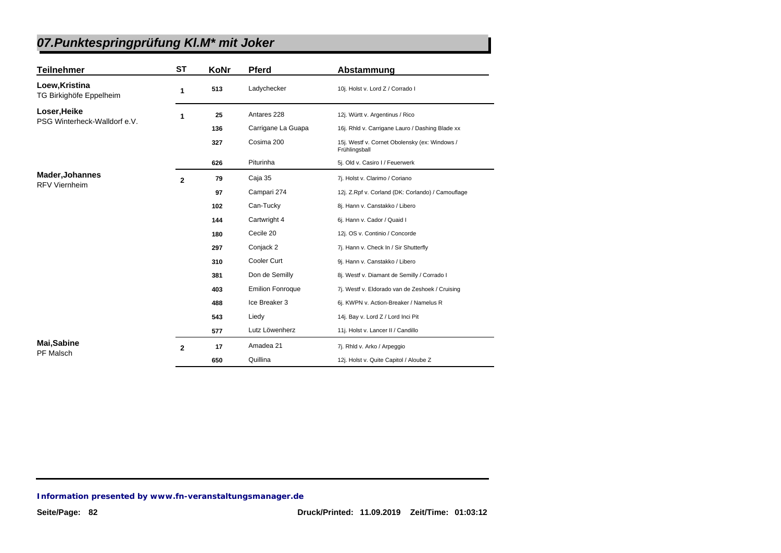| <b>Teilnehmer</b>                         | <b>ST</b>      | KoNr | <b>Pferd</b>            | Abstammung                                                     |
|-------------------------------------------|----------------|------|-------------------------|----------------------------------------------------------------|
| Loew, Kristina<br>TG Birkighöfe Eppelheim | 1              | 513  | Ladychecker             | 10j. Holst v. Lord Z / Corrado I                               |
| Loser, Heike                              | 1              | 25   | Antares 228             | 12j. Württ v. Argentinus / Rico                                |
| PSG Winterheck-Walldorf e.V.              |                | 136  | Carrigane La Guapa      | 16j. Rhld v. Carrigane Lauro / Dashing Blade xx                |
|                                           |                | 327  | Cosima 200              | 15j. Westf v. Cornet Obolensky (ex: Windows /<br>Frühlingsball |
|                                           |                | 626  | Piturinha               | 5j. Old v. Casiro I / Feuerwerk                                |
| Mader, Johannes                           | $\overline{2}$ | 79   | Caja 35                 | 7j. Holst v. Clarimo / Coriano                                 |
| <b>RFV Viernheim</b>                      |                | 97   | Campari 274             | 12j. Z.Rpf v. Corland (DK: Corlando) / Camouflage              |
|                                           |                | 102  | Can-Tucky               | 8j. Hann v. Canstakko / Libero                                 |
|                                           |                | 144  | Cartwright 4            | 6j. Hann v. Cador / Quaid I                                    |
|                                           |                | 180  | Cecile 20               | 12j. OS v. Continio / Concorde                                 |
|                                           |                | 297  | Conjack 2               | 7j. Hann v. Check In / Sir Shutterfly                          |
|                                           |                | 310  | Cooler Curt             | 9j. Hann v. Canstakko / Libero                                 |
|                                           |                | 381  | Don de Semilly          | 8j. Westf v. Diamant de Semilly / Corrado I                    |
|                                           |                | 403  | <b>Emilion Fonroque</b> | 7j. Westf v. Eldorado van de Zeshoek / Cruising                |
|                                           |                | 488  | Ice Breaker 3           | 6j. KWPN v. Action-Breaker / Namelus R                         |
|                                           |                | 543  | Liedy                   | 14j. Bay v. Lord Z / Lord Inci Pit                             |
|                                           |                | 577  | Lutz Löwenherz          | 11j. Holst v. Lancer II / Candillo                             |
| <b>Mai,Sabine</b><br>PF Malsch            | $\mathbf{2}$   | 17   | Amadea 21               | 7j. Rhld v. Arko / Arpeggio                                    |
|                                           |                | 650  | Quillina                | 12j. Holst v. Quite Capitol / Aloube Z                         |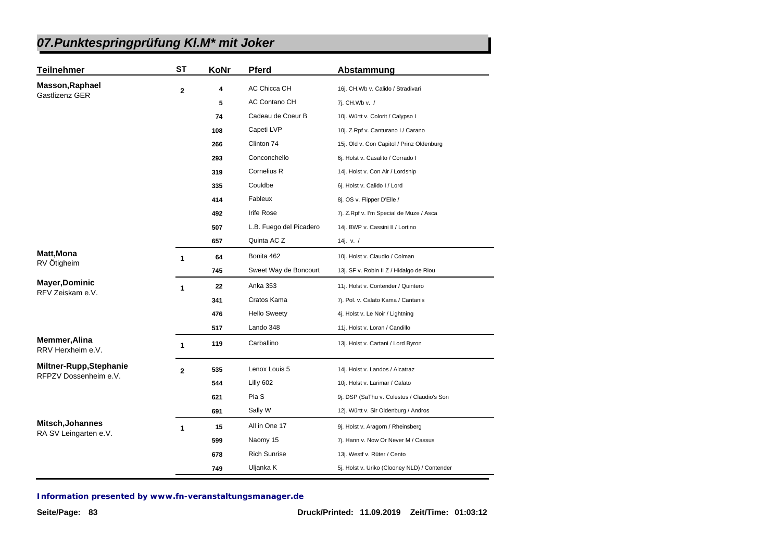| <b>Teilnehmer</b>                         | <b>ST</b>    | KoNr | <b>Pferd</b>            | Abstammung                                   |
|-------------------------------------------|--------------|------|-------------------------|----------------------------------------------|
| <b>Masson, Raphael</b><br>Gastlizenz GER  | 2            | 4    | AC Chicca CH            | 16j. CH.Wb v. Calido / Stradivari            |
|                                           |              | 5    | AC Contano CH           | 7j. CH.Wb v. /                               |
|                                           |              | 74   | Cadeau de Coeur B       | 10j. Württ v. Colorit / Calypso I            |
|                                           |              | 108  | Capeti LVP              | 10j. Z.Rpf v. Canturano I / Carano           |
|                                           |              | 266  | Clinton 74              | 15j. Old v. Con Capitol / Prinz Oldenburg    |
|                                           |              | 293  | Conconchello            | 6j. Holst v. Casalito / Corrado I            |
|                                           |              | 319  | Cornelius R             | 14j. Holst v. Con Air / Lordship             |
|                                           |              | 335  | Couldbe                 | 6j. Holst v. Calido I / Lord                 |
|                                           |              | 414  | Fableux                 | 8j. OS v. Flipper D'Elle /                   |
|                                           |              | 492  | <b>Irife Rose</b>       | 7j. Z.Rpf v. I'm Special de Muze / Asca      |
|                                           |              | 507  | L.B. Fuego del Picadero | 14j. BWP v. Cassini II / Lortino             |
|                                           |              | 657  | Quinta AC Z             | 14j. v. $/$                                  |
| Matt, Mona<br>RV Ötigheim                 | 1            | 64   | Bonita 462              | 10j. Holst v. Claudio / Colman               |
|                                           |              | 745  | Sweet Way de Boncourt   | 13j. SF v. Robin II Z / Hidalgo de Riou      |
| <b>Mayer, Dominic</b>                     | 1            | 22   | Anka 353                | 11j. Holst v. Contender / Quintero           |
| RFV Zeiskam e.V.                          |              | 341  | Cratos Kama             | 7j. Pol. v. Calato Kama / Cantanis           |
|                                           |              | 476  | <b>Hello Sweety</b>     | 4j. Holst v. Le Noir / Lightning             |
|                                           |              | 517  | Lando 348               | 11j. Holst v. Loran / Candillo               |
| <b>Memmer, Alina</b><br>RRV Herxheim e.V. | 1            | 119  | Carballino              | 13j. Holst v. Cartani / Lord Byron           |
| Miltner-Rupp, Stephanie                   | $\mathbf{2}$ | 535  | Lenox Louis 5           | 14j. Holst v. Landos / Alcatraz              |
| RFPZV Dossenheim e.V.                     |              | 544  | Lilly 602               | 10j. Holst v. Larimar / Calato               |
|                                           |              | 621  | Pia S                   | 9j. DSP (SaThu v. Colestus / Claudio's Son   |
|                                           |              | 691  | Sally W                 | 12j. Württ v. Sir Oldenburg / Andros         |
| Mitsch, Johannes                          | 1            | 15   | All in One 17           | 9j. Holst v. Aragorn / Rheinsberg            |
| RA SV Leingarten e.V.                     |              | 599  | Naomy 15                | 7j. Hann v. Now Or Never M / Cassus          |
|                                           |              | 678  | <b>Rich Sunrise</b>     | 13j. Westf v. Rüter / Cento                  |
|                                           |              | 749  | Uljanka K               | 5j. Holst v. Uriko (Clooney NLD) / Contender |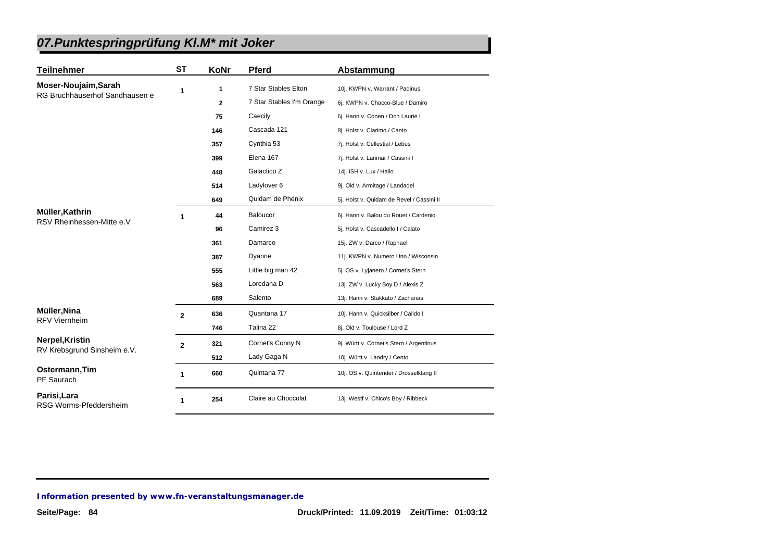| <b>Teilnehmer</b>                      | <b>ST</b>    | <b>KoNr</b>  | <b>Pferd</b>              | Abstammung                                |
|----------------------------------------|--------------|--------------|---------------------------|-------------------------------------------|
| Moser-Noujaim, Sarah                   | 1            | 1            | 7 Star Stables Elton      | 10j. KWPN v. Warrant / Padinus            |
| RG Bruchhäuserhof Sandhausen e         |              | $\mathbf{z}$ | 7 Star Stables I'm Orange | 6j. KWPN v. Chacco-Blue / Damiro          |
|                                        |              | 75           | Caecily                   | 6j. Hann v. Conen / Don Laurie I          |
|                                        |              | 146          | Cascada 121               | 8j. Holst v. Clarimo / Canto              |
|                                        |              | 357          | Cynthia 53                | 7j. Holst v. Cellestial / Lebus           |
|                                        |              | 399          | Elena 167                 | 7j. Holst v. Larimar / Cassini I          |
|                                        |              | 448          | Galactico Z               | 14j. ISH v. Lux / Hallo                   |
|                                        |              | 514          | Ladylover 6               | 9j. Old v. Armitage / Landadel            |
|                                        |              | 649          | Quidam de Phénix          | 5j. Holst v. Quidam de Revel / Cassini II |
| Müller, Kathrin                        | 1            | 44           | Baloucor                  | 6j. Hann v. Balou du Rouet / Cardenio     |
| RSV Rheinhessen-Mitte e.V              |              | 96           | Camirez 3                 | 5j. Holst v. Cascadello I / Calato        |
|                                        |              | 361          | Damarco                   | 15j. ZW v. Darco / Raphael                |
|                                        |              | 387          | Dyanne                    | 11j. KWPN v. Numero Uno / Wisconsin       |
|                                        |              | 555          | Little big man 42         | 5j. OS v. Lyjanero / Cornet's Stern       |
|                                        |              | 563          | Loredana D                | 13j. ZW v. Lucky Boy D / Alexis Z         |
|                                        |              | 689          | Salento                   | 13j. Hann v. Stakkato / Zacharias         |
| Müller, Nina                           | $\mathbf{2}$ | 636          | Quantana 17               | 10j. Hann v. Quicksilber / Calido I       |
| <b>RFV Viernheim</b>                   |              | 746          | Talina 22                 | 8j. Old v. Toulouse / Lord Z              |
| Nerpel, Kristin                        | $\mathbf{2}$ | 321          | Cornet's Conny N          | 9j. Württ v. Cornet's Stern / Argentinus  |
| RV Krebsgrund Sinsheim e.V.            |              | 512          | Lady Gaga N               | 10j. Württ v. Landry / Cento              |
| Ostermann, Tim<br>PF Saurach           | 1            | 660          | Quintana 77               | 10j. OS v. Quintender / Drosselklang II   |
| Parisi, Lara<br>RSG Worms-Pfeddersheim | 1            | 254          | Claire au Choccolat       | 13j. Westf v. Chico's Boy / Ribbeck       |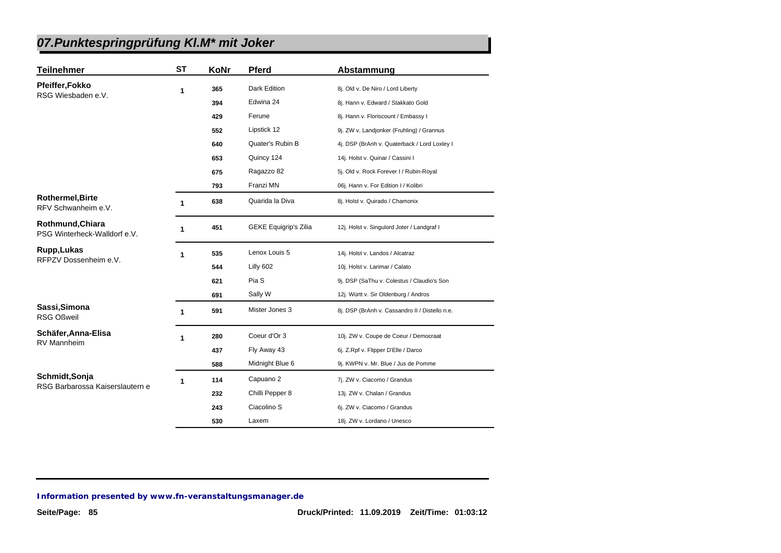| <b>Teilnehmer</b>                                 | <b>ST</b> | KoNr | <b>Pferd</b>                 | Abstammung                                     |
|---------------------------------------------------|-----------|------|------------------------------|------------------------------------------------|
| Pfeiffer, Fokko                                   | 1         | 365  | Dark Edition                 | 8j. Old v. De Niro / Lord Liberty              |
| RSG Wiesbaden e.V.                                |           | 394  | Edwina 24                    | 8j. Hann v. Edward / Stakkato Gold             |
|                                                   |           | 429  | Ferune                       | 8j. Hann v. Floriscount / Embassy I            |
|                                                   |           | 552  | Lipstick 12                  | 9j. ZW v. Landjonker (Fruhling) / Grannus      |
|                                                   |           | 640  | Quater's Rubin B             | 4j. DSP (BrAnh v. Quaterback / Lord Loxley I   |
|                                                   |           | 653  | Quincy 124                   | 14j. Holst v. Quinar / Cassini I               |
|                                                   |           | 675  | Ragazzo 82                   | 5j. Old v. Rock Forever I / Rubin-Royal        |
|                                                   |           | 793  | Franzi MN                    | 06j. Hann v. For Edition I / Kolibri           |
| <b>Rothermel, Birte</b><br>RFV Schwanheim e.V.    | 1         | 638  | Quarida la Diva              | 8j. Holst v. Quirado / Chamonix                |
| Rothmund, Chiara<br>PSG Winterheck-Walldorf e.V.  | 1         | 451  | <b>GEKE Equigrip's Zilia</b> | 12j. Holst v. Singulord Joter / Landgraf I     |
| Rupp, Lukas                                       | 1         | 535  | Lenox Louis 5                | 14j. Holst v. Landos / Alcatraz                |
| RFPZV Dossenheim e.V.                             |           | 544  | Lilly 602                    | 10j. Holst v. Larimar / Calato                 |
|                                                   |           | 621  | Pia S                        | 9j. DSP (SaThu v. Colestus / Claudio's Son     |
|                                                   |           | 691  | Sally W                      | 12j. Württ v. Sir Oldenburg / Andros           |
| Sassi, Simona<br><b>RSG Oßweil</b>                | 1         | 591  | Mister Jones 3               | 8j. DSP (BrAnh v. Cassandro II / Distello n.e. |
| Schäfer, Anna-Elisa                               | 1         | 280  | Coeur d'Or 3                 | 10j. ZW v. Coupe de Coeur / Democraat          |
| <b>RV Mannheim</b>                                |           | 437  | Fly Away 43                  | 6j. Z.Rpf v. Flipper D'Elle / Darco            |
|                                                   |           | 588  | Midnight Blue 6              | 9j. KWPN v. Mr. Blue / Jus de Pomme            |
| Schmidt, Sonja<br>RSG Barbarossa Kaiserslautern e | 1         | 114  | Capuano 2                    | 7j. ZW v. Ciacomo / Grandus                    |
|                                                   |           | 232  | Chilli Pepper 8              | 13j. ZW v. Chalan / Grandus                    |
|                                                   |           | 243  | Ciacolino S                  | 6j. ZW v. Ciacomo / Grandus                    |
|                                                   |           | 530  | Laxem                        | 18j. ZW v. Lordano / Unesco                    |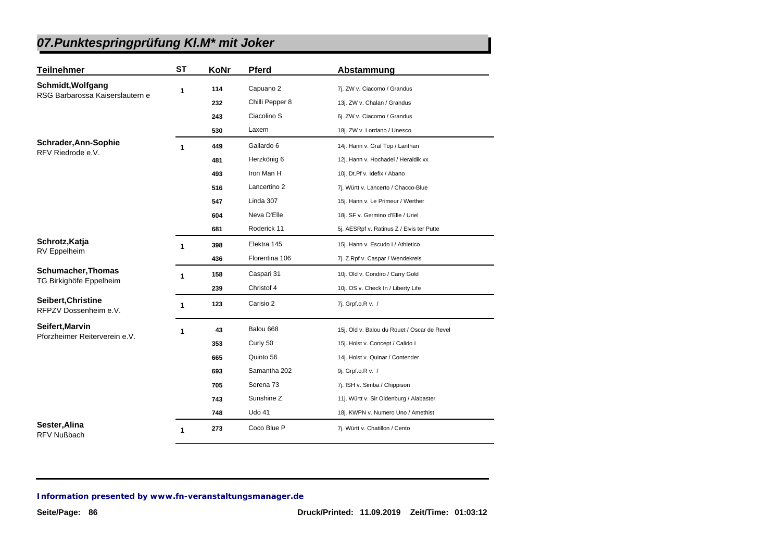| <b>Teilnehmer</b>                           | ST           | KoNr | Pferd                | Abstammung                                  |
|---------------------------------------------|--------------|------|----------------------|---------------------------------------------|
| Schmidt, Wolfgang                           | 1            | 114  | Capuano 2            | 7j. ZW v. Ciacomo / Grandus                 |
| RSG Barbarossa Kaiserslautern e             |              | 232  | Chilli Pepper 8      | 13j. ZW v. Chalan / Grandus                 |
|                                             |              | 243  | Ciacolino S          | 6j. ZW v. Ciacomo / Grandus                 |
|                                             |              | 530  | Laxem                | 18j. ZW v. Lordano / Unesco                 |
| Schrader, Ann-Sophie                        | 1            | 449  | Gallardo 6           | 14j. Hann v. Graf Top / Lanthan             |
| RFV Riedrode e.V.                           |              | 481  | Herzkönig 6          | 12j. Hann v. Hochadel / Heraldik xx         |
|                                             |              | 493  | Iron Man H           | 10j. Dt.Pf v. Idefix / Abano                |
|                                             |              | 516  | Lancertino 2         | 7j. Württ v. Lancerto / Chacco-Blue         |
|                                             |              | 547  | Linda 307            | 15j. Hann v. Le Primeur / Werther           |
|                                             |              | 604  | Neva D'Elle          | 18j. SF v. Germino d'Elle / Uriel           |
|                                             |              | 681  | Roderick 11          | 5j. AESRpf v. Ratinus Z / Elvis ter Putte   |
| Schrotz, Katja<br>RV Eppelheim              | 1            | 398  | Elektra 145          | 15j. Hann v. Escudo I / Athletico           |
|                                             |              | 436  | Florentina 106       | 7j. Z.Rpf v. Caspar / Wendekreis            |
| <b>Schumacher, Thomas</b>                   | 1            | 158  | Caspari 31           | 10j. Old v. Condiro / Carry Gold            |
| TG Birkighöfe Eppelheim                     |              | 239  | Christof 4           | 10j. OS v. Check In / Liberty Life          |
| Seibert, Christine<br>RFPZV Dossenheim e.V. | $\mathbf{1}$ | 123  | Carisio 2            | 7j. Grpf.o.R v. /                           |
| Seifert, Marvin                             | 1            | 43   | Balou 668            | 15j. Old v. Balou du Rouet / Oscar de Revel |
| Pforzheimer Reiterverein e.V.               |              | 353  | Curly 50             | 15j. Holst v. Concept / Calido I            |
|                                             |              | 665  | Quinto 56            | 14j. Holst v. Quinar / Contender            |
|                                             |              | 693  | Samantha 202         | 9j. Grpf.o.R v. /                           |
|                                             |              | 705  | Serena <sub>73</sub> | 7j. ISH v. Simba / Chippison                |
|                                             |              | 743  | Sunshine Z           | 11j. Württ v. Sir Oldenburg / Alabaster     |
|                                             |              | 748  | Udo 41               | 18j. KWPN v. Numero Uno / Amethist          |
| Sester, Alina<br><b>RFV Nußbach</b>         | $\mathbf 1$  | 273  | Coco Blue P          | 7j. Württ v. Chatillon / Cento              |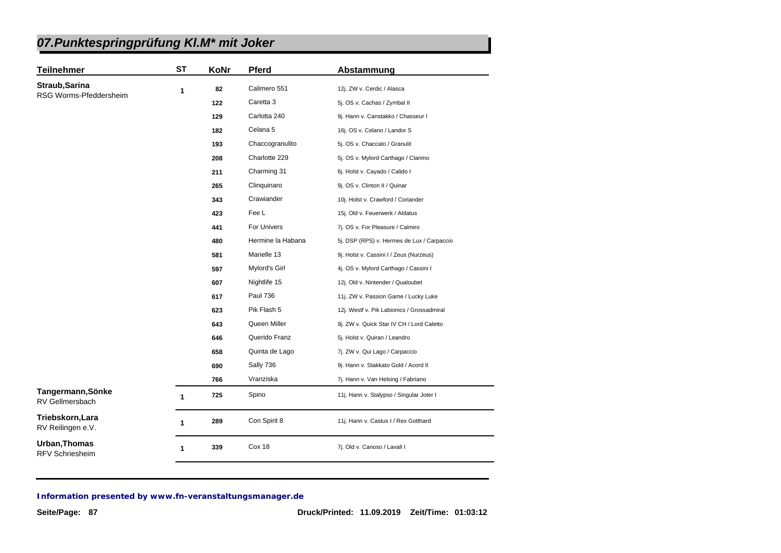| <b>Teilnehmer</b>                              | <b>ST</b>    | KoNr | <b>Pferd</b>      | Abstammung                                 |
|------------------------------------------------|--------------|------|-------------------|--------------------------------------------|
| Straub, Sarina                                 | 1            | 82   | Calimero 551      | 12j. ZW v. Cerdic / Alasca                 |
| RSG Worms-Pfeddersheim                         |              | 122  | Caretta 3         | 5j. OS v. Cachas / Zymbal II               |
|                                                |              | 129  | Carlotta 240      | 9j. Hann v. Canstakko / Chasseur I         |
|                                                |              | 182  | Celana 5          | 16j. OS v. Celano / Landor S               |
|                                                |              | 193  | Chaccogranulito   | 5j. OS v. Chaccato / Granulit              |
|                                                |              | 208  | Charlotte 229     | 5j. OS v. Mylord Carthago / Clarimo        |
|                                                |              | 211  | Charming 31       | 6j. Holst v. Cayado / Calido I             |
|                                                |              | 265  | Clinquinaro       | 9j. OS v. Clinton II / Quinar              |
|                                                |              | 343  | Crawiander        | 10j. Holst v. Crawford / Coriander         |
|                                                |              | 423  | Fee L             | 15j. Old v. Feuerwerk / Aldatus            |
|                                                |              | 441  | For Univers       | 7j. OS v. For Pleasure / Calmiro           |
|                                                |              | 480  | Hermine la Habana | 5j. DSP (RPS) v. Hermes de Lux / Carpaccio |
|                                                |              | 581  | Marielle 13       | 9j. Holst v. Cassini I / Zeus (Nurzeus)    |
|                                                |              | 597  | Mylord's Girl     | 4j. OS v. Mylord Carthago / Cassini I      |
|                                                |              | 607  | Nightlife 15      | 12j. Old v. Nintender / Qualoubet          |
|                                                |              | 617  | <b>Paul 736</b>   | 11j. ZW v. Passion Game / Lucky Luke       |
|                                                |              | 623  | Pik Flash 5       | 12j. Westf v. Pik Labionics / Grossadmiral |
|                                                |              | 643  | Queen Miller      | 9j. ZW v. Quick Star IV CH / Lord Caletto  |
|                                                |              | 646  | Querido Franz     | 5j. Holst v. Quiran / Leandro              |
|                                                |              | 658  | Quinta de Lago    | 7j. ZW v. Qui Lago / Carpaccio             |
|                                                |              | 690  | Sally 736         | 9j. Hann v. Stakkato Gold / Acord II       |
|                                                |              | 766  | Vranziska         | 7j. Hann v. Van Helsing / Fabriano         |
| Tangermann, Sönke<br>RV Gellmersbach           | 1            | 725  | Spino             | 11j. Hann v. Stalypso / Singular Joter I   |
| Triebskorn, Lara<br>RV Reilingen e.V.          | 1            | 289  | Con Spirit 8      | 11j. Hann v. Castus I / Rex Gotthard       |
| <b>Urban, Thomas</b><br><b>RFV Schriesheim</b> | $\mathbf{1}$ | 339  | Cox 18            | 7j. Old v. Canoso / Lavall I               |
|                                                |              |      |                   |                                            |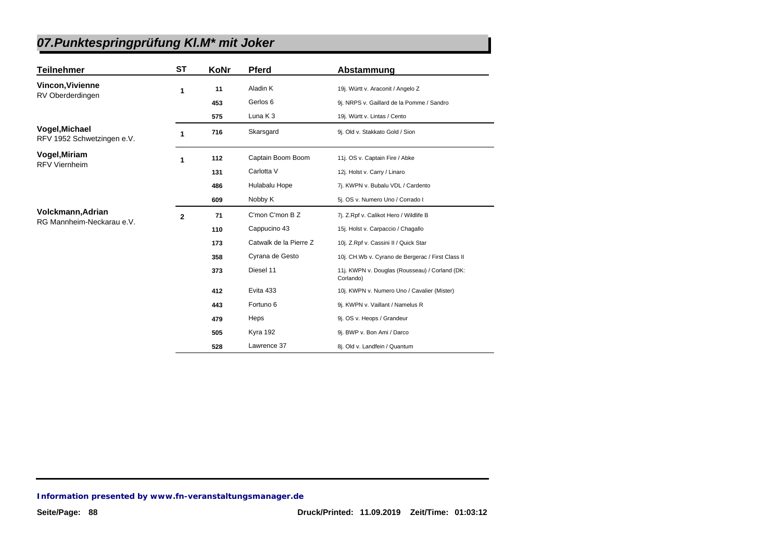| <b>Teilnehmer</b>                              | <b>ST</b>    | KoNr | <b>Pferd</b>           | Abstammung                                                  |
|------------------------------------------------|--------------|------|------------------------|-------------------------------------------------------------|
| <b>Vincon, Vivienne</b>                        | 1            | 11   | Aladin K               | 19j. Württ v. Araconit / Angelo Z                           |
| RV Oberderdingen                               |              | 453  | Gerlos 6               | 9j. NRPS v. Gaillard de la Pomme / Sandro                   |
|                                                |              | 575  | Luna $K_3$             | 19j. Württ v. Lintas / Cento                                |
| Vogel, Michael<br>RFV 1952 Schwetzingen e.V.   | 1            | 716  | Skarsgard              | 9j. Old v. Stakkato Gold / Sion                             |
| Vogel, Miriam                                  | 1            | 112  | Captain Boom Boom      | 11j. OS v. Captain Fire / Abke                              |
| <b>RFV Viernheim</b>                           |              | 131  | Carlotta V             | 12j. Holst v. Carry / Linaro                                |
|                                                |              | 486  | Hulabalu Hope          | 7j. KWPN v. Bubalu VDL / Cardento                           |
|                                                |              | 609  | Nobby K                | 5j. OS v. Numero Uno / Corrado I                            |
| Volckmann, Adrian<br>RG Mannheim-Neckarau e.V. | $\mathbf{2}$ | 71   | C'mon C'mon B Z        | 7j. Z.Rpf v. Calikot Hero / Wildlife B                      |
|                                                |              | 110  | Cappucino 43           | 15j. Holst v. Carpaccio / Chagallo                          |
|                                                |              | 173  | Catwalk de la Pierre Z | 10j. Z.Rpf v. Cassini II / Quick Star                       |
|                                                |              | 358  | Cyrana de Gesto        | 10j. CH. Wb v. Cyrano de Bergerac / First Class II          |
|                                                |              | 373  | Diesel 11              | 11j. KWPN v. Douglas (Rousseau) / Corland (DK:<br>Corlando) |
|                                                |              | 412  | Evita 433              | 10j. KWPN v. Numero Uno / Cavalier (Mister)                 |
|                                                |              | 443  | Fortuno 6              | 9j. KWPN v. Vaillant / Namelus R                            |
|                                                |              | 479  | Heps                   | 9j. OS v. Heops / Grandeur                                  |
|                                                |              | 505  | Kyra 192               | 9j. BWP v. Bon Ami / Darco                                  |
|                                                |              | 528  | Lawrence 37            | 8j. Old v. Landfein / Quantum                               |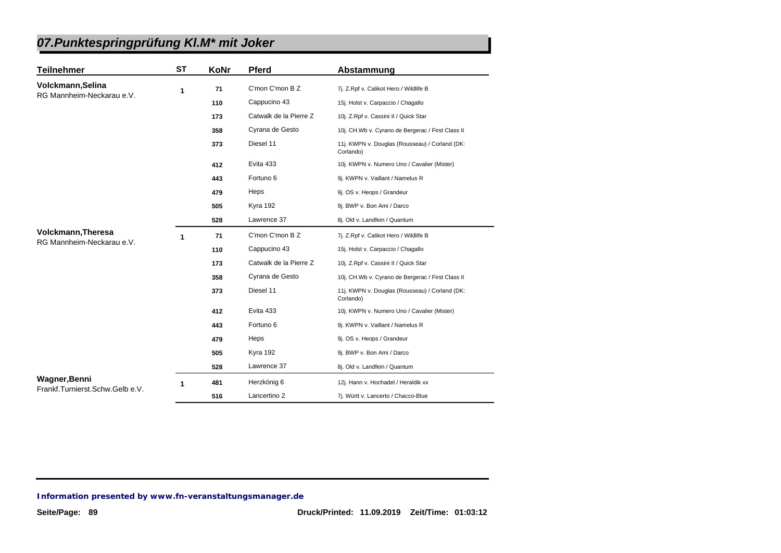| <b>Teilnehmer</b>                               | ST | KoNr | <b>Pferd</b>           | Abstammung                                                  |
|-------------------------------------------------|----|------|------------------------|-------------------------------------------------------------|
| Volckmann, Selina                               | 1  | 71   | C'mon C'mon B Z        | 7j. Z.Rpf v. Calikot Hero / Wildlife B                      |
| RG Mannheim-Neckarau e.V.                       |    | 110  | Cappucino 43           | 15j. Holst v. Carpaccio / Chagallo                          |
|                                                 |    | 173  | Catwalk de la Pierre Z | 10j. Z.Rpf v. Cassini II / Quick Star                       |
|                                                 |    |      |                        |                                                             |
|                                                 |    | 358  | Cyrana de Gesto        | 10j. CH.Wb v. Cyrano de Bergerac / First Class II           |
|                                                 |    | 373  | Diesel 11              | 11j. KWPN v. Douglas (Rousseau) / Corland (DK:<br>Corlando) |
|                                                 |    | 412  | Evita 433              | 10j. KWPN v. Numero Uno / Cavalier (Mister)                 |
|                                                 |    | 443  | Fortuno 6              | 9j. KWPN v. Vaillant / Namelus R                            |
|                                                 |    | 479  | Heps                   | 9j. OS v. Heops / Grandeur                                  |
|                                                 |    | 505  | Kyra 192               | 9j. BWP v. Bon Ami / Darco                                  |
|                                                 |    | 528  | Lawrence 37            | 8j. Old v. Landfein / Quantum                               |
| Volckmann, Theresa<br>RG Mannheim-Neckarau e.V. | 1  | 71   | C'mon C'mon B Z        | 7j. Z.Rpf v. Calikot Hero / Wildlife B                      |
|                                                 |    | 110  | Cappucino 43           | 15j. Holst v. Carpaccio / Chagallo                          |
|                                                 |    | 173  | Catwalk de la Pierre Z | 10j. Z.Rpf v. Cassini II / Quick Star                       |
|                                                 |    | 358  | Cyrana de Gesto        | 10j. CH.Wb v. Cyrano de Bergerac / First Class II           |
|                                                 |    | 373  | Diesel 11              | 11j. KWPN v. Douglas (Rousseau) / Corland (DK:<br>Corlando) |
|                                                 |    | 412  | Evita 433              | 10j. KWPN v. Numero Uno / Cavalier (Mister)                 |
|                                                 |    | 443  | Fortuno 6              | 9j. KWPN v. Vaillant / Namelus R                            |
|                                                 |    | 479  | Heps                   | 9j. OS v. Heops / Grandeur                                  |
|                                                 |    | 505  | <b>Kyra 192</b>        | 9j. BWP v. Bon Ami / Darco                                  |
|                                                 |    | 528  | Lawrence 37            | 8j. Old v. Landfein / Quantum                               |
| Wagner, Benni                                   | 1  | 481  | Herzkönig 6            | 12j. Hann v. Hochadel / Heraldik xx                         |
| Frankf.Turnierst.Schw.Gelb e.V.                 |    | 516  | Lancertino 2           | 7j. Württ v. Lancerto / Chacco-Blue                         |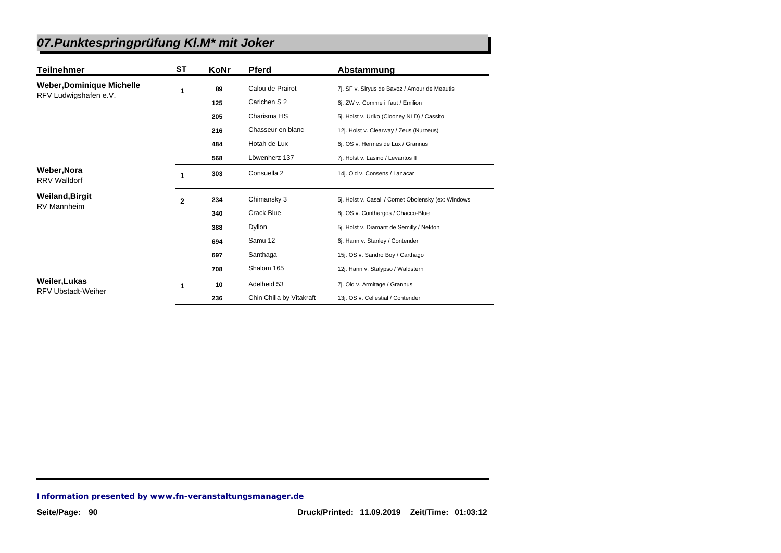| Teilnehmer                                 | <b>ST</b>    | KoNr | <b>Pferd</b>             | Abstammung                                          |
|--------------------------------------------|--------------|------|--------------------------|-----------------------------------------------------|
| <b>Weber, Dominique Michelle</b>           | 1            | 89   | Calou de Prairot         | 7j. SF v. Siryus de Bavoz / Amour de Meautis        |
| RFV Ludwigshafen e.V.                      |              | 125  | Carlchen S 2             | 6j. ZW v. Comme il faut / Emilion                   |
|                                            |              | 205  | Charisma HS              | 5j. Holst v. Uriko (Clooney NLD) / Cassito          |
|                                            |              | 216  | Chasseur en blanc        | 12j. Holst v. Clearway / Zeus (Nurzeus)             |
|                                            |              | 484  | Hotah de Lux             | 6j. OS v. Hermes de Lux / Grannus                   |
|                                            |              | 568  | Löwenherz 137            | 7j. Holst v. Lasino / Levantos II                   |
| <b>Weber, Nora</b><br><b>RRV Walldorf</b>  | 1            | 303  | Consuella 2              | 14j. Old v. Consens / Lanacar                       |
| <b>Weiland, Birgit</b>                     | $\mathbf{2}$ | 234  | Chimansky 3              | 5j. Holst v. Casall / Cornet Obolensky (ex: Windows |
| <b>RV Mannheim</b>                         |              | 340  | Crack Blue               | 8j. OS v. Conthargos / Chacco-Blue                  |
|                                            |              | 388  | Dyllon                   | 5j. Holst v. Diamant de Semilly / Nekton            |
|                                            |              | 694  | Samu 12                  | 6j. Hann v. Stanley / Contender                     |
|                                            |              | 697  | Santhaga                 | 15j. OS v. Sandro Boy / Carthago                    |
|                                            |              | 708  | Shalom 165               | 12j. Hann v. Stalypso / Waldstern                   |
| Weiler, Lukas<br><b>RFV Ubstadt-Weiher</b> | 1            | 10   | Adelheid 53              | 7j. Old v. Armitage / Grannus                       |
|                                            |              | 236  | Chin Chilla by Vitakraft | 13j. OS v. Cellestial / Contender                   |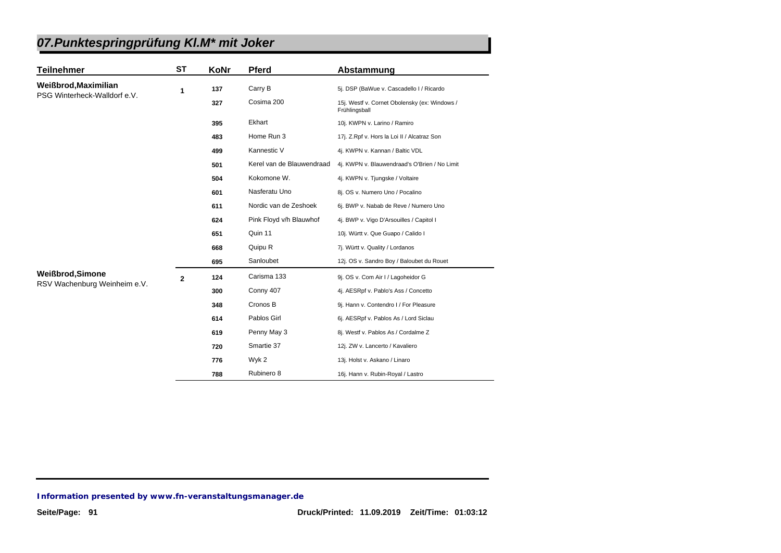| <b>Teilnehmer</b>            | <b>ST</b>    | KoNr | <b>Pferd</b>              | Abstammung                                                     |
|------------------------------|--------------|------|---------------------------|----------------------------------------------------------------|
| Weißbrod, Maximilian         | 1            | 137  | Carry B                   | 5j. DSP (BaWue v. Cascadello I / Ricardo                       |
| PSG Winterheck-Walldorf e.V. |              | 327  | Cosima 200                | 15j. Westf v. Cornet Obolensky (ex: Windows /<br>Frühlingsball |
|                              |              | 395  | Ekhart                    | 10j. KWPN v. Larino / Ramiro                                   |
|                              |              | 483  | Home Run 3                | 17j. Z.Rpf v. Hors la Loi II / Alcatraz Son                    |
|                              |              | 499  | Kannestic V               | 4j. KWPN v. Kannan / Baltic VDL                                |
|                              |              | 501  | Kerel van de Blauwendraad | 4j. KWPN v. Blauwendraad's O'Brien / No Limit                  |
|                              |              | 504  | Kokomone W.               | 4j. KWPN v. Tjungske / Voltaire                                |
|                              |              | 601  | Nasferatu Uno             | 8j. OS v. Numero Uno / Pocalino                                |
|                              |              | 611  | Nordic van de Zeshoek     | 6j. BWP v. Nabab de Reve / Numero Uno                          |
|                              |              | 624  | Pink Floyd v/h Blauwhof   | 4j. BWP v. Vigo D'Arsouilles / Capitol I                       |
|                              |              | 651  | Quin 11                   | 10j. Württ v. Que Guapo / Calido I                             |
|                              |              | 668  | Quipu R                   | 7j. Württ v. Quality / Lordanos                                |
|                              |              | 695  | Sanloubet                 | 12j. OS v. Sandro Boy / Baloubet du Rouet                      |
| <b>Weißbrod, Simone</b>      | $\mathbf{2}$ | 124  | Carisma 133               | 9j. OS v. Com Air I / Lagoheidor G                             |
| RSV Wachenburg Weinheim e.V. |              | 300  | Conny 407                 | 4j. AESRpf v. Pablo's Ass / Concetto                           |
|                              |              | 348  | Cronos B                  | 9j. Hann v. Contendro I / For Pleasure                         |
|                              |              | 614  | Pablos Girl               | 6j. AESRpf v. Pablos As / Lord Siclau                          |
|                              |              | 619  | Penny May 3               | 8j. Westf v. Pablos As / Cordalme Z                            |
|                              |              | 720  | Smartie 37                | 12j. ZW v. Lancerto / Kavaliero                                |
|                              |              | 776  | Wyk 2                     | 13j. Holst v. Askano / Linaro                                  |
|                              |              | 788  | Rubinero 8                | 16j. Hann v. Rubin-Royal / Lastro                              |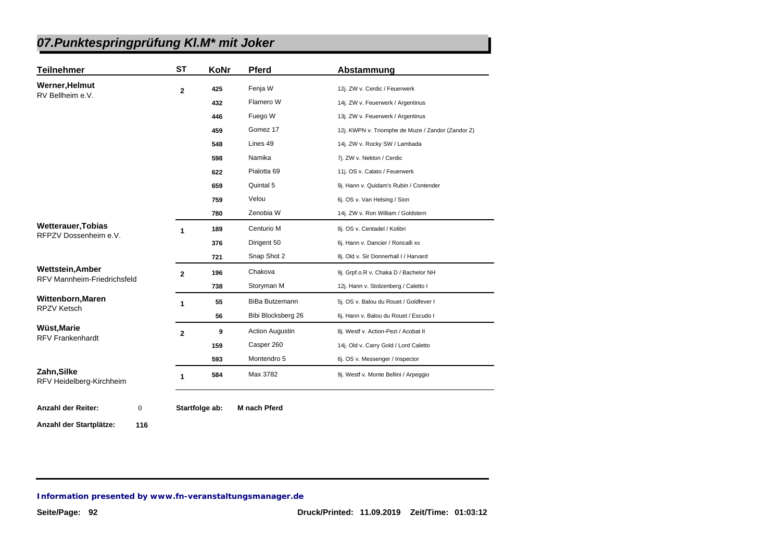| <b>Teilnehmer</b>                                             | <b>ST</b>      | KoNr | <b>Pferd</b>           | Abstammung                                        |
|---------------------------------------------------------------|----------------|------|------------------------|---------------------------------------------------|
| Werner, Helmut                                                | $\overline{2}$ | 425  | Fenja W                | 12j. ZW v. Cerdic / Feuerwerk                     |
| RV Bellheim e.V.                                              |                | 432  | Flamero W              | 14j. ZW v. Feuerwerk / Argentinus                 |
|                                                               |                | 446  | Fuego W                | 13j. ZW v. Feuerwerk / Argentinus                 |
|                                                               |                | 459  | Gomez 17               | 12j. KWPN v. Triomphe de Muze / Zandor (Zandor Z) |
|                                                               |                | 548  | Lines 49               | 14j. ZW v. Rocky SW / Lambada                     |
|                                                               |                | 598  | Namika                 | 7j. ZW v. Nekton / Cerdic                         |
|                                                               |                | 622  | Pialotta 69            | 11j. OS v. Calato / Feuerwerk                     |
|                                                               |                | 659  | Quintal 5              | 9j. Hann v. Quidam's Rubin / Contender            |
|                                                               |                | 759  | Velou                  | 6j. OS v. Van Helsing / Sion                      |
|                                                               |                | 780  | Zenobia W              | 14j. ZW v. Ron William / Goldstern                |
| <b>Wetterauer, Tobias</b><br>RFPZV Dossenheim e.V.            | 1              | 189  | Centurio M             | 8j. OS v. Centadel / Kolibri                      |
|                                                               |                | 376  | Dirigent 50            | 6j. Hann v. Dancier / Roncalli xx                 |
|                                                               |                | 721  | Snap Shot 2            | 8j. Old v. Sir Donnerhall I / Harvard             |
| <b>Wettstein, Amber</b><br><b>RFV Mannheim-Friedrichsfeld</b> | $\mathbf{2}$   | 196  | Chakova                | 9j. Grpf.o.R v. Chaka D / Bachelor NH             |
|                                                               |                | 738  | Storyman M             | 12j. Hann v. Stolzenberg / Caletto I              |
| Wittenborn, Maren                                             | 1              | 55   | <b>BiBa Butzemann</b>  | 5j. OS v. Balou du Rouet / Goldfever I            |
| <b>RPZV Ketsch</b>                                            |                | 56   | Bibi Blocksberg 26     | 6j. Hann v. Balou du Rouet / Escudo I             |
| Wüst, Marie                                                   | $\overline{2}$ | 9    | <b>Action Augustin</b> | 8j. Westf v. Action-Pezi / Acobat II              |
| <b>RFV Frankenhardt</b>                                       |                | 159  | Casper 260             | 14j. Old v. Carry Gold / Lord Caletto             |
|                                                               |                | 593  | Montendro 5            | 6j. OS v. Messenger / Inspector                   |
| Zahn, Silke<br>RFV Heidelberg-Kirchheim                       | 1              | 584  | Max 3782               | 9j. Westf v. Monte Bellini / Arpeggio             |

**Anzahl der Startplätze: 116**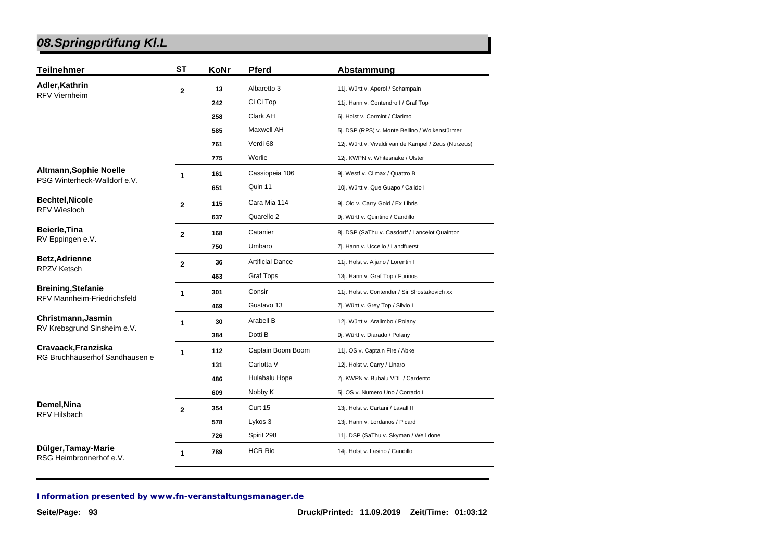| <b>Teilnehmer</b>                              | <b>ST</b>      | KoNr | Pferd                   | Abstammung                                           |
|------------------------------------------------|----------------|------|-------------------------|------------------------------------------------------|
| Adler, Kathrin                                 | $\mathbf{2}$   | 13   | Albaretto 3             | 11j. Württ v. Aperol / Schampain                     |
| <b>RFV Viernheim</b>                           |                | 242  | Ci Ci Top               | 11j. Hann v. Contendro I / Graf Top                  |
|                                                |                | 258  | Clark AH                | 6j. Holst v. Cormint / Clarimo                       |
|                                                |                | 585  | <b>Maxwell AH</b>       | 5j. DSP (RPS) v. Monte Bellino / Wolkenstürmer       |
|                                                |                | 761  | Verdi 68                | 12j. Württ v. Vivaldi van de Kampel / Zeus (Nurzeus) |
|                                                |                | 775  | Worlie                  | 12j. KWPN v. Whitesnake / Ulster                     |
| <b>Altmann, Sophie Noelle</b>                  | 1              | 161  | Cassiopeia 106          | 9j. Westf v. Climax / Quattro B                      |
| PSG Winterheck-Walldorf e.V.                   |                | 651  | Quin 11                 | 10j. Württ v. Que Guapo / Calido I                   |
| <b>Bechtel, Nicole</b>                         | $\overline{2}$ | 115  | Cara Mia 114            | 9j. Old v. Carry Gold / Ex Libris                    |
| <b>RFV Wiesloch</b>                            |                | 637  | Quarello 2              | 9j. Württ v. Quintino / Candillo                     |
| Beierle, Tina                                  | $\mathbf{2}$   | 168  | Catanier                | 8j. DSP (SaThu v. Casdorff / Lancelot Quainton       |
| RV Eppingen e.V.                               |                | 750  | Umbaro                  | 7j. Hann v. Uccello / Landfuerst                     |
| <b>Betz, Adrienne</b><br><b>RPZV Ketsch</b>    | $\mathbf{2}$   | 36   | <b>Artificial Dance</b> | 11j. Holst v. Aljano / Lorentin I                    |
|                                                |                | 463  | <b>Graf Tops</b>        | 13j. Hann v. Graf Top / Furinos                      |
| <b>Breining, Stefanie</b>                      | $\mathbf{1}$   | 301  | Consir                  | 11j. Holst v. Contender / Sir Shostakovich xx        |
| RFV Mannheim-Friedrichsfeld                    |                | 469  | Gustavo 13              | 7j. Württ v. Grey Top / Silvio I                     |
| Christmann, Jasmin                             | 1              | 30   | Arabell B               | 12j. Württ v. Aralimbo / Polany                      |
| RV Krebsgrund Sinsheim e.V.                    |                | 384  | Dotti B                 | 9j. Württ v. Diarado / Polany                        |
| Cravaack, Franziska                            | 1              | 112  | Captain Boom Boom       | 11j. OS v. Captain Fire / Abke                       |
| RG Bruchhäuserhof Sandhausen e                 |                | 131  | Carlotta V              | 12j. Holst v. Carry / Linaro                         |
|                                                |                | 486  | Hulabalu Hope           | 7j. KWPN v. Bubalu VDL / Cardento                    |
|                                                |                | 609  | Nobby K                 | 5j. OS v. Numero Uno / Corrado I                     |
| Demel, Nina                                    | $\mathbf{2}$   | 354  | Curt 15                 | 13j. Holst v. Cartani / Lavall II                    |
| <b>RFV Hilsbach</b>                            |                | 578  | Lykos 3                 | 13j. Hann v. Lordanos / Picard                       |
|                                                |                | 726  | Spirit 298              | 11j. DSP (SaThu v. Skyman / Well done                |
| Dülger, Tamay-Marie<br>RSG Heimbronnerhof e.V. | 1              | 789  | <b>HCR Rio</b>          | 14j. Holst v. Lasino / Candillo                      |
|                                                |                |      |                         |                                                      |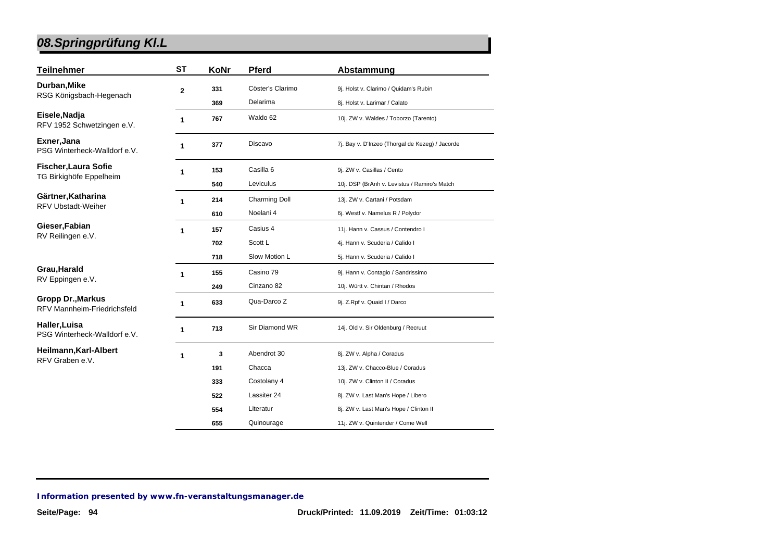| Teilnehmer                                              | <b>ST</b> | KoNr | <b>Pferd</b>         | Abstammung                                      |
|---------------------------------------------------------|-----------|------|----------------------|-------------------------------------------------|
| Durban, Mike<br>RSG Königsbach-Hegenach                 | 2         | 331  | Cöster's Clarimo     | 9j. Holst v. Clarimo / Quidam's Rubin           |
|                                                         |           | 369  | Delarima             | 8j. Holst v. Larimar / Calato                   |
| Eisele, Nadja<br>RFV 1952 Schwetzingen e.V.             | 1         | 767  | Waldo 62             | 10j. ZW v. Waldes / Toborzo (Tarento)           |
| Exner, Jana<br>PSG Winterheck-Walldorf e.V.             | 1         | 377  | Discavo              | 7j. Bay v. D'Inzeo (Thorgal de Kezeg) / Jacorde |
| Fischer, Laura Sofie                                    | 1         | 153  | Casilla <sub>6</sub> | 9j. ZW v. Casillas / Cento                      |
| TG Birkighöfe Eppelheim                                 |           | 540  | Leviculus            | 10j. DSP (BrAnh v. Levistus / Ramiro's Match    |
| Gärtner, Katharina<br><b>RFV Ubstadt-Weiher</b>         | 1         | 214  | <b>Charming Doll</b> | 13j. ZW v. Cartani / Potsdam                    |
|                                                         |           | 610  | Noelani 4            | 6j. Westf v. Namelus R / Polydor                |
| Gieser, Fabian<br>RV Reilingen e.V.                     | 1         | 157  | Casius 4             | 11j. Hann v. Cassus / Contendro I               |
|                                                         |           | 702  | Scott L              | 4j. Hann v. Scuderia / Calido I                 |
|                                                         |           | 718  | Slow Motion L        | 5j. Hann v. Scuderia / Calido I                 |
| Grau, Harald                                            | 1         | 155  | Casino 79            | 9j. Hann v. Contagio / Sandrissimo              |
| RV Eppingen e.V.                                        |           | 249  | Cinzano 82           | 10j. Württ v. Chintan / Rhodos                  |
| Gropp Dr., Markus<br><b>RFV Mannheim-Friedrichsfeld</b> | 1         | 633  | Qua-Darco Z          | 9j. Z.Rpf v. Quaid I / Darco                    |
| Haller,Luisa<br>PSG Winterheck-Walldorf e.V.            | 1         | 713  | Sir Diamond WR       | 14j. Old v. Sir Oldenburg / Recruut             |
| Heilmann, Karl-Albert<br>RFV Graben e.V.                | 1         | 3    | Abendrot 30          | 8j. ZW v. Alpha / Coradus                       |
|                                                         |           | 191  | Chacca               | 13j. ZW v. Chacco-Blue / Coradus                |
|                                                         |           | 333  | Costolany 4          | 10j. ZW v. Clinton II / Coradus                 |
|                                                         |           | 522  | Lassiter 24          | 8j. ZW v. Last Man's Hope / Libero              |
|                                                         |           | 554  | Literatur            | 8j. ZW v. Last Man's Hope / Clinton II          |
|                                                         |           | 655  | Quinourage           | 11j. ZW v. Quintender / Come Well               |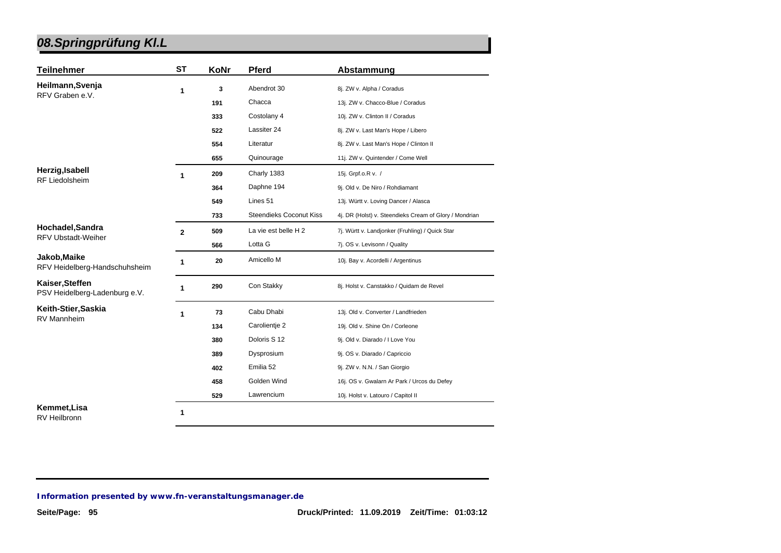| <b>Teilnehmer</b>                                | <b>ST</b>    | KoNr | <b>Pferd</b>                   | Abstammung                                             |
|--------------------------------------------------|--------------|------|--------------------------------|--------------------------------------------------------|
| Heilmann, Svenja                                 | 1            | 3    | Abendrot 30                    | 8j. ZW v. Alpha / Coradus                              |
| RFV Graben e.V.                                  |              | 191  | Chacca                         | 13j. ZW v. Chacco-Blue / Coradus                       |
|                                                  |              | 333  | Costolany 4                    | 10j. ZW v. Clinton II / Coradus                        |
|                                                  |              | 522  | Lassiter 24                    | 8j. ZW v. Last Man's Hope / Libero                     |
|                                                  |              | 554  | Literatur                      | 8j. ZW v. Last Man's Hope / Clinton II                 |
|                                                  |              | 655  | Quinourage                     | 11j. ZW v. Quintender / Come Well                      |
| Herzig, Isabell                                  | 1            | 209  | Charly 1383                    | 15j. Grpf.o.R v. /                                     |
| <b>RF Liedolsheim</b>                            |              | 364  | Daphne 194                     | 9j. Old v. De Niro / Rohdiamant                        |
|                                                  |              | 549  | Lines 51                       | 13j. Württ v. Loving Dancer / Alasca                   |
|                                                  |              | 733  | <b>Steendieks Coconut Kiss</b> | 4j. DR (Holst) v. Steendieks Cream of Glory / Mondrian |
| Hochadel, Sandra<br><b>RFV Ubstadt-Weiher</b>    | $\mathbf{2}$ | 509  | La vie est belle H 2           | 7j. Württ v. Landjonker (Fruhling) / Quick Star        |
|                                                  |              | 566  | Lotta G                        | 7j. OS v. Levisonn / Quality                           |
| Jakob, Maike<br>RFV Heidelberg-Handschuhsheim    | 1            | 20   | Amicello M                     | 10j. Bay v. Acordelli / Argentinus                     |
| Kaiser, Steffen<br>PSV Heidelberg-Ladenburg e.V. | 1            | 290  | Con Stakky                     | 8j. Holst v. Canstakko / Quidam de Revel               |
| Keith-Stier, Saskia                              | 1            | 73   | Cabu Dhabi                     | 13j. Old v. Converter / Landfrieden                    |
| <b>RV Mannheim</b>                               |              | 134  | Carolientje 2                  | 19j. Old v. Shine On / Corleone                        |
|                                                  |              | 380  | Doloris S 12                   | 9j. Old v. Diarado / I Love You                        |
|                                                  |              | 389  | Dysprosium                     | 9j. OS v. Diarado / Capriccio                          |
|                                                  |              | 402  | Emilia 52                      | 9j. ZW v. N.N. / San Giorgio                           |
|                                                  |              | 458  | Golden Wind                    | 16j. OS v. Gwalarn Ar Park / Urcos du Defey            |
|                                                  |              | 529  | Lawrencium                     | 10j. Holst v. Latouro / Capitol II                     |
| Kemmet, Lisa                                     | 1            |      |                                |                                                        |

RV Heilbronn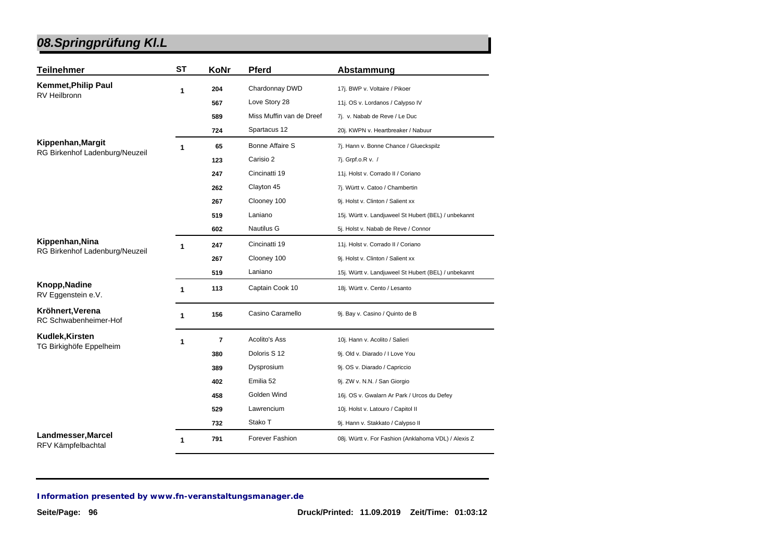| <b>Teilnehmer</b>                         | <b>ST</b>    | KoNr | <b>Pferd</b>             | Abstammung                                           |
|-------------------------------------------|--------------|------|--------------------------|------------------------------------------------------|
| <b>Kemmet, Philip Paul</b>                | 1            | 204  | Chardonnay DWD           | 17j. BWP v. Voltaire / Pikoer                        |
| RV Heilbronn                              |              | 567  | Love Story 28            | 11j. OS v. Lordanos / Calypso IV                     |
|                                           |              | 589  | Miss Muffin van de Dreef | 7j. v. Nabab de Reve / Le Duc                        |
|                                           |              | 724  | Spartacus 12             | 20j. KWPN v. Heartbreaker / Nabuur                   |
| Kippenhan, Margit                         | 1            | 65   | <b>Bonne Affaire S</b>   | 7j. Hann v. Bonne Chance / Glueckspilz               |
| RG Birkenhof Ladenburg/Neuzeil            |              | 123  | Carisio 2                | 7j. Grpf.o.R v. /                                    |
|                                           |              | 247  | Cincinatti 19            | 11j. Holst v. Corrado II / Coriano                   |
|                                           |              | 262  | Clayton 45               | 7j. Württ v. Catoo / Chambertin                      |
|                                           |              | 267  | Clooney 100              | 9j. Holst v. Clinton / Salient xx                    |
|                                           |              | 519  | Laniano                  | 15j. Württ v. Landjuweel St Hubert (BEL) / unbekannt |
|                                           |              | 602  | <b>Nautilus G</b>        | 5j. Holst v. Nabab de Reve / Connor                  |
| Kippenhan, Nina                           | 1            | 247  | Cincinatti 19            | 11j. Holst v. Corrado II / Coriano                   |
| RG Birkenhof Ladenburg/Neuzeil            |              | 267  | Clooney 100              | 9j. Holst v. Clinton / Salient xx                    |
|                                           |              | 519  | Laniano                  | 15j. Württ v. Landjuweel St Hubert (BEL) / unbekannt |
| Knopp, Nadine<br>RV Eggenstein e.V.       | $\mathbf{1}$ | 113  | Captain Cook 10          | 18j. Württ v. Cento / Lesanto                        |
| Kröhnert, Verena<br>RC Schwabenheimer-Hof | $\mathbf{1}$ | 156  | Casino Caramello         | 9j. Bay v. Casino / Quinto de B                      |
| Kudlek, Kirsten                           | 1            | 7    | Acolito's Ass            | 10j. Hann v. Acolito / Salieri                       |
| TG Birkighöfe Eppelheim                   |              | 380  | Doloris S 12             | 9j. Old v. Diarado / I Love You                      |
|                                           |              | 389  | Dysprosium               | 9j. OS v. Diarado / Capriccio                        |
|                                           |              | 402  | Emilia 52                | 9j. ZW v. N.N. / San Giorgio                         |
|                                           |              | 458  | Golden Wind              | 16j. OS v. Gwalarn Ar Park / Urcos du Defey          |
|                                           |              | 529  | Lawrencium               | 10j. Holst v. Latouro / Capitol II                   |
|                                           |              | 732  | Stako T                  | 9j. Hann v. Stakkato / Calypso II                    |
| Landmesser, Marcel<br>RFV Kämpfelbachtal  | 1            | 791  | Forever Fashion          | 08j. Württ v. For Fashion (Anklahoma VDL) / Alexis Z |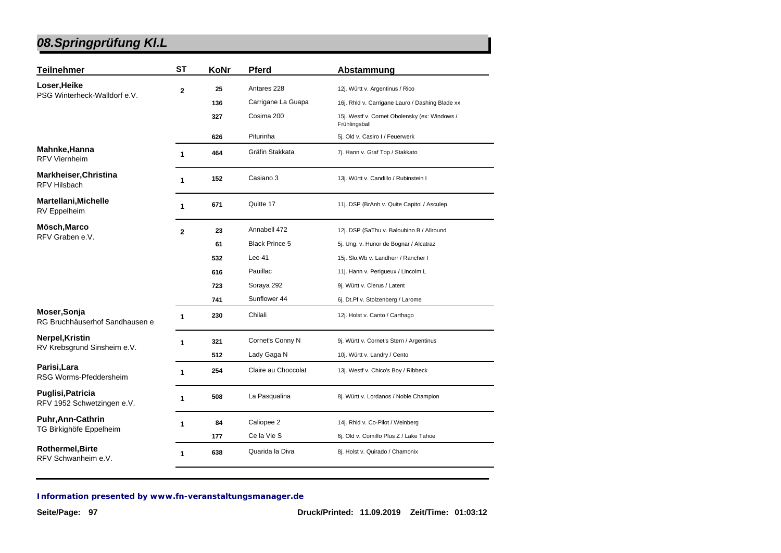| <b>Teilnehmer</b>                                      | <b>ST</b>      | KoNr | <b>Pferd</b>          | Abstammung                                                     |
|--------------------------------------------------------|----------------|------|-----------------------|----------------------------------------------------------------|
| Loser, Heike                                           | $\mathbf{2}$   | 25   | Antares 228           | 12j. Württ v. Argentinus / Rico                                |
| PSG Winterheck-Walldorf e.V.                           |                | 136  | Carrigane La Guapa    | 16j. Rhld v. Carrigane Lauro / Dashing Blade xx                |
|                                                        |                | 327  | Cosima 200            | 15j. Westf v. Cornet Obolensky (ex: Windows /<br>Frühlingsball |
|                                                        |                | 626  | Piturinha             | 5j. Old v. Casiro I / Feuerwerk                                |
| Mahnke, Hanna<br><b>RFV Viernheim</b>                  | 1              | 464  | Gräfin Stakkata       | 7j. Hann v. Graf Top / Stakkato                                |
| <b>Markheiser, Christina</b><br>RFV Hilsbach           | 1              | 152  | Casiano 3             | 13j. Württ v. Candillo / Rubinstein I                          |
| Martellani, Michelle<br>RV Eppelheim                   | 1              | 671  | Quitte 17             | 11j. DSP (BrAnh v. Quite Capitol / Asculep                     |
| Mösch, Marco                                           | $\overline{2}$ | 23   | Annabell 472          | 12j. DSP (SaThu v. Baloubino B / Allround                      |
| RFV Graben e.V.                                        |                | 61   | <b>Black Prince 5</b> | 5j. Ung. v. Hunor de Bognar / Alcatraz                         |
|                                                        |                | 532  | Lee $41$              | 15j. Slo.Wb v. Landherr / Rancher I                            |
|                                                        |                | 616  | Pauillac              | 11j. Hann v. Perigueux / Lincolm L                             |
|                                                        |                | 723  | Soraya 292            | 9j. Württ v. Clerus / Latent                                   |
|                                                        |                | 741  | Sunflower 44          | 6j. Dt.Pf v. Stolzenberg / Larome                              |
| Moser, Sonja<br>RG Bruchhäuserhof Sandhausen e         | 1              | 230  | Chilali               | 12j. Holst v. Canto / Carthago                                 |
| Nerpel, Kristin                                        | 1              | 321  | Cornet's Conny N      | 9j. Württ v. Cornet's Stern / Argentinus                       |
| RV Krebsgrund Sinsheim e.V.                            |                | 512  | Lady Gaga N           | 10j. Württ v. Landry / Cento                                   |
| Parisi, Lara<br>RSG Worms-Pfeddersheim                 | $\mathbf{1}$   | 254  | Claire au Choccolat   | 13j. Westf v. Chico's Boy / Ribbeck                            |
| <b>Puglisi, Patricia</b><br>RFV 1952 Schwetzingen e.V. | 1              | 508  | La Pasqualina         | 8j. Württ v. Lordanos / Noble Champion                         |
| <b>Puhr, Ann-Cathrin</b><br>TG Birkighöfe Eppelheim    | 1              | 84   | Caliopee 2            | 14j. Rhld v. Co-Pilot / Weinberg                               |
|                                                        |                | 177  | Ce la Vie S           | 6j. Old v. Comilfo Plus Z / Lake Tahoe                         |
| Rothermel, Birte<br>RFV Schwanheim e.V.                | $\mathbf{1}$   | 638  | Quarida la Diva       | 8j. Holst v. Quirado / Chamonix                                |
|                                                        |                |      |                       |                                                                |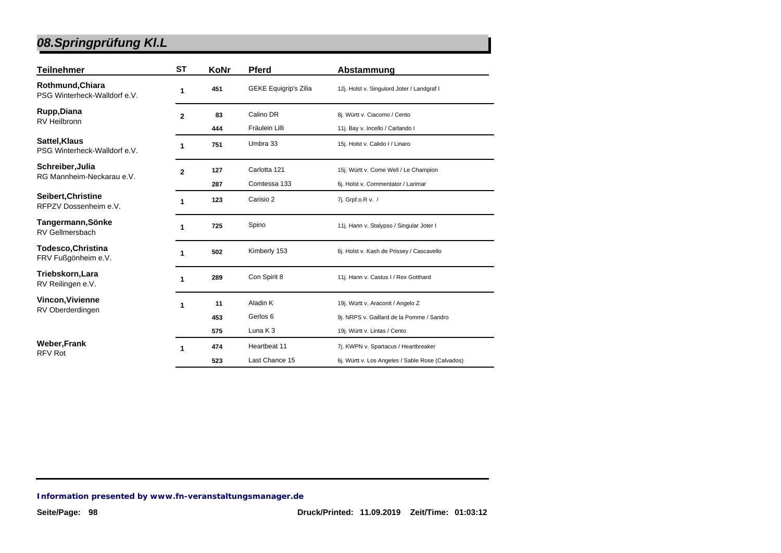| <b>Teilnehmer</b>                                | SТ             | KoNr | <b>Pferd</b>                 | Abstammung                                       |
|--------------------------------------------------|----------------|------|------------------------------|--------------------------------------------------|
| Rothmund, Chiara<br>PSG Winterheck-Walldorf e.V. | 1              | 451  | <b>GEKE Equigrip's Zilia</b> | 12j. Holst v. Singulord Joter / Landgraf I       |
| Rupp, Diana                                      | $\mathbf{2}$   | 83   | Calino DR                    | 8j. Württ v. Ciacomo / Cento                     |
| <b>RV Heilbronn</b>                              |                | 444  | Fräulein Lilli               | 11j. Bay v. Incello / Carlando I                 |
| Sattel, Klaus<br>PSG Winterheck-Walldorf e.V.    |                | 751  | Umbra 33                     | 15j. Holst v. Calido I / Linaro                  |
| Schreiber, Julia                                 | $\overline{2}$ | 127  | Carlotta 121                 | 15j. Württ v. Come Well / Le Champion            |
| RG Mannheim-Neckarau e.V.                        |                | 287  | Comtessa 133                 | 6j. Holst v. Commentator / Larimar               |
| Seibert, Christine<br>RFPZV Dossenheim e.V.      |                | 123  | Carisio 2                    | 7j. Grpf.o.R v. /                                |
| Tangermann, Sönke<br>RV Gellmersbach             |                | 725  | Spino                        | 11j. Hann v. Stalypso / Singular Joter I         |
| <b>Todesco, Christina</b><br>FRV Fußgönheim e.V. |                | 502  | Kimberly 153                 | 6j. Holst v. Kash de Prissey / Cascavello        |
| Triebskorn, Lara<br>RV Reilingen e.V.            |                | 289  | Con Spirit 8                 | 11j. Hann v. Castus I / Rex Gotthard             |
| <b>Vincon, Vivienne</b><br>RV Oberderdingen      | 1              | 11   | Aladin K                     | 19j. Württ v. Araconit / Angelo Z                |
|                                                  |                | 453  | Gerlos 6                     | 9j. NRPS v. Gaillard de la Pomme / Sandro        |
|                                                  |                | 575  | Luna $K_3$                   | 19j. Württ v. Lintas / Cento                     |
| <b>Weber, Frank</b><br><b>RFV Rot</b>            |                | 474  | Heartbeat 11                 | 7j. KWPN v. Spartacus / Heartbreaker             |
|                                                  |                | 523  | Last Chance 15               | 6j. Württ v. Los Angeles / Sable Rose (Calvados) |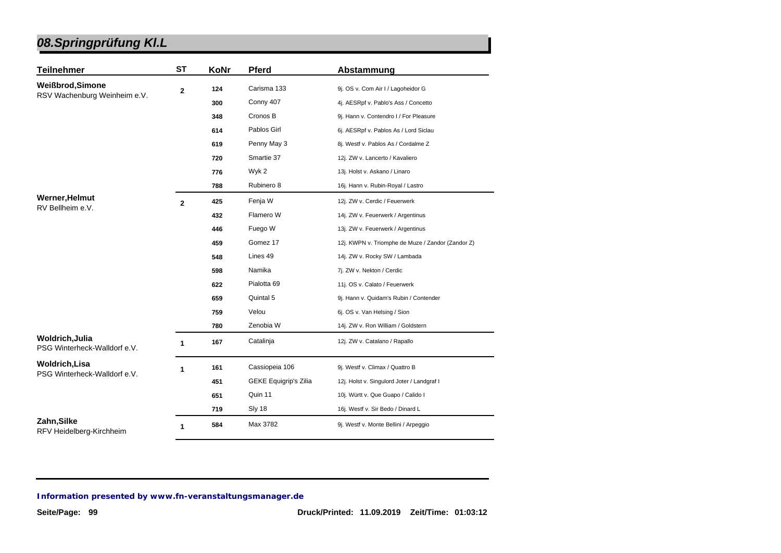| <b>Teilnehmer</b>                               | <b>ST</b>      | KoNr | <b>Pferd</b>                 | Abstammung                                        |
|-------------------------------------------------|----------------|------|------------------------------|---------------------------------------------------|
| Weißbrod, Simone                                | $\mathbf 2$    | 124  | Carisma 133                  | 9j. OS v. Com Air I / Lagoheidor G                |
| RSV Wachenburg Weinheim e.V.                    |                | 300  | Conny 407                    | 4j. AESRpf v. Pablo's Ass / Concetto              |
|                                                 |                | 348  | Cronos B                     | 9j. Hann v. Contendro I / For Pleasure            |
|                                                 |                | 614  | Pablos Girl                  | 6j. AESRpf v. Pablos As / Lord Siclau             |
|                                                 |                | 619  | Penny May 3                  | 8j. Westf v. Pablos As / Cordalme Z               |
|                                                 |                | 720  | Smartie 37                   | 12j. ZW v. Lancerto / Kavaliero                   |
|                                                 |                | 776  | Wyk 2                        | 13j. Holst v. Askano / Linaro                     |
|                                                 |                | 788  | Rubinero 8                   | 16j. Hann v. Rubin-Royal / Lastro                 |
| Werner, Helmut                                  | $\overline{2}$ | 425  | Fenja W                      | 12j. ZW v. Cerdic / Feuerwerk                     |
| RV Bellheim e.V.                                |                | 432  | Flamero W                    | 14j. ZW v. Feuerwerk / Argentinus                 |
|                                                 |                | 446  | Fuego W                      | 13j. ZW v. Feuerwerk / Argentinus                 |
|                                                 |                | 459  | Gomez 17                     | 12j. KWPN v. Triomphe de Muze / Zandor (Zandor Z) |
|                                                 |                | 548  | Lines 49                     | 14j. ZW v. Rocky SW / Lambada                     |
|                                                 |                | 598  | Namika                       | 7j. ZW v. Nekton / Cerdic                         |
|                                                 |                | 622  | Pialotta 69                  | 11j. OS v. Calato / Feuerwerk                     |
|                                                 |                | 659  | Quintal 5                    | 9j. Hann v. Quidam's Rubin / Contender            |
|                                                 |                | 759  | Velou                        | 6j. OS v. Van Helsing / Sion                      |
|                                                 |                | 780  | Zenobia W                    | 14j. ZW v. Ron William / Goldstern                |
| Woldrich, Julia<br>PSG Winterheck-Walldorf e.V. | 1              | 167  | Catalinja                    | 12j. ZW v. Catalano / Rapallo                     |
| <b>Woldrich,Lisa</b>                            | 1              | 161  | Cassiopeia 106               | 9j. Westf v. Climax / Quattro B                   |
| PSG Winterheck-Walldorf e.V.                    |                | 451  | <b>GEKE Equigrip's Zilia</b> | 12j. Holst v. Singulord Joter / Landgraf I        |
|                                                 |                | 651  | Quin 11                      | 10j. Württ v. Que Guapo / Calido I                |
|                                                 |                | 719  | Sly 18                       | 16j. Westf v. Sir Bedo / Dinard L                 |
| Zahn, Silke<br>RFV Heidelberg-Kirchheim         | 1              | 584  | Max 3782                     | 9j. Westf v. Monte Bellini / Arpeggio             |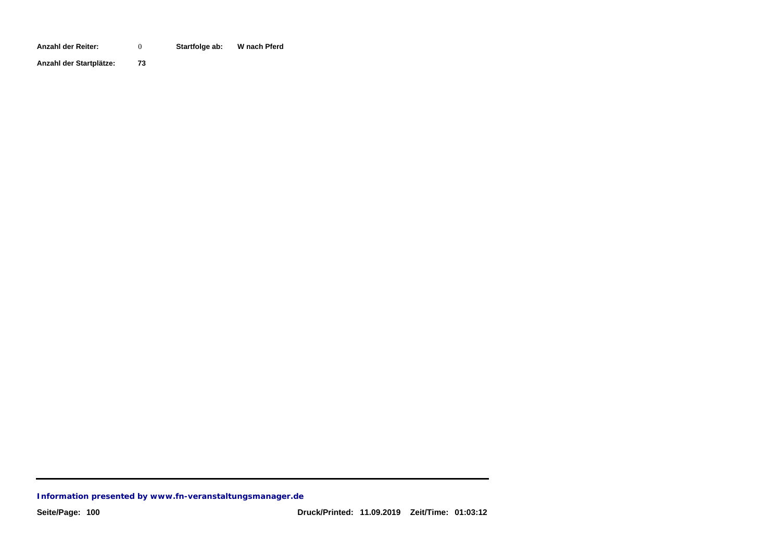**Anzahl der Reiter: Startfolge ab: W nach Pferd** 0

**Anzahl der Startplätze: 73**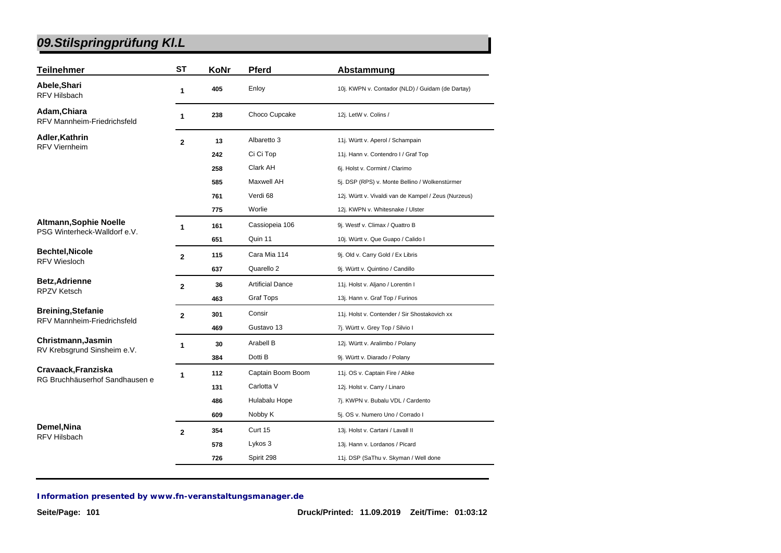| <b>Teilnehmer</b>                                  | <b>ST</b>      | KoNr | <b>Pferd</b>            | Abstammung                                           |
|----------------------------------------------------|----------------|------|-------------------------|------------------------------------------------------|
| Abele, Shari<br><b>RFV Hilsbach</b>                | 1              | 405  | Enloy                   | 10j. KWPN v. Contador (NLD) / Guidam (de Dartay)     |
| Adam, Chiara<br><b>RFV Mannheim-Friedrichsfeld</b> | 1              | 238  | Choco Cupcake           | 12j. LetW v. Colins /                                |
| Adler, Kathrin                                     | $\mathbf{2}$   | 13   | Albaretto 3             | 11j. Württ v. Aperol / Schampain                     |
| <b>RFV Viernheim</b>                               |                | 242  | Ci Ci Top               | 11j. Hann v. Contendro I / Graf Top                  |
|                                                    |                | 258  | Clark AH                | 6j. Holst v. Cormint / Clarimo                       |
|                                                    |                | 585  | Maxwell AH              | 5j. DSP (RPS) v. Monte Bellino / Wolkenstürmer       |
|                                                    |                | 761  | Verdi 68                | 12j. Württ v. Vivaldi van de Kampel / Zeus (Nurzeus) |
|                                                    |                | 775  | Worlie                  | 12j. KWPN v. Whitesnake / Ulster                     |
| <b>Altmann, Sophie Noelle</b>                      | 1              | 161  | Cassiopeia 106          | 9j. Westf v. Climax / Quattro B                      |
| PSG Winterheck-Walldorf e.V.                       |                | 651  | Quin 11                 | 10j. Württ v. Que Guapo / Calido I                   |
| <b>Bechtel, Nicole</b>                             | $\overline{2}$ | 115  | Cara Mia 114            | 9j. Old v. Carry Gold / Ex Libris                    |
| <b>RFV Wiesloch</b>                                |                | 637  | Quarello 2              | 9j. Württ v. Quintino / Candillo                     |
| <b>Betz, Adrienne</b>                              | $\mathbf{2}$   | 36   | <b>Artificial Dance</b> | 11j. Holst v. Aljano / Lorentin I                    |
| <b>RPZV Ketsch</b>                                 |                | 463  | <b>Graf Tops</b>        | 13j. Hann v. Graf Top / Furinos                      |
| <b>Breining, Stefanie</b>                          | $\overline{2}$ | 301  | Consir                  | 11j. Holst v. Contender / Sir Shostakovich xx        |
| RFV Mannheim-Friedrichsfeld                        |                | 469  | Gustavo 13              | 7j. Württ v. Grey Top / Silvio I                     |
| Christmann, Jasmin                                 | 1              | 30   | Arabell B               | 12j. Württ v. Aralimbo / Polany                      |
| RV Krebsgrund Sinsheim e.V.                        |                | 384  | Dotti B                 | 9j. Württ v. Diarado / Polany                        |
| Cravaack, Franziska                                | 1              | 112  | Captain Boom Boom       | 11j. OS v. Captain Fire / Abke                       |
| RG Bruchhäuserhof Sandhausen e                     |                | 131  | Carlotta V              | 12j. Holst v. Carry / Linaro                         |
|                                                    |                | 486  | Hulabalu Hope           | 7j. KWPN v. Bubalu VDL / Cardento                    |
|                                                    |                | 609  | Nobby K                 | 5j. OS v. Numero Uno / Corrado I                     |
| Demel, Nina                                        | $\overline{2}$ | 354  | Curt 15                 | 13j. Holst v. Cartani / Lavall II                    |
| <b>RFV Hilsbach</b>                                |                | 578  | Lykos 3                 | 13j. Hann v. Lordanos / Picard                       |
|                                                    |                | 726  | Spirit 298              | 11j. DSP (SaThu v. Skyman / Well done                |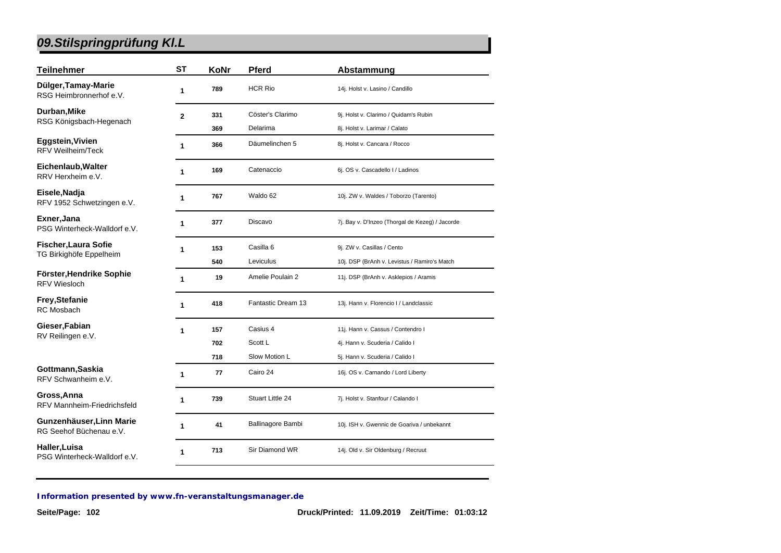| <b>Teilnehmer</b>                                   | <b>ST</b>    | KoNr | Pferd              | Abstammung                                      |
|-----------------------------------------------------|--------------|------|--------------------|-------------------------------------------------|
| Dülger, Tamay-Marie<br>RSG Heimbronnerhof e.V.      | 1            | 789  | <b>HCR Rio</b>     | 14j. Holst v. Lasino / Candillo                 |
| Durban, Mike                                        | $\mathbf{2}$ | 331  | Cöster's Clarimo   | 9j. Holst v. Clarimo / Quidam's Rubin           |
| RSG Königsbach-Hegenach                             |              | 369  | Delarima           | 8j. Holst v. Larimar / Calato                   |
| Eggstein, Vivien<br><b>RFV Weilheim/Teck</b>        | 1            | 366  | Däumelinchen 5     | 8j. Holst v. Cancara / Rocco                    |
| Eichenlaub, Walter<br>RRV Herxheim e.V.             | 1            | 169  | Catenaccio         | 6j. OS v. Cascadello I / Ladinos                |
| Eisele, Nadja<br>RFV 1952 Schwetzingen e.V.         | 1            | 767  | Waldo 62           | 10j. ZW v. Waldes / Toborzo (Tarento)           |
| Exner, Jana<br>PSG Winterheck-Walldorf e.V.         | 1            | 377  | Discavo            | 7j. Bay v. D'Inzeo (Thorgal de Kezeg) / Jacorde |
| <b>Fischer, Laura Sofie</b>                         | 1            | 153  | Casilla 6          | 9j. ZW v. Casillas / Cento                      |
| TG Birkighöfe Eppelheim                             |              | 540  | Leviculus          | 10j. DSP (BrAnh v. Levistus / Ramiro's Match    |
| Förster, Hendrike Sophie<br><b>RFV Wiesloch</b>     | 1            | 19   | Amelie Poulain 2   | 11j. DSP (BrAnh v. Asklepios / Aramis           |
| Frey, Stefanie<br><b>RC</b> Mosbach                 | 1            | 418  | Fantastic Dream 13 | 13j. Hann v. Florencio I / Landclassic          |
| Gieser, Fabian                                      | 1            | 157  | Casius 4           | 11j. Hann v. Cassus / Contendro I               |
| RV Reilingen e.V.                                   |              | 702  | Scott L            | 4j. Hann v. Scuderia / Calido I                 |
|                                                     |              | 718  | Slow Motion L      | 5j. Hann v. Scuderia / Calido I                 |
| Gottmann, Saskia<br>RFV Schwanheim e.V.             | 1            | 77   | Cairo 24           | 16j. OS v. Carnando / Lord Liberty              |
| Gross, Anna<br><b>RFV Mannheim-Friedrichsfeld</b>   | 1            | 739  | Stuart Little 24   | 7j. Holst v. Stanfour / Calando I               |
| Gunzenhäuser, Linn Marie<br>RG Seehof Büchenau e.V. | 1            | 41   | Ballinagore Bambi  | 10j. ISH v. Gwennic de Goariva / unbekannt      |
| Haller, Luisa<br>PSG Winterheck-Walldorf e.V.       | 1            | 713  | Sir Diamond WR     | 14j. Old v. Sir Oldenburg / Recruut             |
|                                                     |              |      |                    |                                                 |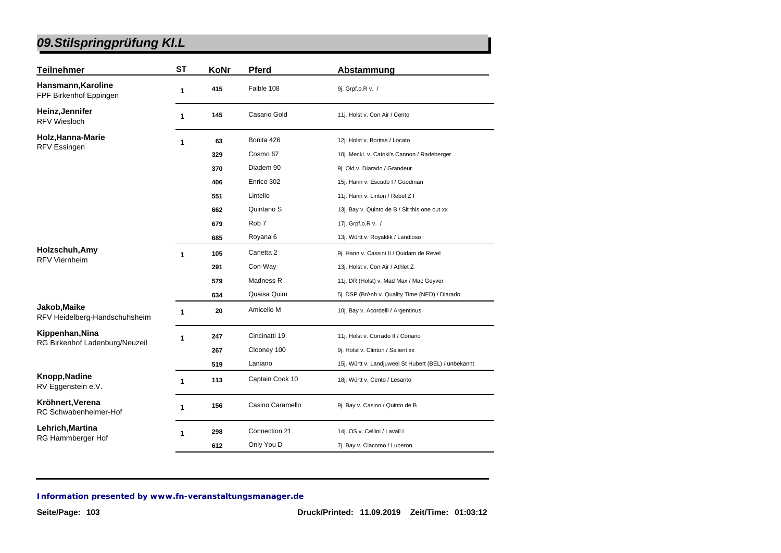| <b>Teilnehmer</b>                             | <b>ST</b> | KoNr | <b>Pferd</b>          | Abstammung                                           |
|-----------------------------------------------|-----------|------|-----------------------|------------------------------------------------------|
| Hansmann, Karoline<br>FPF Birkenhof Eppingen  | 1         | 415  | Faible 108            | 9j. Grpf.o.R v. /                                    |
| Heinz, Jennifer<br><b>RFV Wiesloch</b>        | 1         | 145  | Casario Gold          | 11j. Holst v. Con Air / Cento                        |
| Holz, Hanna-Marie                             | 1         | 63   | Bonita 426            | 12j. Holst v. Boritas / Locato                       |
| RFV Essingen                                  |           | 329  | Cosmo 67              | 10j. Meckl. v. Catoki's Cannon / Radeberger          |
|                                               |           | 370  | Diadem 90             | 9j. Old v. Diarado / Grandeur                        |
|                                               |           | 406  | Enrico 302            | 15j. Hann v. Escudo I / Goodman                      |
|                                               |           | 551  | Lintello              | 11j. Hann v. Linton / Rebel Z I                      |
|                                               |           | 662  | Quintano <sub>S</sub> | 13j. Bay v. Quinto de B / Sit this one out xx        |
|                                               |           | 679  | Rob <sub>7</sub>      | 17j. Grpf.o.R v. /                                   |
|                                               |           | 685  | Royana 6              | 13j. Württ v. Royaldik / Landioso                    |
| Holzschuh, Amy<br><b>RFV Viernheim</b>        | 1         | 105  | Canetta 2             | 9j. Hann v. Cassini II / Quidam de Revel             |
|                                               |           | 291  | Con-Way               | 13j. Holst v. Con Air / Athlet Z                     |
|                                               |           | 579  | Madness R             | 11j. DR (Holst) v. Mad Max / Mac Geyver              |
|                                               |           | 634  | Quaisa Quim           | 5j. DSP (BrAnh v. Quality Time (NED) / Diarado       |
| Jakob, Maike<br>RFV Heidelberg-Handschuhsheim | 1         | 20   | Amicello M            | 10j. Bay v. Acordelli / Argentinus                   |
| Kippenhan, Nina                               | 1         | 247  | Cincinatti 19         | 11j. Holst v. Corrado II / Coriano                   |
| RG Birkenhof Ladenburg/Neuzeil                |           | 267  | Clooney 100           | 9j. Holst v. Clinton / Salient xx                    |
|                                               |           | 519  | Laniano               | 15j. Württ v. Landjuweel St Hubert (BEL) / unbekannt |
| Knopp, Nadine<br>RV Eggenstein e.V.           | 1         | 113  | Captain Cook 10       | 18j. Württ v. Cento / Lesanto                        |
| Kröhnert, Verena<br>RC Schwabenheimer-Hof     | 1         | 156  | Casino Caramello      | 9j. Bay v. Casino / Quinto de B                      |
| Lehrich, Martina                              | 1         | 298  | Connection 21         | 14j. OS v. Cellini / Lavall I                        |
| RG Hammberger Hof                             |           | 612  | Only You D            | 7j. Bay v. Ciacomo / Luberon                         |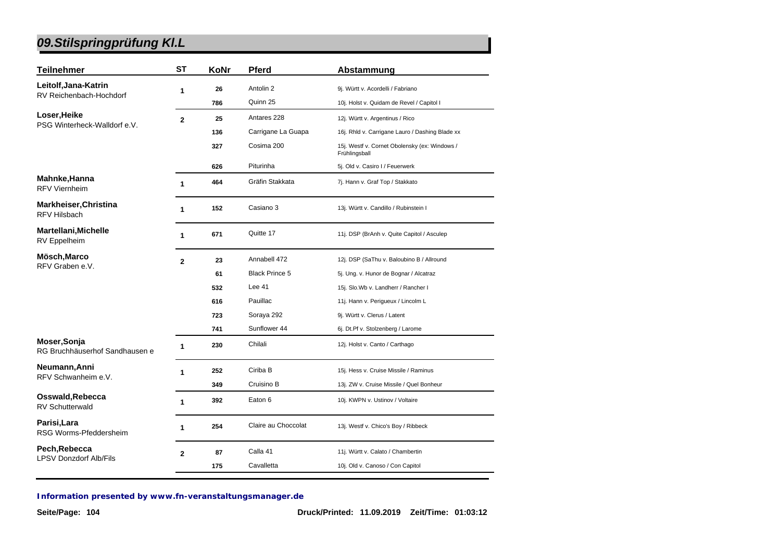| <b>Teilnehmer</b>                              | <b>ST</b>      | KoNr | <b>Pferd</b>          | Abstammung                                                     |
|------------------------------------------------|----------------|------|-----------------------|----------------------------------------------------------------|
| Leitolf, Jana-Katrin                           | 1              | 26   | Antolin 2             | 9j. Württ v. Acordelli / Fabriano                              |
| RV Reichenbach-Hochdorf                        |                | 786  | Quinn 25              | 10j. Holst v. Quidam de Revel / Capitol I                      |
| Loser, Heike                                   | $\overline{2}$ | 25   | Antares 228           | 12j. Württ v. Argentinus / Rico                                |
| PSG Winterheck-Walldorf e.V.                   |                | 136  | Carrigane La Guapa    | 16j. Rhld v. Carrigane Lauro / Dashing Blade xx                |
|                                                |                | 327  | Cosima 200            | 15j. Westf v. Cornet Obolensky (ex: Windows /<br>Frühlingsball |
|                                                |                | 626  | Piturinha             | 5j. Old v. Casiro I / Feuerwerk                                |
| Mahnke, Hanna<br><b>RFV Viernheim</b>          | $\mathbf{1}$   | 464  | Gräfin Stakkata       | 7j. Hann v. Graf Top / Stakkato                                |
| Markheiser, Christina<br><b>RFV Hilsbach</b>   | 1              | 152  | Casiano 3             | 13j. Württ v. Candillo / Rubinstein I                          |
| <b>Martellani, Michelle</b><br>RV Eppelheim    | 1              | 671  | Quitte 17             | 11j. DSP (BrAnh v. Quite Capitol / Asculep                     |
| Mösch, Marco<br>RFV Graben e.V.                | $\mathbf{2}$   | 23   | Annabell 472          | 12j. DSP (SaThu v. Baloubino B / Allround                      |
|                                                |                | 61   | <b>Black Prince 5</b> | 5j. Ung. v. Hunor de Bognar / Alcatraz                         |
|                                                |                | 532  | Lee $41$              | 15j. Slo.Wb v. Landherr / Rancher I                            |
|                                                |                | 616  | Pauillac              | 11j. Hann v. Perigueux / Lincolm L                             |
|                                                |                | 723  | Soraya 292            | 9j. Württ v. Clerus / Latent                                   |
|                                                |                | 741  | Sunflower 44          | 6j. Dt.Pf v. Stolzenberg / Larome                              |
| Moser, Sonja<br>RG Bruchhäuserhof Sandhausen e | $\mathbf 1$    | 230  | Chilali               | 12j. Holst v. Canto / Carthago                                 |
| Neumann, Anni                                  | $\mathbf{1}$   | 252  | Ciriba B              | 15j. Hess v. Cruise Missile / Raminus                          |
| RFV Schwanheim e.V.                            |                | 349  | Cruisino B            | 13j. ZW v. Cruise Missile / Quel Bonheur                       |
| Osswald, Rebecca<br><b>RV Schutterwald</b>     | 1              | 392  | Eaton 6               | 10j. KWPN v. Ustinov / Voltaire                                |
| Parisi, Lara<br>RSG Worms-Pfeddersheim         | 1              | 254  | Claire au Choccolat   | 13j. Westf v. Chico's Boy / Ribbeck                            |
| Pech, Rebecca                                  | $\mathbf{2}$   | 87   | Calla 41              | 11j. Württ v. Calato / Chambertin                              |
| <b>LPSV Donzdorf Alb/Fils</b>                  |                | 175  | Cavalletta            | 10j. Old v. Canoso / Con Capitol                               |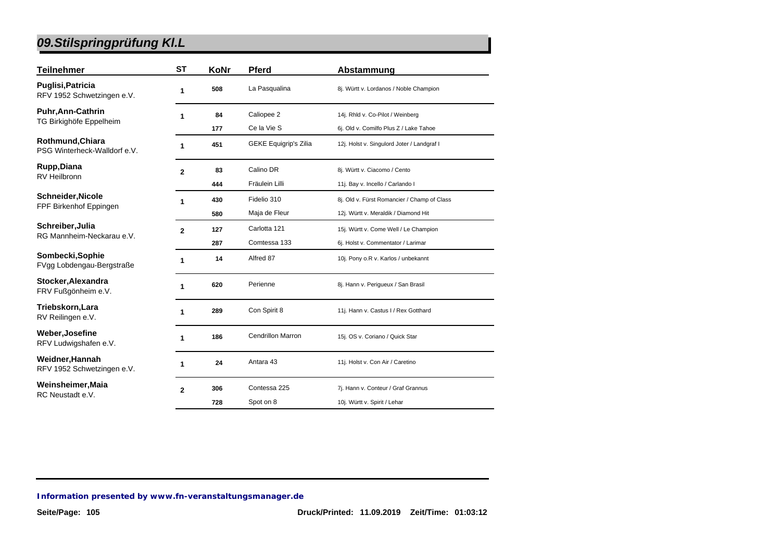| Teilnehmer                                       | ST             | KoNr | <b>Pferd</b>                 | Abstammung                                  |
|--------------------------------------------------|----------------|------|------------------------------|---------------------------------------------|
| Puglisi,Patricia<br>RFV 1952 Schwetzingen e.V.   | 1              | 508  | La Pasqualina                | 8j. Württ v. Lordanos / Noble Champion      |
| Puhr, Ann-Cathrin                                | 1              | 84   | Caliopee 2                   | 14j. Rhld v. Co-Pilot / Weinberg            |
| TG Birkighöfe Eppelheim                          |                | 177  | Ce la Vie S                  | 6j. Old v. Comilfo Plus Z / Lake Tahoe      |
| Rothmund, Chiara<br>PSG Winterheck-Walldorf e.V. | 1              | 451  | <b>GEKE Equigrip's Zilia</b> | 12j. Holst v. Singulord Joter / Landgraf I  |
| Rupp,Diana                                       | $\mathbf{2}$   | 83   | Calino DR                    | 8j. Württ v. Ciacomo / Cento                |
| RV Heilbronn                                     |                | 444  | Fräulein Lilli               | 11j. Bay v. Incello / Carlando I            |
| Schneider,Nicole                                 | 1              | 430  | Fidelio 310                  | 8j. Old v. Fürst Romancier / Champ of Class |
| FPF Birkenhof Eppingen                           |                | 580  | Maja de Fleur                | 12j. Württ v. Meraldik / Diamond Hit        |
| Schreiber,Julia<br>RG Mannheim-Neckarau e.V.     | $\overline{2}$ | 127  | Carlotta 121                 | 15j. Württ v. Come Well / Le Champion       |
|                                                  |                | 287  | Comtessa 133                 | 6j. Holst v. Commentator / Larimar          |
| Sombecki,Sophie<br>FVgg Lobdengau-Bergstraße     | 1              | 14   | Alfred 87                    | 10j. Pony o.R v. Karlos / unbekannt         |
| Stocker,Alexandra<br>FRV Fußgönheim e.V.         |                | 620  | Perienne                     | 8j. Hann v. Perigueux / San Brasil          |
| Triebskorn,Lara<br>RV Reilingen e.V.             | 1              | 289  | Con Spirit 8                 | 11j. Hann v. Castus I / Rex Gotthard        |
| Weber,Josefine<br>RFV Ludwigshafen e.V.          | 1              | 186  | <b>Cendrillon Marron</b>     | 15j. OS v. Coriano / Quick Star             |
| Weidner,Hannah<br>RFV 1952 Schwetzingen e.V.     | 1              | 24   | Antara 43                    | 11j. Holst v. Con Air / Caretino            |
| Weinsheimer,Maia                                 | $\overline{2}$ | 306  | Contessa 225                 | 7j. Hann v. Conteur / Graf Grannus          |
| RC Neustadt e.V.                                 |                | 728  | Spot on 8                    | 10j. Württ v. Spirit / Lehar                |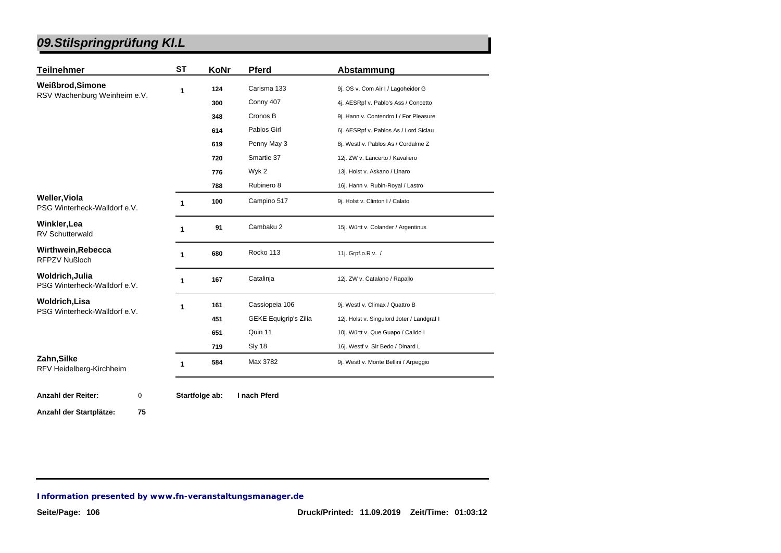| <b>Teilnehmer</b>                                    | <b>ST</b> | KoNr | <b>Pferd</b>                 | Abstammung                                 |
|------------------------------------------------------|-----------|------|------------------------------|--------------------------------------------|
| Weißbrod, Simone                                     | 1         | 124  | Carisma 133                  | 9j. OS v. Com Air I / Lagoheidor G         |
| RSV Wachenburg Weinheim e.V.                         |           | 300  | Conny 407                    | 4j. AESRpf v. Pablo's Ass / Concetto       |
|                                                      |           | 348  | Cronos B                     | 9j. Hann v. Contendro I / For Pleasure     |
|                                                      |           | 614  | Pablos Girl                  | 6j. AESRpf v. Pablos As / Lord Siclau      |
|                                                      |           | 619  | Penny May 3                  | 8j. Westf v. Pablos As / Cordalme Z        |
|                                                      |           | 720  | Smartie 37                   | 12j. ZW v. Lancerto / Kavaliero            |
|                                                      |           | 776  | Wyk 2                        | 13j. Holst v. Askano / Linaro              |
|                                                      |           | 788  | Rubinero 8                   | 16j. Hann v. Rubin-Royal / Lastro          |
| <b>Weller, Viola</b><br>PSG Winterheck-Walldorf e.V. | 1         | 100  | Campino 517                  | 9j. Holst v. Clinton I / Calato            |
| Winkler, Lea<br><b>RV Schutterwald</b>               | 1         | 91   | Cambaku 2                    | 15j. Württ v. Colander / Argentinus        |
| Wirthwein, Rebecca<br><b>RFPZV Nußloch</b>           | 1         | 680  | Rocko 113                    | 11j. Grpf.o.R v. /                         |
| Woldrich, Julia<br>PSG Winterheck-Walldorf e.V.      |           | 167  | Catalinja                    | 12j. ZW v. Catalano / Rapallo              |
| <b>Woldrich, Lisa</b>                                | 1         | 161  | Cassiopeia 106               | 9j. Westf v. Climax / Quattro B            |
| PSG Winterheck-Walldorf e.V.                         |           | 451  | <b>GEKE Equigrip's Zilia</b> | 12j. Holst v. Singulord Joter / Landgraf I |
|                                                      |           | 651  | Quin 11                      | 10j. Württ v. Que Guapo / Calido I         |
|                                                      |           | 719  | Sly 18                       | 16j. Westf v. Sir Bedo / Dinard L          |
| Zahn, Silke<br>RFV Heidelberg-Kirchheim              | 1         | 584  | Max 3782                     | 9j. Westf v. Monte Bellini / Arpeggio      |

**Anzahl der Startplätze: 75**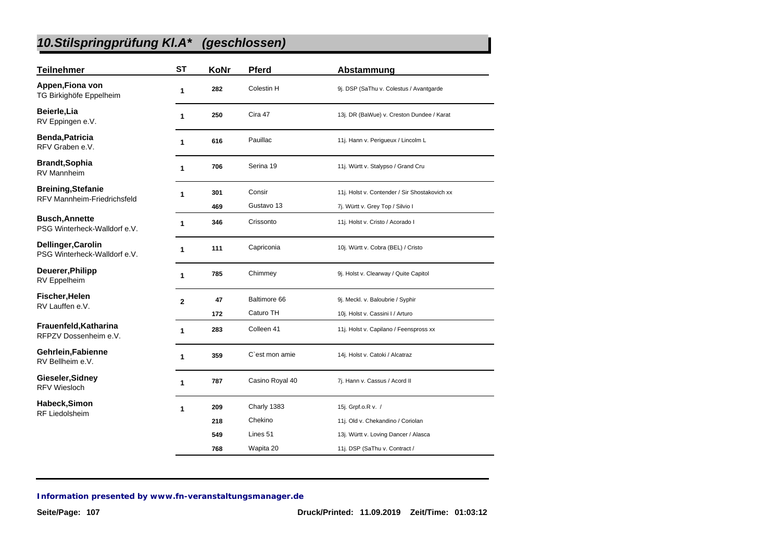# *10.Stilspringprüfung Kl.A\* (geschlossen)*

| <b>Teilnehmer</b>                                               | <b>ST</b>      | KoNr       | <b>Pferd</b>              | Abstammung                                                           |
|-----------------------------------------------------------------|----------------|------------|---------------------------|----------------------------------------------------------------------|
| Appen, Fiona von<br>TG Birkighöfe Eppelheim                     | 1              | 282        | Colestin H                | 9j. DSP (SaThu v. Colestus / Avantgarde                              |
| Beierle, Lia<br>RV Eppingen e.V.                                | 1              | 250        | Cira 47                   | 13j. DR (BaWue) v. Creston Dundee / Karat                            |
| <b>Benda, Patricia</b><br>RFV Graben e.V.                       | 1              | 616        | Pauillac                  | 11j. Hann v. Perigueux / Lincolm L                                   |
| <b>Brandt, Sophia</b><br><b>RV Mannheim</b>                     | 1              | 706        | Serina 19                 | 11j. Württ v. Stalypso / Grand Cru                                   |
| <b>Breining, Stefanie</b><br><b>RFV Mannheim-Friedrichsfeld</b> | 1              | 301        | Consir                    | 11j. Holst v. Contender / Sir Shostakovich xx                        |
| <b>Busch, Annette</b><br>PSG Winterheck-Walldorf e.V.           | 1              | 469<br>346 | Gustavo 13<br>Crissonto   | 7j. Württ v. Grey Top / Silvio I<br>11j. Holst v. Cristo / Acorado I |
| Dellinger, Carolin<br>PSG Winterheck-Walldorf e.V.              | 1              | 111        | Capriconia                | 10j. Württ v. Cobra (BEL) / Cristo                                   |
| Deuerer, Philipp<br>RV Eppelheim                                | 1              | 785        | Chimmey                   | 9j. Holst v. Clearway / Quite Capitol                                |
| Fischer, Helen<br>RV Lauffen e.V.                               | $\overline{2}$ | 47<br>172  | Baltimore 66<br>Caturo TH | 9j. Meckl. v. Baloubrie / Syphir<br>10j. Holst v. Cassini I / Arturo |
| Frauenfeld, Katharina<br>RFPZV Dossenheim e.V.                  | 1              | 283        | Colleen 41                | 11j. Holst v. Capilano / Feenspross xx                               |
| Gehrlein, Fabienne<br>RV Bellheim e.V.                          | 1              | 359        | C'est mon amie            | 14j. Holst v. Catoki / Alcatraz                                      |
| Gieseler, Sidney<br><b>RFV Wiesloch</b>                         | 1              | 787        | Casino Royal 40           | 7j. Hann v. Cassus / Acord II                                        |
| Habeck, Simon                                                   | 1              | 209        | Charly 1383               | 15j. Grpf.o.R v. /                                                   |
| <b>RF Liedolsheim</b>                                           |                | 218        | Chekino                   | 11j. Old v. Chekandino / Coriolan                                    |
|                                                                 |                | 549        | Lines 51                  | 13j. Württ v. Loving Dancer / Alasca                                 |
|                                                                 |                | 768        | Wapita 20                 | 11j. DSP (SaThu v. Contract /                                        |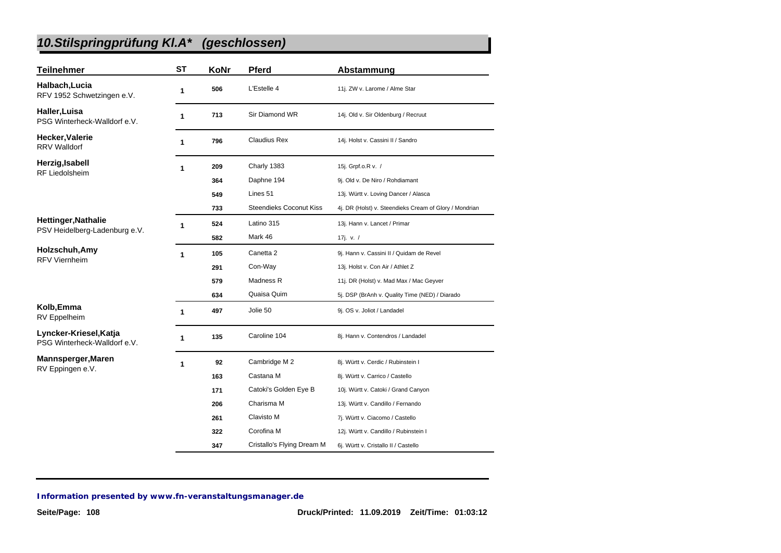# *10.Stilspringprüfung Kl.A\* (geschlossen)*

| <b>Teilnehmer</b>                                      | <b>ST</b>    | KoNr | <b>Pferd</b>                   | Abstammung                                             |
|--------------------------------------------------------|--------------|------|--------------------------------|--------------------------------------------------------|
| Halbach, Lucia<br>RFV 1952 Schwetzingen e.V.           | 1            | 506  | L'Estelle 4                    | 11j. ZW v. Larome / Alme Star                          |
| Haller, Luisa<br>PSG Winterheck-Walldorf e.V.          | 1            | 713  | Sir Diamond WR                 | 14j. Old v. Sir Oldenburg / Recruut                    |
| Hecker, Valerie<br><b>RRV Walldorf</b>                 | 1            | 796  | <b>Claudius Rex</b>            | 14j. Holst v. Cassini II / Sandro                      |
| Herzig, Isabell                                        | 1            | 209  | Charly 1383                    | 15j. Grpf.o.R v. /                                     |
| <b>RF Liedolsheim</b>                                  |              | 364  | Daphne 194                     | 9j. Old v. De Niro / Rohdiamant                        |
|                                                        |              | 549  | Lines 51                       | 13j. Württ v. Loving Dancer / Alasca                   |
|                                                        |              | 733  | <b>Steendieks Coconut Kiss</b> | 4j. DR (Holst) v. Steendieks Cream of Glory / Mondrian |
| <b>Hettinger, Nathalie</b>                             | 1            | 524  | Latino 315                     | 13j. Hann v. Lancet / Primar                           |
| PSV Heidelberg-Ladenburg e.V.                          |              | 582  | Mark 46                        | 17j. v. /                                              |
| Holzschuh, Amy<br><b>RFV Viernheim</b>                 | $\mathbf{1}$ | 105  | Canetta <sub>2</sub>           | 9j. Hann v. Cassini II / Quidam de Revel               |
|                                                        |              | 291  | Con-Way                        | 13j. Holst v. Con Air / Athlet Z                       |
|                                                        |              | 579  | Madness R                      | 11j. DR (Holst) v. Mad Max / Mac Geyver                |
|                                                        |              | 634  | Quaisa Quim                    | 5j. DSP (BrAnh v. Quality Time (NED) / Diarado         |
| Kolb, Emma<br>RV Eppelheim                             | 1            | 497  | Jolie 50                       | 9j. OS v. Joliot / Landadel                            |
| Lyncker-Kriesel, Katja<br>PSG Winterheck-Walldorf e.V. | 1            | 135  | Caroline 104                   | 8j. Hann v. Contendros / Landadel                      |
| Mannsperger, Maren                                     | 1            | 92   | Cambridge M 2                  | 8j. Württ v. Cerdic / Rubinstein I                     |
| RV Eppingen e.V.                                       |              | 163  | Castana M                      | 8j. Württ v. Carrico / Castello                        |
|                                                        |              | 171  | Catoki's Golden Eye B          | 10j. Württ v. Catoki / Grand Canyon                    |
|                                                        |              | 206  | Charisma M                     | 13j. Württ v. Candillo / Fernando                      |
|                                                        |              | 261  | Clavisto M                     | 7j. Württ v. Ciacomo / Castello                        |
|                                                        |              | 322  | Corofina M                     | 12j. Württ v. Candillo / Rubinstein I                  |
|                                                        |              | 347  | Cristallo's Flying Dream M     | 6j. Württ v. Cristallo II / Castello                   |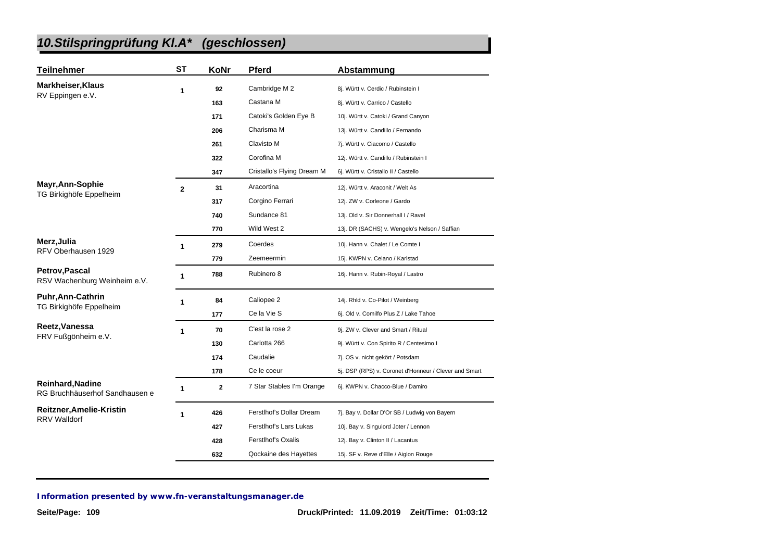| <b>Teilnehmer</b>                                     | <b>ST</b>      | KoNr           | <b>Pferd</b>               | Abstammung                                            |
|-------------------------------------------------------|----------------|----------------|----------------------------|-------------------------------------------------------|
| <b>Markheiser, Klaus</b>                              | 1              | 92             | Cambridge M 2              | 8j. Württ v. Cerdic / Rubinstein I                    |
| RV Eppingen e.V.                                      |                | 163            | Castana M                  | 8j. Württ v. Carrico / Castello                       |
|                                                       |                | 171            | Catoki's Golden Eye B      | 10j. Württ v. Catoki / Grand Canyon                   |
|                                                       |                | 206            | Charisma M                 | 13j. Württ v. Candillo / Fernando                     |
|                                                       |                | 261            | Clavisto M                 | 7j. Württ v. Ciacomo / Castello                       |
|                                                       |                | 322            | Corofina M                 | 12j. Württ v. Candillo / Rubinstein I                 |
|                                                       |                | 347            | Cristallo's Flying Dream M | 6j. Württ v. Cristallo II / Castello                  |
| Mayr, Ann-Sophie                                      | $\overline{2}$ | 31             | Aracortina                 | 12j. Württ v. Araconit / Welt As                      |
| TG Birkighöfe Eppelheim                               |                | 317            | Corgino Ferrari            | 12j. ZW v. Corleone / Gardo                           |
|                                                       |                | 740            | Sundance 81                | 13j. Old v. Sir Donnerhall I / Ravel                  |
|                                                       |                | 770            | Wild West 2                | 13j. DR (SACHS) v. Wengelo's Nelson / Saffian         |
| Merz, Julia                                           | 1              | 279            | Coerdes                    | 10j. Hann v. Chalet / Le Comte I                      |
| RFV Oberhausen 1929                                   |                | 779            | Zeemeermin                 | 15j. KWPN v. Celano / Karlstad                        |
| <b>Petrov, Pascal</b><br>RSV Wachenburg Weinheim e.V. | 1              | 788            | Rubinero 8                 | 16j. Hann v. Rubin-Royal / Lastro                     |
| <b>Puhr, Ann-Cathrin</b>                              | 1              | 84             | Caliopee 2                 | 14j. Rhld v. Co-Pilot / Weinberg                      |
| TG Birkighöfe Eppelheim                               |                | 177            | Ce la Vie S                | 6j. Old v. Comilfo Plus Z / Lake Tahoe                |
| Reetz, Vanessa                                        | $\mathbf{1}$   | 70             | C'est la rose 2            | 9j. ZW v. Clever and Smart / Ritual                   |
| FRV Fußgönheim e.V.                                   |                | 130            | Carlotta 266               | 9j. Württ v. Con Spirito R / Centesimo I              |
|                                                       |                | 174            | Caudalie                   | 7j. OS v. nicht gekört / Potsdam                      |
|                                                       |                | 178            | Ce le coeur                | 5j. DSP (RPS) v. Coronet d'Honneur / Clever and Smart |
| Reinhard, Nadine<br>RG Bruchhäuserhof Sandhausen e    | 1              | $\overline{2}$ | 7 Star Stables I'm Orange  | 6j. KWPN v. Chacco-Blue / Damiro                      |
| Reitzner, Amelie-Kristin                              | 1              | 426            | Ferstlhof's Dollar Dream   | 7j. Bay v. Dollar D'Or SB / Ludwig von Bayern         |
| <b>RRV Walldorf</b>                                   |                | 427            | Ferstlhof's Lars Lukas     | 10j. Bay v. Singulord Joter / Lennon                  |
|                                                       |                | 428            | Ferstlhof's Oxalis         | 12j. Bay v. Clinton II / Lacantus                     |
|                                                       |                | 632            | Qockaine des Hayettes      | 15j. SF v. Reve d'Elle / Aiglon Rouge                 |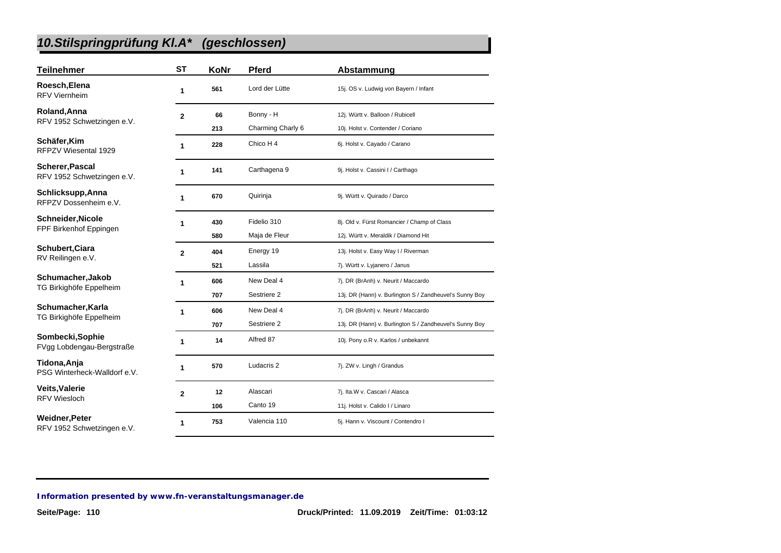| <b>Teilnehmer</b>                             | <b>ST</b>    | KoNr | <b>Pferd</b>      | Abstammung                                              |
|-----------------------------------------------|--------------|------|-------------------|---------------------------------------------------------|
| Roesch, Elena<br><b>RFV Viernheim</b>         | 1            | 561  | Lord der Lütte    | 15j. OS v. Ludwig von Bayern / Infant                   |
| Roland, Anna                                  | $\mathbf{2}$ | 66   | Bonny - H         | 12j. Württ v. Balloon / Rubicell                        |
| RFV 1952 Schwetzingen e.V.                    |              | 213  | Charming Charly 6 | 10j. Holst v. Contender / Coriano                       |
| Schäfer, Kim<br>RFPZV Wiesental 1929          | 1            | 228  | Chico H 4         | 6j. Holst v. Cayado / Carano                            |
| Scherer, Pascal<br>RFV 1952 Schwetzingen e.V. | 1            | 141  | Carthagena 9      | 9j. Holst v. Cassini I / Carthago                       |
| Schlicksupp, Anna<br>RFPZV Dossenheim e.V.    | 1            | 670  | Quirinja          | 9j. Württ v. Quirado / Darco                            |
| Schneider, Nicole                             | 1            | 430  | Fidelio 310       | 8j. Old v. Fürst Romancier / Champ of Class             |
| FPF Birkenhof Eppingen                        |              | 580  | Maja de Fleur     | 12j. Württ v. Meraldik / Diamond Hit                    |
| Schubert, Ciara                               | $\mathbf{2}$ | 404  | Energy 19         | 13j. Holst v. Easy Way I / Riverman                     |
| RV Reilingen e.V.                             |              | 521  | Lassila           | 7j. Württ v. Lyjanero / Janus                           |
| Schumacher, Jakob                             | 1            | 606  | New Deal 4        | 7j. DR (BrAnh) v. Neurit / Maccardo                     |
| TG Birkighöfe Eppelheim                       |              | 707  | Sestriere 2       | 13j. DR (Hann) v. Burlington S / Zandheuvel's Sunny Boy |
| Schumacher, Karla                             | 1            | 606  | New Deal 4        | 7j. DR (BrAnh) v. Neurit / Maccardo                     |
| TG Birkighöfe Eppelheim                       |              | 707  | Sestriere 2       | 13j. DR (Hann) v. Burlington S / Zandheuvel's Sunny Boy |
| Sombecki, Sophie<br>FVgg Lobdengau-Bergstraße | 1            | 14   | Alfred 87         | 10j. Pony o.R v. Karlos / unbekannt                     |
| Tidona, Anja<br>PSG Winterheck-Walldorf e.V.  | 1            | 570  | Ludacris 2        | 7j. ZW v. Lingh / Grandus                               |
| <b>Veits, Valerie</b>                         | $\mathbf{2}$ | 12   | Alascari          | 7j. Ita.W v. Cascari / Alasca                           |
| <b>RFV Wiesloch</b>                           |              | 106  | Canto 19          | 11j. Holst v. Calido I / Linaro                         |
| Weidner, Peter<br>RFV 1952 Schwetzingen e.V.  | 1            | 753  | Valencia 110      | 5j. Hann v. Viscount / Contendro I                      |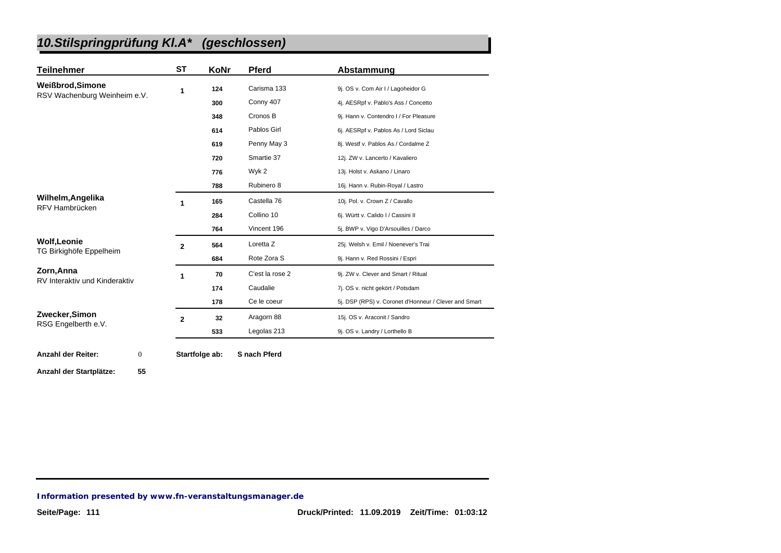| <b>Teilnehmer</b>                             | <b>ST</b>    | KoNr           | <b>Pferd</b>    | Abstammung                                            |
|-----------------------------------------------|--------------|----------------|-----------------|-------------------------------------------------------|
| <b>Weißbrod, Simone</b>                       | 1            | 124            | Carisma 133     | 9j. OS v. Com Air I / Lagoheidor G                    |
| RSV Wachenburg Weinheim e.V.                  |              | 300            | Conny 407       | 4j. AESRpf v. Pablo's Ass / Concetto                  |
|                                               |              | 348            | Cronos B        | 9j. Hann v. Contendro I / For Pleasure                |
|                                               |              | 614            | Pablos Girl     | 6j. AESRpf v. Pablos As / Lord Siclau                 |
|                                               |              | 619            | Penny May 3     | 8j. Westf v. Pablos As / Cordalme Z                   |
|                                               |              | 720            | Smartie 37      | 12j. ZW v. Lancerto / Kavaliero                       |
|                                               |              | 776            | Wyk 2           | 13j. Holst v. Askano / Linaro                         |
|                                               |              | 788            | Rubinero 8      | 16j. Hann v. Rubin-Royal / Lastro                     |
| Wilhelm, Angelika                             | 1            | 165            | Castella 76     | 10j. Pol. v. Crown Z / Cavallo                        |
| RFV Hambrücken                                |              | 284            | Collino 10      | 6j. Württ v. Calido I / Cassini II                    |
|                                               |              | 764            | Vincent 196     | 5j. BWP v. Vigo D'Arsouilles / Darco                  |
| <b>Wolf, Leonie</b>                           | $\mathbf{2}$ | 564            | Loretta Z       | 25j. Welsh v. Emil / Noenever's Trai                  |
| TG Birkighöfe Eppelheim                       |              | 684            | Rote Zora S     | 9j. Hann v. Red Rossini / Espri                       |
| Zorn, Anna                                    | 1            | 70             | C'est la rose 2 | 9j. ZW v. Clever and Smart / Ritual                   |
| RV Interaktiv und Kinderaktiv                 |              | 174            | Caudalie        | 7j. OS v. nicht gekört / Potsdam                      |
|                                               |              | 178            | Ce le coeur     | 5j. DSP (RPS) v. Coronet d'Honneur / Clever and Smart |
| Zwecker, Simon<br>RSG Engelberth e.V.         | $\mathbf{2}$ | 32             | Aragorn 88      | 15j. OS v. Araconit / Sandro                          |
|                                               |              | 533            | Legolas 213     | 9j. OS v. Landry / Lorthello B                        |
|                                               |              |                |                 |                                                       |
| <b>Anzahl der Reiter:</b><br>$\boldsymbol{0}$ |              | Startfolge ab: | S nach Pferd    |                                                       |
| Anzahl der Startplätze:<br>55                 |              |                |                 |                                                       |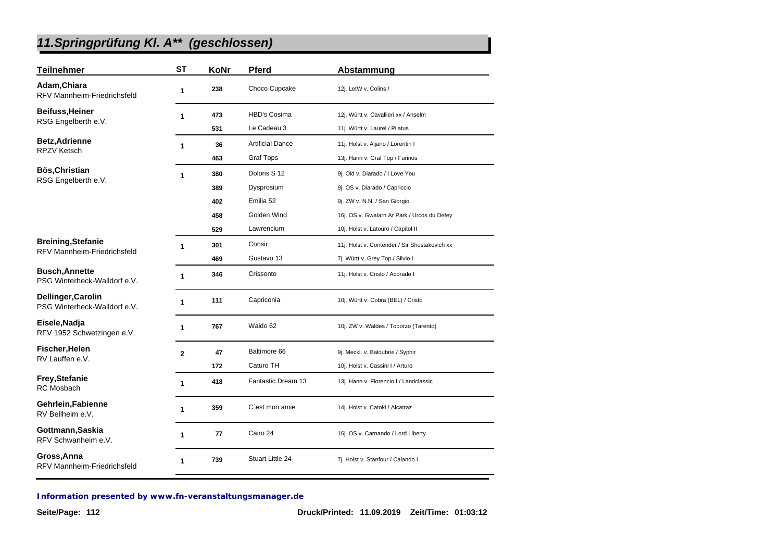| <b>Teilnehmer</b>                                     | <b>ST</b>    | KoNr | <b>Pferd</b>            | Abstammung                                    |
|-------------------------------------------------------|--------------|------|-------------------------|-----------------------------------------------|
| Adam, Chiara<br>RFV Mannheim-Friedrichsfeld           | 1            | 238  | Choco Cupcake           | 12j. LetW v. Colins /                         |
| <b>Beifuss, Heiner</b>                                | 1            | 473  | <b>HBD's Cosima</b>     | 12j. Württ v. Cavallieri xx / Anselm          |
| RSG Engelberth e.V.                                   |              | 531  | Le Cadeau 3             | 11j. Württ v. Laurel / Pilatus                |
| <b>Betz, Adrienne</b>                                 | 1            | 36   | <b>Artificial Dance</b> | 11j. Holst v. Aljano / Lorentin I             |
| <b>RPZV Ketsch</b>                                    |              | 463  | <b>Graf Tops</b>        | 13j. Hann v. Graf Top / Furinos               |
| Bös, Christian                                        | $\mathbf{1}$ | 380  | Doloris S 12            | 9j. Old v. Diarado / I Love You               |
| RSG Engelberth e.V.                                   |              | 389  | Dysprosium              | 9j. OS v. Diarado / Capriccio                 |
|                                                       |              | 402  | Emilia 52               | 9j. ZW v. N.N. / San Giorgio                  |
|                                                       |              | 458  | Golden Wind             | 16j. OS v. Gwalarn Ar Park / Urcos du Defey   |
|                                                       |              | 529  | Lawrencium              | 10j. Holst v. Latouro / Capitol II            |
| <b>Breining, Stefanie</b>                             | 1            | 301  | Consir                  | 11j. Holst v. Contender / Sir Shostakovich xx |
| <b>RFV Mannheim-Friedrichsfeld</b>                    |              | 469  | Gustavo 13              | 7j. Württ v. Grey Top / Silvio I              |
| <b>Busch, Annette</b><br>PSG Winterheck-Walldorf e.V. | 1            | 346  | Crissonto               | 11j. Holst v. Cristo / Acorado I              |
| Dellinger, Carolin<br>PSG Winterheck-Walldorf e.V.    | 1            | 111  | Capriconia              | 10j. Württ v. Cobra (BEL) / Cristo            |
| Eisele, Nadja<br>RFV 1952 Schwetzingen e.V.           | 1            | 767  | Waldo 62                | 10j. ZW v. Waldes / Toborzo (Tarento)         |
| Fischer, Helen                                        | $\mathbf{2}$ | 47   | Baltimore 66            | 9j. Meckl. v. Baloubrie / Syphir              |
| RV Lauffen e.V.                                       |              | 172  | Caturo TH               | 10j. Holst v. Cassini I / Arturo              |
| <b>Frey, Stefanie</b><br><b>RC</b> Mosbach            | 1            | 418  | Fantastic Dream 13      | 13j. Hann v. Florencio I / Landclassic        |
| Gehrlein, Fabienne<br>RV Bellheim e.V.                | 1            | 359  | C'est mon amie          | 14j. Holst v. Catoki / Alcatraz               |
| Gottmann, Saskia<br>RFV Schwanheim e.V.               | 1            | 77   | Cairo 24                | 16j. OS v. Carnando / Lord Liberty            |
| Gross, Anna<br><b>RFV Mannheim-Friedrichsfeld</b>     | 1            | 739  | Stuart Little 24        | 7j. Holst v. Stanfour / Calando I             |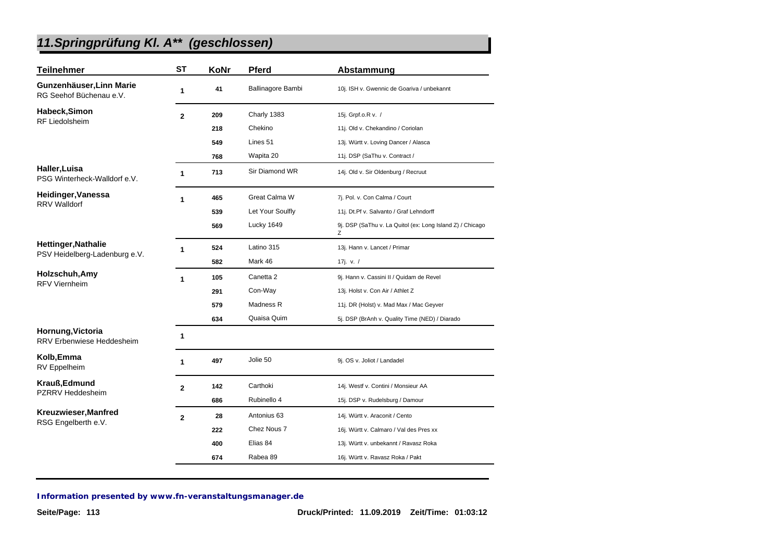| <b>Teilnehmer</b>                                     | <b>ST</b>      | KoNr | <b>Pferd</b>      | Abstammung                                                     |
|-------------------------------------------------------|----------------|------|-------------------|----------------------------------------------------------------|
| Gunzenhäuser, Linn Marie<br>RG Seehof Büchenau e.V.   | 1              | 41   | Ballinagore Bambi | 10j. ISH v. Gwennic de Goariva / unbekannt                     |
| Habeck, Simon                                         | $\overline{2}$ | 209  | Charly 1383       | 15j. Grpf.o.R v. /                                             |
| <b>RF Liedolsheim</b>                                 |                | 218  | Chekino           | 11j. Old v. Chekandino / Coriolan                              |
|                                                       |                | 549  | Lines 51          | 13j. Württ v. Loving Dancer / Alasca                           |
|                                                       |                | 768  | Wapita 20         | 11j. DSP (SaThu v. Contract /                                  |
| Haller, Luisa<br>PSG Winterheck-Walldorf e.V.         | 1              | 713  | Sir Diamond WR    | 14j. Old v. Sir Oldenburg / Recruut                            |
| Heidinger, Vanessa                                    | 1              | 465  | Great Calma W     | 7j. Pol. v. Con Calma / Court                                  |
| <b>RRV Walldorf</b>                                   |                | 539  | Let Your Soulfly  | 11j. Dt.Pf v. Salvanto / Graf Lehndorff                        |
|                                                       |                | 569  | Lucky 1649        | 9j. DSP (SaThu v. La Quitol (ex: Long Island Z) / Chicago<br>Ζ |
| <b>Hettinger, Nathalie</b>                            | $\mathbf{1}$   | 524  | Latino 315        | 13j. Hann v. Lancet / Primar                                   |
| PSV Heidelberg-Ladenburg e.V.                         |                | 582  | Mark 46           | 17j. v. $/$                                                    |
| Holzschuh, Amy<br><b>RFV Viernheim</b>                | $\mathbf{1}$   | 105  | Canetta 2         | 9j. Hann v. Cassini II / Quidam de Revel                       |
|                                                       |                | 291  | Con-Way           | 13j. Holst v. Con Air / Athlet Z                               |
|                                                       |                | 579  | Madness R         | 11j. DR (Holst) v. Mad Max / Mac Geyver                        |
|                                                       |                | 634  | Quaisa Quim       | 5j. DSP (BrAnh v. Quality Time (NED) / Diarado                 |
| Hornung, Victoria<br><b>RRV Erbenwiese Heddesheim</b> | $\mathbf{1}$   |      |                   |                                                                |
| Kolb, Emma<br><b>RV</b> Eppelheim                     | 1              | 497  | Jolie 50          | 9j. OS v. Joliot / Landadel                                    |
| Krauß, Edmund                                         | $\overline{2}$ | 142  | Carthoki          | 14j. Westf v. Contini / Monsieur AA                            |
| <b>PZRRV Heddesheim</b>                               |                | 686  | Rubinello 4       | 15j. DSP v. Rudelsburg / Damour                                |
| Kreuzwieser, Manfred                                  | $\mathbf{2}$   | 28   | Antonius 63       | 14j. Württ v. Araconit / Cento                                 |
| RSG Engelberth e.V.                                   |                | 222  | Chez Nous 7       | 16j. Württ v. Calmaro / Val des Pres xx                        |
|                                                       |                | 400  | Elias 84          | 13j. Württ v. unbekannt / Ravasz Roka                          |
|                                                       |                | 674  | Rabea 89          | 16j. Württ v. Ravasz Roka / Pakt                               |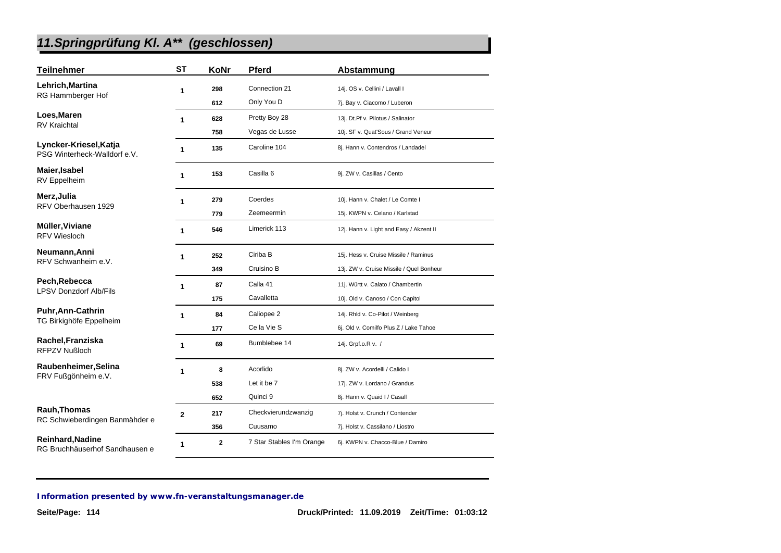| <b>Teilnehmer</b>                                      | <b>ST</b>      | KoNr | <b>Pferd</b>              | Abstammung                               |
|--------------------------------------------------------|----------------|------|---------------------------|------------------------------------------|
| Lehrich, Martina                                       | 1              | 298  | Connection 21             | 14j. OS v. Cellini / Lavall I            |
| RG Hammberger Hof                                      |                | 612  | Only You D                | 7j. Bay v. Ciacomo / Luberon             |
| Loes, Maren                                            | 1              | 628  | Pretty Boy 28             | 13j. Dt.Pf v. Pilotus / Salinator        |
| <b>RV Kraichtal</b>                                    |                | 758  | Vegas de Lusse            | 10j. SF v. Quat'Sous / Grand Veneur      |
| Lyncker-Kriesel, Katja<br>PSG Winterheck-Walldorf e.V. | 1              | 135  | Caroline 104              | 8j. Hann v. Contendros / Landadel        |
| Maier, Isabel<br>RV Eppelheim                          | 1              | 153  | Casilla 6                 | 9j. ZW v. Casillas / Cento               |
| Merz, Julia                                            | 1              | 279  | Coerdes                   | 10j. Hann v. Chalet / Le Comte I         |
| RFV Oberhausen 1929                                    |                | 779  | Zeemeermin                | 15j. KWPN v. Celano / Karlstad           |
| Müller, Viviane<br><b>RFV Wiesloch</b>                 | 1              | 546  | Limerick 113              | 12j. Hann v. Light and Easy / Akzent II  |
| Neumann, Anni                                          | 1              | 252  | Ciriba B                  | 15j. Hess v. Cruise Missile / Raminus    |
| RFV Schwanheim e.V.                                    |                | 349  | Cruisino B                | 13j. ZW v. Cruise Missile / Quel Bonheur |
| Pech, Rebecca                                          | 1              | 87   | Calla 41                  | 11j. Württ v. Calato / Chambertin        |
| <b>LPSV Donzdorf Alb/Fils</b>                          |                | 175  | Cavalletta                | 10j. Old v. Canoso / Con Capitol         |
| <b>Puhr, Ann-Cathrin</b>                               | 1              | 84   | Caliopee 2                | 14j. Rhld v. Co-Pilot / Weinberg         |
| TG Birkighöfe Eppelheim                                |                | 177  | Ce la Vie S               | 6j. Old v. Comilfo Plus Z / Lake Tahoe   |
| Rachel, Franziska<br>RFPZV Nußloch                     | 1              | 69   | Bumblebee 14              | 14j. Grpf.o.R v. /                       |
| Raubenheimer, Selina                                   | 1              | 8    | Acorlido                  | 8j. ZW v. Acordelli / Calido I           |
| FRV Fußgönheim e.V.                                    |                | 538  | Let it be 7               | 17j. ZW v. Lordano / Grandus             |
|                                                        |                | 652  | Quinci 9                  | 8j. Hann v. Quaid I / Casall             |
| Rauh, Thomas                                           | $\overline{2}$ | 217  | Checkvierundzwanzig       | 7j. Holst v. Crunch / Contender          |
| RC Schwieberdingen Banmähder e                         |                | 356  | Cuusamo                   | 7j. Holst v. Cassilano / Liostro         |
| Reinhard, Nadine<br>RG Bruchhäuserhof Sandhausen e     | 1              | 2    | 7 Star Stables I'm Orange | 6j. KWPN v. Chacco-Blue / Damiro         |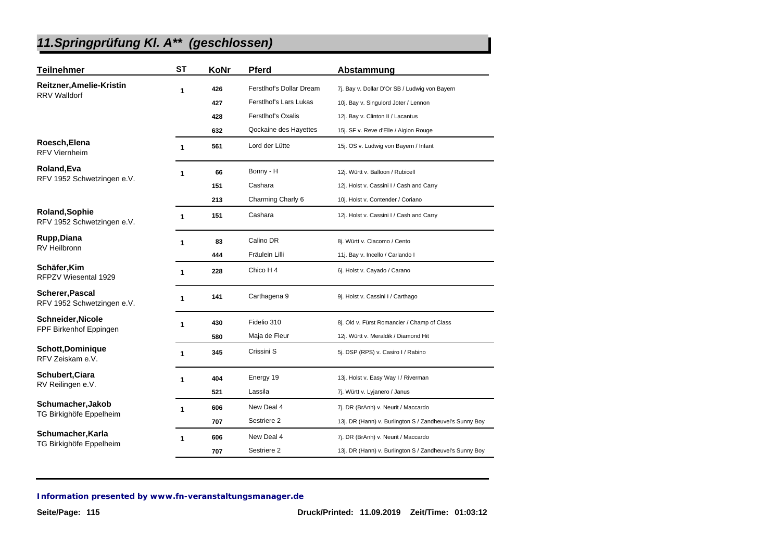| <b>Teilnehmer</b>                             | <b>ST</b>    | KoNr | Pferd                    | Abstammung                                              |
|-----------------------------------------------|--------------|------|--------------------------|---------------------------------------------------------|
| Reitzner, Amelie-Kristin                      | 1            | 426  | Ferstlhof's Dollar Dream | 7j. Bay v. Dollar D'Or SB / Ludwig von Bayern           |
| <b>RRV Walldorf</b>                           |              | 427  | Ferstlhof's Lars Lukas   | 10j. Bay v. Singulord Joter / Lennon                    |
|                                               |              | 428  | Ferstlhof's Oxalis       | 12j. Bay v. Clinton II / Lacantus                       |
|                                               |              | 632  | Qockaine des Hayettes    | 15j. SF v. Reve d'Elle / Aiglon Rouge                   |
| Roesch, Elena<br><b>RFV Viernheim</b>         | $\mathbf{1}$ | 561  | Lord der Lütte           | 15j. OS v. Ludwig von Bayern / Infant                   |
| Roland, Eva                                   | 1            | 66   | Bonny - H                | 12j. Württ v. Balloon / Rubicell                        |
| RFV 1952 Schwetzingen e.V.                    |              | 151  | Cashara                  | 12j. Holst v. Cassini I / Cash and Carry                |
|                                               |              | 213  | Charming Charly 6        | 10j. Holst v. Contender / Coriano                       |
| Roland, Sophie<br>RFV 1952 Schwetzingen e.V.  | 1            | 151  | Cashara                  | 12j. Holst v. Cassini I / Cash and Carry                |
| Rupp, Diana                                   | 1            | 83   | Calino DR                | 8j. Württ v. Ciacomo / Cento                            |
| <b>RV Heilbronn</b>                           |              | 444  | Fräulein Lilli           | 11j. Bay v. Incello / Carlando I                        |
| Schäfer, Kim<br>RFPZV Wiesental 1929          | 1            | 228  | Chico H 4                | 6j. Holst v. Cayado / Carano                            |
| Scherer, Pascal<br>RFV 1952 Schwetzingen e.V. | 1            | 141  | Carthagena 9             | 9j. Holst v. Cassini I / Carthago                       |
| <b>Schneider, Nicole</b>                      | 1            | 430  | Fidelio 310              | 8j. Old v. Fürst Romancier / Champ of Class             |
| FPF Birkenhof Eppingen                        |              | 580  | Maja de Fleur            | 12j. Württ v. Meraldik / Diamond Hit                    |
| <b>Schott,Dominique</b><br>RFV Zeiskam e.V.   | 1            | 345  | Crissini S               | 5j. DSP (RPS) v. Casiro I / Rabino                      |
| <b>Schubert, Ciara</b>                        | 1            | 404  | Energy 19                | 13j. Holst v. Easy Way I / Riverman                     |
| RV Reilingen e.V.                             |              | 521  | Lassila                  | 7j. Württ v. Lyjanero / Janus                           |
| Schumacher, Jakob                             | 1            | 606  | New Deal 4               | 7j. DR (BrAnh) v. Neurit / Maccardo                     |
| TG Birkighöfe Eppelheim                       |              | 707  | Sestriere 2              | 13j. DR (Hann) v. Burlington S / Zandheuvel's Sunny Boy |
| Schumacher, Karla<br>TG Birkighöfe Eppelheim  | 1            | 606  | New Deal 4               | 7j. DR (BrAnh) v. Neurit / Maccardo                     |
|                                               |              | 707  | Sestriere 2              | 13j. DR (Hann) v. Burlington S / Zandheuvel's Sunny Boy |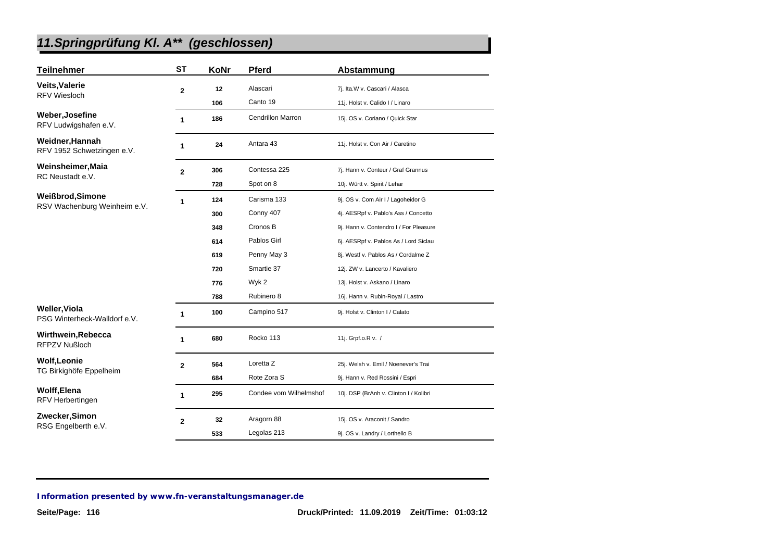| <b>Teilnehmer</b>                                    | <b>ST</b>      | KoNr | <b>Pferd</b>             | Abstammung                             |
|------------------------------------------------------|----------------|------|--------------------------|----------------------------------------|
| <b>Veits, Valerie</b>                                | $\mathbf 2$    | 12   | Alascari                 | 7j. Ita.W v. Cascari / Alasca          |
| <b>RFV Wiesloch</b>                                  |                | 106  | Canto 19                 | 11j. Holst v. Calido I / Linaro        |
| Weber, Josefine<br>RFV Ludwigshafen e.V.             | 1              | 186  | <b>Cendrillon Marron</b> | 15j. OS v. Coriano / Quick Star        |
| Weidner, Hannah<br>RFV 1952 Schwetzingen e.V.        | 1              | 24   | Antara 43                | 11j. Holst v. Con Air / Caretino       |
| Weinsheimer, Maia                                    | $\mathbf{2}$   | 306  | Contessa 225             | 7j. Hann v. Conteur / Graf Grannus     |
| RC Neustadt e.V.                                     |                | 728  | Spot on 8                | 10j. Württ v. Spirit / Lehar           |
| Weißbrod, Simone                                     | 1              | 124  | Carisma 133              | 9j. OS v. Com Air I / Lagoheidor G     |
| RSV Wachenburg Weinheim e.V.                         |                | 300  | Conny 407                | 4j. AESRpf v. Pablo's Ass / Concetto   |
|                                                      |                | 348  | Cronos B                 | 9j. Hann v. Contendro I / For Pleasure |
|                                                      |                | 614  | Pablos Girl              | 6j. AESRpf v. Pablos As / Lord Siclau  |
|                                                      |                | 619  | Penny May 3              | 8j. Westf v. Pablos As / Cordalme Z    |
|                                                      |                | 720  | Smartie 37               | 12j. ZW v. Lancerto / Kavaliero        |
|                                                      |                | 776  | Wyk 2                    | 13j. Holst v. Askano / Linaro          |
|                                                      |                | 788  | Rubinero 8               | 16j. Hann v. Rubin-Royal / Lastro      |
| <b>Weller, Viola</b><br>PSG Winterheck-Walldorf e.V. | 1              | 100  | Campino 517              | 9j. Holst v. Clinton I / Calato        |
| Wirthwein, Rebecca<br><b>RFPZV Nußloch</b>           | 1              | 680  | Rocko 113                | 11j. Grpf.o.R v. /                     |
| <b>Wolf, Leonie</b>                                  | $\overline{2}$ | 564  | Loretta Z                | 25j. Welsh v. Emil / Noenever's Trai   |
| TG Birkighöfe Eppelheim                              |                | 684  | Rote Zora S              | 9j. Hann v. Red Rossini / Espri        |
| <b>Wolff, Elena</b><br><b>RFV Herbertingen</b>       | 1              | 295  | Condee vom Wilhelmshof   | 10j. DSP (BrAnh v. Clinton I / Kolibri |
| Zwecker, Simon                                       | $\overline{2}$ | 32   | Aragorn 88               | 15j. OS v. Araconit / Sandro           |
| RSG Engelberth e.V.                                  |                | 533  | Legolas 213              | 9j. OS v. Landry / Lorthello B         |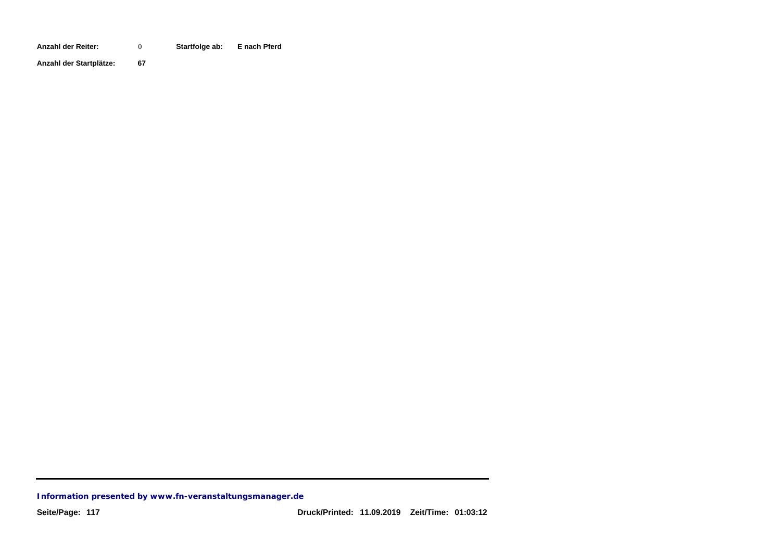**Anzahl der Reiter: Startfolge ab: E nach Pferd** 0

**Anzahl der Startplätze: 67**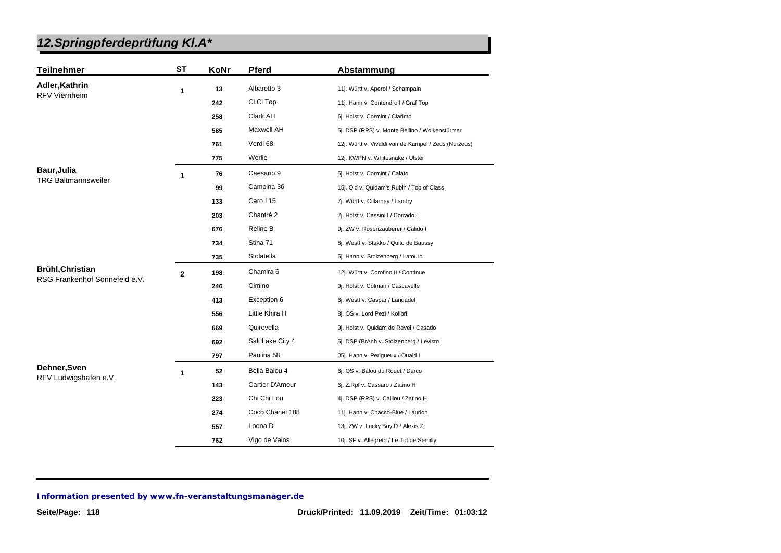| <b>Teilnehmer</b>                                        | ST           | KoNr | <b>Pferd</b>     | Abstammung                                           |
|----------------------------------------------------------|--------------|------|------------------|------------------------------------------------------|
| Adler, Kathrin                                           | 1            | 13   | Albaretto 3      | 11j. Württ v. Aperol / Schampain                     |
| <b>RFV Viernheim</b>                                     |              | 242  | Ci Ci Top        | 11j. Hann v. Contendro I / Graf Top                  |
|                                                          |              | 258  | Clark AH         | 6j. Holst v. Cormint / Clarimo                       |
|                                                          |              | 585  | Maxwell AH       | 5j. DSP (RPS) v. Monte Bellino / Wolkenstürmer       |
|                                                          |              | 761  | Verdi 68         | 12j. Württ v. Vivaldi van de Kampel / Zeus (Nurzeus) |
|                                                          |              | 775  | Worlie           | 12j. KWPN v. Whitesnake / Ulster                     |
| <b>Baur, Julia</b>                                       | 1            | 76   | Caesario 9       | 5j. Holst v. Cormint / Calato                        |
| <b>TRG Baltmannsweiler</b>                               |              | 99   | Campina 36       | 15j. Old v. Quidam's Rubin / Top of Class            |
|                                                          |              | 133  | <b>Caro 115</b>  | 7j. Württ v. Cillarney / Landry                      |
|                                                          |              | 203  | Chantré 2        | 7j. Holst v. Cassini I / Corrado I                   |
|                                                          |              | 676  | Reline B         | 9j. ZW v. Rosenzauberer / Calido I                   |
|                                                          |              | 734  | Stina 71         | 8j. Westf v. Stakko / Quito de Baussy                |
|                                                          |              | 735  | Stolatella       | 5j. Hann v. Stolzenberg / Latouro                    |
| <b>Brühl, Christian</b><br>RSG Frankenhof Sonnefeld e.V. | $\mathbf{2}$ | 198  | Chamira 6        | 12j. Württ v. Corofino II / Continue                 |
|                                                          |              | 246  | Cimino           | 9j. Holst v. Colman / Cascavelle                     |
|                                                          |              | 413  | Exception 6      | 6j. Westf v. Caspar / Landadel                       |
|                                                          |              | 556  | Little Khira H   | 8j. OS v. Lord Pezi / Kolibri                        |
|                                                          |              | 669  | Quirevella       | 9j. Holst v. Quidam de Revel / Casado                |
|                                                          |              | 692  | Salt Lake City 4 | 5j. DSP (BrAnh v. Stolzenberg / Levisto              |
|                                                          |              | 797  | Paulina 58       | 05j. Hann v. Perigueux / Quaid I                     |
| Dehner, Sven                                             | 1            | 52   | Bella Balou 4    | 6j. OS v. Balou du Rouet / Darco                     |
| RFV Ludwigshafen e.V.                                    |              | 143  | Cartier D'Amour  | 6j. Z.Rpf v. Cassaro / Zatino H                      |
|                                                          |              | 223  | Chi Chi Lou      | 4j. DSP (RPS) v. Caillou / Zatino H                  |
|                                                          |              | 274  | Coco Chanel 188  | 11j. Hann v. Chacco-Blue / Laurion                   |
|                                                          |              | 557  | Loona D          | 13j. ZW v. Lucky Boy D / Alexis Z                    |
|                                                          |              | 762  | Vigo de Vains    | 10j. SF v. Allegreto / Le Tot de Semilly             |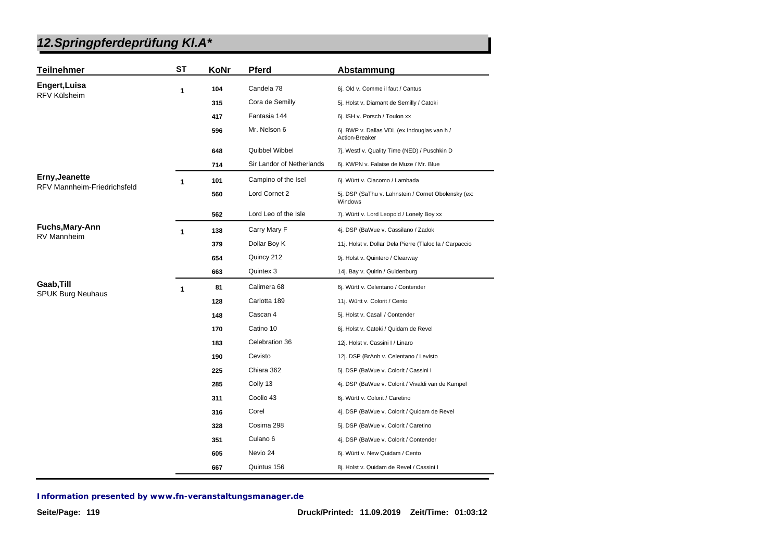| <b>Teilnehmer</b>                  | <b>ST</b> | KoNr | Pferd                     | Abstammung                                                     |
|------------------------------------|-----------|------|---------------------------|----------------------------------------------------------------|
| Engert, Luisa                      | 1         | 104  | Candela 78                | 6j. Old v. Comme il faut / Cantus                              |
| RFV Külsheim                       |           | 315  | Cora de Semilly           | 5j. Holst v. Diamant de Semilly / Catoki                       |
|                                    |           | 417  | Fantasia 144              | 6j. ISH v. Porsch / Toulon xx                                  |
|                                    |           | 596  | Mr. Nelson 6              | 6j. BWP v. Dallas VDL (ex Indouglas van h /<br>Action-Breaker  |
|                                    |           | 648  | Quibbel Wibbel            | 7j. Westf v. Quality Time (NED) / Puschkin D                   |
|                                    |           | 714  | Sir Landor of Netherlands | 6j. KWPN v. Falaise de Muze / Mr. Blue                         |
| Erny, Jeanette                     | 1         | 101  | Campino of the Isel       | 6j. Württ v. Ciacomo / Lambada                                 |
| <b>RFV Mannheim-Friedrichsfeld</b> |           | 560  | Lord Cornet 2             | 5j. DSP (SaThu v. Lahnstein / Cornet Obolensky (ex:<br>Windows |
|                                    |           | 562  | Lord Leo of the Isle      | 7j. Württ v. Lord Leopold / Lonely Boy xx                      |
| Fuchs, Mary-Ann                    | 1         | 138  | Carry Mary F              | 4j. DSP (BaWue v. Cassilano / Zadok                            |
| RV Mannheim                        |           | 379  | Dollar Boy K              | 11j. Holst v. Dollar Dela Pierre (Tlaloc la / Carpaccio        |
|                                    |           | 654  | Quincy 212                | 9j. Holst v. Quintero / Clearway                               |
|                                    |           | 663  | Quintex 3                 | 14j. Bay v. Quirin / Guldenburg                                |
| Gaab, Till                         | 1         | 81   | Calimera 68               | 6j. Württ v. Celentano / Contender                             |
| <b>SPUK Burg Neuhaus</b>           |           | 128  | Carlotta 189              | 11j. Württ v. Colorit / Cento                                  |
|                                    |           | 148  | Cascan 4                  | 5j. Holst v. Casall / Contender                                |
|                                    |           | 170  | Catino 10                 | 6j. Holst v. Catoki / Quidam de Revel                          |
|                                    |           | 183  | Celebration 36            | 12j. Holst v. Cassini I / Linaro                               |
|                                    |           | 190  | Cevisto                   | 12j. DSP (BrAnh v. Celentano / Levisto                         |
|                                    |           | 225  | Chiara 362                | 5j. DSP (BaWue v. Colorit / Cassini I                          |
|                                    |           | 285  | Colly 13                  | 4j. DSP (BaWue v. Colorit / Vivaldi van de Kampel              |
|                                    |           | 311  | Coolio 43                 | 6j. Württ v. Colorit / Caretino                                |
|                                    |           | 316  | Corel                     | 4j. DSP (BaWue v. Colorit / Quidam de Revel                    |
|                                    |           | 328  | Cosima 298                | 5j. DSP (BaWue v. Colorit / Caretino                           |
|                                    |           | 351  | Culano <sub>6</sub>       | 4j. DSP (BaWue v. Colorit / Contender                          |
|                                    |           | 605  | Nevio 24                  | 6j. Württ v. New Quidam / Cento                                |
|                                    |           | 667  | Quintus 156               | 8j. Holst v. Quidam de Revel / Cassini I                       |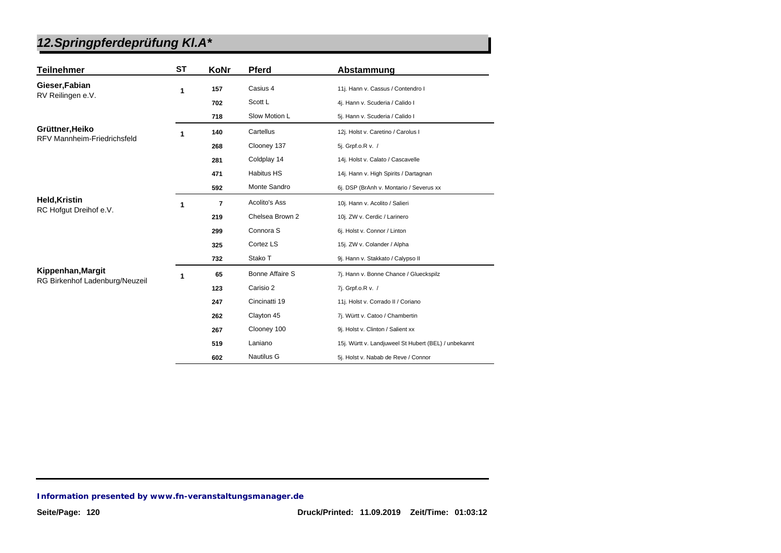| <b>Teilnehmer</b>                  | <b>ST</b> | KoNr           | <b>Pferd</b>           | Abstammung                                           |
|------------------------------------|-----------|----------------|------------------------|------------------------------------------------------|
| Gieser, Fabian                     | 1         | 157            | Casius 4               | 11j. Hann v. Cassus / Contendro I                    |
| RV Reilingen e.V.                  |           | 702            | Scott L                | 4j. Hann v. Scuderia / Calido I                      |
|                                    |           | 718            | Slow Motion L          | 5j. Hann v. Scuderia / Calido I                      |
| Grüttner, Heiko                    | 1         | 140            | Cartellus              | 12j. Holst v. Caretino / Carolus I                   |
| <b>RFV Mannheim-Friedrichsfeld</b> |           | 268            | Clooney 137            | 5j. Grpf.o.R v. /                                    |
|                                    |           | 281            | Coldplay 14            | 14j. Holst v. Calato / Cascavelle                    |
|                                    |           | 471            | <b>Habitus HS</b>      | 14j. Hann v. High Spirits / Dartagnan                |
|                                    |           | 592            | Monte Sandro           | 6j. DSP (BrAnh v. Montario / Severus xx              |
| <b>Held, Kristin</b>               | 1         | $\overline{7}$ | Acolito's Ass          | 10j. Hann v. Acolito / Salieri                       |
| RC Hofqut Dreihof e.V.             |           | 219            | Chelsea Brown 2        | 10j. ZW v. Cerdic / Larinero                         |
|                                    |           | 299            | Connora <sub>S</sub>   | 6j. Holst v. Connor / Linton                         |
|                                    |           | 325            | Cortez LS              | 15j. ZW v. Colander / Alpha                          |
|                                    |           | 732            | Stako T                | 9j. Hann v. Stakkato / Calypso II                    |
| Kippenhan, Margit                  | 1         | 65             | <b>Bonne Affaire S</b> | 7j. Hann v. Bonne Chance / Glueckspilz               |
| RG Birkenhof Ladenburg/Neuzeil     |           | 123            | Carisio 2              | 7j. Grpf.o.R v. /                                    |
|                                    |           | 247            | Cincinatti 19          | 11j. Holst v. Corrado II / Coriano                   |
|                                    |           | 262            | Clayton 45             | 7j. Württ v. Catoo / Chambertin                      |
|                                    |           | 267            | Clooney 100            | 9j. Holst v. Clinton / Salient xx                    |
|                                    |           | 519            | Laniano                | 15j. Württ v. Landjuweel St Hubert (BEL) / unbekannt |
|                                    |           | 602            | <b>Nautilus G</b>      | 5j. Holst v. Nabab de Reve / Connor                  |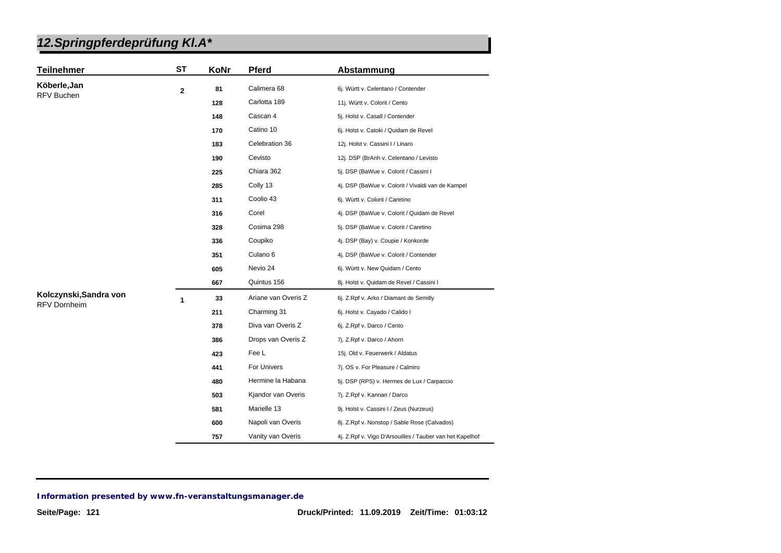| <b>Teilnehmer</b>      | <b>ST</b>      | KoNr | <b>Pferd</b>        | Abstammung                                               |
|------------------------|----------------|------|---------------------|----------------------------------------------------------|
| Köberle, Jan           | $\overline{2}$ | 81   | Calimera 68         | 6j. Württ v. Celentano / Contender                       |
| <b>RFV Buchen</b>      |                | 128  | Carlotta 189        | 11j. Württ v. Colorit / Cento                            |
|                        |                | 148  | Cascan 4            | 5j. Holst v. Casall / Contender                          |
|                        |                | 170  | Catino 10           | 6j. Holst v. Catoki / Quidam de Revel                    |
|                        |                | 183  | Celebration 36      | 12j. Holst v. Cassini I / Linaro                         |
|                        |                | 190  | Cevisto             | 12j. DSP (BrAnh v. Celentano / Levisto                   |
|                        |                | 225  | Chiara 362          | 5j. DSP (BaWue v. Colorit / Cassini I                    |
|                        |                | 285  | Colly 13            | 4j. DSP (BaWue v. Colorit / Vivaldi van de Kampel        |
|                        |                | 311  | Coolio 43           | 6j. Württ v. Colorit / Caretino                          |
|                        |                | 316  | Corel               | 4j. DSP (BaWue v. Colorit / Quidam de Revel              |
|                        |                | 328  | Cosima 298          | 5j. DSP (BaWue v. Colorit / Caretino                     |
|                        |                | 336  | Coupiko             | 4j. DSP (Bay) v. Coupie / Konkorde                       |
|                        |                | 351  | Culano <sub>6</sub> | 4j. DSP (BaWue v. Colorit / Contender                    |
|                        |                | 605  | Nevio 24            | 6j. Württ v. New Quidam / Cento                          |
|                        |                | 667  | Quintus 156         | 8j. Holst v. Quidam de Revel / Cassini I                 |
| Kolczynski, Sandra von | 1              | 33   | Ariane van Overis Z | 6j. Z.Rpf v. Arko / Diamant de Semilly                   |
| <b>RFV Dornheim</b>    |                | 211  | Charming 31         | 6j. Holst v. Cayado / Calido I                           |
|                        |                | 378  | Diva van Overis Z   | 6j. Z.Rpf v. Darco / Cento                               |
|                        |                | 386  | Drops van Overis Z  | 7j. Z.Rpf v. Darco / Ahorn                               |
|                        |                | 423  | Fee L               | 15j. Old v. Feuerwerk / Aldatus                          |
|                        |                | 441  | For Univers         | 7j. OS v. For Pleasure / Calmiro                         |
|                        |                | 480  | Hermine la Habana   | 5j. DSP (RPS) v. Hermes de Lux / Carpaccio               |
|                        |                | 503  | Kjandor van Overis  | 7j. Z.Rpf v. Kannan / Darco                              |
|                        |                | 581  | Marielle 13         | 9j. Holst v. Cassini I / Zeus (Nurzeus)                  |
|                        |                | 600  | Napoli van Overis   | 8j. Z.Rpf v. Nonstop / Sable Rose (Calvados)             |
|                        |                | 757  | Vanity van Overis   | 4j. Z.Rpf v. Vigo D'Arsouilles / Tauber van het Kapelhof |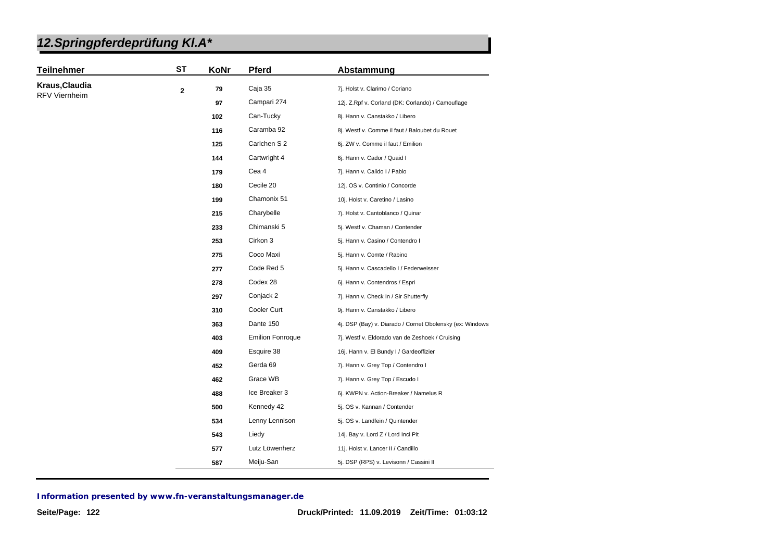| <b>Teilnehmer</b>    | <b>ST</b>    | KoNr                                                  | Pferd                   | Abstammung                                               |
|----------------------|--------------|-------------------------------------------------------|-------------------------|----------------------------------------------------------|
| Kraus, Claudia       | $\mathbf{2}$ | 79                                                    | Caja 35                 | 7j. Holst v. Clarimo / Coriano                           |
| <b>RFV Viernheim</b> |              | 97                                                    | Campari 274             | 12j. Z.Rpf v. Corland (DK: Corlando) / Camouflage        |
|                      |              | 102                                                   | Can-Tucky               | 8j. Hann v. Canstakko / Libero                           |
|                      |              | 116                                                   | Caramba 92              | 8j. Westf v. Comme il faut / Baloubet du Rouet           |
|                      |              | 125                                                   | Carlchen S 2            | 6j. ZW v. Comme il faut / Emilion                        |
|                      |              | 144                                                   | Cartwright 4            | 6j. Hann v. Cador / Quaid I                              |
|                      |              | 179                                                   | Cea 4                   | 7j. Hann v. Calido I / Pablo                             |
|                      |              | 180                                                   | Cecile 20               | 12j. OS v. Continio / Concorde                           |
|                      |              | 199                                                   | Chamonix 51             | 10j. Holst v. Caretino / Lasino                          |
|                      |              | 215                                                   | Charybelle              | 7j. Holst v. Cantoblanco / Quinar                        |
|                      |              | 233                                                   | Chimanski 5             | 5j. Westf v. Chaman / Contender                          |
|                      |              | 253                                                   | Cirkon 3                | 5j. Hann v. Casino / Contendro I                         |
|                      |              | 275                                                   | Coco Maxi               | 5j. Hann v. Comte / Rabino                               |
|                      |              | 277                                                   | Code Red 5              | 5j. Hann v. Cascadello I / Federweisser                  |
|                      |              | 278                                                   | Codex 28                | 6j. Hann v. Contendros / Espri                           |
|                      |              | 297                                                   | Conjack 2               | 7j. Hann v. Check In / Sir Shutterfly                    |
|                      |              | 310                                                   | Cooler Curt             | 9j. Hann v. Canstakko / Libero                           |
|                      |              | 363                                                   | Dante 150               | 4j. DSP (Bay) v. Diarado / Cornet Obolensky (ex: Windows |
|                      |              | 403                                                   | <b>Emilion Fonroque</b> | 7j. Westf v. Eldorado van de Zeshoek / Cruising          |
|                      |              | 409                                                   | Esquire 38              | 16j. Hann v. El Bundy I / Gardeoffizier                  |
|                      |              | Gerda 69<br>452<br>7j. Hann v. Grey Top / Contendro I |                         |                                                          |
|                      |              | 462                                                   | Grace WB                | 7j. Hann v. Grey Top / Escudo I                          |
|                      |              | 488                                                   | Ice Breaker 3           | 6j. KWPN v. Action-Breaker / Namelus R                   |
|                      |              | 500                                                   | Kennedy 42              | 5j. OS v. Kannan / Contender                             |
|                      |              | 534                                                   | Lenny Lennison          | 5j. OS v. Landfein / Quintender                          |
|                      |              | 543                                                   | Liedy                   | 14j. Bay v. Lord Z / Lord Inci Pit                       |
|                      |              | 577                                                   | Lutz Löwenherz          | 11j. Holst v. Lancer II / Candillo                       |
|                      |              | 587                                                   | Meiju-San               | 5j. DSP (RPS) v. Levisonn / Cassini II                   |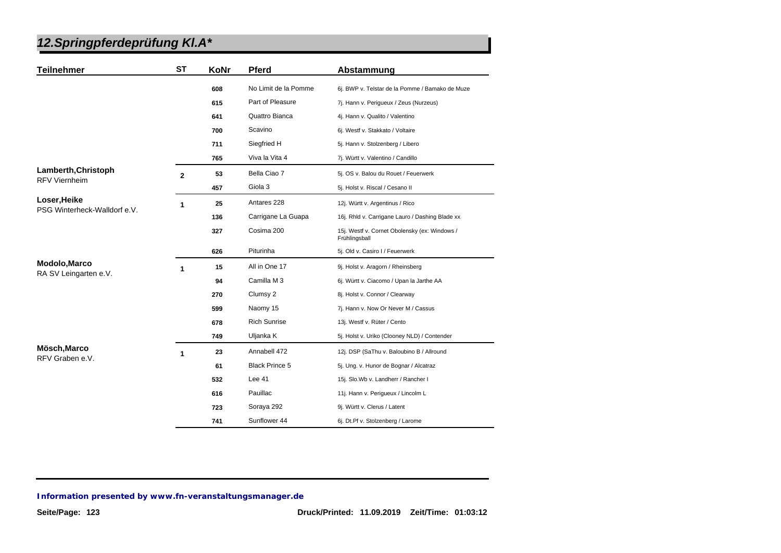| <b>Teilnehmer</b>               | <b>ST</b>      | KoNr | <b>Pferd</b>          | Abstammung                                                     |
|---------------------------------|----------------|------|-----------------------|----------------------------------------------------------------|
|                                 |                | 608  | No Limit de la Pomme  | 6j. BWP v. Telstar de la Pomme / Bamako de Muze                |
|                                 |                | 615  | Part of Pleasure      | 7j. Hann v. Perigueux / Zeus (Nurzeus)                         |
|                                 |                | 641  | Quattro Bianca        | 4j. Hann v. Qualito / Valentino                                |
|                                 |                | 700  | Scavino               | 6j. Westf v. Stakkato / Voltaire                               |
|                                 |                | 711  | Siegfried H           | 5j. Hann v. Stolzenberg / Libero                               |
|                                 |                | 765  | Viva la Vita 4        | 7j. Württ v. Valentino / Candillo                              |
| Lamberth, Christoph             | $\overline{2}$ | 53   | Bella Ciao 7          | 5j. OS v. Balou du Rouet / Feuerwerk                           |
| <b>RFV Viernheim</b>            |                | 457  | Giola 3               | 5j. Holst v. Riscal / Cesano II                                |
| Loser, Heike                    | 1              | 25   | Antares 228           | 12j. Württ v. Argentinus / Rico                                |
| PSG Winterheck-Walldorf e.V.    |                | 136  | Carrigane La Guapa    | 16j. Rhld v. Carrigane Lauro / Dashing Blade xx                |
|                                 |                | 327  | Cosima 200            | 15j. Westf v. Cornet Obolensky (ex: Windows /<br>Frühlingsball |
|                                 |                | 626  | Piturinha             | 5j. Old v. Casiro I / Feuerwerk                                |
| Modolo, Marco                   | 1              | 15   | All in One 17         | 9j. Holst v. Aragorn / Rheinsberg                              |
| RA SV Leingarten e.V.           |                | 94   | Camilla M 3           | 6j. Württ v. Ciacomo / Upan la Jarthe AA                       |
|                                 |                | 270  | Clumsy 2              | 8j. Holst v. Connor / Clearway                                 |
|                                 |                | 599  | Naomy 15              | 7j. Hann v. Now Or Never M / Cassus                            |
|                                 |                | 678  | <b>Rich Sunrise</b>   | 13j. Westf v. Rüter / Cento                                    |
|                                 |                | 749  | Uljanka K             | 5j. Holst v. Uriko (Clooney NLD) / Contender                   |
| Mösch, Marco<br>RFV Graben e.V. | 1              | 23   | Annabell 472          | 12j. DSP (SaThu v. Baloubino B / Allround                      |
|                                 |                | 61   | <b>Black Prince 5</b> | 5j. Ung. v. Hunor de Bognar / Alcatraz                         |
|                                 |                | 532  | Lee 41                | 15j. Slo.Wb v. Landherr / Rancher I                            |
|                                 |                | 616  | Pauillac              | 11j. Hann v. Perigueux / Lincolm L                             |
|                                 |                | 723  | Soraya 292            | 9j. Württ v. Clerus / Latent                                   |
|                                 |                | 741  | Sunflower 44          | 6j. Dt.Pf v. Stolzenberg / Larome                              |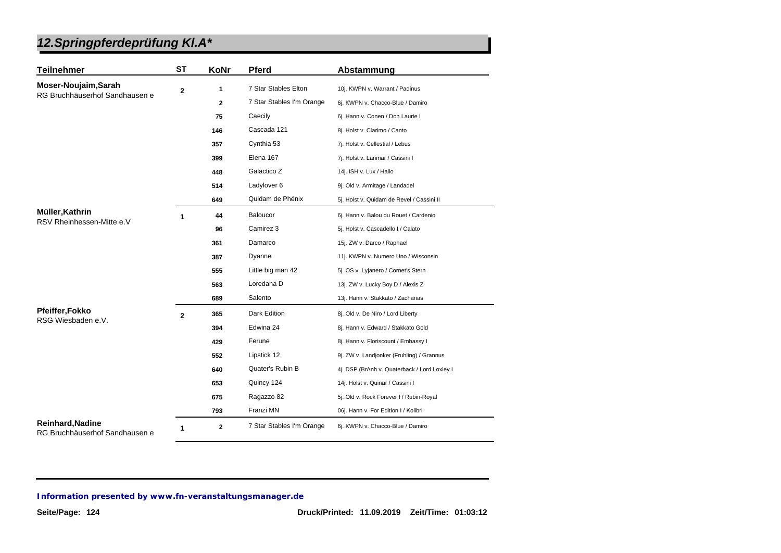| <b>Teilnehmer</b>                                         | <b>ST</b>    | <b>KoNr</b>  | <b>Pferd</b>              | Abstammung                                   |
|-----------------------------------------------------------|--------------|--------------|---------------------------|----------------------------------------------|
| Moser-Noujaim, Sarah                                      | $\mathbf 2$  | 1            | 7 Star Stables Elton      | 10j. KWPN v. Warrant / Padinus               |
| RG Bruchhäuserhof Sandhausen e                            |              | $\mathbf{2}$ | 7 Star Stables I'm Orange | 6j. KWPN v. Chacco-Blue / Damiro             |
|                                                           |              | 75           | Caecily                   | 6j. Hann v. Conen / Don Laurie I             |
|                                                           |              | 146          | Cascada 121               | 8j. Holst v. Clarimo / Canto                 |
|                                                           |              | 357          | Cynthia 53                | 7j. Holst v. Cellestial / Lebus              |
|                                                           |              | 399          | Elena 167                 | 7j. Holst v. Larimar / Cassini I             |
|                                                           |              | 448          | Galactico Z               | 14j. ISH v. Lux / Hallo                      |
|                                                           |              | 514          | Ladylover 6               | 9j. Old v. Armitage / Landadel               |
|                                                           |              | 649          | Quidam de Phénix          | 5j. Holst v. Quidam de Revel / Cassini II    |
| Müller, Kathrin                                           | 1            | 44           | <b>Baloucor</b>           | 6j. Hann v. Balou du Rouet / Cardenio        |
| RSV Rheinhessen-Mitte e.V                                 |              | 96           | Camirez 3                 | 5j. Holst v. Cascadello I / Calato           |
|                                                           |              | 361          | Damarco                   | 15j. ZW v. Darco / Raphael                   |
|                                                           |              | 387          | Dyanne                    | 11j. KWPN v. Numero Uno / Wisconsin          |
|                                                           |              | 555          | Little big man 42         | 5j. OS v. Lyjanero / Cornet's Stern          |
|                                                           |              | 563          | Loredana D                | 13j. ZW v. Lucky Boy D / Alexis Z            |
|                                                           |              | 689          | Salento                   | 13j. Hann v. Stakkato / Zacharias            |
| <b>Pfeiffer, Fokko</b>                                    | $\mathbf{2}$ | 365          | Dark Edition              | 8j. Old v. De Niro / Lord Liberty            |
| RSG Wiesbaden e.V.                                        |              | 394          | Edwina 24                 | 8j. Hann v. Edward / Stakkato Gold           |
|                                                           |              | 429          | Ferune                    | 8j. Hann v. Floriscount / Embassy I          |
|                                                           |              | 552          | Lipstick 12               | 9j. ZW v. Landjonker (Fruhling) / Grannus    |
|                                                           |              | 640          | Quater's Rubin B          | 4j. DSP (BrAnh v. Quaterback / Lord Loxley I |
|                                                           |              | 653          | Quincy 124                | 14j. Holst v. Quinar / Cassini I             |
|                                                           |              | 675          | Ragazzo 82                | 5j. Old v. Rock Forever I / Rubin-Royal      |
|                                                           |              | 793          | Franzi MN                 | 06j. Hann v. For Edition I / Kolibri         |
| <b>Reinhard, Nadine</b><br>RG Bruchhäuserhof Sandhausen e | 1            | $\mathbf{2}$ | 7 Star Stables I'm Orange | 6j. KWPN v. Chacco-Blue / Damiro             |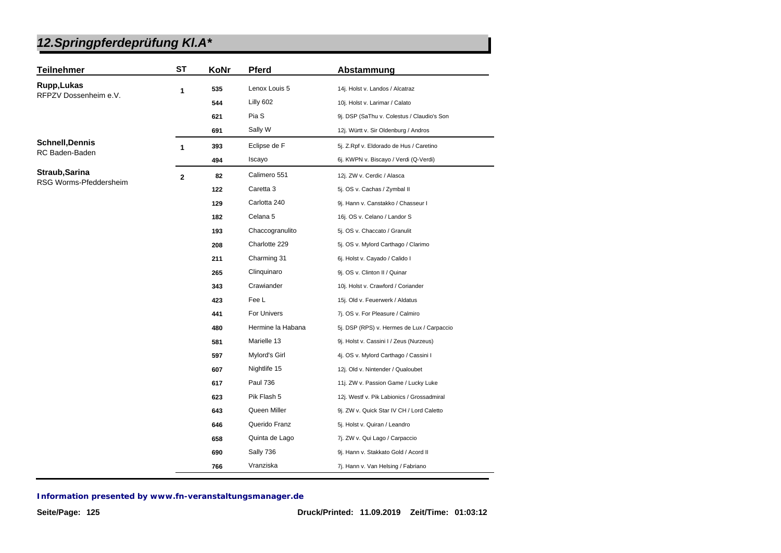| <b>Teilnehmer</b>      | <b>ST</b>      | KoNr | <b>Pferd</b>      | Abstammung                                 |
|------------------------|----------------|------|-------------------|--------------------------------------------|
| Rupp, Lukas            | 1              | 535  | Lenox Louis 5     | 14j. Holst v. Landos / Alcatraz            |
| RFPZV Dossenheim e.V.  |                | 544  | Lilly 602         | 10j. Holst v. Larimar / Calato             |
|                        |                | 621  | Pia S             | 9j. DSP (SaThu v. Colestus / Claudio's Son |
|                        |                | 691  | Sally W           | 12j. Württ v. Sir Oldenburg / Andros       |
| <b>Schnell, Dennis</b> | $\mathbf{1}$   | 393  | Eclipse de F      | 5j. Z.Rpf v. Eldorado de Hus / Caretino    |
| RC Baden-Baden         |                | 494  | Iscayo            | 6j. KWPN v. Biscayo / Verdi (Q-Verdi)      |
| Straub, Sarina         | $\overline{2}$ | 82   | Calimero 551      | 12j. ZW v. Cerdic / Alasca                 |
| RSG Worms-Pfeddersheim |                | 122  | Caretta 3         | 5j. OS v. Cachas / Zymbal II               |
|                        |                | 129  | Carlotta 240      | 9j. Hann v. Canstakko / Chasseur I         |
|                        |                | 182  | Celana 5          | 16j. OS v. Celano / Landor S               |
|                        |                | 193  | Chaccogranulito   | 5j. OS v. Chaccato / Granulit              |
|                        |                | 208  | Charlotte 229     | 5j. OS v. Mylord Carthago / Clarimo        |
|                        |                | 211  | Charming 31       | 6j. Holst v. Cayado / Calido I             |
|                        |                | 265  | Clinquinaro       | 9j. OS v. Clinton II / Quinar              |
|                        |                | 343  | Crawiander        | 10j. Holst v. Crawford / Coriander         |
|                        |                | 423  | Fee L             | 15j. Old v. Feuerwerk / Aldatus            |
|                        |                | 441  | For Univers       | 7j. OS v. For Pleasure / Calmiro           |
|                        |                | 480  | Hermine la Habana | 5j. DSP (RPS) v. Hermes de Lux / Carpaccio |
|                        |                | 581  | Marielle 13       | 9j. Holst v. Cassini I / Zeus (Nurzeus)    |
|                        |                | 597  | Mylord's Girl     | 4j. OS v. Mylord Carthago / Cassini I      |
|                        |                | 607  | Nightlife 15      | 12j. Old v. Nintender / Qualoubet          |
|                        |                | 617  | <b>Paul 736</b>   | 11j. ZW v. Passion Game / Lucky Luke       |
|                        |                | 623  | Pik Flash 5       | 12j. Westf v. Pik Labionics / Grossadmiral |
|                        |                | 643  | Queen Miller      | 9j. ZW v. Quick Star IV CH / Lord Caletto  |
|                        |                | 646  | Querido Franz     | 5j. Holst v. Quiran / Leandro              |
|                        |                | 658  | Quinta de Lago    | 7j. ZW v. Qui Lago / Carpaccio             |
|                        |                | 690  | Sally 736         | 9j. Hann v. Stakkato Gold / Acord II       |
|                        |                | 766  | Vranziska         | 7j. Hann v. Van Helsing / Fabriano         |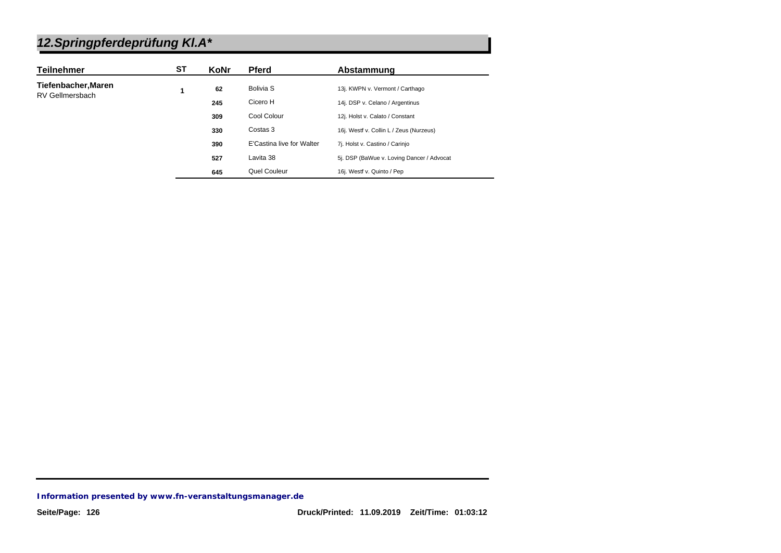| <b>Teilnehmer</b>   | SТ | KoNr | <b>Pferd</b>              | Abstammung                                |
|---------------------|----|------|---------------------------|-------------------------------------------|
| Tiefenbacher, Maren |    | 62   | Bolivia S                 | 13j. KWPN v. Vermont / Carthago           |
| RV Gellmersbach     |    | 245  | Cicero H                  | 14j. DSP v. Celano / Argentinus           |
|                     |    | 309  | Cool Colour               | 12j. Holst v. Calato / Constant           |
|                     |    | 330  | Costas 3                  | 16j. Westf v. Collin L / Zeus (Nurzeus)   |
|                     |    | 390  | E'Castina live for Walter | 7j. Holst v. Castino / Carinjo            |
|                     |    | 527  | Lavita 38                 | 5j. DSP (BaWue v. Loving Dancer / Advocat |
|                     |    | 645  | Quel Couleur              | 16j. Westf v. Quinto / Pep                |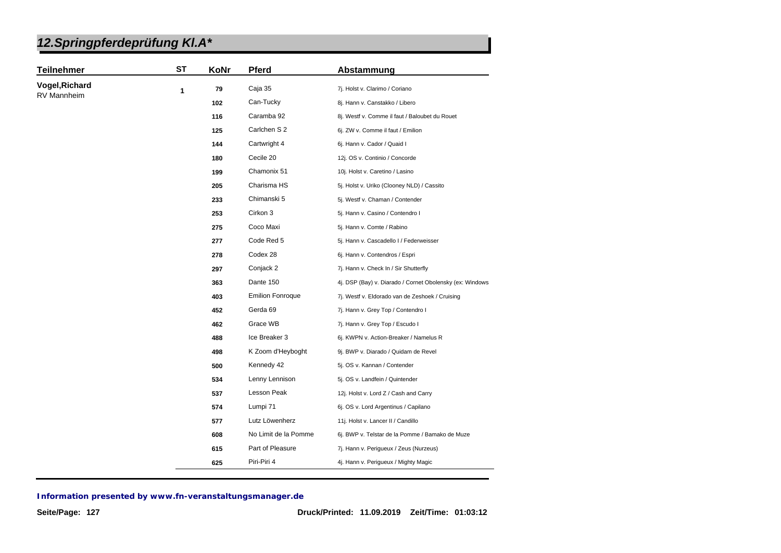| <b>Teilnehmer</b> | <b>ST</b> | KoNr                                              | Pferd                   | Abstammung                                               |
|-------------------|-----------|---------------------------------------------------|-------------------------|----------------------------------------------------------|
| Vogel, Richard    | 1         | 79                                                | Caja 35                 | 7j. Holst v. Clarimo / Coriano                           |
| RV Mannheim       |           | 102                                               | Can-Tucky               | 8j. Hann v. Canstakko / Libero                           |
|                   |           | 116                                               | Caramba 92              | 8j. Westf v. Comme il faut / Baloubet du Rouet           |
|                   |           | 125                                               | Carlchen S 2            | 6j. ZW v. Comme il faut / Emilion                        |
|                   |           | 144                                               | Cartwright 4            | 6j. Hann v. Cador / Quaid I                              |
|                   |           | 180                                               | Cecile 20               | 12j. OS v. Continio / Concorde                           |
|                   |           | 199                                               | Chamonix 51             | 10j. Holst v. Caretino / Lasino                          |
|                   |           | 205                                               | Charisma HS             | 5j. Holst v. Uriko (Clooney NLD) / Cassito               |
|                   |           | 233                                               | Chimanski 5             | 5j. Westf v. Chaman / Contender                          |
|                   |           | 253                                               | Cirkon 3                | 5j. Hann v. Casino / Contendro I                         |
|                   |           | 275                                               | Coco Maxi               | 5j. Hann v. Comte / Rabino                               |
|                   |           | 277                                               | Code Red 5              | 5j. Hann v. Cascadello I / Federweisser                  |
|                   |           | 278                                               | Codex 28                | 6j. Hann v. Contendros / Espri                           |
|                   |           | 297                                               | Conjack 2               | 7j. Hann v. Check In / Sir Shutterfly                    |
|                   |           | 363                                               | Dante 150               | 4j. DSP (Bay) v. Diarado / Cornet Obolensky (ex: Windows |
|                   |           | 403                                               | <b>Emilion Fonroque</b> | 7j. Westf v. Eldorado van de Zeshoek / Cruising          |
|                   |           | 452                                               | Gerda 69                | 7j. Hann v. Grey Top / Contendro I                       |
|                   |           | 462                                               | Grace WB                | 7j. Hann v. Grey Top / Escudo I                          |
|                   |           | 488                                               | Ice Breaker 3           | 6j. KWPN v. Action-Breaker / Namelus R                   |
|                   |           | 498                                               | K Zoom d'Heyboght       | 9j. BWP v. Diarado / Quidam de Revel                     |
|                   |           | Kennedy 42<br>500<br>5j. OS v. Kannan / Contender |                         |                                                          |
|                   |           | 534                                               | Lenny Lennison          | 5j. OS v. Landfein / Quintender                          |
|                   |           | 537                                               | Lesson Peak             | 12j. Holst v. Lord Z / Cash and Carry                    |
|                   |           | 574                                               | Lumpi 71                | 6j. OS v. Lord Argentinus / Capilano                     |
|                   |           | 577                                               | Lutz Löwenherz          | 11j. Holst v. Lancer II / Candillo                       |
|                   |           | 608                                               | No Limit de la Pomme    | 6j. BWP v. Telstar de la Pomme / Bamako de Muze          |
|                   |           | 615                                               | Part of Pleasure        | 7j. Hann v. Perigueux / Zeus (Nurzeus)                   |
|                   |           | 625                                               | Piri-Piri 4             | 4j. Hann v. Perigueux / Mighty Magic                     |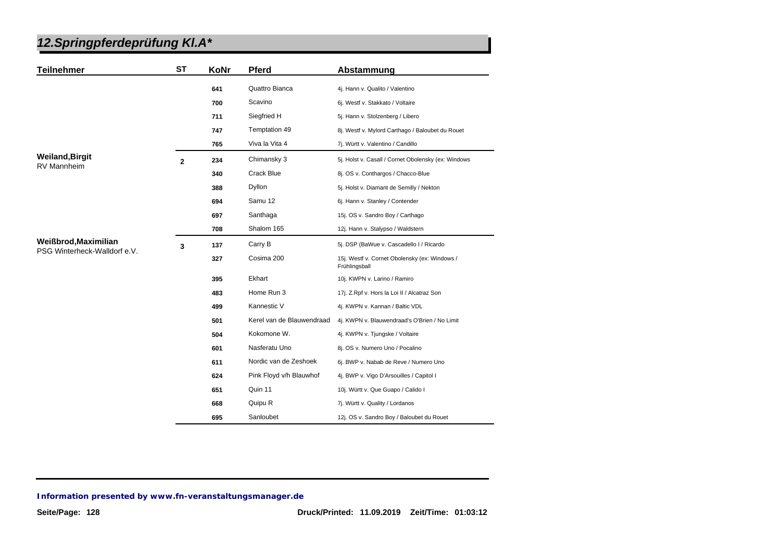| <b>Teilnehmer</b>            | <b>ST</b>      | KoNr | <b>Pferd</b>              | Abstammung                                                     |
|------------------------------|----------------|------|---------------------------|----------------------------------------------------------------|
|                              |                | 641  | Quattro Bianca            | 4j. Hann v. Qualito / Valentino                                |
|                              |                | 700  | Scavino                   | 6j. Westf v. Stakkato / Voltaire                               |
|                              |                | 711  | Siegfried H               | 5j. Hann v. Stolzenberg / Libero                               |
|                              |                | 747  | Temptation 49             | 8j. Westf v. Mylord Carthago / Baloubet du Rouet               |
|                              |                | 765  | Viva la Vita 4            | 7j. Württ v. Valentino / Candillo                              |
| <b>Weiland, Birgit</b>       | $\overline{2}$ | 234  | Chimansky 3               | 5j. Holst v. Casall / Cornet Obolensky (ex: Windows            |
| <b>RV Mannheim</b>           |                | 340  | Crack Blue                | 8j. OS v. Conthargos / Chacco-Blue                             |
|                              |                | 388  | Dyllon                    | 5j. Holst v. Diamant de Semilly / Nekton                       |
|                              |                | 694  | Samu 12                   | 6j. Hann v. Stanley / Contender                                |
|                              |                | 697  | Santhaga                  | 15j. OS v. Sandro Boy / Carthago                               |
|                              |                | 708  | Shalom 165                | 12j. Hann v. Stalypso / Waldstern                              |
| Weißbrod, Maximilian         | 3              | 137  | Carry B                   | 5j. DSP (BaWue v. Cascadello I / Ricardo                       |
| PSG Winterheck-Walldorf e.V. |                | 327  | Cosima 200                | 15j. Westf v. Cornet Obolensky (ex: Windows /<br>Frühlingsball |
|                              |                | 395  | Ekhart                    | 10j. KWPN v. Larino / Ramiro                                   |
|                              |                | 483  | Home Run 3                | 17j. Z.Rpf v. Hors la Loi II / Alcatraz Son                    |
|                              |                | 499  | Kannestic V               | 4j. KWPN v. Kannan / Baltic VDL                                |
|                              |                | 501  | Kerel van de Blauwendraad | 4j. KWPN v. Blauwendraad's O'Brien / No Limit                  |
|                              |                | 504  | Kokomone W.               | 4j. KWPN v. Tjungske / Voltaire                                |
|                              |                | 601  | Nasferatu Uno             | 8j. OS v. Numero Uno / Pocalino                                |
|                              |                | 611  | Nordic van de Zeshoek     | 6j. BWP v. Nabab de Reve / Numero Uno                          |
|                              |                | 624  | Pink Floyd v/h Blauwhof   | 4j. BWP v. Vigo D'Arsouilles / Capitol I                       |
|                              |                | 651  | Quin 11                   | 10j. Württ v. Que Guapo / Calido I                             |
|                              |                | 668  | Quipu R                   | 7j. Württ v. Quality / Lordanos                                |
|                              |                | 695  | Sanloubet                 | 12j. OS v. Sandro Boy / Baloubet du Rouet                      |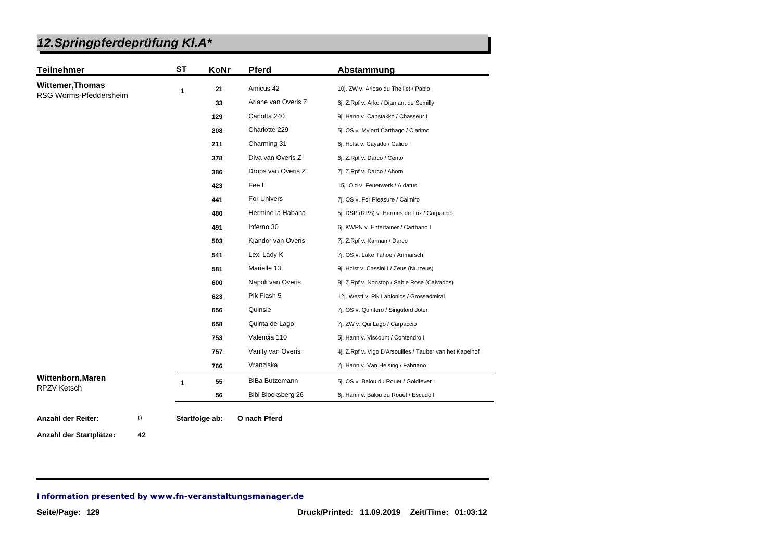| <b>Teilnehmer</b>      | <b>ST</b> | KoNr | Pferd                 | Abstammung                                               |
|------------------------|-----------|------|-----------------------|----------------------------------------------------------|
| Wittemer, Thomas       | 1         | 21   | Amicus 42             | 10j. ZW v. Arioso du Theillet / Pablo                    |
| RSG Worms-Pfeddersheim |           | 33   | Ariane van Overis Z   | 6j. Z.Rpf v. Arko / Diamant de Semilly                   |
|                        |           | 129  | Carlotta 240          | 9j. Hann v. Canstakko / Chasseur I                       |
|                        |           | 208  | Charlotte 229         | 5j. OS v. Mylord Carthago / Clarimo                      |
|                        |           | 211  | Charming 31           | 6j. Holst v. Cayado / Calido I                           |
|                        |           | 378  | Diva van Overis Z     | 6j. Z.Rpf v. Darco / Cento                               |
|                        |           | 386  | Drops van Overis Z    | 7j. Z.Rpf v. Darco / Ahorn                               |
|                        |           | 423  | Fee L                 | 15j. Old v. Feuerwerk / Aldatus                          |
|                        |           | 441  | For Univers           | 7j. OS v. For Pleasure / Calmiro                         |
|                        |           | 480  | Hermine la Habana     | 5j. DSP (RPS) v. Hermes de Lux / Carpaccio               |
|                        |           | 491  | Inferno 30            | 6j. KWPN v. Entertainer / Carthano I                     |
|                        |           | 503  | Kjandor van Overis    | 7j. Z.Rpf v. Kannan / Darco                              |
|                        |           | 541  | Lexi Lady K           | 7j. OS v. Lake Tahoe / Anmarsch                          |
|                        |           | 581  | Marielle 13           | 9j. Holst v. Cassini I / Zeus (Nurzeus)                  |
|                        |           | 600  | Napoli van Overis     | 8j. Z.Rpf v. Nonstop / Sable Rose (Calvados)             |
|                        |           | 623  | Pik Flash 5           | 12j. Westf v. Pik Labionics / Grossadmiral               |
|                        |           | 656  | Quinsie               | 7j. OS v. Quintero / Singulord Joter                     |
|                        |           | 658  | Quinta de Lago        | 7j. ZW v. Qui Lago / Carpaccio                           |
|                        |           | 753  | Valencia 110          | 5j. Hann v. Viscount / Contendro I                       |
|                        |           | 757  | Vanity van Overis     | 4j. Z.Rpf v. Vigo D'Arsouilles / Tauber van het Kapelhof |
|                        |           | 766  | Vranziska             | 7j. Hann v. Van Helsing / Fabriano                       |
| Wittenborn, Maren      | 1         | 55   | <b>BiBa Butzemann</b> | 5j. OS v. Balou du Rouet / Goldfever I                   |
| <b>RPZV Ketsch</b>     |           | 56   | Bibi Blocksberg 26    | 6j. Hann v. Balou du Rouet / Escudo I                    |

**Anzahl der Startplätze: 42**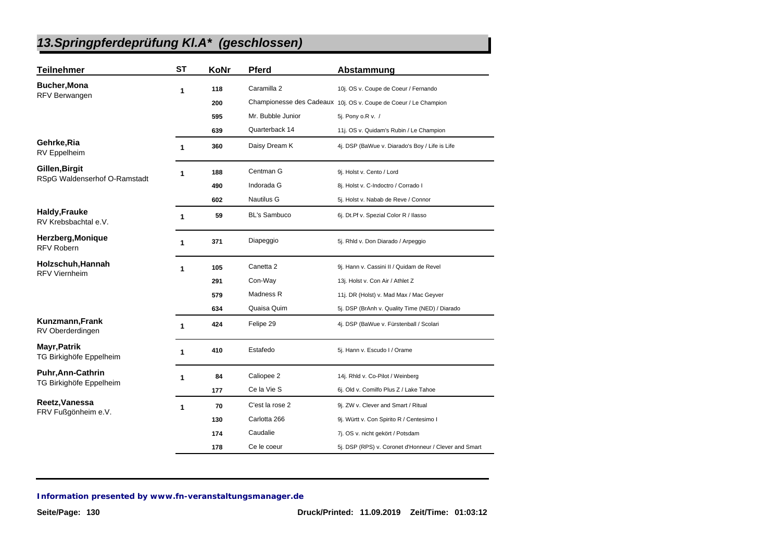### *13.Springpferdeprüfung Kl.A\* (geschlossen)*

| <b>Teilnehmer</b>                            | <b>ST</b> | KoNr | <b>Pferd</b>         | Abstammung                                                       |
|----------------------------------------------|-----------|------|----------------------|------------------------------------------------------------------|
| <b>Bucher, Mona</b>                          | 1         | 118  | Caramilla 2          | 10j. OS v. Coupe de Coeur / Fernando                             |
| RFV Berwangen                                |           | 200  |                      | Championesse des Cadeaux 10j. OS v. Coupe de Coeur / Le Champion |
|                                              |           | 595  | Mr. Bubble Junior    | 5j. Pony o.R v. /                                                |
|                                              |           | 639  | Quarterback 14       | 11j. OS v. Quidam's Rubin / Le Champion                          |
| Gehrke, Ria<br>RV Eppelheim                  | 1         | 360  | Daisy Dream K        | 4j. DSP (BaWue v. Diarado's Boy / Life is Life                   |
| Gillen, Birgit                               | 1         | 188  | Centman G            | 9j. Holst v. Cento / Lord                                        |
| RSpG Waldenserhof O-Ramstadt                 |           | 490  | Indorada G           | 8j. Holst v. C-Indoctro / Corrado I                              |
|                                              |           | 602  | <b>Nautilus G</b>    | 5j. Holst v. Nabab de Reve / Connor                              |
| <b>Haldy, Frauke</b><br>RV Krebsbachtal e.V. | 1         | 59   | <b>BL's Sambuco</b>  | 6j. Dt.Pf v. Spezial Color R / Ilasso                            |
| Herzberg, Monique<br><b>RFV Robern</b>       | 1         | 371  | Diapeggio            | 5j. Rhld v. Don Diarado / Arpeggio                               |
| Holzschuh, Hannah<br><b>RFV Viernheim</b>    | 1         | 105  | Canetta <sub>2</sub> | 9j. Hann v. Cassini II / Quidam de Revel                         |
|                                              |           | 291  | Con-Way              | 13j. Holst v. Con Air / Athlet Z                                 |
|                                              |           | 579  | Madness R            | 11j. DR (Holst) v. Mad Max / Mac Geyver                          |
|                                              |           | 634  | Quaisa Quim          | 5j. DSP (BrAnh v. Quality Time (NED) / Diarado                   |
| Kunzmann, Frank<br>RV Oberderdingen          | 1         | 424  | Felipe 29            | 4j. DSP (BaWue v. Fürstenball / Scolari                          |
| Mayr, Patrik<br>TG Birkighöfe Eppelheim      | 1         | 410  | Estafedo             | 5j. Hann v. Escudo I / Orame                                     |
| <b>Puhr, Ann-Cathrin</b>                     | 1         | 84   | Caliopee 2           | 14j. Rhld v. Co-Pilot / Weinberg                                 |
| TG Birkighöfe Eppelheim                      |           | 177  | Ce la Vie S          | 6j. Old v. Comilfo Plus Z / Lake Tahoe                           |
| Reetz, Vanessa                               | 1         | 70   | C'est la rose 2      | 9j. ZW v. Clever and Smart / Ritual                              |
| FRV Fußgönheim e.V.                          |           | 130  | Carlotta 266         | 9j. Württ v. Con Spirito R / Centesimo I                         |
|                                              |           | 174  | Caudalie             | 7j. OS v. nicht gekört / Potsdam                                 |
|                                              |           | 178  | Ce le coeur          | 5j. DSP (RPS) v. Coronet d'Honneur / Clever and Smart            |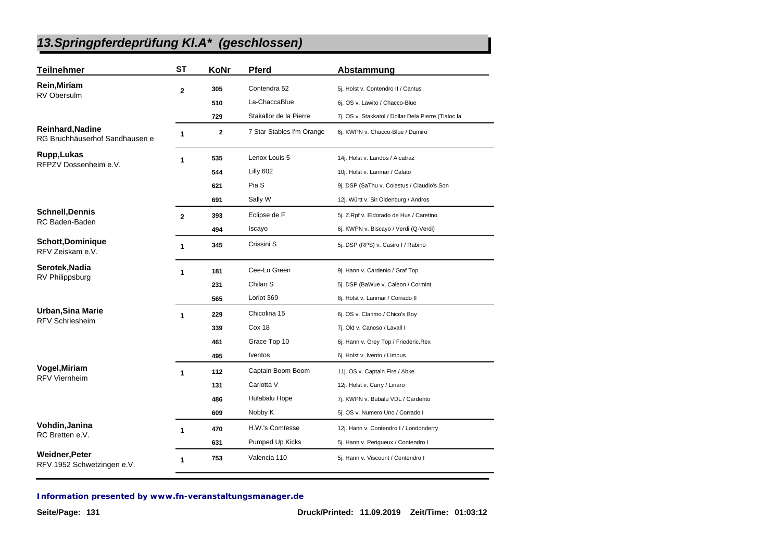### *13.Springpferdeprüfung Kl.A\* (geschlossen)*

| <b>Teilnehmer</b>                                         | <b>ST</b>      | KoNr        | <b>Pferd</b>              | Abstammung                                          |
|-----------------------------------------------------------|----------------|-------------|---------------------------|-----------------------------------------------------|
| Rein, Miriam                                              | $\overline{2}$ | 305         | Contendra 52              | 5j. Holst v. Contendro II / Cantus                  |
| <b>RV Obersulm</b>                                        |                | 510         | La-ChaccaBlue             | 6j. OS v. Lawito / Chacco-Blue                      |
|                                                           |                | 729         | Stakallor de la Pierre    | 7j. OS v. Stakkatol / Dollar Dela Pierre (Tlaloc la |
| <b>Reinhard, Nadine</b><br>RG Bruchhäuserhof Sandhausen e | 1              | $\mathbf 2$ | 7 Star Stables I'm Orange | 6j. KWPN v. Chacco-Blue / Damiro                    |
| Rupp, Lukas                                               | 1              | 535         | Lenox Louis 5             | 14j. Holst v. Landos / Alcatraz                     |
| RFPZV Dossenheim e.V.                                     |                | 544         | Lilly 602                 | 10j. Holst v. Larimar / Calato                      |
|                                                           |                | 621         | Pia S                     | 9j. DSP (SaThu v. Colestus / Claudio's Son          |
|                                                           |                | 691         | Sally W                   | 12j. Württ v. Sir Oldenburg / Andros                |
| <b>Schnell, Dennis</b>                                    | $\overline{2}$ | 393         | Eclipse de F              | 5j. Z.Rpf v. Eldorado de Hus / Caretino             |
| RC Baden-Baden                                            |                | 494         | Iscayo                    | 6j. KWPN v. Biscayo / Verdi (Q-Verdi)               |
| <b>Schott,Dominique</b><br>RFV Zeiskam e.V.               | 1              | 345         | Crissini S                | 5j. DSP (RPS) v. Casiro I / Rabino                  |
| Serotek, Nadia                                            | 1              | 181         | Cee-Lo Green              | 9j. Hann v. Cardenio / Graf Top                     |
| RV Philippsburg                                           |                | 231         | Chilan S                  | 5j. DSP (BaWue v. Caleon / Cormint                  |
|                                                           |                | 565         | Loriot 369                | 8j. Holst v. Larimar / Corrado II                   |
| Urban, Sina Marie                                         | 1              | 229         | Chicolina 15              | 6j. OS v. Clarimo / Chico's Boy                     |
| <b>RFV Schriesheim</b>                                    |                | 339         | Cox 18                    | 7j. Old v. Canoso / Lavall I                        |
|                                                           |                | 461         | Grace Top 10              | 6j. Hann v. Grey Top / Friederic.Rex                |
|                                                           |                | 495         | <b>Iventos</b>            | 6j. Holst v. Ivento / Limbus                        |
| Vogel, Miriam                                             | 1              | 112         | Captain Boom Boom         | 11j. OS v. Captain Fire / Abke                      |
| <b>RFV Viernheim</b>                                      |                | 131         | Carlotta V                | 12j. Holst v. Carry / Linaro                        |
|                                                           |                | 486         | Hulabalu Hope             | 7j. KWPN v. Bubalu VDL / Cardento                   |
|                                                           |                | 609         | Nobby K                   | 5j. OS v. Numero Uno / Corrado I                    |
| Vohdin, Janina                                            | 1              | 470         | H.W.'s Comtesse           | 12j. Hann v. Contendro I / Londonderry              |
| RC Bretten e.V.                                           |                | 631         | Pumped Up Kicks           | 5j. Hann v. Perigueux / Contendro I                 |
| <b>Weidner, Peter</b><br>RFV 1952 Schwetzingen e.V.       | 1              | 753         | Valencia 110              | 5j. Hann v. Viscount / Contendro I                  |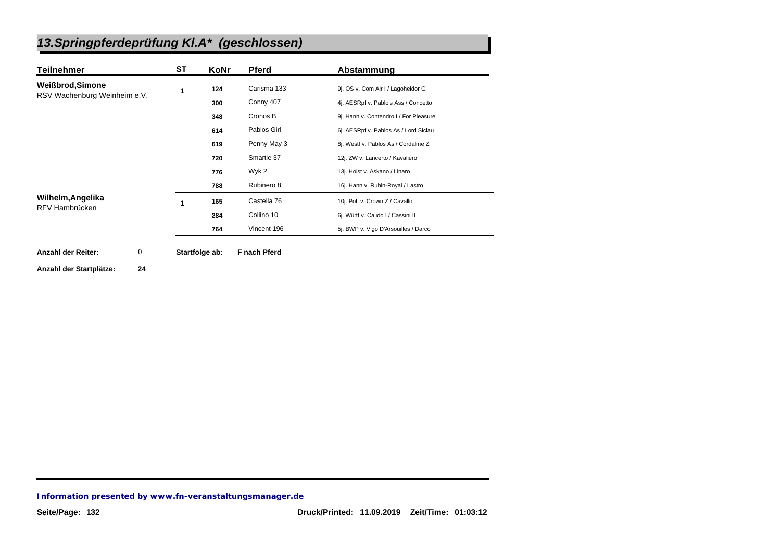# *13.Springpferdeprüfung Kl.A\* (geschlossen)*

| <b>Teilnehmer</b>                             | ST | KoNr           | <b>Pferd</b> | Abstammung                             |
|-----------------------------------------------|----|----------------|--------------|----------------------------------------|
| <b>Weißbrod, Simone</b>                       | 1  | 124            | Carisma 133  | 9j. OS v. Com Air I / Lagoheidor G     |
| RSV Wachenburg Weinheim e.V.                  |    | 300            | Conny 407    | 4j. AESRpf v. Pablo's Ass / Concetto   |
|                                               |    | 348            | Cronos B     | 9j. Hann v. Contendro I / For Pleasure |
|                                               |    | 614            | Pablos Girl  | 6j. AESRpf v. Pablos As / Lord Siclau  |
|                                               |    | 619            | Penny May 3  | 8j. Westf v. Pablos As / Cordalme Z    |
|                                               |    | 720            | Smartie 37   | 12j. ZW v. Lancerto / Kavaliero        |
|                                               |    | 776            | Wyk 2        | 13j. Holst v. Askano / Linaro          |
|                                               |    | 788            | Rubinero 8   | 16j. Hann v. Rubin-Royal / Lastro      |
| Wilhelm, Angelika                             |    | 165            | Castella 76  | 10j. Pol. v. Crown Z / Cavallo         |
| RFV Hambrücken                                |    | 284            | Collino 10   | 6j. Württ v. Calido I / Cassini II     |
|                                               |    | 764            | Vincent 196  | 5j. BWP v. Vigo D'Arsouilles / Darco   |
| $\boldsymbol{0}$<br><b>Anzahl der Reiter:</b> |    | Startfolge ab: | F nach Pferd |                                        |

**Anzahl der Startplätze: 24**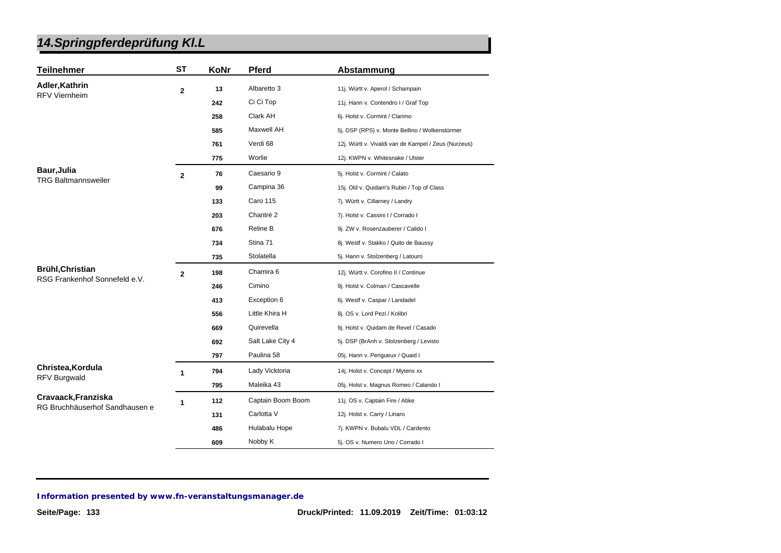| <b>Teilnehmer</b>                                        | ST             | KoNr | <b>Pferd</b>      | Abstammung                                           |
|----------------------------------------------------------|----------------|------|-------------------|------------------------------------------------------|
| Adler, Kathrin                                           | $\overline{2}$ | 13   | Albaretto 3       | 11j. Württ v. Aperol / Schampain                     |
| <b>RFV Viernheim</b>                                     |                | 242  | Ci Ci Top         | 11j. Hann v. Contendro I / Graf Top                  |
|                                                          |                | 258  | Clark AH          | 6j. Holst v. Cormint / Clarimo                       |
|                                                          |                | 585  | Maxwell AH        | 5j. DSP (RPS) v. Monte Bellino / Wolkenstürmer       |
|                                                          |                | 761  | Verdi 68          | 12j. Württ v. Vivaldi van de Kampel / Zeus (Nurzeus) |
|                                                          |                | 775  | Worlie            | 12j. KWPN v. Whitesnake / Ulster                     |
| <b>Baur, Julia</b>                                       | $\mathbf{2}$   | 76   | Caesario 9        | 5j. Holst v. Cormint / Calato                        |
| <b>TRG Baltmannsweiler</b>                               |                | 99   | Campina 36        | 15j. Old v. Quidam's Rubin / Top of Class            |
|                                                          |                | 133  | <b>Caro 115</b>   | 7j. Württ v. Cillarney / Landry                      |
|                                                          |                | 203  | Chantré 2         | 7j. Holst v. Cassini I / Corrado I                   |
|                                                          |                | 676  | Reline B          | 9j. ZW v. Rosenzauberer / Calido I                   |
|                                                          |                | 734  | Stina 71          | 8j. Westf v. Stakko / Quito de Baussy                |
|                                                          |                | 735  | Stolatella        | 5j. Hann v. Stolzenberg / Latouro                    |
| <b>Brühl, Christian</b><br>RSG Frankenhof Sonnefeld e.V. | $\overline{2}$ | 198  | Chamira 6         | 12j. Württ v. Corofino II / Continue                 |
|                                                          |                | 246  | Cimino            | 9j. Holst v. Colman / Cascavelle                     |
|                                                          |                | 413  | Exception 6       | 6j. Westf v. Caspar / Landadel                       |
|                                                          |                | 556  | Little Khira H    | 8j. OS v. Lord Pezi / Kolibri                        |
|                                                          |                | 669  | Quirevella        | 9j. Holst v. Quidam de Revel / Casado                |
|                                                          |                | 692  | Salt Lake City 4  | 5j. DSP (BrAnh v. Stolzenberg / Levisto              |
|                                                          |                | 797  | Paulina 58        | 05j. Hann v. Perigueux / Quaid I                     |
| Christea, Kordula<br><b>RFV Burgwald</b>                 | 1              | 794  | Lady Vicktoria    | 14j. Holst v. Concept / Mytens xx                    |
|                                                          |                | 795  | Maleika 43        | 05j. Holst v. Magnus Romeo / Calando I               |
| Cravaack, Franziska<br>RG Bruchhäuserhof Sandhausen e    | 1              | 112  | Captain Boom Boom | 11j. OS v. Captain Fire / Abke                       |
|                                                          |                | 131  | Carlotta V        | 12j. Holst v. Carry / Linaro                         |
|                                                          |                | 486  | Hulabalu Hope     | 7j. KWPN v. Bubalu VDL / Cardento                    |
|                                                          |                | 609  | Nobby K           | 5j. OS v. Numero Uno / Corrado I                     |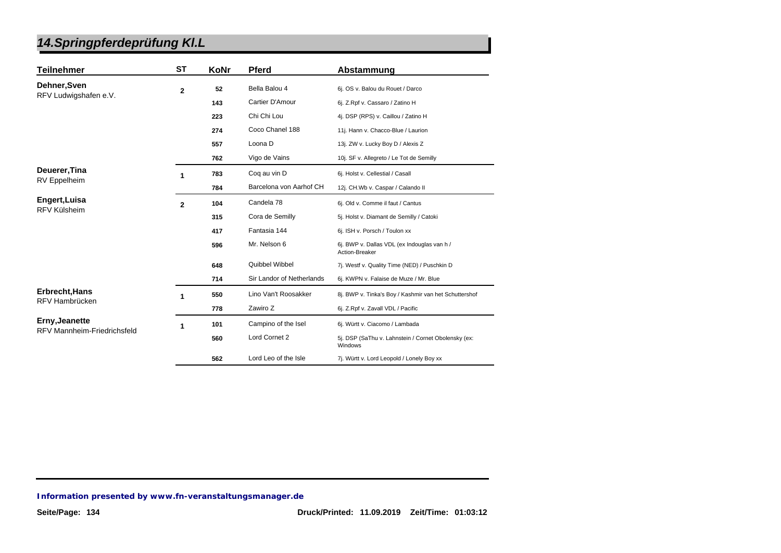| <b>Teilnehmer</b>                                           | <b>ST</b>    | KoNr | <b>Pferd</b>              | Abstammung                                                     |
|-------------------------------------------------------------|--------------|------|---------------------------|----------------------------------------------------------------|
| Dehner, Sven                                                | $\mathbf{2}$ | 52   | Bella Balou 4             | 6j. OS v. Balou du Rouet / Darco                               |
| RFV Ludwigshafen e.V.                                       |              | 143  | Cartier D'Amour           | 6j. Z.Rpf v. Cassaro / Zatino H                                |
|                                                             |              | 223  | Chi Chi Lou               | 4j. DSP (RPS) v. Caillou / Zatino H                            |
|                                                             |              | 274  | Coco Chanel 188           | 11j. Hann v. Chacco-Blue / Laurion                             |
|                                                             |              | 557  | Loona D                   | 13j. ZW v. Lucky Boy D / Alexis Z                              |
|                                                             |              | 762  | Vigo de Vains             | 10j. SF v. Allegreto / Le Tot de Semilly                       |
| Deuerer, Tina                                               | 1            | 783  | Coq au vin D              | 6j. Holst v. Cellestial / Casall                               |
| <b>RV</b> Eppelheim                                         |              | 784  | Barcelona von Aarhof CH   | 12j. CH.Wb v. Caspar / Calando II                              |
| Engert, Luisa<br>RFV Külsheim                               | $\mathbf{2}$ | 104  | Candela 78                | 6j. Old v. Comme il faut / Cantus                              |
|                                                             |              | 315  | Cora de Semilly           | 5j. Holst v. Diamant de Semilly / Catoki                       |
|                                                             |              | 417  | Fantasia 144              | 6j. ISH v. Porsch / Toulon xx                                  |
|                                                             |              | 596  | Mr. Nelson 6              | 6j. BWP v. Dallas VDL (ex Indouglas van h /<br>Action-Breaker  |
|                                                             |              | 648  | Quibbel Wibbel            | 7j. Westf v. Quality Time (NED) / Puschkin D                   |
|                                                             |              | 714  | Sir Landor of Netherlands | 6j. KWPN v. Falaise de Muze / Mr. Blue                         |
| Erbrecht, Hans                                              |              | 550  | Lino Van't Roosakker      | 8j. BWP v. Tinka's Boy / Kashmir van het Schuttershof          |
| RFV Hambrücken                                              |              | 778  | Zawiro Z                  | 6j. Z.Rpf v. Zavall VDL / Pacific                              |
| <b>Erny, Jeanette</b><br><b>RFV Mannheim-Friedrichsfeld</b> | 1            | 101  | Campino of the Isel       | 6j. Württ v. Ciacomo / Lambada                                 |
|                                                             |              | 560  | Lord Cornet 2             | 5j. DSP (SaThu v. Lahnstein / Cornet Obolensky (ex:<br>Windows |
|                                                             |              | 562  | Lord Leo of the Isle      | 7j. Württ v. Lord Leopold / Lonely Boy xx                      |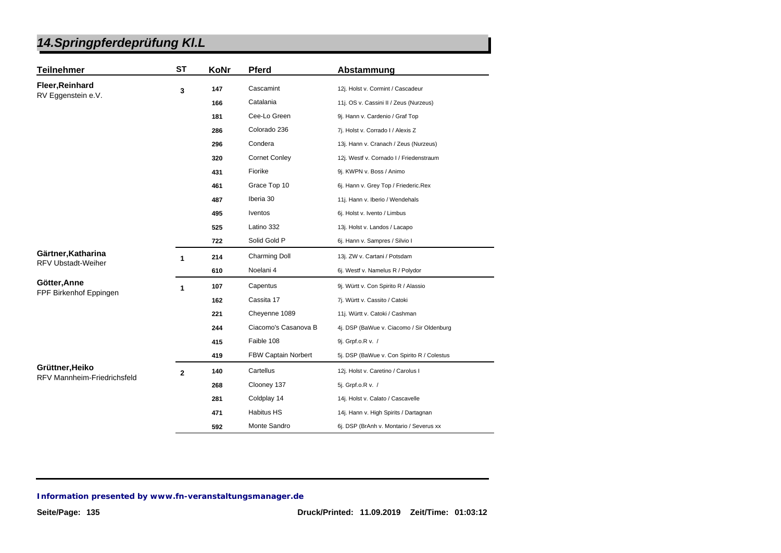| <b>Teilnehmer</b>                                     | <b>ST</b>      | KoNr | <b>Pferd</b>         | Abstammung                                 |
|-------------------------------------------------------|----------------|------|----------------------|--------------------------------------------|
| Fleer, Reinhard                                       | 3              | 147  | Cascamint            | 12j. Holst v. Cormint / Cascadeur          |
| RV Eggenstein e.V.                                    |                | 166  | Catalania            | 11j. OS v. Cassini II / Zeus (Nurzeus)     |
|                                                       |                | 181  | Cee-Lo Green         | 9j. Hann v. Cardenio / Graf Top            |
|                                                       |                | 286  | Colorado 236         | 7j. Holst v. Corrado I / Alexis Z          |
|                                                       |                | 296  | Condera              | 13j. Hann v. Cranach / Zeus (Nurzeus)      |
|                                                       |                | 320  | <b>Cornet Conley</b> | 12j. Westf v. Cornado I / Friedenstraum    |
|                                                       |                | 431  | Fiorike              | 9j. KWPN v. Boss / Animo                   |
|                                                       |                | 461  | Grace Top 10         | 6j. Hann v. Grey Top / Friederic.Rex       |
|                                                       |                | 487  | Iberia 30            | 11j. Hann v. Iberio / Wendehals            |
|                                                       |                | 495  | <b>Iventos</b>       | 6j. Holst v. Ivento / Limbus               |
|                                                       |                | 525  | Latino 332           | 13j. Holst v. Landos / Lacapo              |
|                                                       |                | 722  | Solid Gold P         | 6j. Hann v. Sampres / Silvio I             |
| Gärtner, Katharina                                    | 1              | 214  | <b>Charming Doll</b> | 13j. ZW v. Cartani / Potsdam               |
| <b>RFV Ubstadt-Weiher</b>                             |                | 610  | Noelani 4            | 6j. Westf v. Namelus R / Polydor           |
| Götter, Anne                                          | $\mathbf{1}$   | 107  | Capentus             | 9j. Württ v. Con Spirito R / Alassio       |
| FPF Birkenhof Eppingen                                |                | 162  | Cassita 17           | 7j. Württ v. Cassito / Catoki              |
|                                                       |                | 221  | Cheyenne 1089        | 11j. Württ v. Catoki / Cashman             |
|                                                       |                | 244  | Ciacomo's Casanova B | 4j. DSP (BaWue v. Ciacomo / Sir Oldenburg  |
|                                                       |                | 415  | Faible 108           | 9j. Grpf.o.R v. /                          |
|                                                       |                | 419  | FBW Captain Norbert  | 5j. DSP (BaWue v. Con Spirito R / Colestus |
| Grüttner, Heiko<br><b>RFV Mannheim-Friedrichsfeld</b> | $\overline{2}$ | 140  | Cartellus            | 12j. Holst v. Caretino / Carolus I         |
|                                                       |                | 268  | Clooney 137          | 5j. Grpf.o.R v. /                          |
|                                                       |                | 281  | Coldplay 14          | 14j. Holst v. Calato / Cascavelle          |
|                                                       |                | 471  | <b>Habitus HS</b>    | 14j. Hann v. High Spirits / Dartagnan      |
|                                                       |                | 592  | Monte Sandro         | 6j. DSP (BrAnh v. Montario / Severus xx    |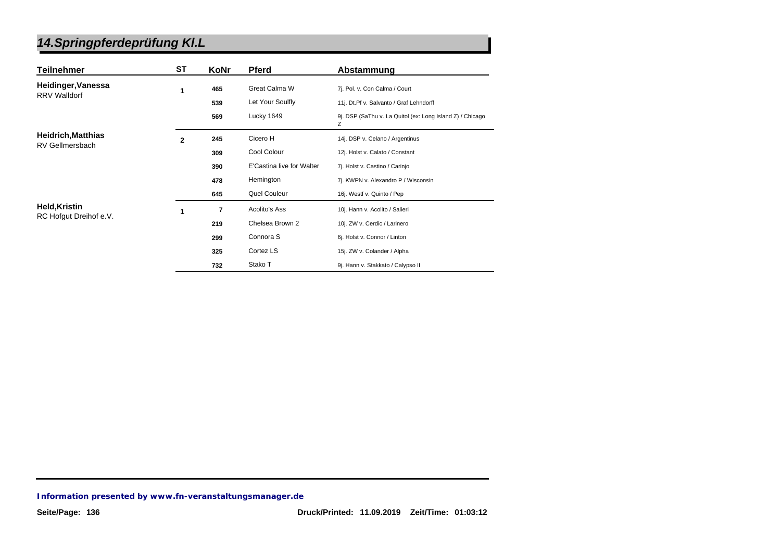| Teilnehmer                | <b>ST</b>      | KoNr | <b>Pferd</b>              | Abstammung                                                     |
|---------------------------|----------------|------|---------------------------|----------------------------------------------------------------|
| Heidinger, Vanessa        | 1              | 465  | Great Calma W             | 7j. Pol. v. Con Calma / Court                                  |
| <b>RRV Walldorf</b>       |                | 539  | Let Your Soulfly          | 11j. Dt.Pf v. Salvanto / Graf Lehndorff                        |
|                           |                | 569  | Lucky 1649                | 9j. DSP (SaThu v. La Quitol (ex: Long Island Z) / Chicago<br>z |
| <b>Heidrich, Matthias</b> | $\overline{2}$ | 245  | Cicero H                  | 14j. DSP v. Celano / Argentinus                                |
| <b>RV Gellmersbach</b>    |                | 309  | Cool Colour               | 12j. Holst v. Calato / Constant                                |
|                           |                | 390  | E'Castina live for Walter | 7j. Holst v. Castino / Carinjo                                 |
|                           |                | 478  | Hemington                 | 7j. KWPN v. Alexandro P / Wisconsin                            |
|                           |                | 645  | Quel Couleur              | 16j. Westf v. Quinto / Pep                                     |
| <b>Held, Kristin</b>      | 1              | 7    | Acolito's Ass             | 10j. Hann v. Acolito / Salieri                                 |
| RC Hofgut Dreihof e.V.    |                | 219  | Chelsea Brown 2           | 10j. ZW v. Cerdic / Larinero                                   |
|                           |                | 299  | Connora <sub>S</sub>      | 6j. Holst v. Connor / Linton                                   |
|                           |                | 325  | Cortez LS                 | 15j. ZW v. Colander / Alpha                                    |
|                           |                | 732  | Stako T                   | 9j. Hann v. Stakkato / Calypso II                              |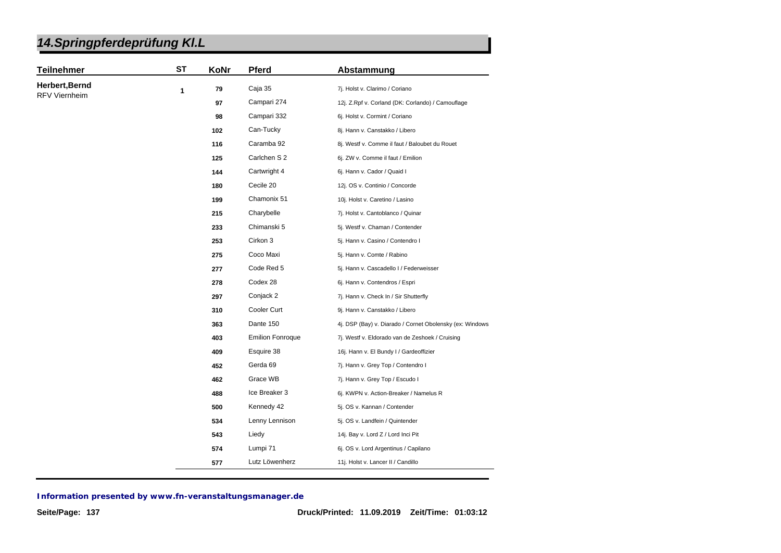| 14. Springpferdeprüfung KI. L |
|-------------------------------|
|-------------------------------|

| <b>Teilnehmer</b>    | <b>ST</b> | KoNr                                                  | <b>Pferd</b>            | Abstammung                                               |
|----------------------|-----------|-------------------------------------------------------|-------------------------|----------------------------------------------------------|
| Herbert, Bernd       | 1         | 79                                                    | Caja 35                 | 7j. Holst v. Clarimo / Coriano                           |
| <b>RFV Viernheim</b> |           | 97                                                    | Campari 274             | 12j. Z.Rpf v. Corland (DK: Corlando) / Camouflage        |
|                      |           | 98                                                    | Campari 332             | 6j. Holst v. Cormint / Coriano                           |
|                      |           | 102                                                   | Can-Tucky               | 8j. Hann v. Canstakko / Libero                           |
|                      |           | 116                                                   | Caramba 92              | 8j. Westf v. Comme il faut / Baloubet du Rouet           |
|                      |           | 125                                                   | Carlchen S 2            | 6j. ZW v. Comme il faut / Emilion                        |
|                      |           | 144                                                   | Cartwright 4            | 6j. Hann v. Cador / Quaid I                              |
|                      |           | 180                                                   | Cecile 20               | 12j. OS v. Continio / Concorde                           |
|                      |           | 199                                                   | Chamonix 51             | 10j. Holst v. Caretino / Lasino                          |
|                      |           | 215                                                   | Charybelle              | 7j. Holst v. Cantoblanco / Quinar                        |
|                      |           | 233                                                   | Chimanski 5             | 5j. Westf v. Chaman / Contender                          |
|                      |           | 253                                                   | Cirkon 3                | 5j. Hann v. Casino / Contendro I                         |
|                      |           | 275                                                   | Coco Maxi               | 5j. Hann v. Comte / Rabino                               |
|                      |           | 277                                                   | Code Red 5              | 5j. Hann v. Cascadello I / Federweisser                  |
|                      |           | 278                                                   | Codex 28                | 6j. Hann v. Contendros / Espri                           |
|                      |           | 297                                                   | Conjack 2               | 7j. Hann v. Check In / Sir Shutterfly                    |
|                      |           | 310                                                   | Cooler Curt             | 9j. Hann v. Canstakko / Libero                           |
|                      |           | 363                                                   | Dante 150               | 4j. DSP (Bay) v. Diarado / Cornet Obolensky (ex: Windows |
|                      |           | 403                                                   | <b>Emilion Fonroque</b> | 7j. Westf v. Eldorado van de Zeshoek / Cruising          |
|                      |           | 409                                                   | Esquire 38              | 16j. Hann v. El Bundy I / Gardeoffizier                  |
|                      |           | Gerda 69<br>452<br>7j. Hann v. Grey Top / Contendro I |                         |                                                          |
|                      |           | 462                                                   | Grace WB                | 7j. Hann v. Grey Top / Escudo I                          |
|                      |           | 488                                                   | Ice Breaker 3           | 6j. KWPN v. Action-Breaker / Namelus R                   |
|                      |           | 500                                                   | Kennedy 42              | 5j. OS v. Kannan / Contender                             |
|                      |           | 534                                                   | Lenny Lennison          | 5j. OS v. Landfein / Quintender                          |
|                      |           | 543                                                   | Liedy                   | 14j. Bay v. Lord Z / Lord Inci Pit                       |
|                      |           | 574                                                   | Lumpi 71                | 6j. OS v. Lord Argentinus / Capilano                     |
|                      |           | 577                                                   | Lutz Löwenherz          | 11j. Holst v. Lancer II / Candillo                       |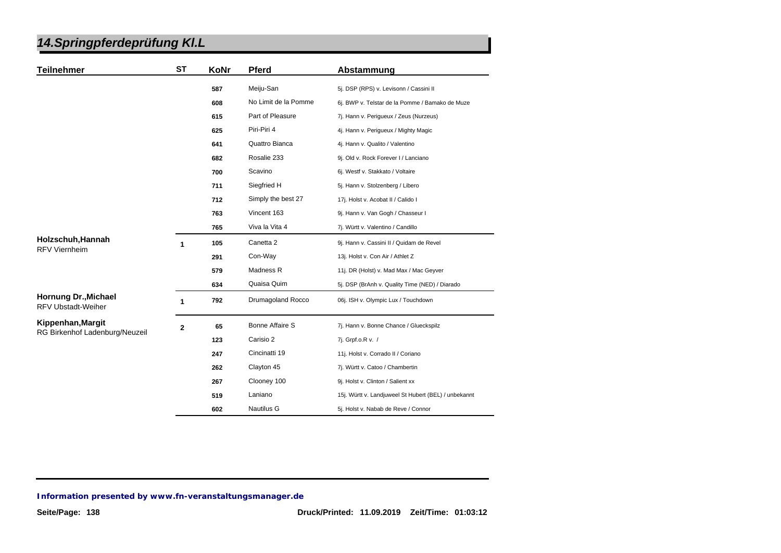| <b>Teilnehmer</b>                                        | <b>ST</b>      | KoNr | Pferd                  | Abstammung                                           |
|----------------------------------------------------------|----------------|------|------------------------|------------------------------------------------------|
|                                                          |                | 587  | Meiju-San              | 5j. DSP (RPS) v. Levisonn / Cassini II               |
|                                                          |                | 608  | No Limit de la Pomme   | 6j. BWP v. Telstar de la Pomme / Bamako de Muze      |
|                                                          |                | 615  | Part of Pleasure       | 7j. Hann v. Perigueux / Zeus (Nurzeus)               |
|                                                          |                | 625  | Piri-Piri 4            | 4j. Hann v. Perigueux / Mighty Magic                 |
|                                                          |                | 641  | Quattro Bianca         | 4j. Hann v. Qualito / Valentino                      |
|                                                          |                | 682  | Rosalie 233            | 9j. Old v. Rock Forever I / Lanciano                 |
|                                                          |                | 700  | Scavino                | 6j. Westf v. Stakkato / Voltaire                     |
|                                                          |                | 711  | Siegfried H            | 5j. Hann v. Stolzenberg / Libero                     |
|                                                          |                | 712  | Simply the best 27     | 17j. Holst v. Acobat II / Calido I                   |
|                                                          |                | 763  | Vincent 163            | 9j. Hann v. Van Gogh / Chasseur I                    |
|                                                          |                | 765  | Viva la Vita 4         | 7j. Württ v. Valentino / Candillo                    |
| Holzschuh, Hannah<br><b>RFV Viernheim</b>                | 1              | 105  | Canetta <sub>2</sub>   | 9j. Hann v. Cassini II / Quidam de Revel             |
|                                                          |                | 291  | Con-Way                | 13j. Holst v. Con Air / Athlet Z                     |
|                                                          |                | 579  | Madness R              | 11j. DR (Holst) v. Mad Max / Mac Geyver              |
|                                                          |                | 634  | Quaisa Quim            | 5j. DSP (BrAnh v. Quality Time (NED) / Diarado       |
| <b>Hornung Dr., Michael</b><br><b>RFV Ubstadt-Weiher</b> | 1              | 792  | Drumagoland Rocco      | 06j. ISH v. Olympic Lux / Touchdown                  |
| Kippenhan, Margit                                        | $\overline{2}$ | 65   | <b>Bonne Affaire S</b> | 7j. Hann v. Bonne Chance / Glueckspilz               |
| RG Birkenhof Ladenburg/Neuzeil                           |                | 123  | Carisio 2              | 7j. Grpf.o.R v. /                                    |
|                                                          |                | 247  | Cincinatti 19          | 11j. Holst v. Corrado II / Coriano                   |
|                                                          |                | 262  | Clayton 45             | 7j. Württ v. Catoo / Chambertin                      |
|                                                          |                | 267  | Clooney 100            | 9j. Holst v. Clinton / Salient xx                    |
|                                                          |                | 519  | Laniano                | 15j. Württ v. Landjuweel St Hubert (BEL) / unbekannt |
|                                                          |                | 602  | Nautilus G             | 5j. Holst v. Nabab de Reve / Connor                  |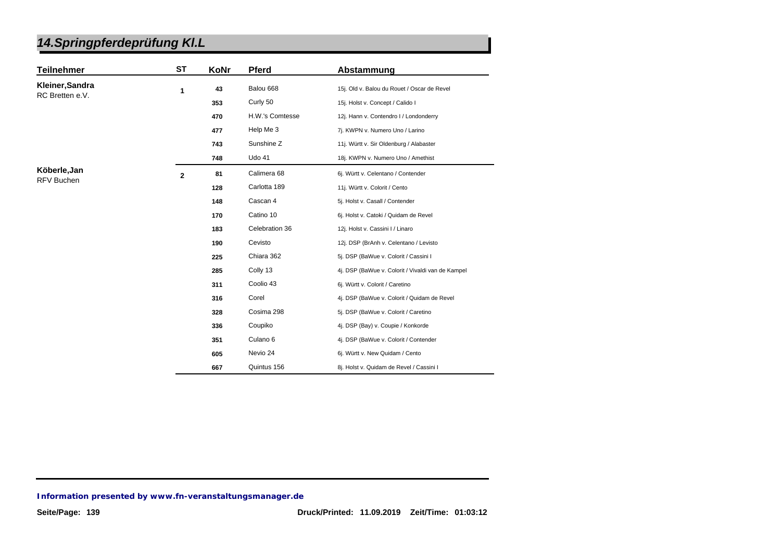| <b>Teilnehmer</b> | ST           | KoNr | <b>Pferd</b>        | Abstammung                                        |
|-------------------|--------------|------|---------------------|---------------------------------------------------|
| Kleiner, Sandra   | 1            | 43   | Balou 668           | 15j. Old v. Balou du Rouet / Oscar de Revel       |
| RC Bretten e.V.   |              | 353  | Curly 50            | 15j. Holst v. Concept / Calido I                  |
|                   |              | 470  | H.W.'s Comtesse     | 12j. Hann v. Contendro I / Londonderry            |
|                   |              | 477  | Help Me 3           | 7j. KWPN v. Numero Uno / Larino                   |
|                   |              | 743  | Sunshine Z          | 11j. Württ v. Sir Oldenburg / Alabaster           |
|                   |              | 748  | <b>Udo 41</b>       | 18j. KWPN v. Numero Uno / Amethist                |
| Köberle, Jan      | $\mathbf{2}$ | 81   | Calimera 68         | 6j. Württ v. Celentano / Contender                |
| <b>RFV Buchen</b> |              | 128  | Carlotta 189        | 11j. Württ v. Colorit / Cento                     |
|                   |              | 148  | Cascan 4            | 5j. Holst v. Casall / Contender                   |
|                   |              | 170  | Catino 10           | 6j. Holst v. Catoki / Quidam de Revel             |
|                   |              | 183  | Celebration 36      | 12j. Holst v. Cassini I / Linaro                  |
|                   |              | 190  | Cevisto             | 12j. DSP (BrAnh v. Celentano / Levisto            |
|                   |              | 225  | Chiara 362          | 5j. DSP (BaWue v. Colorit / Cassini I             |
|                   |              | 285  | Colly 13            | 4j. DSP (BaWue v. Colorit / Vivaldi van de Kampel |
|                   |              | 311  | Coolio 43           | 6j. Württ v. Colorit / Caretino                   |
|                   |              | 316  | Corel               | 4j. DSP (BaWue v. Colorit / Quidam de Revel       |
|                   |              | 328  | Cosima 298          | 5j. DSP (BaWue v. Colorit / Caretino              |
|                   |              | 336  | Coupiko             | 4j. DSP (Bay) v. Coupie / Konkorde                |
|                   |              | 351  | Culano <sub>6</sub> | 4j. DSP (BaWue v. Colorit / Contender             |
|                   |              | 605  | Nevio 24            | 6j. Württ v. New Quidam / Cento                   |
|                   |              | 667  | Quintus 156         | 8j. Holst v. Quidam de Revel / Cassini I          |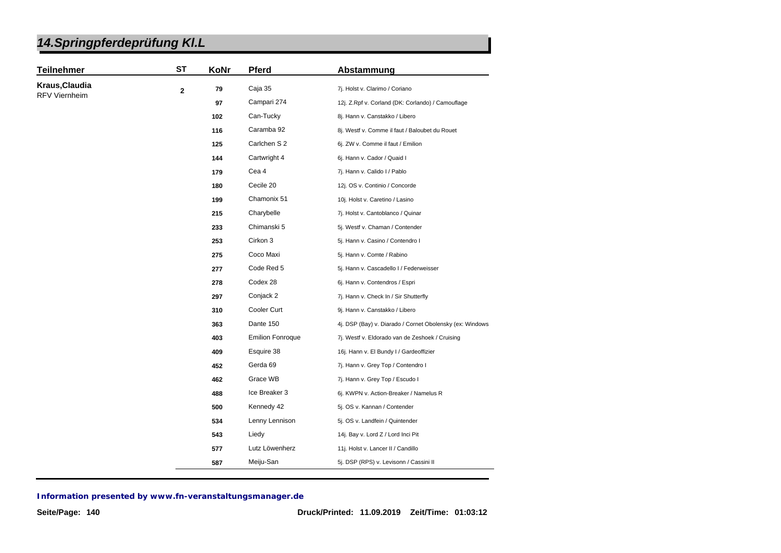| <b>Teilnehmer</b> | <b>ST</b>   | KoNr | <b>Pferd</b>            | Abstammung                                               |
|-------------------|-------------|------|-------------------------|----------------------------------------------------------|
| Kraus, Claudia    | $\mathbf 2$ | 79   | Caja 35                 | 7j. Holst v. Clarimo / Coriano                           |
| RFV Viernheim     |             | 97   | Campari 274             | 12j. Z.Rpf v. Corland (DK: Corlando) / Camouflage        |
|                   |             | 102  | Can-Tucky               | 8j. Hann v. Canstakko / Libero                           |
|                   |             | 116  | Caramba 92              | 8j. Westf v. Comme il faut / Baloubet du Rouet           |
|                   |             | 125  | Carlchen S 2            | 6j. ZW v. Comme il faut / Emilion                        |
|                   |             | 144  | Cartwright 4            | 6j. Hann v. Cador / Quaid I                              |
|                   |             | 179  | Cea 4                   | 7j. Hann v. Calido I / Pablo                             |
|                   |             | 180  | Cecile 20               | 12j. OS v. Continio / Concorde                           |
|                   |             | 199  | Chamonix 51             | 10j. Holst v. Caretino / Lasino                          |
|                   |             | 215  | Charybelle              | 7j. Holst v. Cantoblanco / Quinar                        |
|                   |             | 233  | Chimanski 5             | 5j. Westf v. Chaman / Contender                          |
|                   |             | 253  | Cirkon 3                | 5j. Hann v. Casino / Contendro I                         |
|                   |             | 275  | Coco Maxi               | 5j. Hann v. Comte / Rabino                               |
|                   |             | 277  | Code Red 5              | 5j. Hann v. Cascadello I / Federweisser                  |
|                   |             | 278  | Codex 28                | 6j. Hann v. Contendros / Espri                           |
|                   |             | 297  | Conjack 2               | 7j. Hann v. Check In / Sir Shutterfly                    |
|                   |             | 310  | Cooler Curt             | 9j. Hann v. Canstakko / Libero                           |
|                   |             | 363  | Dante 150               | 4j. DSP (Bay) v. Diarado / Cornet Obolensky (ex: Windows |
|                   |             | 403  | <b>Emilion Fonroque</b> | 7j. Westf v. Eldorado van de Zeshoek / Cruising          |
|                   |             | 409  | Esquire 38              | 16j. Hann v. El Bundy I / Gardeoffizier                  |
|                   |             | 452  | Gerda 69                | 7j. Hann v. Grey Top / Contendro I                       |
|                   |             | 462  | Grace WB                | 7j. Hann v. Grey Top / Escudo I                          |
|                   |             | 488  | Ice Breaker 3           | 6j. KWPN v. Action-Breaker / Namelus R                   |
|                   |             | 500  | Kennedy 42              | 5j. OS v. Kannan / Contender                             |
|                   |             | 534  | Lenny Lennison          | 5j. OS v. Landfein / Quintender                          |
|                   |             | 543  | Liedy                   | 14j. Bay v. Lord Z / Lord Inci Pit                       |
|                   |             | 577  | Lutz Löwenherz          | 11j. Holst v. Lancer II / Candillo                       |
|                   |             | 587  | Meiju-San               | 5j. DSP (RPS) v. Levisonn / Cassini II                   |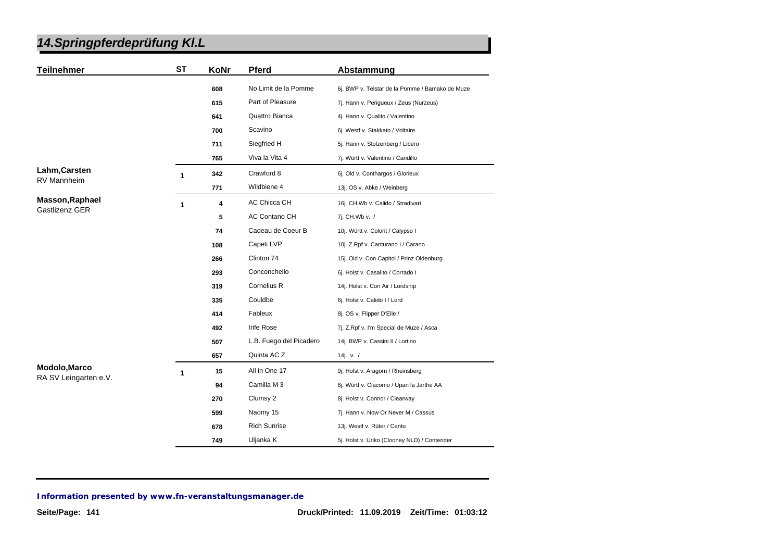| <b>Teilnehmer</b>     | <b>ST</b> | KoNr | Pferd                   | Abstammung                                      |
|-----------------------|-----------|------|-------------------------|-------------------------------------------------|
|                       |           | 608  | No Limit de la Pomme    | 6j. BWP v. Telstar de la Pomme / Bamako de Muze |
|                       |           | 615  | Part of Pleasure        | 7j. Hann v. Perigueux / Zeus (Nurzeus)          |
|                       |           | 641  | Quattro Bianca          | 4j. Hann v. Qualito / Valentino                 |
|                       |           | 700  | Scavino                 | 6j. Westf v. Stakkato / Voltaire                |
|                       |           | 711  | Siegfried H             | 5j. Hann v. Stolzenberg / Libero                |
|                       |           | 765  | Viva la Vita 4          | 7j. Württ v. Valentino / Candillo               |
| Lahm, Carsten         | 1         | 342  | Crawford 8              | 6j. Old v. Conthargos / Glorieux                |
| <b>RV Mannheim</b>    |           | 771  | Wildbiene 4             | 13j. OS v. Abke / Weinberg                      |
| Masson, Raphael       | 1         | 4    | <b>AC Chicca CH</b>     | 16j. CH.Wb v. Calido / Stradivari               |
| Gastlizenz GER        |           | 5    | AC Contano CH           | 7j. CH.Wb v. /                                  |
|                       |           | 74   | Cadeau de Coeur B       | 10j. Württ v. Colorit / Calypso I               |
|                       |           | 108  | Capeti LVP              | 10j. Z.Rpf v. Canturano I / Carano              |
|                       |           | 266  | Clinton 74              | 15j. Old v. Con Capitol / Prinz Oldenburg       |
|                       |           | 293  | Conconchello            | 6j. Holst v. Casalito / Corrado I               |
|                       |           | 319  | Cornelius R             | 14j. Holst v. Con Air / Lordship                |
|                       |           | 335  | Couldbe                 | 6j. Holst v. Calido I / Lord                    |
|                       |           | 414  | Fableux                 | 8j. OS v. Flipper D'Elle /                      |
|                       |           | 492  | Irife Rose              | 7j. Z.Rpf v. I'm Special de Muze / Asca         |
|                       |           | 507  | L.B. Fuego del Picadero | 14j. BWP v. Cassini II / Lortino                |
|                       |           | 657  | Quinta AC Z             | 14j. v. /                                       |
| Modolo, Marco         | 1         | 15   | All in One 17           | 9j. Holst v. Aragorn / Rheinsberg               |
| RA SV Leingarten e.V. |           | 94   | Camilla M 3             | 6j. Württ v. Ciacomo / Upan la Jarthe AA        |
|                       |           | 270  | Clumsy 2                | 8j. Holst v. Connor / Clearway                  |
|                       |           | 599  | Naomy 15                | 7j. Hann v. Now Or Never M / Cassus             |
|                       |           | 678  | <b>Rich Sunrise</b>     | 13j. Westf v. Rüter / Cento                     |
|                       |           | 749  | Uljanka K               | 5j. Holst v. Uriko (Clooney NLD) / Contender    |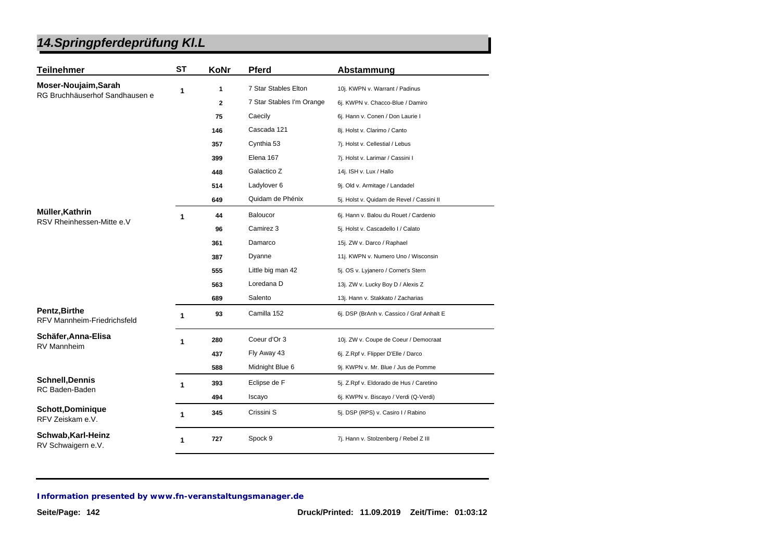| <b>Teilnehmer</b>                                          | <b>ST</b> | KoNr         | <b>Pferd</b>              | Abstammung                                |
|------------------------------------------------------------|-----------|--------------|---------------------------|-------------------------------------------|
| Moser-Noujaim, Sarah<br>RG Bruchhäuserhof Sandhausen e     | 1         | 1            | 7 Star Stables Elton      | 10j. KWPN v. Warrant / Padinus            |
|                                                            |           | $\mathbf{2}$ | 7 Star Stables I'm Orange | 6j. KWPN v. Chacco-Blue / Damiro          |
|                                                            |           | 75           | Caecily                   | 6j. Hann v. Conen / Don Laurie I          |
|                                                            |           | 146          | Cascada 121               | 8j. Holst v. Clarimo / Canto              |
|                                                            |           | 357          | Cynthia 53                | 7j. Holst v. Cellestial / Lebus           |
|                                                            |           | 399          | Elena 167                 | 7j. Holst v. Larimar / Cassini I          |
|                                                            |           | 448          | Galactico Z               | 14j. ISH v. Lux / Hallo                   |
|                                                            |           | 514          | Ladylover 6               | 9j. Old v. Armitage / Landadel            |
|                                                            |           | 649          | Quidam de Phénix          | 5j. Holst v. Quidam de Revel / Cassini II |
| Müller, Kathrin                                            | 1         | 44           | Baloucor                  | 6j. Hann v. Balou du Rouet / Cardenio     |
| RSV Rheinhessen-Mitte e.V                                  |           | 96           | Camirez 3                 | 5j. Holst v. Cascadello I / Calato        |
|                                                            |           | 361          | Damarco                   | 15j. ZW v. Darco / Raphael                |
|                                                            |           | 387          | Dyanne                    | 11j. KWPN v. Numero Uno / Wisconsin       |
|                                                            |           | 555          | Little big man 42         | 5j. OS v. Lyjanero / Cornet's Stern       |
|                                                            |           | 563          | Loredana D                | 13j. ZW v. Lucky Boy D / Alexis Z         |
|                                                            |           | 689          | Salento                   | 13j. Hann v. Stakkato / Zacharias         |
| <b>Pentz, Birthe</b><br><b>RFV Mannheim-Friedrichsfeld</b> | 1         | 93           | Camilla 152               | 6j. DSP (BrAnh v. Cassico / Graf Anhalt E |
| Schäfer, Anna-Elisa<br><b>RV Mannheim</b>                  | 1         | 280          | Coeur d'Or 3              | 10j. ZW v. Coupe de Coeur / Democraat     |
|                                                            |           | 437          | Fly Away 43               | 6j. Z.Rpf v. Flipper D'Elle / Darco       |
|                                                            |           | 588          | Midnight Blue 6           | 9j. KWPN v. Mr. Blue / Jus de Pomme       |
| <b>Schnell, Dennis</b><br>RC Baden-Baden                   | 1         | 393          | Eclipse de F              | 5j. Z.Rpf v. Eldorado de Hus / Caretino   |
|                                                            |           | 494          | Iscayo                    | 6j. KWPN v. Biscayo / Verdi (Q-Verdi)     |
| Schott, Dominique<br>RFV Zeiskam e.V.                      | 1         | 345          | Crissini S                | 5j. DSP (RPS) v. Casiro I / Rabino        |
| Schwab, Karl-Heinz<br>RV Schwaigern e.V.                   | 1         | 727          | Spock 9                   | 7j. Hann v. Stolzenberg / Rebel Z III     |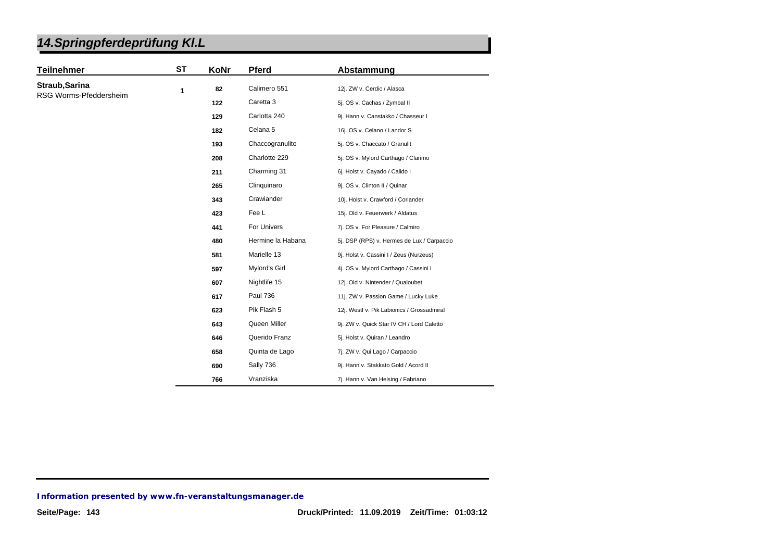| 14. Springpferdeprüfung KI. L |  |
|-------------------------------|--|
|-------------------------------|--|

| <b>Teilnehmer</b>                        | ST | KoNr | <b>Pferd</b>        | Abstammung                                 |
|------------------------------------------|----|------|---------------------|--------------------------------------------|
| Straub, Sarina<br>RSG Worms-Pfeddersheim | 1  | 82   | Calimero 551        | 12j. ZW v. Cerdic / Alasca                 |
|                                          |    | 122  | Caretta 3           | 5j. OS v. Cachas / Zymbal II               |
|                                          |    | 129  | Carlotta 240        | 9j. Hann v. Canstakko / Chasseur I         |
|                                          |    | 182  | Celana <sub>5</sub> | 16j. OS v. Celano / Landor S               |
|                                          |    | 193  | Chaccogranulito     | 5j. OS v. Chaccato / Granulit              |
|                                          |    | 208  | Charlotte 229       | 5j. OS v. Mylord Carthago / Clarimo        |
|                                          |    | 211  | Charming 31         | 6j. Holst v. Cayado / Calido I             |
|                                          |    | 265  | Clinquinaro         | 9j. OS v. Clinton II / Quinar              |
|                                          |    | 343  | Crawiander          | 10j. Holst v. Crawford / Coriander         |
|                                          |    | 423  | Fee L               | 15j. Old v. Feuerwerk / Aldatus            |
|                                          |    | 441  | For Univers         | 7j. OS v. For Pleasure / Calmiro           |
|                                          |    | 480  | Hermine la Habana   | 5j. DSP (RPS) v. Hermes de Lux / Carpaccio |
|                                          |    | 581  | Marielle 13         | 9j. Holst v. Cassini I / Zeus (Nurzeus)    |
|                                          |    | 597  | Mylord's Girl       | 4j. OS v. Mylord Carthago / Cassini I      |
|                                          |    | 607  | Nightlife 15        | 12j. Old v. Nintender / Qualoubet          |
|                                          |    | 617  | <b>Paul 736</b>     | 11j. ZW v. Passion Game / Lucky Luke       |
|                                          |    | 623  | Pik Flash 5         | 12j. Westf v. Pik Labionics / Grossadmiral |
|                                          |    | 643  | Queen Miller        | 9j. ZW v. Quick Star IV CH / Lord Caletto  |
|                                          |    | 646  | Querido Franz       | 5j. Holst v. Quiran / Leandro              |
|                                          |    | 658  | Quinta de Lago      | 7j. ZW v. Qui Lago / Carpaccio             |
|                                          |    | 690  | Sally 736           | 9j. Hann v. Stakkato Gold / Acord II       |
|                                          |    | 766  | Vranziska           | 7j. Hann v. Van Helsing / Fabriano         |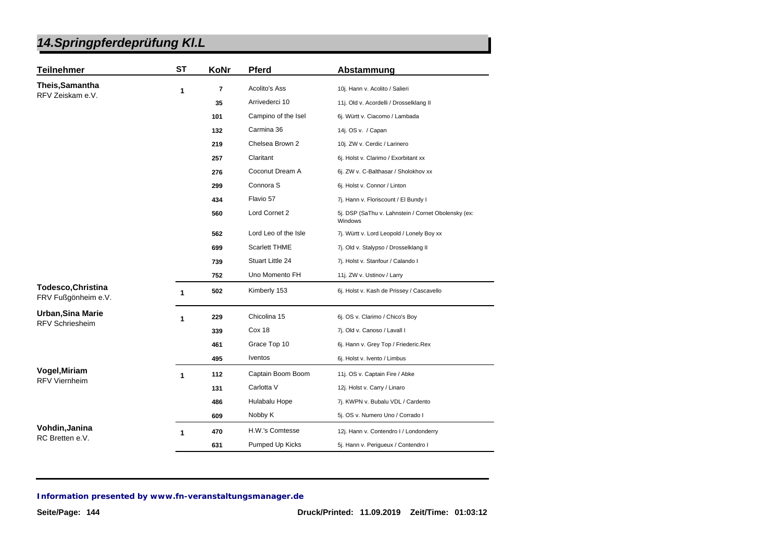| <b>Teilnehmer</b>                                  | <b>ST</b> | KoNr | <b>Pferd</b>         | Abstammung                                                     |
|----------------------------------------------------|-----------|------|----------------------|----------------------------------------------------------------|
| Theis, Samantha<br>RFV Zeiskam e.V.                | 1         | 7    | <b>Acolito's Ass</b> | 10j. Hann v. Acolito / Salieri                                 |
|                                                    |           | 35   | Arrivederci 10       | 11j. Old v. Acordelli / Drosselklang II                        |
|                                                    |           | 101  | Campino of the Isel  | 6j. Württ v. Ciacomo / Lambada                                 |
|                                                    |           | 132  | Carmina 36           | 14j. OS v. / Capan                                             |
|                                                    |           | 219  | Chelsea Brown 2      | 10j. ZW v. Cerdic / Larinero                                   |
|                                                    |           | 257  | Claritant            | 6j. Holst v. Clarimo / Exorbitant xx                           |
|                                                    |           | 276  | Coconut Dream A      | 6j. ZW v. C-Balthasar / Sholokhov xx                           |
|                                                    |           | 299  | Connora S            | 6j. Holst v. Connor / Linton                                   |
|                                                    |           | 434  | Flavio 57            | 7j. Hann v. Floriscount / El Bundy I                           |
|                                                    |           | 560  | Lord Cornet 2        | 5j. DSP (SaThu v. Lahnstein / Cornet Obolensky (ex:<br>Windows |
|                                                    |           | 562  | Lord Leo of the Isle | 7j. Württ v. Lord Leopold / Lonely Boy xx                      |
|                                                    |           | 699  | <b>Scarlett THME</b> | 7j. Old v. Stalypso / Drosselklang II                          |
|                                                    |           | 739  | Stuart Little 24     | 7j. Holst v. Stanfour / Calando I                              |
|                                                    |           | 752  | Uno Momento FH       | 11j. ZW v. Ustinov / Larry                                     |
| <b>Todesco, Christina</b><br>FRV Fußgönheim e.V.   | 1         | 502  | Kimberly 153         | 6j. Holst v. Kash de Prissey / Cascavello                      |
| <b>Urban, Sina Marie</b><br><b>RFV Schriesheim</b> | 1         | 229  | Chicolina 15         | 6j. OS v. Clarimo / Chico's Boy                                |
|                                                    |           | 339  | Cox 18               | 7j. Old v. Canoso / Lavall I                                   |
|                                                    |           | 461  | Grace Top 10         | 6j. Hann v. Grey Top / Friederic.Rex                           |
|                                                    |           | 495  | Iventos              | 6j. Holst v. Ivento / Limbus                                   |
| Vogel, Miriam<br><b>RFV Viernheim</b>              | 1         | 112  | Captain Boom Boom    | 11j. OS v. Captain Fire / Abke                                 |
|                                                    |           | 131  | Carlotta V           | 12j. Holst v. Carry / Linaro                                   |
|                                                    |           | 486  | Hulabalu Hope        | 7j. KWPN v. Bubalu VDL / Cardento                              |
|                                                    |           | 609  | Nobby K              | 5j. OS v. Numero Uno / Corrado I                               |
| Vohdin, Janina<br>RC Bretten e.V.                  | 1         | 470  | H.W.'s Comtesse      | 12j. Hann v. Contendro I / Londonderry                         |
|                                                    |           | 631  | Pumped Up Kicks      | 5j. Hann v. Perigueux / Contendro I                            |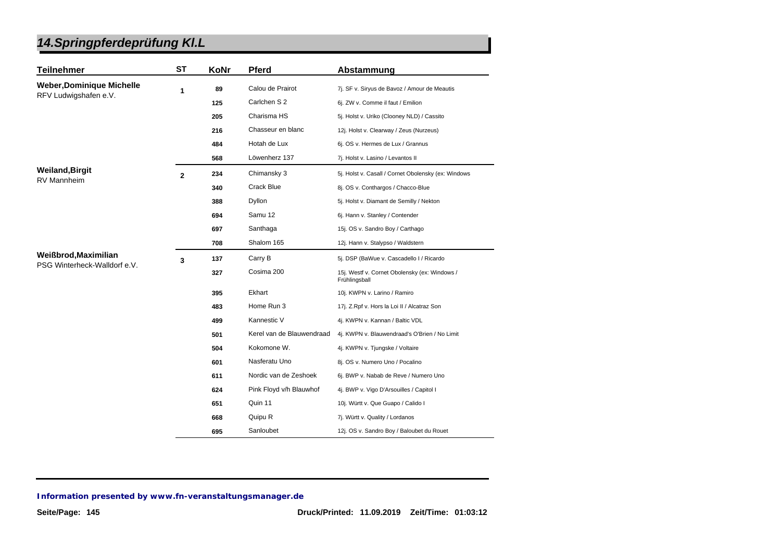| <b>Teilnehmer</b>                | <b>ST</b>      | KoNr | <b>Pferd</b>              | Abstammung                                                     |
|----------------------------------|----------------|------|---------------------------|----------------------------------------------------------------|
| <b>Weber, Dominique Michelle</b> | 1              | 89   | Calou de Prairot          | 7j. SF v. Siryus de Bavoz / Amour de Meautis                   |
| RFV Ludwigshafen e.V.            |                | 125  | Carlchen S 2              | 6j. ZW v. Comme il faut / Emilion                              |
|                                  |                | 205  | Charisma HS               | 5j. Holst v. Uriko (Clooney NLD) / Cassito                     |
|                                  |                | 216  | Chasseur en blanc         | 12j. Holst v. Clearway / Zeus (Nurzeus)                        |
|                                  |                | 484  | Hotah de Lux              | 6j. OS v. Hermes de Lux / Grannus                              |
|                                  |                | 568  | Löwenherz 137             | 7j. Holst v. Lasino / Levantos II                              |
| <b>Weiland, Birgit</b>           | $\overline{2}$ | 234  | Chimansky 3               | 5j. Holst v. Casall / Cornet Obolensky (ex: Windows            |
| <b>RV Mannheim</b>               |                | 340  | Crack Blue                | 8j. OS v. Conthargos / Chacco-Blue                             |
|                                  |                | 388  | Dyllon                    | 5j. Holst v. Diamant de Semilly / Nekton                       |
|                                  |                | 694  | Samu 12                   | 6j. Hann v. Stanley / Contender                                |
|                                  |                | 697  | Santhaga                  | 15j. OS v. Sandro Boy / Carthago                               |
|                                  |                | 708  | Shalom 165                | 12j. Hann v. Stalypso / Waldstern                              |
| Weißbrod, Maximilian             | 3              | 137  | Carry B                   | 5j. DSP (BaWue v. Cascadello I / Ricardo                       |
| PSG Winterheck-Walldorf e.V.     |                | 327  | Cosima 200                | 15j. Westf v. Cornet Obolensky (ex: Windows /<br>Frühlingsball |
|                                  |                | 395  | Ekhart                    | 10j. KWPN v. Larino / Ramiro                                   |
|                                  |                | 483  | Home Run 3                | 17j. Z.Rpf v. Hors la Loi II / Alcatraz Son                    |
|                                  |                | 499  | Kannestic V               | 4j. KWPN v. Kannan / Baltic VDL                                |
|                                  |                | 501  | Kerel van de Blauwendraad | 4j. KWPN v. Blauwendraad's O'Brien / No Limit                  |
|                                  |                | 504  | Kokomone W.               | 4j. KWPN v. Tjungske / Voltaire                                |
|                                  |                | 601  | Nasferatu Uno             | 8j. OS v. Numero Uno / Pocalino                                |
|                                  |                | 611  | Nordic van de Zeshoek     | 6j. BWP v. Nabab de Reve / Numero Uno                          |
|                                  |                | 624  | Pink Floyd v/h Blauwhof   | 4j. BWP v. Vigo D'Arsouilles / Capitol I                       |
|                                  |                | 651  | Quin 11                   | 10j. Württ v. Que Guapo / Calido I                             |
|                                  |                | 668  | Quipu R                   | 7j. Württ v. Quality / Lordanos                                |
|                                  |                | 695  | Sanloubet                 | 12j. OS v. Sandro Boy / Baloubet du Rouet                      |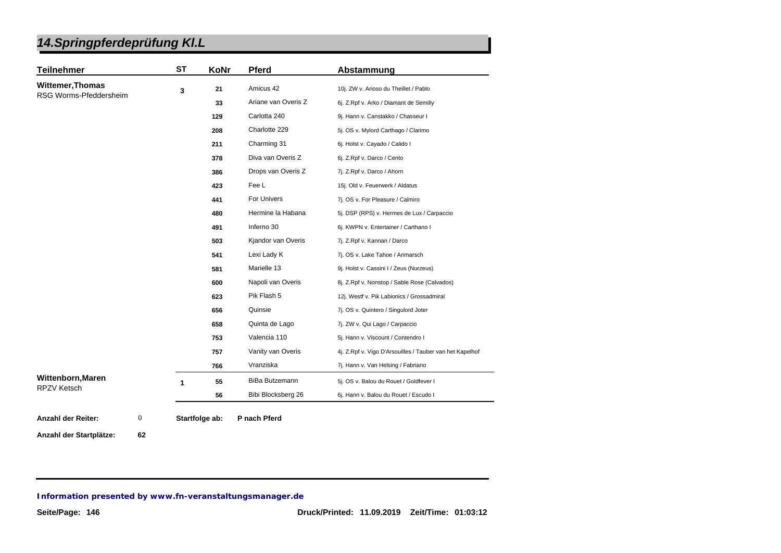| <b>Teilnehmer</b>                       | <b>ST</b> | KoNr | <b>Pferd</b>        | Abstammung                                               |
|-----------------------------------------|-----------|------|---------------------|----------------------------------------------------------|
| <b>Wittemer, Thomas</b>                 | 3         | 21   | Amicus 42           | 10j. ZW v. Arioso du Theillet / Pablo                    |
| RSG Worms-Pfeddersheim                  |           | 33   | Ariane van Overis Z | 6j. Z.Rpf v. Arko / Diamant de Semilly                   |
|                                         |           | 129  | Carlotta 240        | 9j. Hann v. Canstakko / Chasseur I                       |
|                                         |           | 208  | Charlotte 229       | 5j. OS v. Mylord Carthago / Clarimo                      |
|                                         |           | 211  | Charming 31         | 6j. Holst v. Cayado / Calido I                           |
|                                         |           | 378  | Diva van Overis Z   | 6j. Z.Rpf v. Darco / Cento                               |
|                                         |           | 386  | Drops van Overis Z  | 7j. Z.Rpf v. Darco / Ahorn                               |
|                                         |           | 423  | Fee L               | 15j. Old v. Feuerwerk / Aldatus                          |
|                                         |           | 441  | For Univers         | 7j. OS v. For Pleasure / Calmiro                         |
|                                         |           | 480  | Hermine la Habana   | 5j. DSP (RPS) v. Hermes de Lux / Carpaccio               |
|                                         |           | 491  | Inferno 30          | 6j. KWPN v. Entertainer / Carthano I                     |
|                                         |           | 503  | Kjandor van Overis  | 7j. Z.Rpf v. Kannan / Darco                              |
|                                         |           | 541  | Lexi Lady K         | 7j. OS v. Lake Tahoe / Anmarsch                          |
|                                         |           | 581  | Marielle 13         | 9j. Holst v. Cassini I / Zeus (Nurzeus)                  |
|                                         |           | 600  | Napoli van Overis   | 8j. Z.Rpf v. Nonstop / Sable Rose (Calvados)             |
|                                         |           | 623  | Pik Flash 5         | 12j. Westf v. Pik Labionics / Grossadmiral               |
|                                         |           | 656  | Quinsie             | 7j. OS v. Quintero / Singulord Joter                     |
|                                         |           | 658  | Quinta de Lago      | 7j. ZW v. Qui Lago / Carpaccio                           |
|                                         |           | 753  | Valencia 110        | 5j. Hann v. Viscount / Contendro I                       |
|                                         |           | 757  | Vanity van Overis   | 4j. Z.Rpf v. Vigo D'Arsouilles / Tauber van het Kapelhof |
|                                         |           | 766  | Vranziska           | 7j. Hann v. Van Helsing / Fabriano                       |
| Wittenborn, Maren<br><b>RPZV Ketsch</b> | 1         | 55   | BiBa Butzemann      | 5j. OS v. Balou du Rouet / Goldfever I                   |
|                                         |           |      |                     |                                                          |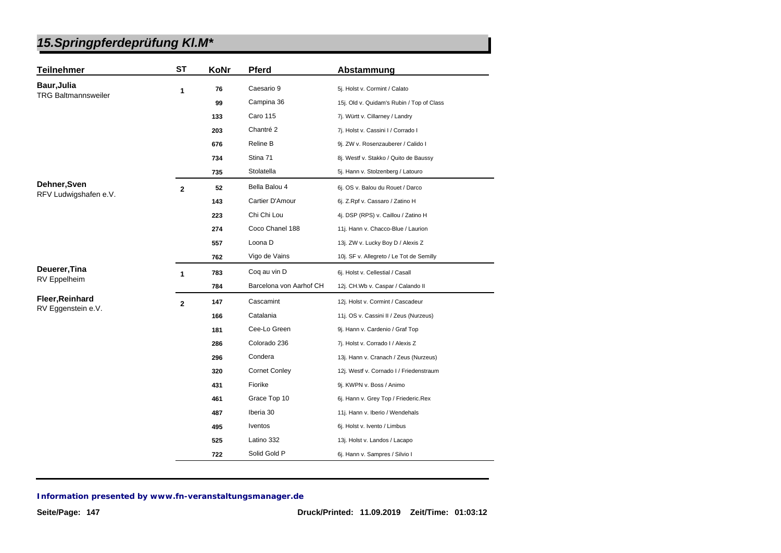| <b>Teilnehmer</b>          | <b>ST</b>               | KoNr | <b>Pferd</b>            | Abstammung                                |
|----------------------------|-------------------------|------|-------------------------|-------------------------------------------|
| Baur, Julia                | 1                       | 76   | Caesario 9              | 5j. Holst v. Cormint / Calato             |
| <b>TRG Baltmannsweiler</b> |                         | 99   | Campina 36              | 15j. Old v. Quidam's Rubin / Top of Class |
|                            |                         | 133  | <b>Caro 115</b>         | 7j. Württ v. Cillarney / Landry           |
|                            |                         | 203  | Chantré 2               | 7j. Holst v. Cassini I / Corrado I        |
|                            |                         | 676  | Reline B                | 9j. ZW v. Rosenzauberer / Calido I        |
|                            |                         | 734  | Stina 71                | 8j. Westf v. Stakko / Quito de Baussy     |
|                            |                         | 735  | Stolatella              | 5j. Hann v. Stolzenberg / Latouro         |
| Dehner, Sven               | $\overline{\mathbf{2}}$ | 52   | Bella Balou 4           | 6j. OS v. Balou du Rouet / Darco          |
| RFV Ludwigshafen e.V.      |                         | 143  | Cartier D'Amour         | 6j. Z.Rpf v. Cassaro / Zatino H           |
|                            |                         | 223  | Chi Chi Lou             | 4j. DSP (RPS) v. Caillou / Zatino H       |
|                            |                         | 274  | Coco Chanel 188         | 11j. Hann v. Chacco-Blue / Laurion        |
|                            |                         | 557  | Loona D                 | 13j. ZW v. Lucky Boy D / Alexis Z         |
|                            |                         | 762  | Vigo de Vains           | 10j. SF v. Allegreto / Le Tot de Semilly  |
| Deuerer, Tina              | 1                       | 783  | Coq au vin D            | 6j. Holst v. Cellestial / Casall          |
| RV Eppelheim               |                         | 784  | Barcelona von Aarhof CH | 12j. CH.Wb v. Caspar / Calando II         |
| Fleer, Reinhard            | $\overline{\mathbf{2}}$ | 147  | Cascamint               | 12j. Holst v. Cormint / Cascadeur         |
| RV Eggenstein e.V.         |                         | 166  | Catalania               | 11j. OS v. Cassini II / Zeus (Nurzeus)    |
|                            |                         | 181  | Cee-Lo Green            | 9j. Hann v. Cardenio / Graf Top           |
|                            |                         | 286  | Colorado 236            | 7j. Holst v. Corrado I / Alexis Z         |
|                            |                         | 296  | Condera                 | 13j. Hann v. Cranach / Zeus (Nurzeus)     |
|                            |                         | 320  | <b>Cornet Conley</b>    | 12j. Westf v. Cornado I / Friedenstraum   |
|                            |                         | 431  | Fiorike                 | 9j. KWPN v. Boss / Animo                  |
|                            |                         | 461  | Grace Top 10            | 6j. Hann v. Grey Top / Friederic.Rex      |
|                            |                         | 487  | Iberia 30               | 11j. Hann v. Iberio / Wendehals           |
|                            |                         | 495  | <i>lventos</i>          | 6j. Holst v. Ivento / Limbus              |
|                            |                         | 525  | Latino 332              | 13j. Holst v. Landos / Lacapo             |
|                            |                         | 722  | Solid Gold P            | 6j. Hann v. Sampres / Silvio I            |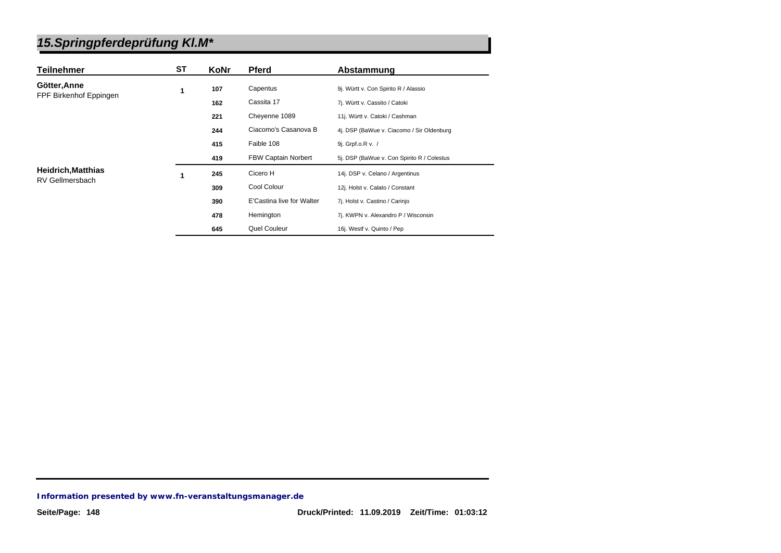| <b>Teilnehmer</b>         | <b>ST</b> | KoNr | <b>Pferd</b>               | Abstammung                                 |
|---------------------------|-----------|------|----------------------------|--------------------------------------------|
| Götter, Anne              | 1         | 107  | Capentus                   | 9j. Württ v. Con Spirito R / Alassio       |
| FPF Birkenhof Eppingen    |           | 162  | Cassita 17                 | 7j. Württ v. Cassito / Catoki              |
|                           |           | 221  | Cheyenne 1089              | 11j. Württ v. Catoki / Cashman             |
|                           |           | 244  | Ciacomo's Casanova B       | 4j. DSP (BaWue v. Ciacomo / Sir Oldenburg  |
|                           |           | 415  | Faible 108                 | 9j. Grpf.o.R v. /                          |
|                           |           | 419  | <b>FBW Captain Norbert</b> | 5j. DSP (BaWue v. Con Spirito R / Colestus |
| <b>Heidrich, Matthias</b> | 1         | 245  | Cicero H                   | 14j. DSP v. Celano / Argentinus            |
| RV Gellmersbach           |           | 309  | Cool Colour                | 12j. Holst v. Calato / Constant            |
|                           |           | 390  | E'Castina live for Walter  | 7j. Holst v. Castino / Carinjo             |
|                           |           | 478  | Hemington                  | 7j. KWPN v. Alexandro P / Wisconsin        |
|                           |           | 645  | Quel Couleur               | 16j. Westf v. Quinto / Pep                 |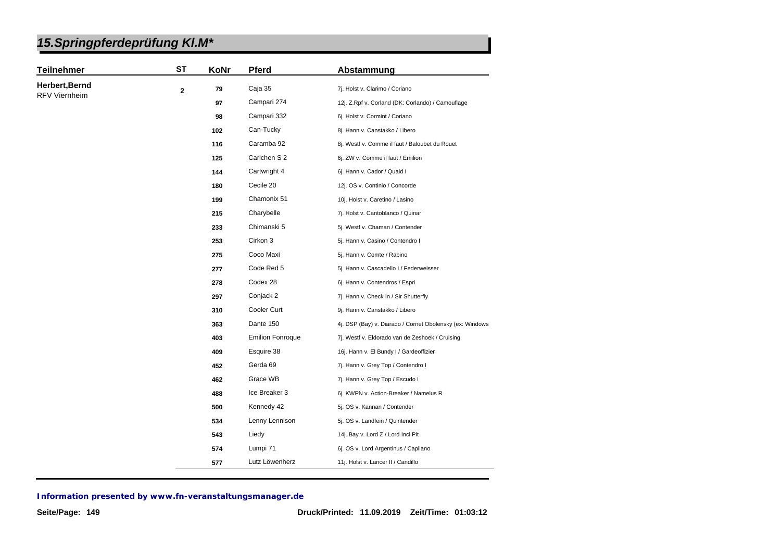|  | 15. Springpferdeprüfung KI. M* |  |
|--|--------------------------------|--|
|--|--------------------------------|--|

| <b>Teilnehmer</b>    | <b>ST</b>   | KoNr | Pferd                   | Abstammung                                               |
|----------------------|-------------|------|-------------------------|----------------------------------------------------------|
| Herbert, Bernd       | $\mathbf 2$ | 79   | Caja 35                 | 7j. Holst v. Clarimo / Coriano                           |
| <b>RFV Viernheim</b> |             | 97   | Campari 274             | 12j. Z.Rpf v. Corland (DK: Corlando) / Camouflage        |
|                      |             | 98   | Campari 332             | 6j. Holst v. Cormint / Coriano                           |
|                      |             | 102  | Can-Tucky               | 8j. Hann v. Canstakko / Libero                           |
|                      |             | 116  | Caramba 92              | 8j. Westf v. Comme il faut / Baloubet du Rouet           |
|                      |             | 125  | Carlchen S 2            | 6j. ZW v. Comme il faut / Emilion                        |
|                      |             | 144  | Cartwright 4            | 6j. Hann v. Cador / Quaid I                              |
|                      |             | 180  | Cecile 20               | 12j. OS v. Continio / Concorde                           |
|                      |             | 199  | Chamonix 51             | 10j. Holst v. Caretino / Lasino                          |
|                      |             | 215  | Charybelle              | 7j. Holst v. Cantoblanco / Quinar                        |
|                      |             | 233  | Chimanski 5             | 5j. Westf v. Chaman / Contender                          |
|                      |             | 253  | Cirkon 3                | 5j. Hann v. Casino / Contendro I                         |
|                      |             | 275  | Coco Maxi               | 5j. Hann v. Comte / Rabino                               |
|                      |             | 277  | Code Red 5              | 5j. Hann v. Cascadello I / Federweisser                  |
|                      |             | 278  | Codex 28                | 6j. Hann v. Contendros / Espri                           |
|                      |             | 297  | Conjack 2               | 7j. Hann v. Check In / Sir Shutterfly                    |
|                      |             | 310  | Cooler Curt             | 9j. Hann v. Canstakko / Libero                           |
|                      |             | 363  | Dante 150               | 4j. DSP (Bay) v. Diarado / Cornet Obolensky (ex: Windows |
|                      |             | 403  | <b>Emilion Fonroque</b> | 7j. Westf v. Eldorado van de Zeshoek / Cruising          |
|                      |             | 409  | Esquire 38              | 16j. Hann v. El Bundy I / Gardeoffizier                  |
|                      |             | 452  | Gerda 69                | 7j. Hann v. Grey Top / Contendro I                       |
|                      |             | 462  | Grace WB                | 7j. Hann v. Grey Top / Escudo I                          |
|                      |             | 488  | Ice Breaker 3           | 6j. KWPN v. Action-Breaker / Namelus R                   |
|                      |             | 500  | Kennedy 42              | 5j. OS v. Kannan / Contender                             |
|                      |             | 534  | Lenny Lennison          | 5j. OS v. Landfein / Quintender                          |
|                      |             | 543  | Liedy                   | 14j. Bay v. Lord Z / Lord Inci Pit                       |
|                      |             | 574  | Lumpi 71                | 6j. OS v. Lord Argentinus / Capilano                     |
|                      |             | 577  | Lutz Löwenherz          | 11j. Holst v. Lancer II / Candillo                       |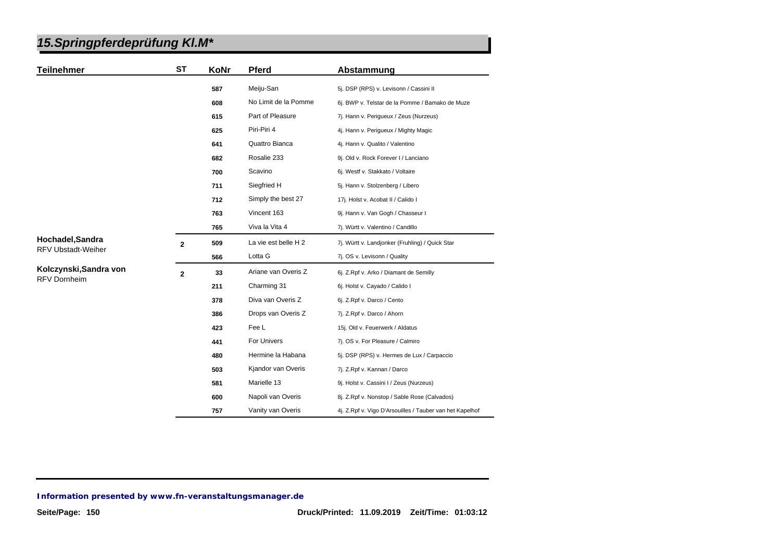| <b>Teilnehmer</b>                             | <b>ST</b>      | KoNr | Pferd                | Abstammung                                               |
|-----------------------------------------------|----------------|------|----------------------|----------------------------------------------------------|
|                                               |                | 587  | Meiju-San            | 5j. DSP (RPS) v. Levisonn / Cassini II                   |
|                                               |                | 608  | No Limit de la Pomme | 6j. BWP v. Telstar de la Pomme / Bamako de Muze          |
|                                               |                | 615  | Part of Pleasure     | 7j. Hann v. Perigueux / Zeus (Nurzeus)                   |
|                                               |                | 625  | Piri-Piri 4          | 4j. Hann v. Perigueux / Mighty Magic                     |
|                                               |                | 641  | Quattro Bianca       | 4j. Hann v. Qualito / Valentino                          |
|                                               |                | 682  | Rosalie 233          | 9j. Old v. Rock Forever I / Lanciano                     |
|                                               |                | 700  | Scavino              | 6j. Westf v. Stakkato / Voltaire                         |
|                                               |                | 711  | Siegfried H          | 5j. Hann v. Stolzenberg / Libero                         |
|                                               |                | 712  | Simply the best 27   | 17j. Holst v. Acobat II / Calido I                       |
|                                               |                | 763  | Vincent 163          | 9j. Hann v. Van Gogh / Chasseur I                        |
|                                               |                | 765  | Viva la Vita 4       | 7j. Württ v. Valentino / Candillo                        |
| Hochadel, Sandra<br><b>RFV Ubstadt-Weiher</b> | $\overline{2}$ | 509  | La vie est belle H 2 | 7j. Württ v. Landjonker (Fruhling) / Quick Star          |
|                                               |                | 566  | Lotta G              | 7j. OS v. Levisonn / Quality                             |
| Kolczynski, Sandra von<br><b>RFV Dornheim</b> | $\overline{2}$ | 33   | Ariane van Overis Z  | 6j. Z.Rpf v. Arko / Diamant de Semilly                   |
|                                               |                | 211  | Charming 31          | 6j. Holst v. Cayado / Calido I                           |
|                                               |                | 378  | Diva van Overis Z    | 6j. Z.Rpf v. Darco / Cento                               |
|                                               |                | 386  | Drops van Overis Z   | 7j. Z.Rpf v. Darco / Ahorn                               |
|                                               |                | 423  | Fee L                | 15j. Old v. Feuerwerk / Aldatus                          |
|                                               |                | 441  | For Univers          | 7j. OS v. For Pleasure / Calmiro                         |
|                                               |                | 480  | Hermine la Habana    | 5j. DSP (RPS) v. Hermes de Lux / Carpaccio               |
|                                               |                | 503  | Kjandor van Overis   | 7j. Z.Rpf v. Kannan / Darco                              |
|                                               |                | 581  | Marielle 13          | 9j. Holst v. Cassini I / Zeus (Nurzeus)                  |
|                                               |                | 600  | Napoli van Overis    | 8j. Z.Rpf v. Nonstop / Sable Rose (Calvados)             |
|                                               |                | 757  | Vanity van Overis    | 4j. Z.Rpf v. Vigo D'Arsouilles / Tauber van het Kapelhof |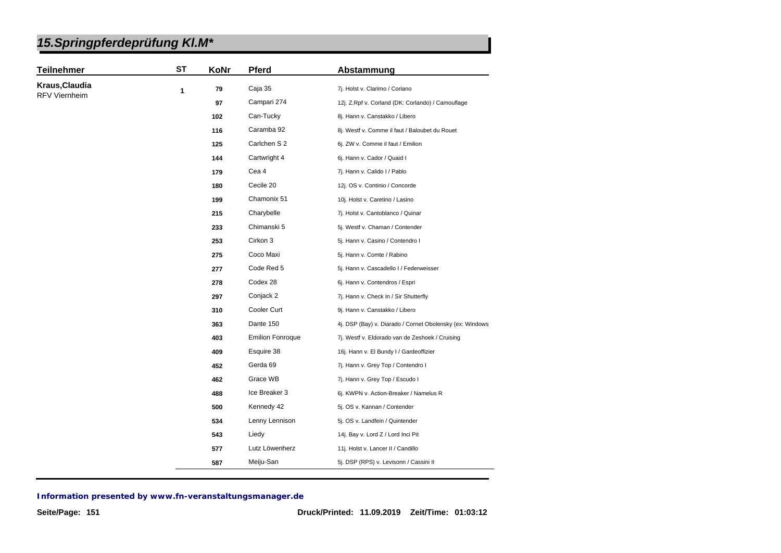|--|

| <b>Teilnehmer</b>    | <b>ST</b> | KoNr | <b>Pferd</b>            | Abstammung                                               |
|----------------------|-----------|------|-------------------------|----------------------------------------------------------|
| Kraus, Claudia       | 1         | 79   | Caja 35                 | 7j. Holst v. Clarimo / Coriano                           |
| <b>RFV Viernheim</b> |           | 97   | Campari 274             | 12j. Z.Rpf v. Corland (DK: Corlando) / Camouflage        |
|                      |           | 102  | Can-Tucky               | 8j. Hann v. Canstakko / Libero                           |
|                      |           | 116  | Caramba 92              | 8j. Westf v. Comme il faut / Baloubet du Rouet           |
|                      |           | 125  | Carlchen S 2            | 6j. ZW v. Comme il faut / Emilion                        |
|                      |           | 144  | Cartwright 4            | 6j. Hann v. Cador / Quaid I                              |
|                      |           | 179  | Cea 4                   | 7j. Hann v. Calido I / Pablo                             |
|                      |           | 180  | Cecile 20               | 12j. OS v. Continio / Concorde                           |
|                      |           | 199  | Chamonix 51             | 10j. Holst v. Caretino / Lasino                          |
|                      |           | 215  | Charybelle              | 7j. Holst v. Cantoblanco / Quinar                        |
|                      |           | 233  | Chimanski 5             | 5j. Westf v. Chaman / Contender                          |
|                      |           | 253  | Cirkon 3                | 5j. Hann v. Casino / Contendro I                         |
|                      |           | 275  | Coco Maxi               | 5j. Hann v. Comte / Rabino                               |
|                      |           | 277  | Code Red 5              | 5j. Hann v. Cascadello I / Federweisser                  |
|                      |           | 278  | Codex 28                | 6j. Hann v. Contendros / Espri                           |
|                      |           | 297  | Conjack 2               | 7j. Hann v. Check In / Sir Shutterfly                    |
|                      |           | 310  | Cooler Curt             | 9j. Hann v. Canstakko / Libero                           |
|                      |           | 363  | Dante 150               | 4j. DSP (Bay) v. Diarado / Cornet Obolensky (ex: Windows |
|                      |           | 403  | <b>Emilion Fonroque</b> | 7j. Westf v. Eldorado van de Zeshoek / Cruising          |
|                      |           | 409  | Esquire 38              | 16j. Hann v. El Bundy I / Gardeoffizier                  |
|                      |           | 452  | Gerda 69                | 7j. Hann v. Grey Top / Contendro I                       |
|                      |           | 462  | Grace WB                | 7j. Hann v. Grey Top / Escudo I                          |
|                      |           | 488  | Ice Breaker 3           | 6j. KWPN v. Action-Breaker / Namelus R                   |
|                      |           | 500  | Kennedy 42              | 5j. OS v. Kannan / Contender                             |
|                      |           | 534  | Lenny Lennison          | 5j. OS v. Landfein / Quintender                          |
|                      |           | 543  | Liedy                   | 14j. Bay v. Lord Z / Lord Inci Pit                       |
|                      |           | 577  | Lutz Löwenherz          | 11j. Holst v. Lancer II / Candillo                       |
|                      |           | 587  | Meiju-San               | 5j. DSP (RPS) v. Levisonn / Cassini II                   |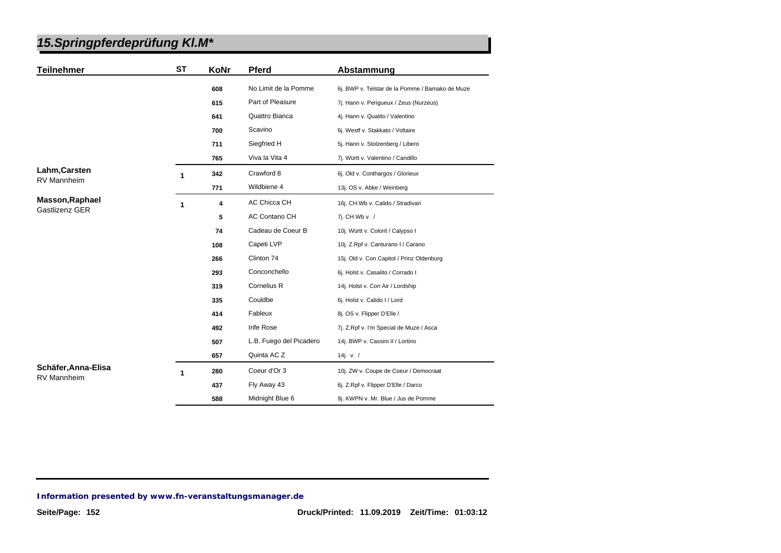| <b>Teilnehmer</b>   | <b>ST</b> | KoNr | Pferd                   | Abstammung                                      |
|---------------------|-----------|------|-------------------------|-------------------------------------------------|
|                     |           | 608  | No Limit de la Pomme    | 6j. BWP v. Telstar de la Pomme / Bamako de Muze |
|                     |           | 615  | Part of Pleasure        | 7j. Hann v. Perigueux / Zeus (Nurzeus)          |
|                     |           | 641  | Quattro Bianca          | 4j. Hann v. Qualito / Valentino                 |
|                     |           | 700  | Scavino                 | 6j. Westf v. Stakkato / Voltaire                |
|                     |           | 711  | Siegfried H             | 5j. Hann v. Stolzenberg / Libero                |
|                     |           | 765  | Viva la Vita 4          | 7j. Württ v. Valentino / Candillo               |
| Lahm, Carsten       | 1         | 342  | Crawford 8              | 6j. Old v. Conthargos / Glorieux                |
| <b>RV Mannheim</b>  |           | 771  | Wildbiene 4             | 13j. OS v. Abke / Weinberg                      |
| Masson, Raphael     | 1         | 4    | AC Chicca CH            | 16j. CH.Wb v. Calido / Stradivari               |
| Gastlizenz GER      |           | 5    | AC Contano CH           | 7j. CH.Wb v. /                                  |
|                     |           | 74   | Cadeau de Coeur B       | 10j. Württ v. Colorit / Calypso I               |
|                     |           | 108  | Capeti LVP              | 10j. Z.Rpf v. Canturano I / Carano              |
|                     |           | 266  | Clinton 74              | 15j. Old v. Con Capitol / Prinz Oldenburg       |
|                     |           | 293  | Conconchello            | 6j. Holst v. Casalito / Corrado I               |
|                     |           | 319  | Cornelius R             | 14j. Holst v. Con Air / Lordship                |
|                     |           | 335  | Couldbe                 | 6j. Holst v. Calido I / Lord                    |
|                     |           | 414  | Fableux                 | 8j. OS v. Flipper D'Elle /                      |
|                     |           | 492  | Irife Rose              | 7j. Z.Rpf v. I'm Special de Muze / Asca         |
|                     |           | 507  | L.B. Fuego del Picadero | 14j. BWP v. Cassini II / Lortino                |
|                     |           | 657  | Quinta AC Z             | 14j. v. $/$                                     |
| Schäfer, Anna-Elisa | 1         | 280  | Coeur d'Or 3            | 10j. ZW v. Coupe de Coeur / Democraat           |
| <b>RV Mannheim</b>  |           | 437  | Fly Away 43             | 6j. Z.Rpf v. Flipper D'Elle / Darco             |
|                     |           | 588  | Midnight Blue 6         | 9j. KWPN v. Mr. Blue / Jus de Pomme             |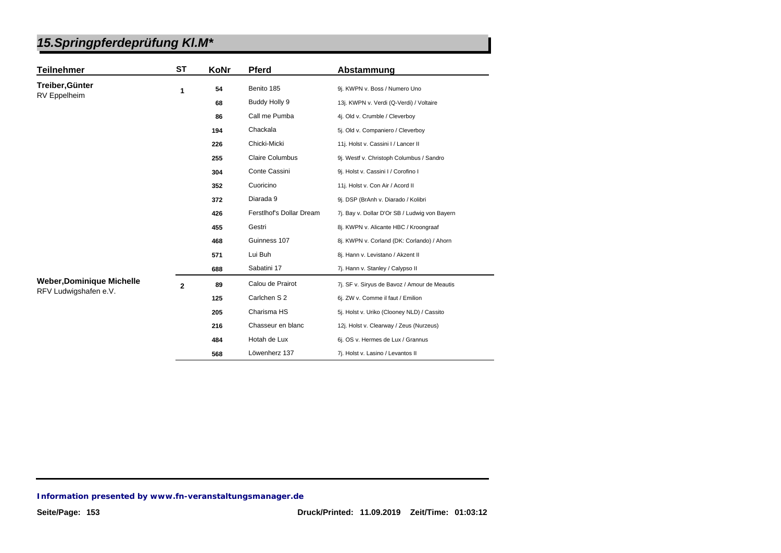|--|

| <b>Teilnehmer</b>                | <b>ST</b>      | KoNr | Pferd                    | Abstammung                                    |
|----------------------------------|----------------|------|--------------------------|-----------------------------------------------|
| Treiber, Günter                  | 1              | 54   | Benito 185               | 9j. KWPN v. Boss / Numero Uno                 |
| <b>RV</b> Eppelheim              |                | 68   | Buddy Holly 9            | 13j. KWPN v. Verdi (Q-Verdi) / Voltaire       |
|                                  |                | 86   | Call me Pumba            | 4j. Old v. Crumble / Cleverboy                |
|                                  |                | 194  | Chackala                 | 5j. Old v. Companiero / Cleverboy             |
|                                  |                | 226  | Chicki-Micki             | 11j. Holst v. Cassini I / Lancer II           |
|                                  |                | 255  | <b>Claire Columbus</b>   | 9j. Westf v. Christoph Columbus / Sandro      |
|                                  |                | 304  | Conte Cassini            | 9j. Holst v. Cassini I / Corofino I           |
|                                  |                | 352  | Cuoricino                | 11j. Holst v. Con Air / Acord II              |
|                                  |                | 372  | Diarada 9                | 9j. DSP (BrAnh v. Diarado / Kolibri           |
|                                  |                | 426  | Ferstlhof's Dollar Dream | 7j. Bay v. Dollar D'Or SB / Ludwig von Bayern |
|                                  |                | 455  | Gestri                   | 8j. KWPN v. Alicante HBC / Kroongraaf         |
|                                  |                | 468  | Guinness 107             | 8j. KWPN v. Corland (DK: Corlando) / Ahorn    |
|                                  |                | 571  | Lui Buh                  | 8j. Hann v. Levistano / Akzent II             |
|                                  |                | 688  | Sabatini 17              | 7j. Hann v. Stanley / Calypso II              |
| <b>Weber, Dominique Michelle</b> | $\overline{2}$ | 89   | Calou de Prairot         | 7j. SF v. Siryus de Bavoz / Amour de Meautis  |
| RFV Ludwigshafen e.V.            |                | 125  | Carlchen S 2             | 6j. ZW v. Comme il faut / Emilion             |
|                                  |                | 205  | Charisma HS              | 5j. Holst v. Uriko (Clooney NLD) / Cassito    |
|                                  |                | 216  | Chasseur en blanc        | 12j. Holst v. Clearway / Zeus (Nurzeus)       |
|                                  |                | 484  | Hotah de Lux             | 6j. OS v. Hermes de Lux / Grannus             |
|                                  |                | 568  | Löwenherz 137            | 7j. Holst v. Lasino / Levantos II             |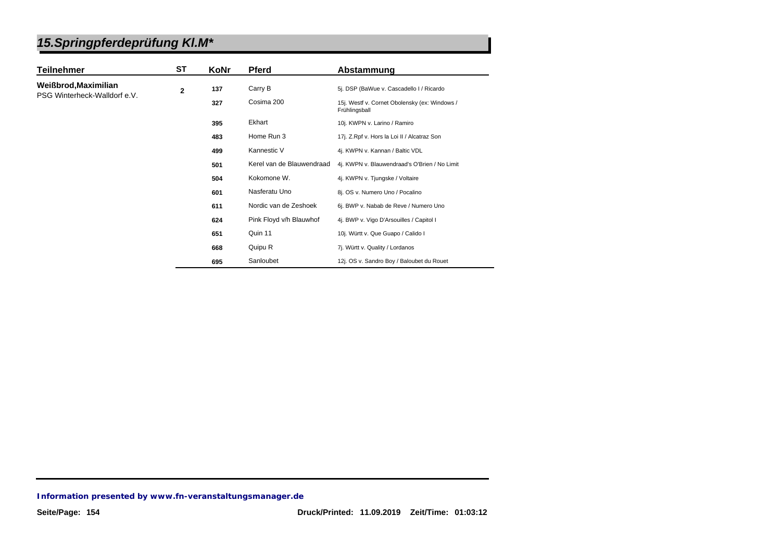| <b>Teilnehmer</b>            | ST           | KoNr | <b>Pferd</b>              | Abstammung                                                     |
|------------------------------|--------------|------|---------------------------|----------------------------------------------------------------|
| Weißbrod, Maximilian         | $\mathbf{2}$ | 137  | Carry B                   | 5j. DSP (BaWue v. Cascadello I / Ricardo                       |
| PSG Winterheck-Walldorf e.V. |              | 327  | Cosima 200                | 15j. Westf v. Cornet Obolensky (ex: Windows /<br>Frühlingsball |
|                              |              | 395  | Ekhart                    | 10j. KWPN v. Larino / Ramiro                                   |
|                              |              | 483  | Home Run 3                | 17j. Z.Rpf v. Hors la Loi II / Alcatraz Son                    |
|                              |              | 499  | Kannestic V               | 4j. KWPN v. Kannan / Baltic VDL                                |
|                              |              | 501  | Kerel van de Blauwendraad | 4j. KWPN v. Blauwendraad's O'Brien / No Limit                  |
|                              |              | 504  | Kokomone W.               | 4j. KWPN v. Tjungske / Voltaire                                |
|                              |              | 601  | Nasferatu Uno             | 8j. OS v. Numero Uno / Pocalino                                |
|                              |              | 611  | Nordic van de Zeshoek     | 6j. BWP v. Nabab de Reve / Numero Uno                          |
|                              |              | 624  | Pink Floyd v/h Blauwhof   | 4j. BWP v. Vigo D'Arsouilles / Capitol I                       |
|                              |              | 651  | Quin 11                   | 10j. Württ v. Que Guapo / Calido I                             |
|                              |              | 668  | Quipu R                   | 7j. Württ v. Quality / Lordanos                                |
|                              |              | 695  | Sanloubet                 | 12j. OS v. Sandro Boy / Baloubet du Rouet                      |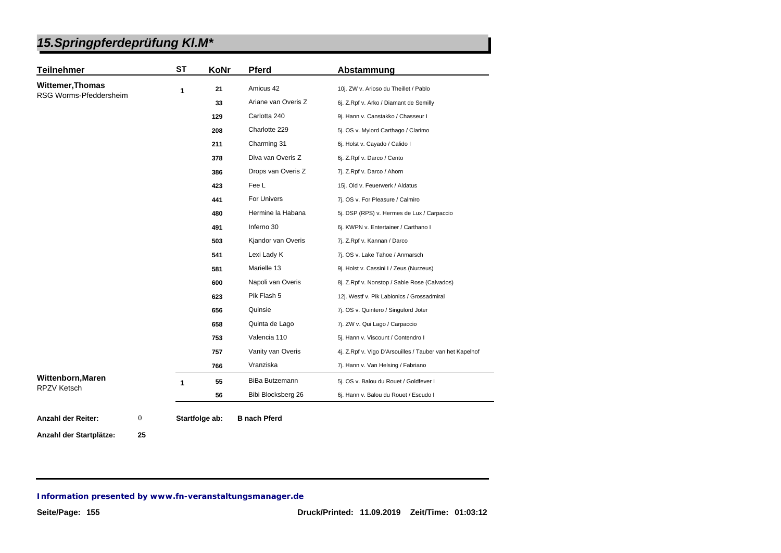| <b>Teilnehmer</b>                                 | <b>ST</b> | KoNr | <b>Pferd</b>        | Abstammung                                               |
|---------------------------------------------------|-----------|------|---------------------|----------------------------------------------------------|
| <b>Wittemer, Thomas</b><br>RSG Worms-Pfeddersheim | 1         | 21   | Amicus 42           | 10j. ZW v. Arioso du Theillet / Pablo                    |
|                                                   |           | 33   | Ariane van Overis Z | 6j. Z.Rpf v. Arko / Diamant de Semilly                   |
|                                                   |           | 129  | Carlotta 240        | 9j. Hann v. Canstakko / Chasseur I                       |
|                                                   |           | 208  | Charlotte 229       | 5j. OS v. Mylord Carthago / Clarimo                      |
|                                                   |           | 211  | Charming 31         | 6j. Holst v. Cayado / Calido I                           |
|                                                   |           | 378  | Diva van Overis Z   | 6j. Z.Rpf v. Darco / Cento                               |
|                                                   |           | 386  | Drops van Overis Z  | 7j. Z.Rpf v. Darco / Ahorn                               |
|                                                   |           | 423  | Fee L               | 15j. Old v. Feuerwerk / Aldatus                          |
|                                                   |           | 441  | For Univers         | 7j. OS v. For Pleasure / Calmiro                         |
|                                                   |           | 480  | Hermine la Habana   | 5j. DSP (RPS) v. Hermes de Lux / Carpaccio               |
|                                                   |           | 491  | Inferno 30          | 6j. KWPN v. Entertainer / Carthano I                     |
|                                                   |           | 503  | Kjandor van Overis  | 7j. Z.Rpf v. Kannan / Darco                              |
|                                                   |           | 541  | Lexi Lady K         | 7j. OS v. Lake Tahoe / Anmarsch                          |
|                                                   |           | 581  | Marielle 13         | 9j. Holst v. Cassini I / Zeus (Nurzeus)                  |
|                                                   |           | 600  | Napoli van Overis   | 8j. Z.Rpf v. Nonstop / Sable Rose (Calvados)             |
|                                                   |           | 623  | Pik Flash 5         | 12j. Westf v. Pik Labionics / Grossadmiral               |
|                                                   |           | 656  | Quinsie             | 7j. OS v. Quintero / Singulord Joter                     |
|                                                   |           | 658  | Quinta de Lago      | 7j. ZW v. Qui Lago / Carpaccio                           |
|                                                   |           | 753  | Valencia 110        | 5j. Hann v. Viscount / Contendro I                       |
|                                                   |           | 757  | Vanity van Overis   | 4j. Z.Rpf v. Vigo D'Arsouilles / Tauber van het Kapelhof |
|                                                   |           | 766  | Vranziska           | 7j. Hann v. Van Helsing / Fabriano                       |
| Wittenborn, Maren                                 | 1         | 55   | BiBa Butzemann      | 5j. OS v. Balou du Rouet / Goldfever I                   |
| <b>RPZV Ketsch</b>                                |           | 56   | Bibi Blocksberg 26  | 6j. Hann v. Balou du Rouet / Escudo I                    |

**Anzahl der Startplätze: 25**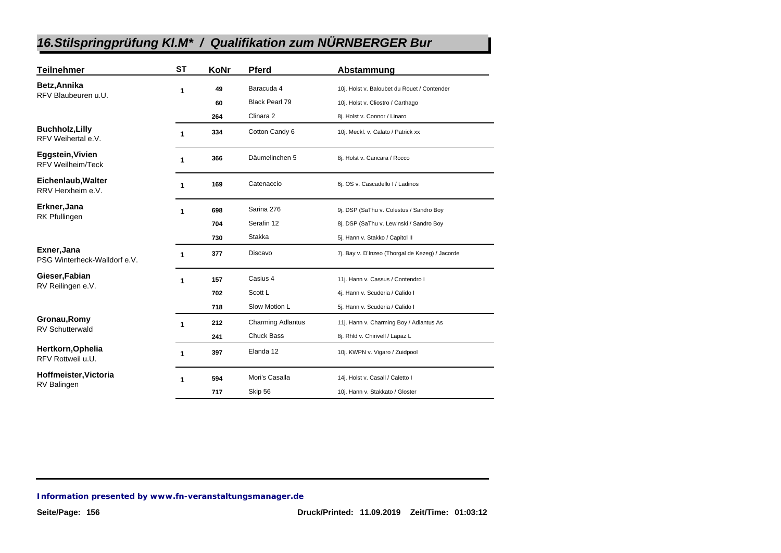| <b>Teilnehmer</b>                            | <b>ST</b> | KoNr | <b>Pferd</b>             | Abstammung                                      |
|----------------------------------------------|-----------|------|--------------------------|-------------------------------------------------|
| Betz, Annika                                 | 1         | 49   | Baracuda 4               | 10j. Holst v. Baloubet du Rouet / Contender     |
| RFV Blaubeuren u.U.                          |           | 60   | Black Pearl 79           | 10j. Holst v. Cliostro / Carthago               |
|                                              |           | 264  | Clinara <sub>2</sub>     | 8j. Holst v. Connor / Linaro                    |
| <b>Buchholz, Lilly</b><br>RFV Weihertal e.V. | 1         | 334  | Cotton Candy 6           | 10j. Meckl. v. Calato / Patrick xx              |
| Eggstein, Vivien<br><b>RFV Weilheim/Teck</b> | 1         | 366  | Däumelinchen 5           | 8j. Holst v. Cancara / Rocco                    |
| Eichenlaub, Walter<br>RRV Herxheim e.V.      | 1         | 169  | Catenaccio               | 6j. OS v. Cascadello I / Ladinos                |
| Erkner, Jana<br><b>RK Pfullingen</b>         | 1         | 698  | Sarina 276               | 9j. DSP (SaThu v. Colestus / Sandro Boy         |
|                                              |           | 704  | Serafin 12               | 8j. DSP (SaThu v. Lewinski / Sandro Boy         |
|                                              |           | 730  | Stakka                   | 5j. Hann v. Stakko / Capitol II                 |
| Exner, Jana<br>PSG Winterheck-Walldorf e.V.  | 1         | 377  | Discavo                  | 7j. Bay v. D'Inzeo (Thorgal de Kezeg) / Jacorde |
| Gieser, Fabian<br>RV Reilingen e.V.          | 1         | 157  | Casius 4                 | 11j. Hann v. Cassus / Contendro I               |
|                                              |           | 702  | Scott L                  | 4j. Hann v. Scuderia / Calido I                 |
|                                              |           | 718  | Slow Motion L            | 5j. Hann v. Scuderia / Calido I                 |
| Gronau, Romy<br><b>RV Schutterwald</b>       | 1         | 212  | <b>Charming Adlantus</b> | 11j. Hann v. Charming Boy / Adlantus As         |
|                                              |           | 241  | <b>Chuck Bass</b>        | 8j. Rhld v. Chirivell / Lapaz L                 |
| Hertkorn, Ophelia<br>RFV Rottweil u.U.       | 1         | 397  | Elanda 12                | 10j. KWPN v. Vigaro / Zuidpool                  |
| Hoffmeister, Victoria<br>RV Balingen         | 1         | 594  | Mori's Casalla           | 14j. Holst v. Casall / Caletto I                |
|                                              |           | 717  | Skip 56                  | 10j. Hann v. Stakkato / Gloster                 |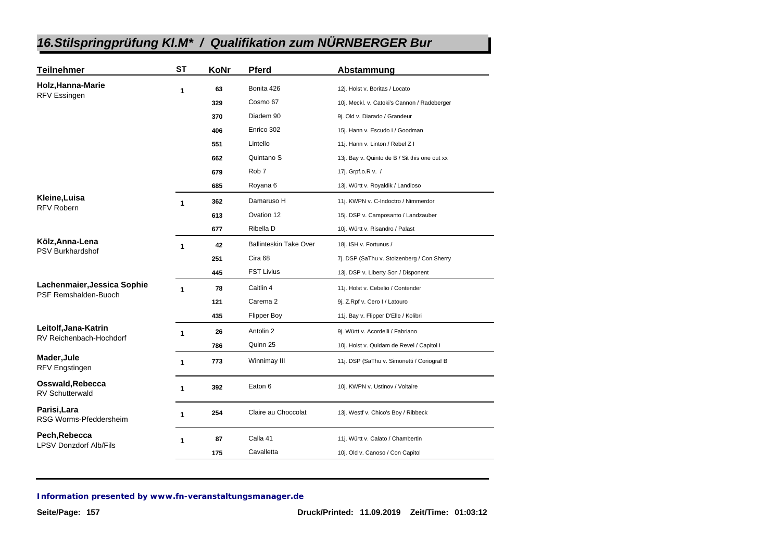| <b>Teilnehmer</b>                          | <b>ST</b>    | KoNr | <b>Pferd</b>                  | Abstammung                                    |
|--------------------------------------------|--------------|------|-------------------------------|-----------------------------------------------|
| Holz, Hanna-Marie<br><b>RFV Essingen</b>   | 1            | 63   | Bonita 426                    | 12j. Holst v. Boritas / Locato                |
|                                            |              | 329  | Cosmo 67                      | 10j. Meckl. v. Catoki's Cannon / Radeberger   |
|                                            |              | 370  | Diadem 90                     | 9j. Old v. Diarado / Grandeur                 |
|                                            |              | 406  | Enrico 302                    | 15j. Hann v. Escudo I / Goodman               |
|                                            |              | 551  | Lintello                      | 11j. Hann v. Linton / Rebel Z I               |
|                                            |              | 662  | Quintano S                    | 13j. Bay v. Quinto de B / Sit this one out xx |
|                                            |              | 679  | Rob <sub>7</sub>              | 17j. Grpf.o.R v. /                            |
|                                            |              | 685  | Royana 6                      | 13j. Württ v. Royaldik / Landioso             |
| Kleine, Luisa                              | $\mathbf{1}$ | 362  | Damaruso H                    | 11j. KWPN v. C-Indoctro / Nimmerdor           |
| <b>RFV Robern</b>                          |              | 613  | Ovation 12                    | 15j. DSP v. Camposanto / Landzauber           |
|                                            |              | 677  | Ribella D                     | 10j. Württ v. Risandro / Palast               |
| Kölz, Anna-Lena                            | $\mathbf{1}$ | 42   | <b>Ballinteskin Take Over</b> | 18j. ISH v. Fortunus /                        |
| PSV Burkhardshof                           |              | 251  | Cira 68                       | 7j. DSP (SaThu v. Stolzenberg / Con Sherry    |
|                                            |              | 445  | <b>FST Livius</b>             | 13j. DSP v. Liberty Son / Disponent           |
| Lachenmaier, Jessica Sophie                | $\mathbf{1}$ | 78   | Caitlin 4                     | 11j. Holst v. Cebelio / Contender             |
| PSF Remshalden-Buoch                       |              | 121  | Carema <sub>2</sub>           | 9j. Z.Rpf v. Cero I / Latouro                 |
|                                            |              | 435  | <b>Flipper Boy</b>            | 11j. Bay v. Flipper D'Elle / Kolibri          |
| Leitolf, Jana-Katrin                       | $\mathbf{1}$ | 26   | Antolin 2                     | 9j. Württ v. Acordelli / Fabriano             |
| RV Reichenbach-Hochdorf                    |              | 786  | Quinn 25                      | 10j. Holst v. Quidam de Revel / Capitol I     |
| Mader, Jule<br>RFV Engstingen              | $\mathbf{1}$ | 773  | Winnimay III                  | 11j. DSP (SaThu v. Simonetti / Coriograf B    |
| Osswald, Rebecca<br><b>RV Schutterwald</b> | 1            | 392  | Eaton 6                       | 10j. KWPN v. Ustinov / Voltaire               |
| Parisi, Lara<br>RSG Worms-Pfeddersheim     | 1            | 254  | Claire au Choccolat           | 13j. Westf v. Chico's Boy / Ribbeck           |
| Pech, Rebecca                              | 1            | 87   | Calla 41                      | 11j. Württ v. Calato / Chambertin             |
| <b>LPSV Donzdorf Alb/Fils</b>              |              | 175  | Cavalletta                    | 10j. Old v. Canoso / Con Capitol              |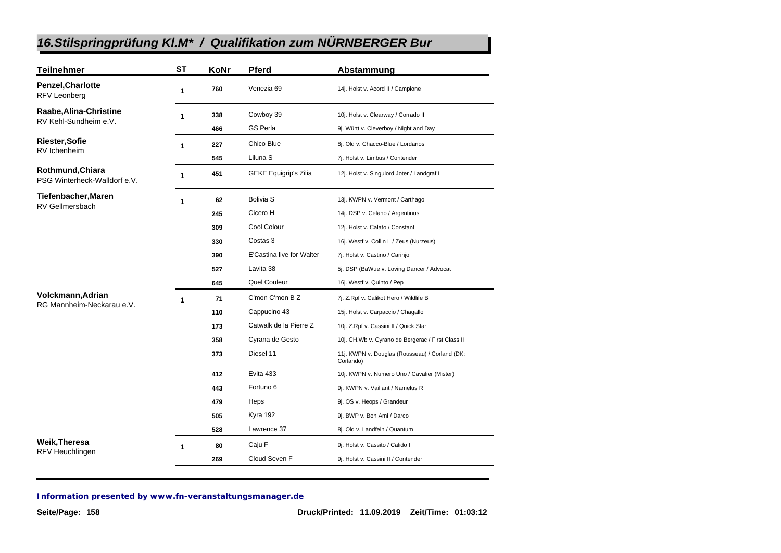| <b>Teilnehmer</b>                                | <b>ST</b> | KoNr | <b>Pferd</b>                 | Abstammung                                                  |
|--------------------------------------------------|-----------|------|------------------------------|-------------------------------------------------------------|
| <b>Penzel, Charlotte</b><br><b>RFV Leonberg</b>  | 1         | 760  | Venezia 69                   | 14j. Holst v. Acord II / Campione                           |
| Raabe, Alina-Christine                           | 1         | 338  | Cowboy 39                    | 10j. Holst v. Clearway / Corrado II                         |
| RV Kehl-Sundheim e.V.                            |           | 466  | <b>GS Perla</b>              | 9j. Württ v. Cleverboy / Night and Day                      |
| <b>Riester, Sofie</b>                            | 1         | 227  | Chico Blue                   | 8j. Old v. Chacco-Blue / Lordanos                           |
| RV Ichenheim                                     |           | 545  | Liluna S                     | 7j. Holst v. Limbus / Contender                             |
| Rothmund, Chiara<br>PSG Winterheck-Walldorf e.V. | 1         | 451  | <b>GEKE Equigrip's Zilia</b> | 12j. Holst v. Singulord Joter / Landgraf I                  |
| Tiefenbacher, Maren                              | 1         | 62   | <b>Bolivia S</b>             | 13j. KWPN v. Vermont / Carthago                             |
| <b>RV Gellmersbach</b>                           |           | 245  | Cicero H                     | 14j. DSP v. Celano / Argentinus                             |
|                                                  |           | 309  | Cool Colour                  | 12j. Holst v. Calato / Constant                             |
|                                                  |           | 330  | Costas 3                     | 16j. Westf v. Collin L / Zeus (Nurzeus)                     |
|                                                  |           | 390  | E'Castina live for Walter    | 7j. Holst v. Castino / Carinjo                              |
|                                                  |           | 527  | Lavita 38                    | 5j. DSP (BaWue v. Loving Dancer / Advocat                   |
|                                                  |           | 645  | Quel Couleur                 | 16j. Westf v. Quinto / Pep                                  |
| Volckmann, Adrian                                | 1         | 71   | C'mon C'mon B Z              | 7j. Z.Rpf v. Calikot Hero / Wildlife B                      |
| RG Mannheim-Neckarau e.V.                        |           | 110  | Cappucino 43                 | 15j. Holst v. Carpaccio / Chagallo                          |
|                                                  |           | 173  | Catwalk de la Pierre Z       | 10j. Z.Rpf v. Cassini II / Quick Star                       |
|                                                  |           | 358  | Cyrana de Gesto              | 10j. CH.Wb v. Cyrano de Bergerac / First Class II           |
|                                                  |           | 373  | Diesel 11                    | 11j. KWPN v. Douglas (Rousseau) / Corland (DK:<br>Corlando) |
|                                                  |           | 412  | Evita 433                    | 10j. KWPN v. Numero Uno / Cavalier (Mister)                 |
|                                                  |           | 443  | Fortuno 6                    | 9j. KWPN v. Vaillant / Namelus R                            |
|                                                  |           | 479  | Heps                         | 9j. OS v. Heops / Grandeur                                  |
|                                                  |           | 505  | Kyra 192                     | 9j. BWP v. Bon Ami / Darco                                  |
|                                                  |           | 528  | Lawrence 37                  | 8j. Old v. Landfein / Quantum                               |
| Weik, Theresa                                    | 1         | 80   | Caju F                       | 9j. Holst v. Cassito / Calido I                             |
| RFV Heuchlingen                                  |           | 269  | Cloud Seven F                | 9j. Holst v. Cassini II / Contender                         |